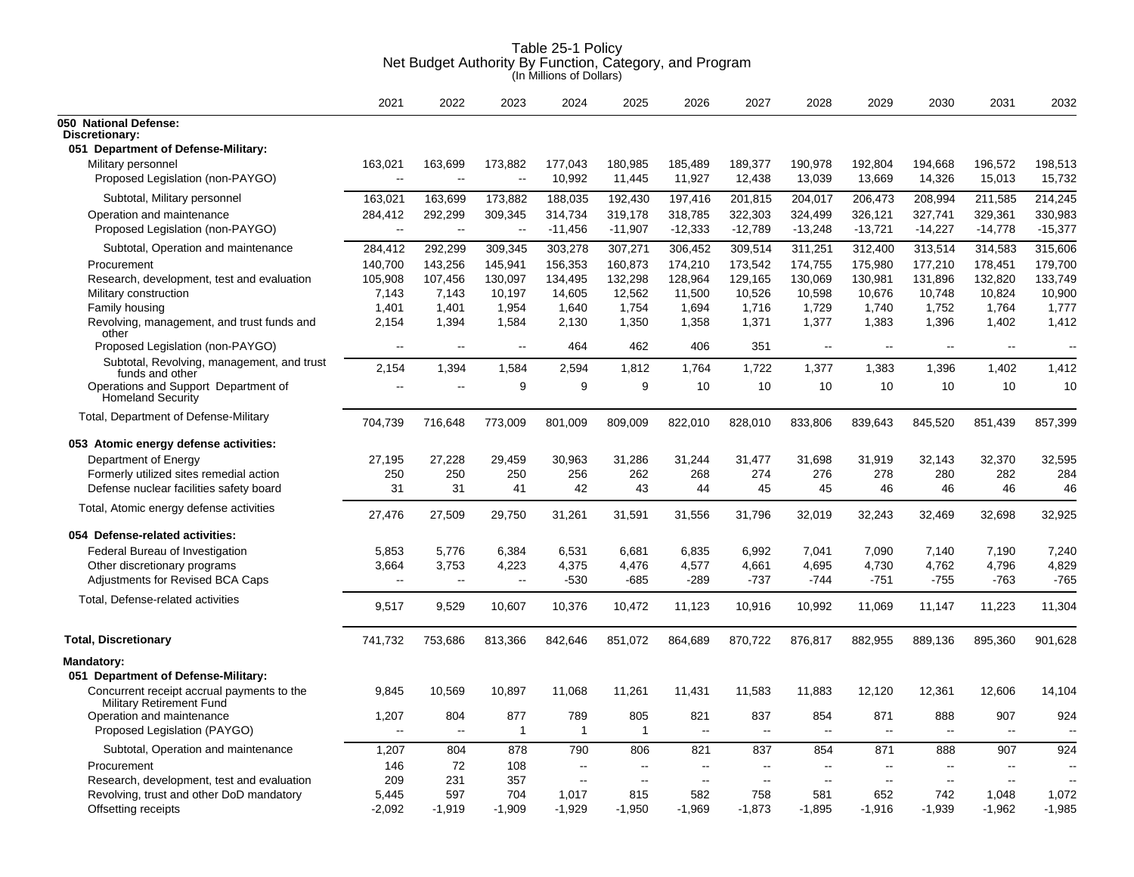|                                                                        | 2021                     | 2022           | 2023           | 2024                  | 2025                  | 2026                            | 2027      | 2028      | 2029           | 2030                     | 2031                | 2032                     |
|------------------------------------------------------------------------|--------------------------|----------------|----------------|-----------------------|-----------------------|---------------------------------|-----------|-----------|----------------|--------------------------|---------------------|--------------------------|
| 050 National Defense:<br>Discretionary:                                |                          |                |                |                       |                       |                                 |           |           |                |                          |                     |                          |
| 051 Department of Defense-Military:                                    |                          |                |                |                       |                       |                                 |           |           |                |                          |                     |                          |
| Military personnel                                                     | 163,021                  | 163,699        | 173,882        | 177,043               | 180,985               | 185,489                         | 189,377   | 190,978   | 192,804        | 194,668                  | 196,572             | 198,513                  |
| Proposed Legislation (non-PAYGO)                                       | $\overline{\phantom{a}}$ | $\sim$         | $\sim$         | 10,992                | 11,445                | 11,927                          | 12,438    | 13,039    | 13,669         | 14,326                   | 15,013              | 15,732                   |
| Subtotal, Military personnel                                           | 163,021                  | 163,699        | 173,882        | 188,035               | 192,430               | 197,416                         | 201,815   | 204,017   | 206,473        | 208,994                  | 211,585             | 214,245                  |
| Operation and maintenance                                              | 284,412                  | 292,299        | 309,345        | 314,734               | 319.178               | 318,785                         | 322,303   | 324,499   | 326.121        | 327,741                  | 329.361             | 330,983                  |
| Proposed Legislation (non-PAYGO)                                       | $\overline{a}$           | $\sim$         | $\sim$         | $-11,456$             | $-11,907$             | $-12,333$                       | $-12,789$ | $-13,248$ | $-13,721$      | $-14,227$                | $-14,778$           | $-15,377$                |
| Subtotal, Operation and maintenance                                    | 284,412                  | 292,299        | 309,345        | 303,278               | 307,271               | 306,452                         | 309,514   | 311,251   | 312,400        | 313,514                  | 314,583             | 315,606                  |
| Procurement                                                            | 140,700                  | 143,256        | 145,941        | 156,353               | 160,873               | 174,210                         | 173,542   | 174,755   | 175,980        | 177,210                  | 178,451             | 179,700                  |
| Research, development, test and evaluation                             | 105,908                  | 107,456        | 130,097        | 134,495               | 132,298               | 128,964                         | 129,165   | 130,069   | 130,981        | 131,896                  | 132,820             | 133,749                  |
| Military construction                                                  | 7,143                    | 7,143          | 10,197         | 14,605                | 12,562                | 11,500                          | 10,526    | 10,598    | 10,676         | 10,748                   | 10,824              | 10,900                   |
| Family housing                                                         | 1,401                    | 1,401          | 1,954          | 1,640                 | 1,754                 | 1,694                           | 1,716     | 1,729     | 1,740          | 1,752                    | 1,764               | 1,777                    |
| Revolving, management, and trust funds and<br>other                    | 2,154                    | 1,394          | 1,584          | 2,130                 | 1,350                 | 1,358                           | 1,371     | 1,377     | 1,383          | 1,396                    | 1,402               | 1,412                    |
| Proposed Legislation (non-PAYGO)                                       | $\overline{\phantom{a}}$ | $\sim$ $\sim$  | $\overline{a}$ | 464                   | 462                   | 406                             | 351       | $\sim$    | --             | $\sim$                   | $\sim$              |                          |
| Subtotal, Revolving, management, and trust<br>funds and other          | 2,154                    | 1,394          | 1,584          | 2,594                 | 1,812                 | 1,764                           | 1,722     | 1,377     | 1,383          | 1,396                    | 1,402               | 1,412                    |
| Operations and Support Department of<br><b>Homeland Security</b>       | $\overline{a}$           | $\overline{a}$ | 9              | 9                     | 9                     | 10                              | 10        | 10        | 10             | 10                       | 10                  | 10                       |
| Total, Department of Defense-Military                                  | 704,739                  | 716,648        | 773,009        | 801,009               | 809,009               | 822,010                         | 828,010   | 833,806   | 839,643        | 845,520                  | 851,439             | 857,399                  |
| 053 Atomic energy defense activities:                                  |                          |                |                |                       |                       |                                 |           |           |                |                          |                     |                          |
| Department of Energy                                                   | 27,195                   | 27,228         | 29,459         | 30,963                | 31,286                | 31,244                          | 31,477    | 31,698    | 31,919         | 32,143                   | 32,370              | 32,595                   |
| Formerly utilized sites remedial action                                | 250                      | 250            | 250            | 256                   | 262                   | 268                             | 274       | 276       | 278            | 280                      | 282                 | 284                      |
| Defense nuclear facilities safety board                                | 31                       | 31             | 41             | 42                    | 43                    | 44                              | 45        | 45        | 46             | 46                       | 46                  | 46                       |
| Total, Atomic energy defense activities                                | 27,476                   | 27,509         | 29,750         | 31,261                | 31,591                | 31,556                          | 31,796    | 32,019    | 32,243         | 32,469                   | 32.698              | 32,925                   |
| 054 Defense-related activities:                                        |                          |                |                |                       |                       |                                 |           |           |                |                          |                     |                          |
| Federal Bureau of Investigation                                        | 5,853                    | 5,776          | 6,384          | 6,531                 | 6,681                 | 6,835                           | 6,992     | 7,041     | 7,090          | 7,140                    | 7,190               | 7,240                    |
| Other discretionary programs                                           | 3,664                    | 3,753          | 4,223          | 4,375                 | 4,476                 | 4,577                           | 4,661     | 4,695     | 4,730          | 4,762                    | 4,796               | 4,829                    |
| Adjustments for Revised BCA Caps                                       | $\overline{\phantom{a}}$ | $\sim$ $\sim$  | $\sim$ $\sim$  | $-530$                | $-685$                | $-289$                          | $-737$    | $-744$    | $-751$         | $-755$                   | $-763$              | $-765$                   |
| Total, Defense-related activities                                      | 9,517                    | 9,529          | 10,607         | 10,376                | 10,472                | 11,123                          | 10,916    | 10,992    | 11,069         | 11,147                   | 11,223              | 11,304                   |
| <b>Total, Discretionary</b>                                            | 741,732                  | 753,686        | 813,366        | 842,646               | 851,072               | 864,689                         | 870,722   | 876,817   | 882,955        | 889,136                  | 895,360             | 901,628                  |
| Mandatory:<br>051 Department of Defense-Military:                      |                          |                |                |                       |                       |                                 |           |           |                |                          |                     |                          |
| Concurrent receipt accrual payments to the<br>Military Retirement Fund | 9,845                    | 10,569         | 10,897         | 11,068                | 11,261                | 11,431                          | 11,583    | 11,883    | 12,120         | 12,361                   | 12,606              | 14,104                   |
| Operation and maintenance<br>Proposed Legislation (PAYGO)              | 1,207<br>-−              | 804<br>$\sim$  | 877<br>1       | 789<br>$\overline{1}$ | 805<br>$\overline{1}$ | 821<br>$\overline{\phantom{a}}$ | 837<br>-- | 854<br>Ξ. | 871<br>-−      | 888<br>$\mathbf{u}$      | 907<br>$\mathbf{u}$ | 924                      |
| Subtotal, Operation and maintenance                                    | 1,207                    | 804            | 878            | 790                   | 806                   | 821                             | 837       | 854       | 871            | 888                      | 907                 | 924                      |
| Procurement                                                            | 146                      | 72             | 108            | $\sim$                | $\sim$                | $\sim$                          | ä.        | $\sim$    | $\overline{a}$ | $\overline{\phantom{a}}$ | $\sim$              | $\overline{\phantom{a}}$ |
| Research, development, test and evaluation                             | 209                      | 231            | 357            | $\sim$                | $\sim$                | $\sim$                          | $\sim$    | $\sim$    | $\sim$         | $\sim$ $\sim$            | $\sim$              | $\sim$                   |
| Revolving, trust and other DoD mandatory                               | 5,445                    | 597            | 704            | 1,017                 | 815                   | 582                             | 758       | 581       | 652            | 742                      | 1,048               | 1,072                    |
| Offsetting receipts                                                    | $-2,092$                 | $-1,919$       | $-1,909$       | $-1,929$              | $-1,950$              | $-1,969$                        | $-1,873$  | $-1,895$  | $-1,916$       | $-1,939$                 | $-1,962$            | $-1,985$                 |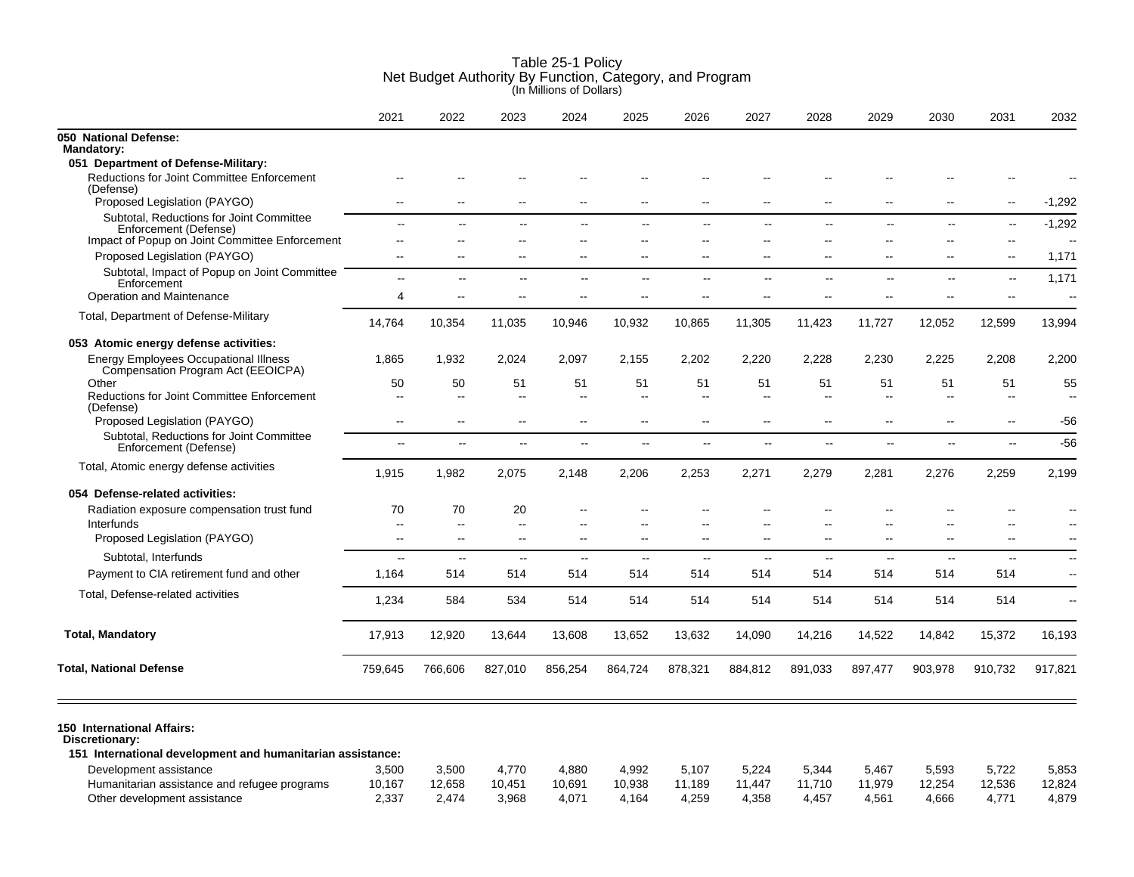|                                                                                                                                      | 2021                               | 2022                     | 2023                     | 2024                               | 2025                                                 | 2026                     | 2027                                       | 2028                           | 2029                                                 | 2030                            | 2031                                                 | 2032                       |
|--------------------------------------------------------------------------------------------------------------------------------------|------------------------------------|--------------------------|--------------------------|------------------------------------|------------------------------------------------------|--------------------------|--------------------------------------------|--------------------------------|------------------------------------------------------|---------------------------------|------------------------------------------------------|----------------------------|
| 050 National Defense:<br><b>Mandatory:</b>                                                                                           |                                    |                          |                          |                                    |                                                      |                          |                                            |                                |                                                      |                                 |                                                      |                            |
| 051 Department of Defense-Military:                                                                                                  |                                    |                          |                          |                                    |                                                      |                          |                                            |                                |                                                      |                                 |                                                      |                            |
| <b>Reductions for Joint Committee Enforcement</b><br>(Defense)                                                                       |                                    |                          |                          |                                    |                                                      |                          |                                            |                                |                                                      |                                 |                                                      |                            |
| Proposed Legislation (PAYGO)                                                                                                         | $\overline{a}$                     | $\overline{a}$           | $\overline{\phantom{a}}$ | $\overline{a}$                     | $\sim$                                               | $\overline{\phantom{a}}$ | $\overline{\phantom{a}}$                   | Ξ.                             | --                                                   | $-$                             | $\overline{\phantom{a}}$                             | $-1,292$                   |
| Subtotal, Reductions for Joint Committee<br>Enforcement (Defense)<br>Impact of Popup on Joint Committee Enforcement                  | $\mathbf{u}$<br>$-$                | $\overline{a}$           | --<br>$\sim$             | $\overline{a}$                     | $\mathbf{u}$<br>$\overline{\phantom{a}}$             | $\sim$<br>$\sim$         | $\sim$<br>$\overline{\phantom{a}}$         | $\mathbf{u}$<br>$\overline{a}$ | $\overline{\phantom{a}}$<br>--                       | ц.<br>$-$                       | $\mathbf{L}$<br>$\overline{\phantom{a}}$             | $-1,292$<br>$\overline{a}$ |
| Proposed Legislation (PAYGO)                                                                                                         | $\overline{a}$                     | $\overline{\phantom{a}}$ | $\sim$                   | $\sim$                             | $\sim$ $\sim$                                        | $\sim$                   | $\sim$                                     | $\overline{a}$                 | $\overline{\phantom{a}}$                             | $\sim$ $\sim$                   | $\overline{\phantom{a}}$                             | 1,171                      |
| Subtotal, Impact of Popup on Joint Committee<br>Enforcement                                                                          | $\overline{a}$                     | н.                       | $\overline{a}$           | 44                                 | $\overline{\phantom{a}}$                             | $\overline{\phantom{a}}$ | $\sim$ $\sim$                              | $\overline{\phantom{a}}$       | $\overline{\phantom{a}}$                             | --                              | $\sim$                                               | 1,171                      |
| Operation and Maintenance                                                                                                            | 4                                  |                          |                          |                                    |                                                      |                          |                                            |                                | --                                                   | $-$                             | $\overline{\phantom{a}}$                             |                            |
| Total, Department of Defense-Military                                                                                                | 14,764                             | 10,354                   | 11,035                   | 10,946                             | 10,932                                               | 10,865                   | 11,305                                     | 11,423                         | 11,727                                               | 12,052                          | 12,599                                               | 13,994                     |
| 053 Atomic energy defense activities:                                                                                                |                                    |                          |                          |                                    |                                                      |                          |                                            |                                |                                                      |                                 |                                                      |                            |
| <b>Energy Employees Occupational Illness</b><br>Compensation Program Act (EEOICPA)                                                   | 1,865                              | 1,932                    | 2,024                    | 2,097                              | 2,155                                                | 2,202                    | 2,220                                      | 2,228                          | 2,230                                                | 2,225                           | 2,208                                                | 2,200                      |
| Other                                                                                                                                | 50                                 | 50                       | 51                       | 51                                 | 51                                                   | 51                       | 51                                         | 51                             | 51                                                   | 51                              | 51                                                   | 55                         |
| Reductions for Joint Committee Enforcement<br>(Defense)<br>Proposed Legislation (PAYGO)                                              | $\sim$<br>$\overline{\phantom{a}}$ | $\overline{a}$<br>$-$    | $\mathbf{u}$             | $\sim$<br>$\overline{\phantom{a}}$ | $\overline{\phantom{a}}$<br>$\overline{\phantom{a}}$ | $\sim$<br>$\sim$         | $\overline{a}$<br>$\overline{\phantom{a}}$ | Ξ.<br>--                       | $\overline{\phantom{a}}$<br>$\overline{\phantom{a}}$ | $-$<br>$\overline{\phantom{a}}$ | $\overline{\phantom{a}}$<br>$\overline{\phantom{a}}$ | $\sim$<br>-56              |
| Subtotal, Reductions for Joint Committee<br>Enforcement (Defense)                                                                    | $\overline{a}$                     | $\overline{a}$           | $\overline{a}$           | $\overline{a}$                     | $\sim$                                               | $\sim$                   | $\sim$                                     | $\sim$ $\sim$                  | $\overline{\phantom{a}}$                             | $\overline{a}$                  | $\overline{a}$                                       | $-56$                      |
| Total, Atomic energy defense activities                                                                                              | 1,915                              | 1,982                    | 2,075                    | 2,148                              | 2,206                                                | 2,253                    | 2,271                                      | 2,279                          | 2,281                                                | 2,276                           | 2,259                                                | 2,199                      |
| 054 Defense-related activities:                                                                                                      |                                    |                          |                          |                                    |                                                      |                          |                                            |                                |                                                      |                                 |                                                      |                            |
| Radiation exposure compensation trust fund                                                                                           | 70                                 | 70                       | 20                       |                                    |                                                      |                          |                                            |                                |                                                      |                                 |                                                      |                            |
| Interfunds<br>Proposed Legislation (PAYGO)                                                                                           | Ξ.<br>$\overline{\phantom{a}}$     | $\sim$                   | $\sim$ $\sim$            | $\sim$                             | $\sim$ $\sim$                                        | $\sim$                   | $\overline{a}$                             | $\overline{a}$                 | $\overline{a}$                                       | $-$                             | $\overline{\phantom{a}}$                             | $\sim$                     |
| Subtotal, Interfunds                                                                                                                 | $\overline{a}$                     | $\sim$ $\sim$            | $\overline{a}$           | $\sim$ $\sim$                      | $\sim$                                               | $\sim$                   | $\sim$                                     | $\sim$                         | $\overline{\phantom{a}}$                             | $\sim$                          | $\overline{a}$                                       | $\sim$                     |
| Payment to CIA retirement fund and other                                                                                             | 1,164                              | 514                      | 514                      | 514                                | 514                                                  | 514                      | 514                                        | 514                            | 514                                                  | 514                             | 514                                                  | $\sim$                     |
| Total, Defense-related activities                                                                                                    | 1,234                              | 584                      | 534                      | 514                                | 514                                                  | 514                      | 514                                        | 514                            | 514                                                  | 514                             | 514                                                  | $\overline{\phantom{a}}$   |
| <b>Total, Mandatory</b>                                                                                                              | 17,913                             | 12,920                   | 13,644                   | 13,608                             | 13,652                                               | 13,632                   | 14,090                                     | 14,216                         | 14,522                                               | 14,842                          | 15,372                                               | 16,193                     |
| <b>Total, National Defense</b>                                                                                                       | 759,645                            | 766,606                  | 827,010                  | 856,254                            | 864,724                                              | 878,321                  | 884,812                                    | 891,033                        | 897,477                                              | 903,978                         | 910,732                                              | 917,821                    |
| 150 International Affairs:<br>Discretionary:<br>151 International development and humanitarian assistance:<br>Development assistance | 3,500                              | 3,500                    | 4,770                    | 4,880                              | 4,992                                                | 5,107                    | 5,224                                      | 5,344                          | 5,467                                                | 5,593                           | 5,722                                                | 5,853                      |
| Humanitarian assistance and refugee programs                                                                                         | 10,167                             | 12,658                   | 10,451                   | 10.691                             | 10,938                                               | 11.189                   | 11.447                                     | 11,710                         | 11,979                                               | 12,254                          | 12,536                                               | 12,824                     |

Other development assistance **2,337** 2,474 3,968 4,071 4,164 4,259 4,358 4,457 4,561 4,666 4,771 4,879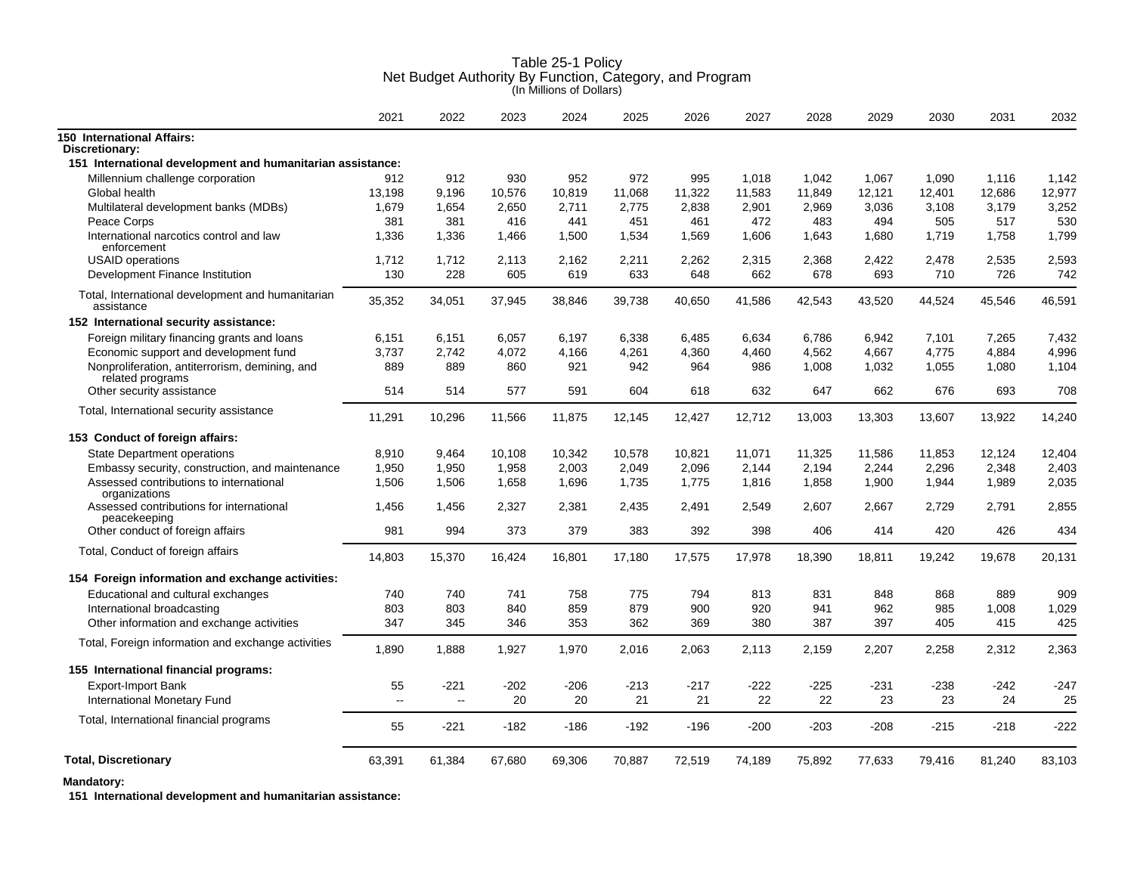|                                                                    | 2021         | 2022         | 2023   | 2024   | 2025   | 2026   | 2027   | 2028   | 2029   | 2030   | 2031   | 2032   |
|--------------------------------------------------------------------|--------------|--------------|--------|--------|--------|--------|--------|--------|--------|--------|--------|--------|
| 150 International Affairs:                                         |              |              |        |        |        |        |        |        |        |        |        |        |
| Discretionary:                                                     |              |              |        |        |        |        |        |        |        |        |        |        |
| 151 International development and humanitarian assistance:         |              |              |        |        |        |        |        |        |        |        |        |        |
| Millennium challenge corporation                                   | 912          | 912          | 930    | 952    | 972    | 995    | 1,018  | 1,042  | 1,067  | 1,090  | 1,116  | 1,142  |
| Global health                                                      | 13,198       | 9,196        | 10,576 | 10,819 | 11,068 | 11,322 | 11,583 | 11,849 | 12,121 | 12,401 | 12,686 | 12,977 |
| Multilateral development banks (MDBs)                              | 1,679        | 1,654        | 2,650  | 2,711  | 2,775  | 2,838  | 2,901  | 2,969  | 3,036  | 3,108  | 3,179  | 3,252  |
| Peace Corps                                                        | 381          | 381          | 416    | 441    | 451    | 461    | 472    | 483    | 494    | 505    | 517    | 530    |
| International narcotics control and law<br>enforcement             | 1,336        | 1,336        | 1.466  | 1,500  | 1,534  | 1,569  | 1.606  | 1,643  | 1,680  | 1,719  | 1,758  | 1,799  |
| <b>USAID</b> operations                                            | 1,712        | 1,712        | 2,113  | 2,162  | 2,211  | 2,262  | 2,315  | 2,368  | 2,422  | 2,478  | 2,535  | 2,593  |
| Development Finance Institution                                    | 130          | 228          | 605    | 619    | 633    | 648    | 662    | 678    | 693    | 710    | 726    | 742    |
| Total, International development and humanitarian<br>assistance    | 35,352       | 34,051       | 37,945 | 38,846 | 39,738 | 40,650 | 41,586 | 42,543 | 43,520 | 44,524 | 45,546 | 46,591 |
| 152 International security assistance:                             |              |              |        |        |        |        |        |        |        |        |        |        |
| Foreign military financing grants and loans                        | 6,151        | 6,151        | 6,057  | 6,197  | 6,338  | 6,485  | 6,634  | 6.786  | 6,942  | 7,101  | 7,265  | 7,432  |
| Economic support and development fund                              | 3.737        | 2.742        | 4,072  | 4,166  | 4,261  | 4,360  | 4,460  | 4,562  | 4,667  | 4,775  | 4,884  | 4,996  |
| Nonproliferation, antiterrorism, demining, and<br>related programs | 889          | 889          | 860    | 921    | 942    | 964    | 986    | 1,008  | 1,032  | 1,055  | 1,080  | 1,104  |
| Other security assistance                                          | 514          | 514          | 577    | 591    | 604    | 618    | 632    | 647    | 662    | 676    | 693    | 708    |
| Total, International security assistance                           | 11,291       | 10,296       | 11,566 | 11,875 | 12,145 | 12,427 | 12,712 | 13,003 | 13,303 | 13,607 | 13,922 | 14,240 |
| 153 Conduct of foreign affairs:                                    |              |              |        |        |        |        |        |        |        |        |        |        |
| <b>State Department operations</b>                                 | 8,910        | 9.464        | 10,108 | 10,342 | 10,578 | 10,821 | 11,071 | 11,325 | 11,586 | 11,853 | 12,124 | 12,404 |
| Embassy security, construction, and maintenance                    | 1,950        | 1,950        | 1,958  | 2,003  | 2,049  | 2,096  | 2,144  | 2,194  | 2,244  | 2,296  | 2,348  | 2,403  |
| Assessed contributions to international<br>organizations           | 1,506        | 1,506        | 1,658  | 1,696  | 1,735  | 1,775  | 1,816  | 1,858  | 1,900  | 1,944  | 1,989  | 2,035  |
| Assessed contributions for international<br>peacekeeping           | 1,456        | 1,456        | 2,327  | 2,381  | 2,435  | 2,491  | 2,549  | 2,607  | 2,667  | 2,729  | 2,791  | 2,855  |
| Other conduct of foreign affairs                                   | 981          | 994          | 373    | 379    | 383    | 392    | 398    | 406    | 414    | 420    | 426    | 434    |
| Total, Conduct of foreign affairs                                  | 14,803       | 15,370       | 16,424 | 16,801 | 17,180 | 17,575 | 17,978 | 18,390 | 18,811 | 19,242 | 19,678 | 20,131 |
| 154 Foreign information and exchange activities:                   |              |              |        |        |        |        |        |        |        |        |        |        |
| Educational and cultural exchanges                                 | 740          | 740          | 741    | 758    | 775    | 794    | 813    | 831    | 848    | 868    | 889    | 909    |
| International broadcasting                                         | 803          | 803          | 840    | 859    | 879    | 900    | 920    | 941    | 962    | 985    | 1,008  | 1,029  |
| Other information and exchange activities                          | 347          | 345          | 346    | 353    | 362    | 369    | 380    | 387    | 397    | 405    | 415    | 425    |
| Total, Foreign information and exchange activities                 | 1,890        | 1,888        | 1,927  | 1,970  | 2,016  | 2,063  | 2,113  | 2,159  | 2,207  | 2,258  | 2,312  | 2,363  |
| 155 International financial programs:                              |              |              |        |        |        |        |        |        |        |        |        |        |
| Export-Import Bank                                                 | 55           | $-221$       | $-202$ | $-206$ | $-213$ | $-217$ | $-222$ | $-225$ | $-231$ | $-238$ | $-242$ | $-247$ |
| International Monetary Fund                                        | $\mathbf{u}$ | $\mathbf{u}$ | 20     | 20     | 21     | 21     | 22     | 22     | 23     | 23     | 24     | 25     |
| Total, International financial programs                            | 55           | $-221$       | $-182$ | $-186$ | $-192$ | $-196$ | $-200$ | $-203$ | $-208$ | $-215$ | $-218$ | -222   |
| <b>Total, Discretionary</b>                                        | 63,391       | 61,384       | 67,680 | 69,306 | 70,887 | 72,519 | 74,189 | 75,892 | 77,633 | 79,416 | 81,240 | 83,103 |

**Mandatory:**

**151 International development and humanitarian assistance:**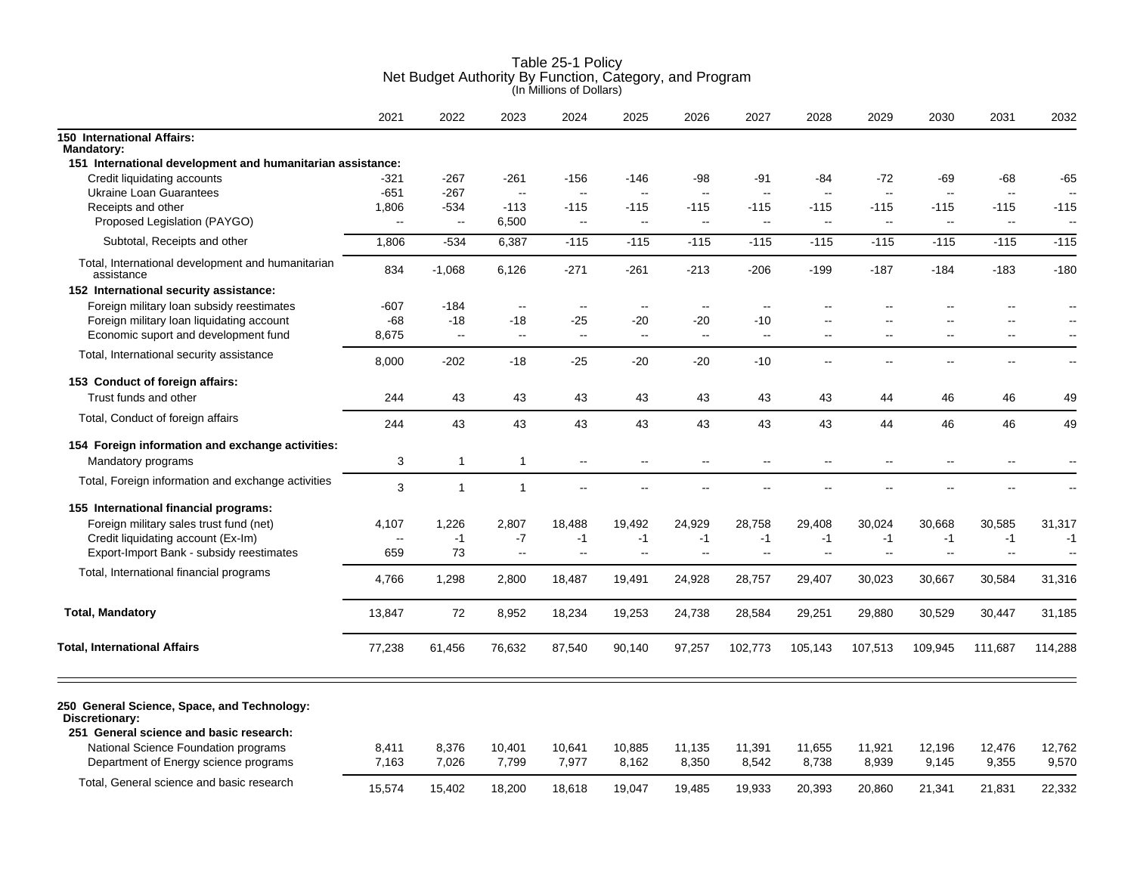|                                                                                                          | 2021           | 2022           | 2023                     | 2024                     | 2025                     | 2026                     | 2027                     | 2028            | 2029                     | 2030            | 2031                     | 2032                     |
|----------------------------------------------------------------------------------------------------------|----------------|----------------|--------------------------|--------------------------|--------------------------|--------------------------|--------------------------|-----------------|--------------------------|-----------------|--------------------------|--------------------------|
| <b>150 International Affairs:</b><br><b>Mandatory:</b>                                                   |                |                |                          |                          |                          |                          |                          |                 |                          |                 |                          |                          |
| 151 International development and humanitarian assistance:                                               |                |                |                          |                          |                          |                          |                          |                 |                          |                 |                          |                          |
| Credit liquidating accounts                                                                              | $-321$         | $-267$         | $-261$                   | $-156$                   | -146                     | -98                      | -91                      | -84             | -72                      | -69             | -68                      | -65                      |
| <b>Ukraine Loan Guarantees</b>                                                                           | $-651$         | $-267$         | $\ddotsc$                | $\overline{\phantom{a}}$ | $\ddotsc$                | Ξ.                       | $\overline{\phantom{a}}$ | $\ddotsc$       | $\mathbb{L}^2$           | $\sim$ $\sim$   | $\sim$                   |                          |
| Receipts and other                                                                                       | 1,806          | $-534$         | $-113$                   | $-115$                   | $-115$                   | $-115$                   | $-115$                   | $-115$          | $-115$                   | $-115$          | $-115$                   | $-115$                   |
| Proposed Legislation (PAYGO)                                                                             | $\sim$         | $\sim$         | 6,500                    | $\mathbb{L}^2$           | $\ddotsc$                | $\sim$ $\sim$            | $\sim$                   | $\sim$          | $\overline{\phantom{a}}$ | $\sim$          | $\sim$                   | $\overline{\phantom{a}}$ |
| Subtotal, Receipts and other                                                                             | 1,806          | $-534$         | 6,387                    | $-115$                   | $-115$                   | $-115$                   | $-115$                   | $-115$          | $-115$                   | $-115$          | $-115$                   | $-115$                   |
| Total, International development and humanitarian<br>assistance                                          | 834            | $-1,068$       | 6,126                    | $-271$                   | $-261$                   | $-213$                   | $-206$                   | $-199$          | $-187$                   | $-184$          | $-183$                   | $-180$                   |
| 152 International security assistance:                                                                   |                |                |                          |                          |                          |                          |                          |                 |                          |                 |                          |                          |
| Foreign military loan subsidy reestimates                                                                | $-607$         | -184           | $\overline{a}$           | $\overline{a}$           | Ξ.                       | $\overline{a}$           | $\overline{a}$           |                 |                          |                 |                          |                          |
| Foreign military loan liquidating account                                                                | -68            | $-18$          | -18                      | $-25$                    | $-20$                    | $-20$                    | $-10$                    | --              | --                       | $\sim$          | $\overline{\phantom{a}}$ | $\sim$                   |
| Economic suport and development fund                                                                     | 8,675          | $\sim$ $\sim$  | $\mathbf{u}$             | $\sim$ $\sim$            | ц.                       | $\sim$ $\sim$            | $\overline{a}$           | $\overline{a}$  | $\sim$                   | $\sim$          | $\overline{a}$           | $\sim$                   |
| Total, International security assistance                                                                 | 8,000          | $-202$         | $-18$                    | $-25$                    | $-20$                    | $-20$                    | $-10$                    | $\overline{a}$  | --                       | $-$             | $\overline{\phantom{a}}$ | $\sim$                   |
| 153 Conduct of foreign affairs:                                                                          |                |                |                          |                          |                          |                          |                          |                 |                          |                 |                          |                          |
| Trust funds and other                                                                                    | 244            | 43             | 43                       | 43                       | 43                       | 43                       | 43                       | 43              | 44                       | 46              | 46                       | 49                       |
| Total, Conduct of foreign affairs                                                                        | 244            | 43             | 43                       | 43                       | 43                       | 43                       | 43                       | 43              | 44                       | 46              | 46                       | 49                       |
| 154 Foreign information and exchange activities:                                                         |                |                |                          |                          |                          |                          |                          |                 |                          |                 |                          |                          |
| Mandatory programs                                                                                       | 3              | $\mathbf{1}$   | $\mathbf{1}$             | $\overline{a}$           | $\overline{\phantom{a}}$ | $\overline{\phantom{a}}$ | $\overline{\phantom{a}}$ | $\overline{a}$  |                          | $\overline{a}$  | $\overline{a}$           |                          |
| Total, Foreign information and exchange activities                                                       | 3              | $\overline{1}$ | $\mathbf{1}$             | $\overline{a}$           |                          | $-$                      | --                       | --              |                          |                 | --                       | $\overline{\phantom{a}}$ |
| 155 International financial programs:                                                                    |                |                |                          |                          |                          |                          |                          |                 |                          |                 |                          |                          |
| Foreign military sales trust fund (net)                                                                  | 4,107          | 1,226          | 2,807                    | 18,488                   | 19,492                   | 24,929                   | 28,758                   | 29,408          | 30,024                   | 30,668          | 30,585                   | 31,317                   |
| Credit liquidating account (Ex-Im)                                                                       | $\sim$         | $-1$           | $-7$                     | $-1$                     | $-1$                     | $-1$                     | $-1$                     | $-1$            | $-1$                     | $-1$            | $-1$                     | $-1$                     |
| Export-Import Bank - subsidy reestimates                                                                 | 659            | 73             | $\overline{\phantom{a}}$ | ÷.                       | --                       | $\overline{\phantom{a}}$ | $\overline{\phantom{a}}$ | --              | $\overline{\phantom{a}}$ | $\sim$          | $\overline{\phantom{a}}$ |                          |
| Total, International financial programs                                                                  |                |                |                          |                          |                          |                          |                          |                 |                          |                 |                          |                          |
|                                                                                                          | 4,766          | 1,298          | 2,800                    | 18,487                   | 19,491                   | 24,928                   | 28,757                   | 29,407          | 30,023                   | 30,667          | 30,584                   | 31,316                   |
| <b>Total, Mandatory</b>                                                                                  | 13,847         | 72             | 8,952                    | 18,234                   | 19,253                   | 24,738                   | 28,584                   | 29,251          | 29,880                   | 30,529          | 30,447                   | 31,185                   |
| <b>Total, International Affairs</b>                                                                      | 77,238         | 61,456         | 76,632                   | 87,540                   | 90,140                   | 97,257                   | 102,773                  | 105,143         | 107,513                  | 109,945         | 111.687                  | 114,288                  |
| 250 General Science, Space, and Technology:<br>Discretionary:<br>251 General science and basic research: |                |                |                          |                          |                          |                          |                          |                 |                          |                 |                          |                          |
| National Science Foundation programs<br>Department of Energy science programs                            | 8,411<br>7,163 | 8,376<br>7,026 | 10,401<br>7,799          | 10,641<br>7,977          | 10,885<br>8,162          | 11,135<br>8,350          | 11,391<br>8,542          | 11,655<br>8,738 | 11,921<br>8,939          | 12,196<br>9,145 | 12,476<br>9,355          | 12,762<br>9,570          |
| Total, General science and basic research                                                                | 15,574         | 15,402         | 18,200                   | 18.618                   | 19.047                   | 19.485                   | 19.933                   | 20.393          | 20,860                   | 21,341          | 21,831                   | 22.332                   |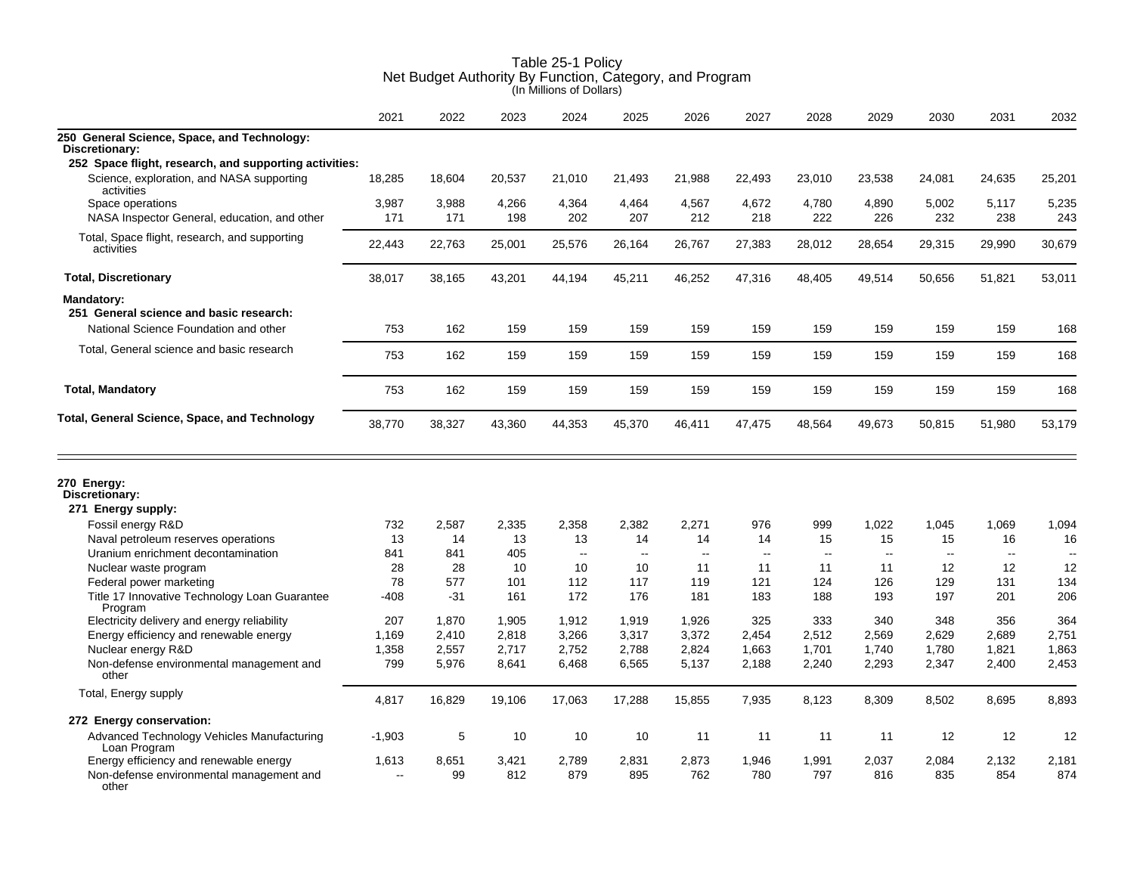|                                                                                             | 2021     | 2022        | 2023         | 2024         | 2025         | 2026                     | 2027         | 2028         | 2029                     | 2030         | 2031                     | 2032         |
|---------------------------------------------------------------------------------------------|----------|-------------|--------------|--------------|--------------|--------------------------|--------------|--------------|--------------------------|--------------|--------------------------|--------------|
| 250 General Science, Space, and Technology:                                                 |          |             |              |              |              |                          |              |              |                          |              |                          |              |
| Discretionary:<br>252 Space flight, research, and supporting activities:                    |          |             |              |              |              |                          |              |              |                          |              |                          |              |
| Science, exploration, and NASA supporting                                                   | 18,285   | 18,604      | 20,537       | 21,010       | 21,493       | 21,988                   | 22,493       | 23,010       | 23,538                   | 24,081       | 24,635                   | 25,201       |
| activities                                                                                  |          |             |              |              |              |                          |              |              |                          |              |                          |              |
| Space operations                                                                            | 3,987    | 3,988       | 4,266        | 4,364        | 4,464        | 4,567                    | 4,672        | 4,780        | 4,890                    | 5,002        | 5,117                    | 5,235        |
| NASA Inspector General, education, and other                                                | 171      | 171         | 198          | 202          | 207          | 212                      | 218          | 222          | 226                      | 232          | 238                      | 243          |
| Total, Space flight, research, and supporting<br>activities                                 | 22,443   | 22,763      | 25,001       | 25,576       | 26,164       | 26,767                   | 27,383       | 28,012       | 28,654                   | 29,315       | 29,990                   | 30,679       |
| <b>Total, Discretionary</b>                                                                 | 38,017   | 38,165      | 43,201       | 44,194       | 45,211       | 46,252                   | 47,316       | 48,405       | 49,514                   | 50,656       | 51,821                   | 53,011       |
| <b>Mandatory:</b>                                                                           |          |             |              |              |              |                          |              |              |                          |              |                          |              |
| 251 General science and basic research:                                                     |          |             |              |              |              |                          |              |              |                          |              |                          |              |
| National Science Foundation and other                                                       | 753      | 162         | 159          | 159          | 159          | 159                      | 159          | 159          | 159                      | 159          | 159                      | 168          |
| Total, General science and basic research                                                   |          |             |              |              |              |                          |              |              |                          |              |                          |              |
|                                                                                             | 753      | 162         | 159          | 159          | 159          | 159                      | 159          | 159          | 159                      | 159          | 159                      | 168          |
| <b>Total, Mandatory</b>                                                                     | 753      | 162         | 159          | 159          | 159          | 159                      | 159          | 159          | 159                      | 159          | 159                      | 168          |
| Total, General Science, Space, and Technology                                               | 38,770   | 38,327      | 43,360       | 44,353       | 45,370       | 46,411                   | 47,475       | 48,564       | 49,673                   | 50,815       | 51,980                   | 53,179       |
| 270 Energy:<br>Discretionary:                                                               |          |             |              |              |              |                          |              |              |                          |              |                          |              |
| 271 Energy supply:                                                                          |          |             |              |              |              |                          |              |              |                          |              |                          |              |
| Fossil energy R&D                                                                           | 732      | 2.587       | 2,335        | 2,358        | 2,382        | 2,271                    | 976          | 999          | 1.022                    | 1,045        | 1,069                    | 1,094        |
| Naval petroleum reserves operations                                                         | 13       | 14          | 13           | 13           | 14           | 14                       | 14           | 15           | 15                       | 15           | 16                       | 16           |
| Uranium enrichment decontamination                                                          | 841      | 841         | 405          | $\sim$       | $\sim$       | $\overline{\phantom{a}}$ | $\sim$       | $\sim$       | $\overline{\phantom{a}}$ | $\sim$       | $\overline{\phantom{a}}$ | $\sim$       |
| Nuclear waste program                                                                       | 28       | 28          | 10           | 10           | 10           | 11                       | 11           | 11           | 11                       | 12           | 12                       | 12           |
| Federal power marketing                                                                     | 78       | 577         | 101          | 112          | 117          | 119                      | 121          | 124          | 126                      | 129          | 131                      | 134          |
| Title 17 Innovative Technology Loan Guarantee                                               | $-408$   | $-31$       | 161          | 172          | 176          | 181                      | 183          | 188          | 193                      | 197          | 201                      | 206          |
| Program<br>Electricity delivery and energy reliability                                      | 207      | 1,870       | 1,905        | 1,912        | 1,919        | 1,926                    | 325          | 333          | 340                      | 348          | 356                      | 364          |
| Energy efficiency and renewable energy                                                      | 1,169    | 2,410       | 2,818        | 3,266        | 3,317        | 3,372                    | 2,454        | 2,512        | 2,569                    | 2,629        | 2,689                    | 2,751        |
| Nuclear energy R&D                                                                          | 1,358    | 2,557       | 2,717        | 2,752        | 2,788        | 2,824                    | 1,663        | 1,701        | 1,740                    | 1,780        | 1,821                    | 1,863        |
| Non-defense environmental management and                                                    | 799      | 5,976       | 8,641        | 6,468        | 6,565        | 5,137                    | 2,188        | 2,240        | 2,293                    | 2,347        | 2,400                    | 2,453        |
| other                                                                                       |          |             |              |              |              |                          |              |              |                          |              |                          |              |
| Total, Energy supply                                                                        | 4,817    | 16,829      | 19,106       | 17,063       | 17,288       | 15,855                   | 7,935        | 8,123        | 8,309                    | 8,502        | 8,695                    | 8,893        |
| 272 Energy conservation:                                                                    |          |             |              |              |              |                          |              |              |                          |              |                          |              |
| Advanced Technology Vehicles Manufacturing<br>Loan Program                                  | $-1,903$ | 5           | 10           | 10           | 10           | 11                       | 11           | 11           | 11                       | 12           | 12                       | 12           |
| Energy efficiency and renewable energy<br>Non-defense environmental management and<br>other | 1,613    | 8,651<br>99 | 3,421<br>812 | 2,789<br>879 | 2,831<br>895 | 2,873<br>762             | 1,946<br>780 | 1,991<br>797 | 2,037<br>816             | 2,084<br>835 | 2,132<br>854             | 2,181<br>874 |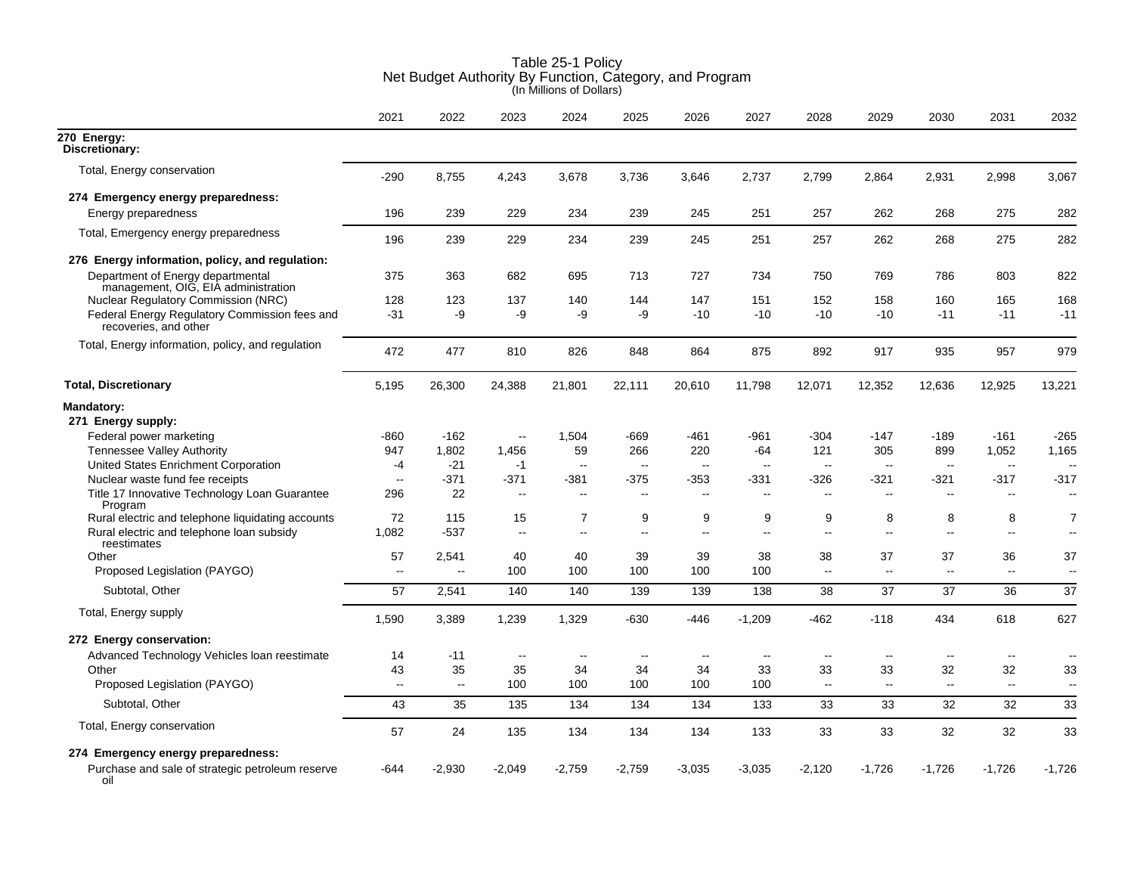|                                                                          | 2021         | 2022                     | 2023                     | 2024                     | 2025                     | 2026                 | 2027                     | 2028                     | 2029                     | 2030          | 2031                     | 2032                         |
|--------------------------------------------------------------------------|--------------|--------------------------|--------------------------|--------------------------|--------------------------|----------------------|--------------------------|--------------------------|--------------------------|---------------|--------------------------|------------------------------|
| $270$ Energy:<br>Discretionary:                                          |              |                          |                          |                          |                          |                      |                          |                          |                          |               |                          |                              |
| Total, Energy conservation                                               | $-290$       | 8,755                    | 4,243                    | 3,678                    | 3,736                    | 3,646                | 2,737                    | 2,799                    | 2,864                    | 2,931         | 2,998                    | 3,067                        |
| 274 Emergency energy preparedness:                                       |              |                          |                          |                          |                          |                      |                          |                          |                          |               |                          |                              |
| Energy preparedness                                                      | 196          | 239                      | 229                      | 234                      | 239                      | 245                  | 251                      | 257                      | 262                      | 268           | 275                      | 282                          |
| Total, Emergency energy preparedness                                     | 196          | 239                      | 229                      | 234                      | 239                      | 245                  | 251                      | 257                      | 262                      | 268           | 275                      | 282                          |
| 276 Energy information, policy, and regulation:                          |              |                          |                          |                          |                          |                      |                          |                          |                          |               |                          |                              |
| Department of Energy departmental<br>management, OIG, EIA administration | 375          | 363                      | 682                      | 695                      | 713                      | 727                  | 734                      | 750                      | 769                      | 786           | 803                      | 822                          |
| <b>Nuclear Regulatory Commission (NRC)</b>                               | 128          | 123                      | 137                      | 140                      | 144                      | 147                  | 151                      | 152                      | 158                      | 160           | 165                      | 168                          |
| Federal Energy Regulatory Commission fees and<br>recoveries, and other   | $-31$        | $-9$                     | -9                       | -9                       | $-9$                     | $-10$                | $-10$                    | $-10$                    | $-10$                    | $-11$         | $-11$                    | $-11$                        |
| Total, Energy information, policy, and regulation                        | 472          | 477                      | 810                      | 826                      | 848                      | 864                  | 875                      | 892                      | 917                      | 935           | 957                      | 979                          |
| <b>Total, Discretionary</b>                                              | 5,195        | 26,300                   | 24,388                   | 21,801                   | 22,111                   | 20,610               | 11,798                   | 12,071                   | 12,352                   | 12,636        | 12,925                   | 13,221                       |
| <b>Mandatory:</b><br>271 Energy supply:                                  |              |                          |                          |                          |                          |                      |                          |                          |                          |               |                          |                              |
| Federal power marketing                                                  | -860         | $-162$                   | $\overline{\phantom{a}}$ | 1,504                    | $-669$                   | -461                 | $-961$                   | $-304$                   | $-147$                   | $-189$        | $-161$                   | $-265$                       |
| Tennessee Valley Authority                                               | 947          | 1,802                    | 1,456                    | 59                       | 266                      | 220                  | $-64$                    | 121                      | 305                      | 899           | 1,052                    | 1,165                        |
| United States Enrichment Corporation                                     | -4           | $-21$                    | $-1$                     | $\ddotsc$                | $\sim$                   | $\ddot{\phantom{a}}$ | $\sim$                   | $\sim$                   | $\sim$                   | $\sim$ $\sim$ | $\mathbf{u}$             |                              |
| Nuclear waste fund fee receipts                                          | $\mathbf{u}$ | $-371$                   | -371                     | -381                     | $-375$                   | -353                 | -331                     | -326                     | $-321$                   | -321          | $-317$                   | $-317$                       |
| Title 17 Innovative Technology Loan Guarantee<br>Program                 | 296          | 22                       | $\sim$                   | $\overline{a}$           | $\overline{a}$           | $\sim$ $\sim$        | $\overline{\phantom{a}}$ | $\overline{\phantom{a}}$ | $\overline{a}$           | $\sim$ $\sim$ | $\overline{\phantom{a}}$ | $\sim$                       |
| Rural electric and telephone liquidating accounts                        | 72           | 115                      | 15                       | 7                        | 9                        | 9                    | 9                        | 9                        | 8                        | 8             | 8                        | 7                            |
| Rural electric and telephone loan subsidy<br>reestimates                 | 1,082        | $-537$                   | $\sim$                   | $\overline{\phantom{a}}$ | $\overline{\phantom{a}}$ | Ξ.                   | $\overline{\phantom{a}}$ | $\overline{\phantom{a}}$ | --                       | $\sim$        | $\mathbf{u}$             | $\qquad \qquad \blacksquare$ |
| Other                                                                    | 57           | 2,541                    | 40                       | 40                       | 39                       | 39                   | 38                       | 38                       | 37                       | 37            | 36                       | 37                           |
| Proposed Legislation (PAYGO)                                             | $\sim$       | $\overline{\phantom{a}}$ | 100                      | 100                      | 100                      | 100                  | 100                      | $\sim$                   | $\overline{\phantom{a}}$ | $\sim$        | $\sim$                   | $\overline{\phantom{a}}$     |
| Subtotal, Other                                                          | 57           | 2,541                    | 140                      | 140                      | 139                      | 139                  | 138                      | 38                       | 37                       | 37            | 36                       | 37                           |
| Total, Energy supply                                                     | 1,590        | 3,389                    | 1,239                    | 1,329                    | $-630$                   | $-446$               | $-1,209$                 | $-462$                   | $-118$                   | 434           | 618                      | 627                          |
| 272 Energy conservation:                                                 |              |                          |                          |                          |                          |                      |                          |                          |                          |               |                          |                              |
| Advanced Technology Vehicles Ioan reestimate                             | 14           | $-11$                    | $\mathbf{u}$             | $\overline{a}$           | $\overline{\phantom{a}}$ | $\sim$ $\sim$        | $\sim$                   | $\overline{\phantom{a}}$ | $\overline{\phantom{a}}$ | $\sim$        | $\sim$                   | $\sim$                       |
| Other                                                                    | 43           | 35                       | 35                       | 34                       | 34                       | 34                   | 33                       | 33                       | 33                       | 32            | 32                       | 33                           |
| Proposed Legislation (PAYGO)                                             | $\sim$       | $\sim$                   | 100                      | 100                      | 100                      | 100                  | 100                      | $\sim$                   | $\sim$                   | $\sim$        | $\sim$                   | $\overline{\phantom{a}}$     |
| Subtotal, Other                                                          | 43           | 35                       | 135                      | 134                      | 134                      | 134                  | 133                      | 33                       | 33                       | 32            | 32                       | 33                           |
| Total, Energy conservation                                               | 57           | 24                       | 135                      | 134                      | 134                      | 134                  | 133                      | 33                       | 33                       | 32            | 32                       | 33                           |
| 274 Emergency energy preparedness:                                       |              |                          |                          |                          |                          |                      |                          |                          |                          |               |                          |                              |
| Purchase and sale of strategic petroleum reserve<br>oil                  | $-644$       | $-2,930$                 | $-2,049$                 | $-2,759$                 | $-2,759$                 | $-3,035$             | $-3,035$                 | $-2,120$                 | $-1,726$                 | $-1,726$      | $-1,726$                 | $-1,726$                     |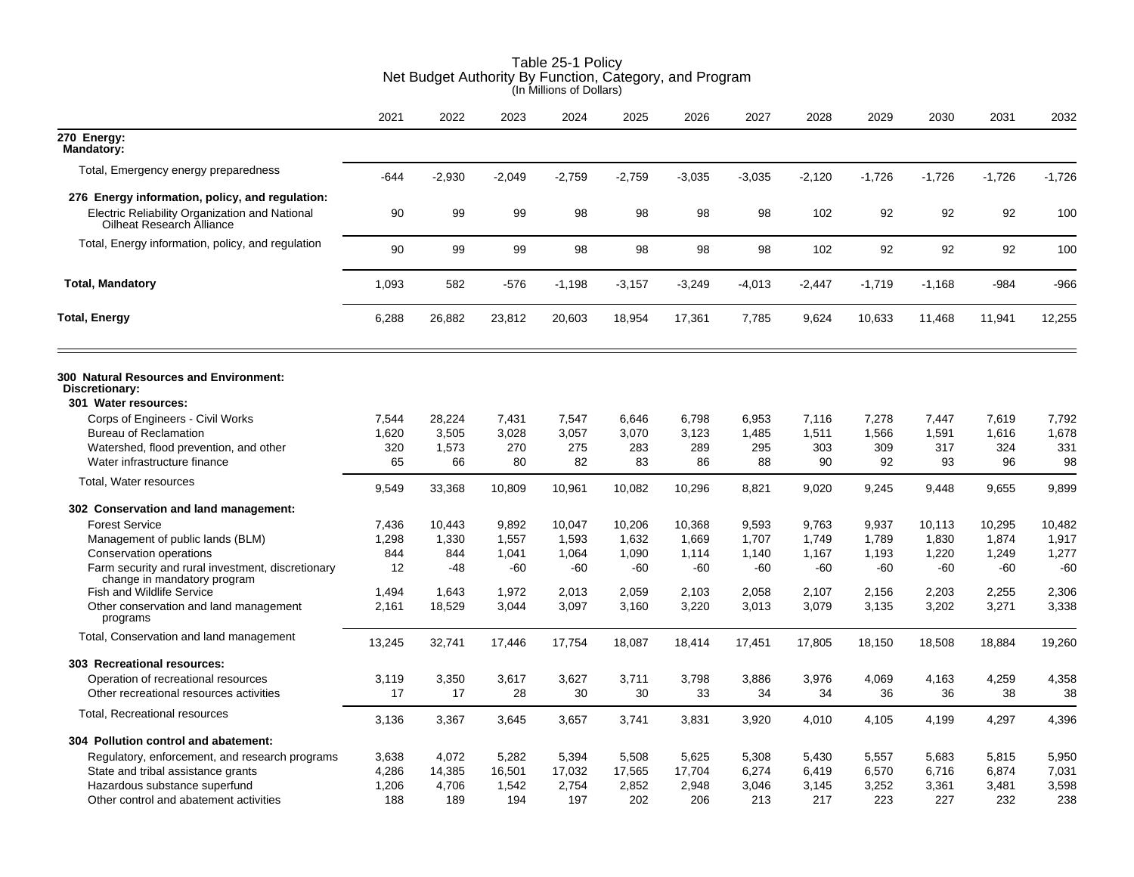|                                                                                                                                | 2021   | 2022     | 2023     | 2024     | 2025     | 2026     | 2027     | 2028     | 2029     | 2030     | 2031     | 2032     |
|--------------------------------------------------------------------------------------------------------------------------------|--------|----------|----------|----------|----------|----------|----------|----------|----------|----------|----------|----------|
| 270 Energy:<br><b>Mandatory:</b>                                                                                               |        |          |          |          |          |          |          |          |          |          |          |          |
| Total, Emergency energy preparedness                                                                                           | $-644$ | $-2,930$ | $-2,049$ | $-2,759$ | $-2,759$ | $-3,035$ | $-3,035$ | $-2,120$ | $-1,726$ | $-1,726$ | $-1,726$ | $-1,726$ |
| 276 Energy information, policy, and regulation:<br>Electric Reliability Organization and National<br>Oilheat Research Alliance | 90     | 99       | 99       | 98       | 98       | 98       | 98       | 102      | 92       | 92       | 92       | 100      |
| Total, Energy information, policy, and regulation                                                                              | 90     | 99       | 99       | 98       | 98       | 98       | 98       | 102      | 92       | 92       | 92       | 100      |
| <b>Total, Mandatory</b>                                                                                                        | 1,093  | 582      | $-576$   | $-1.198$ | $-3,157$ | $-3,249$ | $-4,013$ | $-2.447$ | $-1,719$ | $-1.168$ | $-984$   | -966     |
| <b>Total, Energy</b>                                                                                                           | 6,288  | 26,882   | 23,812   | 20,603   | 18,954   | 17,361   | 7,785    | 9,624    | 10,633   | 11,468   | 11,941   | 12,255   |
| 300 Natural Resources and Environment:<br>Discretionary:                                                                       |        |          |          |          |          |          |          |          |          |          |          |          |
| 301 Water resources:                                                                                                           |        |          |          |          |          |          |          |          |          |          |          |          |
| Corps of Engineers - Civil Works                                                                                               | 7,544  | 28,224   | 7,431    | 7,547    | 6,646    | 6,798    | 6,953    | 7,116    | 7,278    | 7,447    | 7,619    | 7,792    |
| <b>Bureau of Reclamation</b>                                                                                                   | 1,620  | 3,505    | 3,028    | 3,057    | 3,070    | 3,123    | 1,485    | 1,511    | 1,566    | 1,591    | 1,616    | 1,678    |
| Watershed, flood prevention, and other                                                                                         | 320    | 1,573    | 270      | 275      | 283      | 289      | 295      | 303      | 309      | 317      | 324      | 331      |
| Water infrastructure finance                                                                                                   | 65     | 66       | 80       | 82       | 83       | 86       | 88       | 90       | 92       | 93       | 96       | 98       |
| Total, Water resources                                                                                                         | 9,549  | 33,368   | 10,809   | 10,961   | 10,082   | 10,296   | 8,821    | 9,020    | 9,245    | 9,448    | 9,655    | 9,899    |
| 302 Conservation and land management:                                                                                          |        |          |          |          |          |          |          |          |          |          |          |          |
| <b>Forest Service</b>                                                                                                          | 7,436  | 10.443   | 9.892    | 10.047   | 10,206   | 10.368   | 9.593    | 9.763    | 9,937    | 10.113   | 10,295   | 10,482   |
| Management of public lands (BLM)                                                                                               | 1,298  | 1,330    | 1,557    | 1,593    | 1,632    | 1,669    | 1,707    | 1,749    | 1,789    | 1,830    | 1,874    | 1,917    |
| Conservation operations                                                                                                        | 844    | 844      | 1,041    | 1,064    | 1,090    | 1,114    | 1,140    | 1,167    | 1,193    | 1,220    | 1,249    | 1,277    |
| Farm security and rural investment, discretionary<br>change in mandatory program                                               | 12     | -48      | -60      | -60      | $-60$    | $-60$    | $-60$    | $-60$    | -60      | $-60$    | -60      | $-60$    |
| <b>Fish and Wildlife Service</b>                                                                                               | 1,494  | 1,643    | 1,972    | 2,013    | 2,059    | 2,103    | 2,058    | 2,107    | 2,156    | 2,203    | 2,255    | 2,306    |
| Other conservation and land management<br>programs                                                                             | 2,161  | 18,529   | 3,044    | 3,097    | 3,160    | 3,220    | 3,013    | 3,079    | 3,135    | 3,202    | 3,271    | 3,338    |
| Total, Conservation and land management                                                                                        | 13,245 | 32,741   | 17,446   | 17,754   | 18,087   | 18,414   | 17,451   | 17,805   | 18,150   | 18,508   | 18,884   | 19,260   |
| 303 Recreational resources:                                                                                                    |        |          |          |          |          |          |          |          |          |          |          |          |
| Operation of recreational resources                                                                                            | 3,119  | 3,350    | 3,617    | 3,627    | 3,711    | 3,798    | 3,886    | 3,976    | 4,069    | 4,163    | 4,259    | 4,358    |
| Other recreational resources activities                                                                                        | 17     | 17       | 28       | 30       | 30       | 33       | 34       | 34       | 36       | 36       | 38       | 38       |
| Total, Recreational resources                                                                                                  | 3,136  | 3,367    | 3,645    | 3,657    | 3,741    | 3,831    | 3,920    | 4,010    | 4,105    | 4,199    | 4,297    | 4,396    |
| 304 Pollution control and abatement:                                                                                           |        |          |          |          |          |          |          |          |          |          |          |          |
| Regulatory, enforcement, and research programs                                                                                 | 3,638  | 4,072    | 5,282    | 5,394    | 5,508    | 5,625    | 5,308    | 5,430    | 5,557    | 5,683    | 5,815    | 5,950    |
| State and tribal assistance grants                                                                                             | 4,286  | 14,385   | 16,501   | 17,032   | 17,565   | 17,704   | 6,274    | 6,419    | 6,570    | 6,716    | 6,874    | 7,031    |
| Hazardous substance superfund                                                                                                  | 1,206  | 4,706    | 1,542    | 2,754    | 2,852    | 2,948    | 3,046    | 3,145    | 3,252    | 3,361    | 3,481    | 3,598    |
| Other control and abatement activities                                                                                         | 188    | 189      | 194      | 197      | 202      | 206      | 213      | 217      | 223      | 227      | 232      | 238      |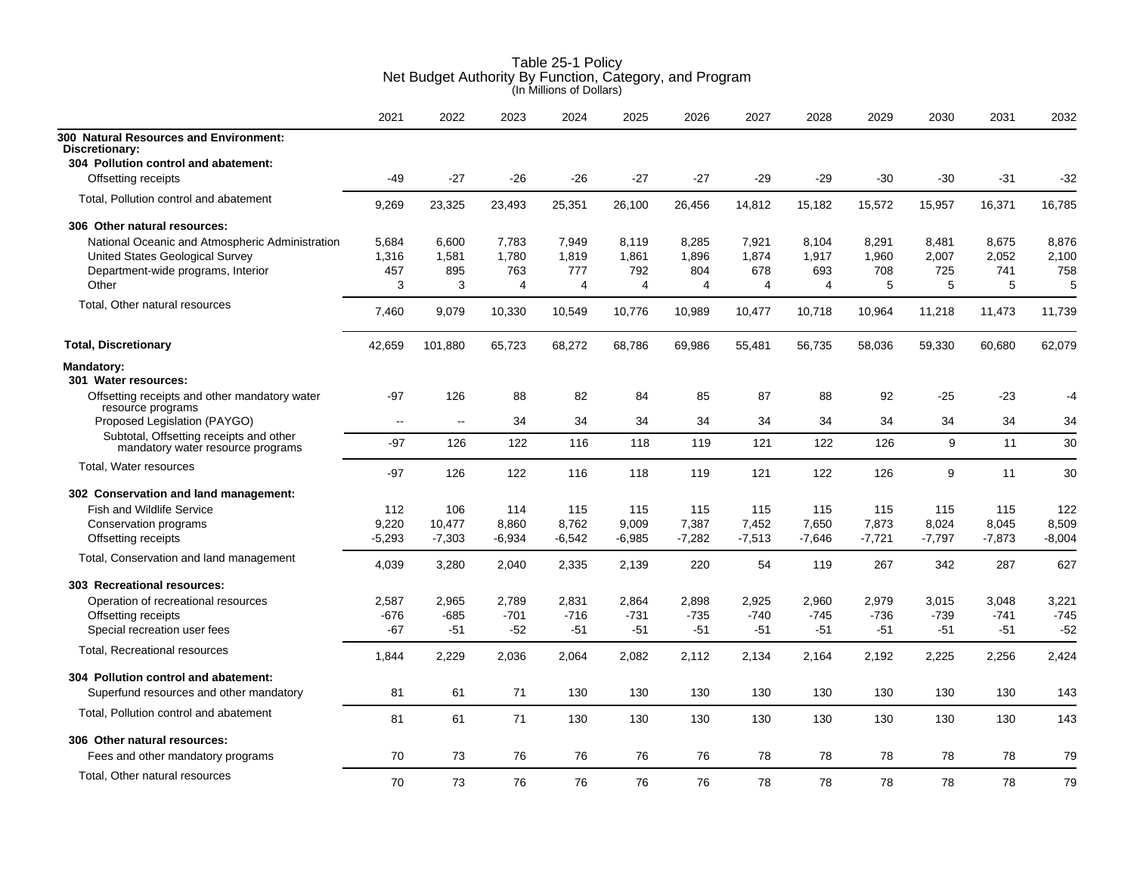|                                                                              | 2021     | 2022     | 2023     | 2024     | 2025     | 2026     | 2027     | 2028     | 2029     | 2030     | 2031     | 2032     |
|------------------------------------------------------------------------------|----------|----------|----------|----------|----------|----------|----------|----------|----------|----------|----------|----------|
| 300 Natural Resources and Environment:<br>Discretionary:                     |          |          |          |          |          |          |          |          |          |          |          |          |
| 304 Pollution control and abatement:                                         |          |          |          |          |          |          |          |          |          |          |          |          |
| Offsetting receipts                                                          | -49      | $-27$    | -26      | -26      | $-27$    | -27      | $-29$    | -29      | -30      | $-30$    | $-31$    | $-32$    |
| Total, Pollution control and abatement                                       | 9,269    | 23,325   | 23,493   | 25,351   | 26,100   | 26,456   | 14,812   | 15,182   | 15,572   | 15,957   | 16,371   | 16,785   |
| 306 Other natural resources:                                                 |          |          |          |          |          |          |          |          |          |          |          |          |
| National Oceanic and Atmospheric Administration                              | 5,684    | 6,600    | 7,783    | 7,949    | 8,119    | 8,285    | 7,921    | 8,104    | 8,291    | 8,481    | 8,675    | 8,876    |
| <b>United States Geological Survey</b>                                       | 1,316    | 1.581    | 1.780    | 1,819    | 1,861    | 1.896    | 1.874    | 1.917    | 1,960    | 2,007    | 2,052    | 2,100    |
| Department-wide programs, Interior                                           | 457      | 895      | 763      | 777      | 792      | 804      | 678      | 693      | 708      | 725      | 741      | 758      |
| Other                                                                        | 3        | 3        | 4        | 4        | 4        | 4        | 4        | 4        | 5        | 5        | 5        | 5        |
| Total, Other natural resources                                               | 7.460    | 9,079    | 10,330   | 10,549   | 10,776   | 10,989   | 10,477   | 10,718   | 10,964   | 11,218   | 11,473   | 11,739   |
| <b>Total, Discretionary</b>                                                  | 42,659   | 101,880  | 65,723   | 68,272   | 68,786   | 69,986   | 55,481   | 56,735   | 58,036   | 59,330   | 60,680   | 62,079   |
| <b>Mandatory:</b>                                                            |          |          |          |          |          |          |          |          |          |          |          |          |
| 301 Water resources:                                                         |          |          |          |          |          |          |          |          |          |          |          |          |
| Offsetting receipts and other mandatory water                                | -97      | 126      | 88       | 82       | 84       | 85       | 87       | 88       | 92       | $-25$    | -23      | -4       |
| resource programs<br>Proposed Legislation (PAYGO)                            | $\sim$   | $\sim$   | 34       | 34       | 34       | 34       | 34       | 34       | 34       | 34       | 34       | 34       |
| Subtotal, Offsetting receipts and other<br>mandatory water resource programs | $-97$    | 126      | 122      | 116      | 118      | 119      | 121      | 122      | 126      | 9        | 11       | 30       |
| Total, Water resources                                                       | $-97$    | 126      | 122      | 116      | 118      | 119      | 121      | 122      | 126      | 9        | 11       | 30       |
| 302 Conservation and land management:                                        |          |          |          |          |          |          |          |          |          |          |          |          |
| <b>Fish and Wildlife Service</b>                                             | 112      | 106      | 114      | 115      | 115      | 115      | 115      | 115      | 115      | 115      | 115      | 122      |
| Conservation programs                                                        | 9,220    | 10,477   | 8,860    | 8,762    | 9,009    | 7,387    | 7,452    | 7,650    | 7,873    | 8,024    | 8,045    | 8,509    |
| Offsetting receipts                                                          | $-5,293$ | $-7,303$ | $-6,934$ | $-6,542$ | $-6,985$ | $-7,282$ | $-7,513$ | $-7,646$ | $-7,721$ | $-7,797$ | $-7,873$ | $-8,004$ |
| Total, Conservation and land management                                      | 4,039    | 3,280    | 2,040    | 2,335    | 2,139    | 220      | 54       | 119      | 267      | 342      | 287      | 627      |
| 303 Recreational resources:                                                  |          |          |          |          |          |          |          |          |          |          |          |          |
| Operation of recreational resources                                          | 2,587    | 2,965    | 2,789    | 2,831    | 2,864    | 2,898    | 2,925    | 2,960    | 2,979    | 3,015    | 3,048    | 3,221    |
| Offsetting receipts                                                          | -676     | -685     | $-701$   | $-716$   | $-731$   | $-735$   | $-740$   | $-745$   | $-736$   | $-739$   | $-741$   | $-745$   |
| Special recreation user fees                                                 | $-67$    | $-51$    | $-52$    | $-51$    | $-51$    | $-51$    | $-51$    | $-51$    | $-51$    | $-51$    | $-51$    | $-52$    |
| Total, Recreational resources                                                | 1,844    | 2,229    | 2.036    | 2.064    | 2,082    | 2,112    | 2.134    | 2.164    | 2,192    | 2,225    | 2,256    | 2,424    |
| 304 Pollution control and abatement:                                         |          |          |          |          |          |          |          |          |          |          |          |          |
| Superfund resources and other mandatory                                      | 81       | 61       | 71       | 130      | 130      | 130      | 130      | 130      | 130      | 130      | 130      | 143      |
| Total, Pollution control and abatement                                       | 81       | 61       | 71       | 130      | 130      | 130      | 130      | 130      | 130      | 130      | 130      | 143      |
| 306 Other natural resources:                                                 |          |          |          |          |          |          |          |          |          |          |          |          |
| Fees and other mandatory programs                                            | 70       | 73       | 76       | 76       | 76       | 76       | 78       | 78       | 78       | 78       | 78       | 79       |
| Total, Other natural resources                                               | 70       | 73       | 76       | 76       | 76       | 76       | 78       | 78       | 78       | 78       | 78       | 79       |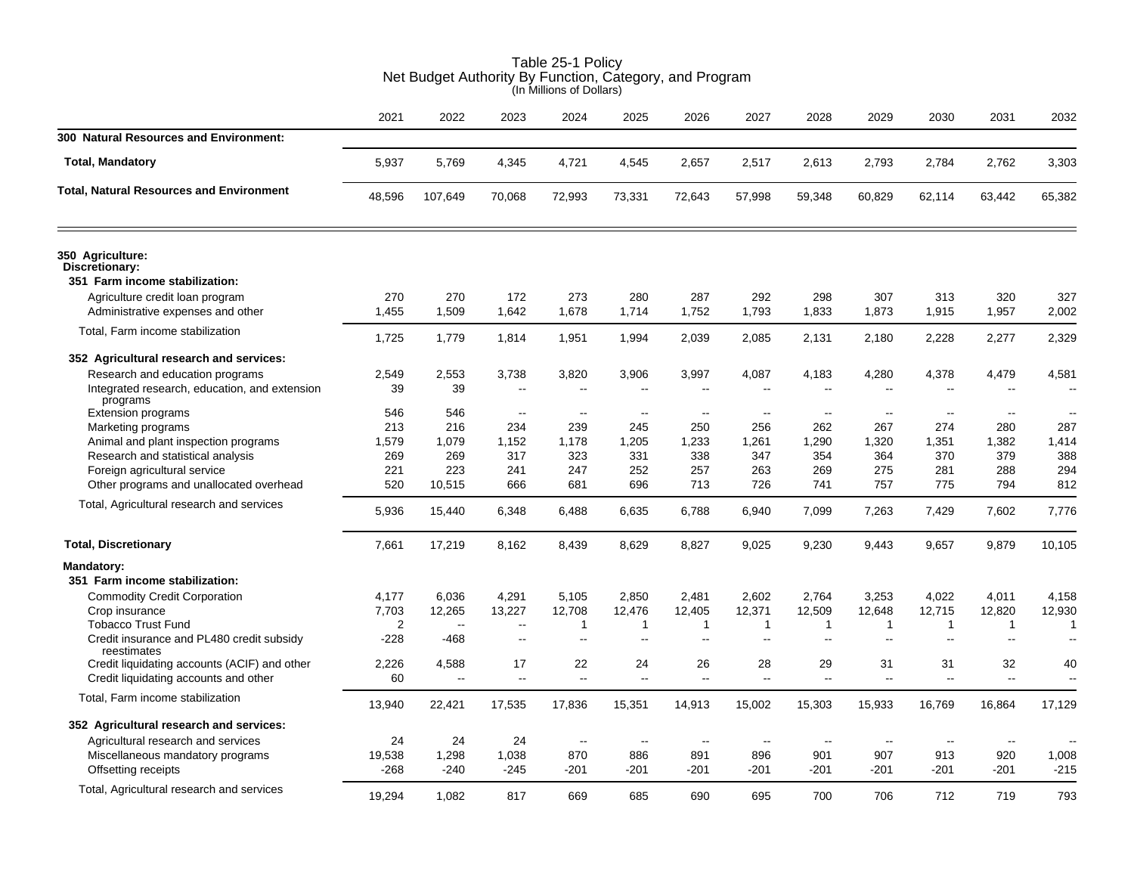|                                                                      | (In Millions of Dollars) |                |                                                      |               |                          |                     |               |                                          |                                          |               |                                |                          |  |
|----------------------------------------------------------------------|--------------------------|----------------|------------------------------------------------------|---------------|--------------------------|---------------------|---------------|------------------------------------------|------------------------------------------|---------------|--------------------------------|--------------------------|--|
|                                                                      | 2021                     | 2022           | 2023                                                 | 2024          | 2025                     | 2026                | 2027          | 2028                                     | 2029                                     | 2030          | 2031                           | 2032                     |  |
| 300 Natural Resources and Environment:                               |                          |                |                                                      |               |                          |                     |               |                                          |                                          |               |                                |                          |  |
| <b>Total, Mandatory</b>                                              | 5,937                    | 5,769          | 4,345                                                | 4,721         | 4,545                    | 2,657               | 2,517         | 2,613                                    | 2,793                                    | 2,784         | 2,762                          | 3,303                    |  |
| <b>Total, Natural Resources and Environment</b>                      | 48,596                   | 107,649        | 70,068                                               | 72,993        | 73,331                   | 72,643              | 57,998        | 59,348                                   | 60,829                                   | 62,114        | 63,442                         | 65,382                   |  |
| 350 Agriculture:<br>Discretionary:<br>351 Farm income stabilization: |                          |                |                                                      |               |                          |                     |               |                                          |                                          |               |                                |                          |  |
| Agriculture credit loan program                                      | 270                      | 270            | 172                                                  | 273           | 280                      | 287                 | 292           | 298                                      | 307                                      | 313           | 320                            | 327                      |  |
| Administrative expenses and other                                    | 1,455                    | 1,509          | 1,642                                                | 1,678         | 1,714                    | 1,752               | 1,793         | 1,833                                    | 1,873                                    | 1,915         | 1,957                          | 2,002                    |  |
|                                                                      |                          |                |                                                      |               |                          |                     |               |                                          |                                          |               |                                |                          |  |
| Total, Farm income stabilization                                     | 1,725                    | 1,779          | 1,814                                                | 1,951         | 1,994                    | 2,039               | 2,085         | 2,131                                    | 2,180                                    | 2,228         | 2,277                          | 2,329                    |  |
| 352 Agricultural research and services:                              |                          |                |                                                      |               |                          |                     |               |                                          |                                          |               |                                |                          |  |
| Research and education programs                                      | 2,549                    | 2,553          | 3,738                                                | 3,820         | 3,906                    | 3,997               | 4,087         | 4,183                                    | 4,280                                    | 4,378         | 4,479                          | 4,581                    |  |
| Integrated research, education, and extension<br>programs            | 39                       | 39             | $\overline{a}$                                       |               |                          |                     |               | $\overline{\phantom{a}}$                 |                                          |               |                                |                          |  |
| <b>Extension programs</b>                                            | 546                      | 546            | $\mathbf{u}$                                         | $\sim$        | $\overline{\phantom{a}}$ | $\sim$              | $\sim$        | $\sim$                                   | $\sim$                                   | $\sim$ $\sim$ | $\overline{\phantom{a}}$       | $\overline{\phantom{a}}$ |  |
| Marketing programs                                                   | 213                      | 216            | 234                                                  | 239           | 245                      | 250                 | 256           | 262                                      | 267                                      | 274           | 280                            | 287                      |  |
| Animal and plant inspection programs                                 | 1,579<br>269             | 1,079<br>269   | 1,152<br>317                                         | 1,178<br>323  | 1,205<br>331             | 1,233<br>338        | 1,261<br>347  | 1,290<br>354                             | 1,320<br>364                             | 1,351<br>370  | 1,382<br>379                   | 1,414<br>388             |  |
| Research and statistical analysis<br>Foreign agricultural service    | 221                      | 223            | 241                                                  | 247           | 252                      | 257                 | 263           | 269                                      | 275                                      | 281           | 288                            | 294                      |  |
| Other programs and unallocated overhead                              | 520                      | 10,515         | 666                                                  | 681           | 696                      | 713                 | 726           | 741                                      | 757                                      | 775           | 794                            | 812                      |  |
|                                                                      |                          |                |                                                      |               |                          |                     |               |                                          |                                          |               |                                |                          |  |
| Total, Agricultural research and services                            | 5,936                    | 15,440         | 6,348                                                | 6,488         | 6,635                    | 6,788               | 6,940         | 7,099                                    | 7,263                                    | 7,429         | 7,602                          | 7,776                    |  |
| <b>Total, Discretionary</b>                                          | 7,661                    | 17,219         | 8,162                                                | 8,439         | 8,629                    | 8,827               | 9,025         | 9,230                                    | 9,443                                    | 9,657         | 9,879                          | 10,105                   |  |
| Mandatory:                                                           |                          |                |                                                      |               |                          |                     |               |                                          |                                          |               |                                |                          |  |
| 351 Farm income stabilization:                                       |                          |                |                                                      |               |                          |                     |               |                                          |                                          |               |                                |                          |  |
| <b>Commodity Credit Corporation</b>                                  | 4,177                    | 6,036          | 4,291                                                | 5,105         | 2,850                    | 2,481               | 2,602         | 2,764                                    | 3,253                                    | 4,022         | 4,011                          | 4,158                    |  |
| Crop insurance                                                       | 7,703                    | 12,265         | 13,227                                               | 12,708        | 12,476                   | 12,405              | 12,371        | 12,509                                   | 12,648                                   | 12,715        | 12,820                         | 12,930                   |  |
| <b>Tobacco Trust Fund</b>                                            | 2<br>$-228$              | $\sim$<br>-468 | $\overline{\phantom{a}}$<br>$\overline{\phantom{a}}$ | -1<br>Ξ.      | 1<br>$\overline{a}$      | $\mathbf{1}$<br>$-$ | 1<br>$\sim$   | $\mathbf{1}$<br>$\overline{\phantom{a}}$ | $\mathbf{1}$<br>$\overline{\phantom{a}}$ | $\mathbf{1}$  | $\mathbf{1}$<br>$\overline{a}$ | -1                       |  |
| Credit insurance and PL480 credit subsidy<br>reestimates             |                          |                |                                                      |               |                          |                     |               |                                          |                                          |               |                                |                          |  |
| Credit liquidating accounts (ACIF) and other                         | 2,226                    | 4,588          | 17                                                   | 22            | 24                       | 26                  | 28            | 29                                       | 31                                       | 31            | 32                             | 40                       |  |
| Credit liquidating accounts and other                                | 60                       | $\sim$ $\sim$  | $\sim$                                               | $\sim$ $\sim$ | $\sim$                   | $\sim$ $\sim$       | $\sim$ $\sim$ | $\sim$                                   | $\sim$                                   | $\sim$        |                                | $\overline{a}$           |  |
| Total, Farm income stabilization                                     | 13,940                   | 22,421         | 17,535                                               | 17,836        | 15,351                   | 14,913              | 15,002        | 15,303                                   | 15,933                                   | 16,769        | 16,864                         | 17,129                   |  |
| 352 Agricultural research and services:                              |                          |                |                                                      |               |                          |                     |               |                                          |                                          |               |                                |                          |  |
| Agricultural research and services                                   | 24                       | 24             | 24                                                   | $\sim$        | $\overline{\phantom{a}}$ | $\sim$              | $\sim$        | $\sim$                                   | $\sim$                                   | $\sim$ $\sim$ | $\sim$                         |                          |  |
| Miscellaneous mandatory programs                                     | 19,538                   | 1,298          | 1,038                                                | 870           | 886                      | 891                 | 896           | 901                                      | 907                                      | 913           | 920                            | 1,008                    |  |
| Offsetting receipts                                                  | $-268$                   | $-240$         | $-245$                                               | $-201$        | $-201$                   | -201                | $-201$        | $-201$                                   | $-201$                                   | $-201$        | $-201$                         | $-215$                   |  |
| Total, Agricultural research and services                            | 19,294                   | 1,082          | 817                                                  | 669           | 685                      | 690                 | 695           | 700                                      | 706                                      | 712           | 719                            | 793                      |  |

# Table 25-1 Policy Net Budget Authority By Function, Category, and Program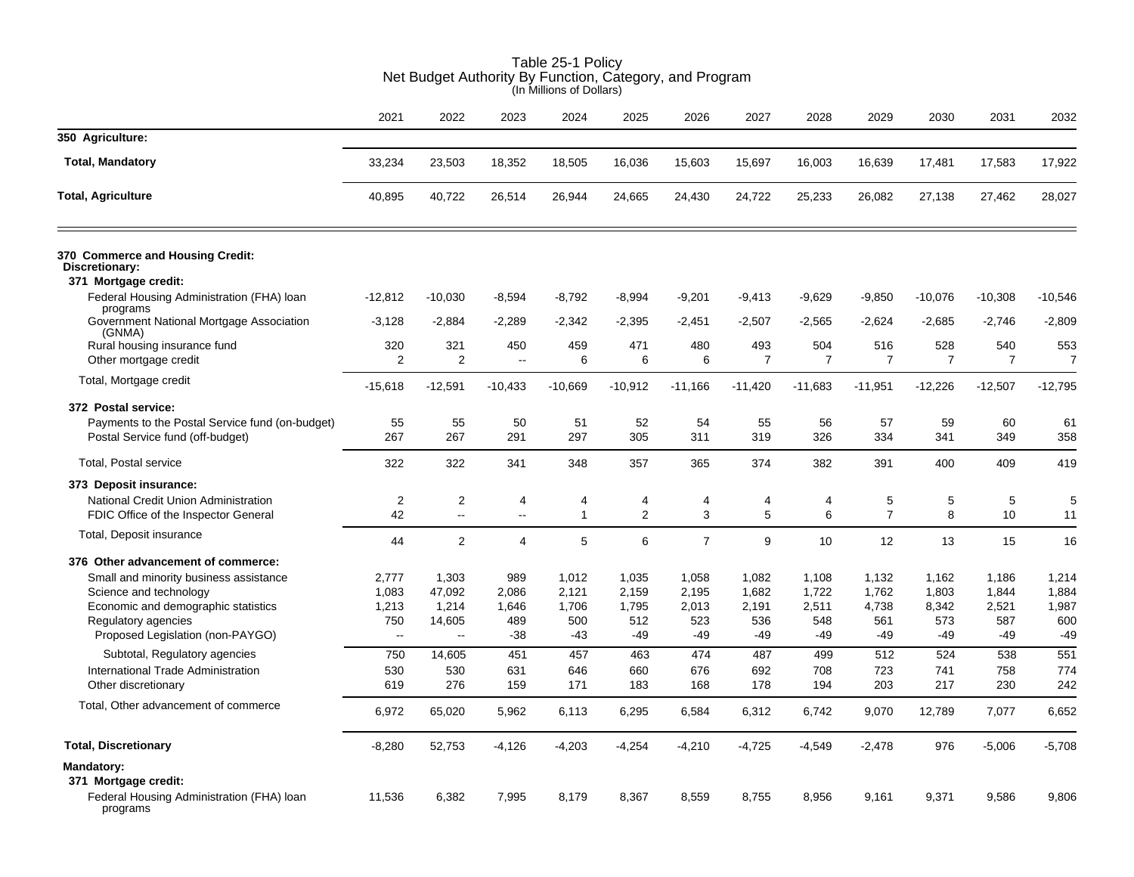|                                                                                                                                                                    |                                             | uuyu.                                           | 1.4411011.                            | (In Millions of Dollars)              | $1$ anothon, batogory, and $1$          |                                       |                                       |                                       |                                       |                                       |                                         |                                         |
|--------------------------------------------------------------------------------------------------------------------------------------------------------------------|---------------------------------------------|-------------------------------------------------|---------------------------------------|---------------------------------------|-----------------------------------------|---------------------------------------|---------------------------------------|---------------------------------------|---------------------------------------|---------------------------------------|-----------------------------------------|-----------------------------------------|
|                                                                                                                                                                    | 2021                                        | 2022                                            | 2023                                  | 2024                                  | 2025                                    | 2026                                  | 2027                                  | 2028                                  | 2029                                  | 2030                                  | 2031                                    | 2032                                    |
| 350 Agriculture:                                                                                                                                                   |                                             |                                                 |                                       |                                       |                                         |                                       |                                       |                                       |                                       |                                       |                                         |                                         |
| <b>Total, Mandatory</b>                                                                                                                                            | 33,234                                      | 23,503                                          | 18,352                                | 18,505                                | 16,036                                  | 15,603                                | 15,697                                | 16,003                                | 16,639                                | 17,481                                | 17,583                                  | 17,922                                  |
| <b>Total, Agriculture</b>                                                                                                                                          | 40,895                                      | 40,722                                          | 26,514                                | 26,944                                | 24,665                                  | 24,430                                | 24,722                                | 25,233                                | 26,082                                | 27,138                                | 27,462                                  | 28,027                                  |
| 370 Commerce and Housing Credit:<br>Discretionary:<br>371 Mortgage credit:                                                                                         |                                             |                                                 |                                       |                                       |                                         |                                       |                                       |                                       |                                       |                                       |                                         |                                         |
| Federal Housing Administration (FHA) loan                                                                                                                          | $-12,812$                                   | $-10,030$                                       | $-8,594$                              | $-8,792$                              | $-8,994$                                | $-9,201$                              | $-9,413$                              | $-9,629$                              | $-9,850$                              | $-10,076$                             | $-10,308$                               | $-10,546$                               |
| programs<br>Government National Mortgage Association<br>(GNMA)                                                                                                     | $-3,128$                                    | $-2,884$                                        | $-2,289$                              | $-2,342$                              | $-2,395$                                | $-2,451$                              | $-2,507$                              | $-2,565$                              | $-2,624$                              | $-2,685$                              | $-2,746$                                | $-2,809$                                |
| Rural housing insurance fund<br>Other mortgage credit                                                                                                              | 320<br>2                                    | 321<br>$\overline{2}$                           | 450<br>$\ddotsc$                      | 459<br>6                              | 471<br>6                                | 480<br>6                              | 493<br>$\overline{7}$                 | 504<br>$\overline{7}$                 | 516<br>$\overline{7}$                 | 528<br>$\overline{7}$                 | 540<br>$\overline{7}$                   | 553<br>7                                |
| Total, Mortgage credit                                                                                                                                             | $-15,618$                                   | $-12,591$                                       | $-10,433$                             | $-10,669$                             | $-10,912$                               | $-11,166$                             | $-11,420$                             | $-11,683$                             | $-11,951$                             | $-12,226$                             | $-12,507$                               | $-12,795$                               |
| 372 Postal service:                                                                                                                                                |                                             |                                                 |                                       |                                       |                                         |                                       |                                       |                                       |                                       |                                       |                                         |                                         |
| Payments to the Postal Service fund (on-budget)<br>Postal Service fund (off-budget)                                                                                | 55<br>267                                   | 55<br>267                                       | 50<br>291                             | 51<br>297                             | 52<br>305                               | 54<br>311                             | 55<br>319                             | 56<br>326                             | 57<br>334                             | 59<br>341                             | 60<br>349                               | 61<br>358                               |
| <b>Total, Postal service</b>                                                                                                                                       | 322                                         | 322                                             | 341                                   | 348                                   | 357                                     | 365                                   | 374                                   | 382                                   | 391                                   | 400                                   | 409                                     | 419                                     |
| 373 Deposit insurance:                                                                                                                                             |                                             |                                                 |                                       |                                       |                                         |                                       |                                       |                                       |                                       |                                       |                                         |                                         |
| National Credit Union Administration<br>FDIC Office of the Inspector General                                                                                       | 2<br>42                                     | 2<br>Ξ.                                         | 4<br>$\ddotsc$                        | 4<br>$\mathbf{1}$                     | 4<br>$\overline{2}$                     | 4<br>3                                | 4<br>5                                | 4<br>6                                | 5<br>$\overline{7}$                   | 5<br>8                                | 5<br>10                                 | 5<br>11                                 |
| Total, Deposit insurance                                                                                                                                           | 44                                          | 2                                               | $\overline{4}$                        | 5                                     | 6                                       | $\overline{7}$                        | 9                                     | 10                                    | 12                                    | 13                                    | 15                                      | 16                                      |
| 376 Other advancement of commerce:                                                                                                                                 |                                             |                                                 |                                       |                                       |                                         |                                       |                                       |                                       |                                       |                                       |                                         |                                         |
| Small and minority business assistance<br>Science and technology<br>Economic and demographic statistics<br>Regulatory agencies<br>Proposed Legislation (non-PAYGO) | 2,777<br>1,083<br>1,213<br>750<br>$\ddotsc$ | 1,303<br>47,092<br>1,214<br>14,605<br>$\ddotsc$ | 989<br>2,086<br>1,646<br>489<br>$-38$ | 1,012<br>2,121<br>1,706<br>500<br>-43 | 1,035<br>2,159<br>1,795<br>512<br>$-49$ | 1,058<br>2,195<br>2,013<br>523<br>-49 | 1,082<br>1,682<br>2,191<br>536<br>-49 | 1,108<br>1,722<br>2,511<br>548<br>-49 | 1,132<br>1,762<br>4,738<br>561<br>-49 | 1,162<br>1,803<br>8,342<br>573<br>-49 | 1,186<br>1,844<br>2,521<br>587<br>$-49$ | 1,214<br>1,884<br>1,987<br>600<br>$-49$ |
| Subtotal, Regulatory agencies                                                                                                                                      | 750                                         | 14,605                                          | 451                                   | 457                                   | 463                                     | 474                                   | 487                                   | 499                                   | 512                                   | 524                                   | 538                                     | 551                                     |
| International Trade Administration<br>Other discretionary                                                                                                          | 530<br>619                                  | 530<br>276                                      | 631<br>159                            | 646<br>171                            | 660<br>183                              | 676<br>168                            | 692<br>178                            | 708<br>194                            | 723<br>203                            | 741<br>217                            | 758<br>230                              | 774<br>242                              |
| Total, Other advancement of commerce                                                                                                                               | 6,972                                       | 65,020                                          | 5,962                                 | 6,113                                 | 6,295                                   | 6,584                                 | 6,312                                 | 6,742                                 | 9,070                                 | 12,789                                | 7,077                                   | 6,652                                   |
| <b>Total, Discretionary</b>                                                                                                                                        | $-8,280$                                    | 52,753                                          | $-4,126$                              | $-4,203$                              | $-4,254$                                | $-4,210$                              | $-4,725$                              | $-4,549$                              | $-2,478$                              | 976                                   | $-5,006$                                | $-5,708$                                |
| <b>Mandatory:</b><br>371 Mortgage credit:<br>Federal Housing Administration (FHA) loan<br>programs                                                                 | 11,536                                      | 6,382                                           | 7,995                                 | 8,179                                 | 8,367                                   | 8,559                                 | 8,755                                 | 8,956                                 | 9,161                                 | 9,371                                 | 9,586                                   | 9,806                                   |

# Table 25-1 Policy Net Budget Authority By Function, Category, and Program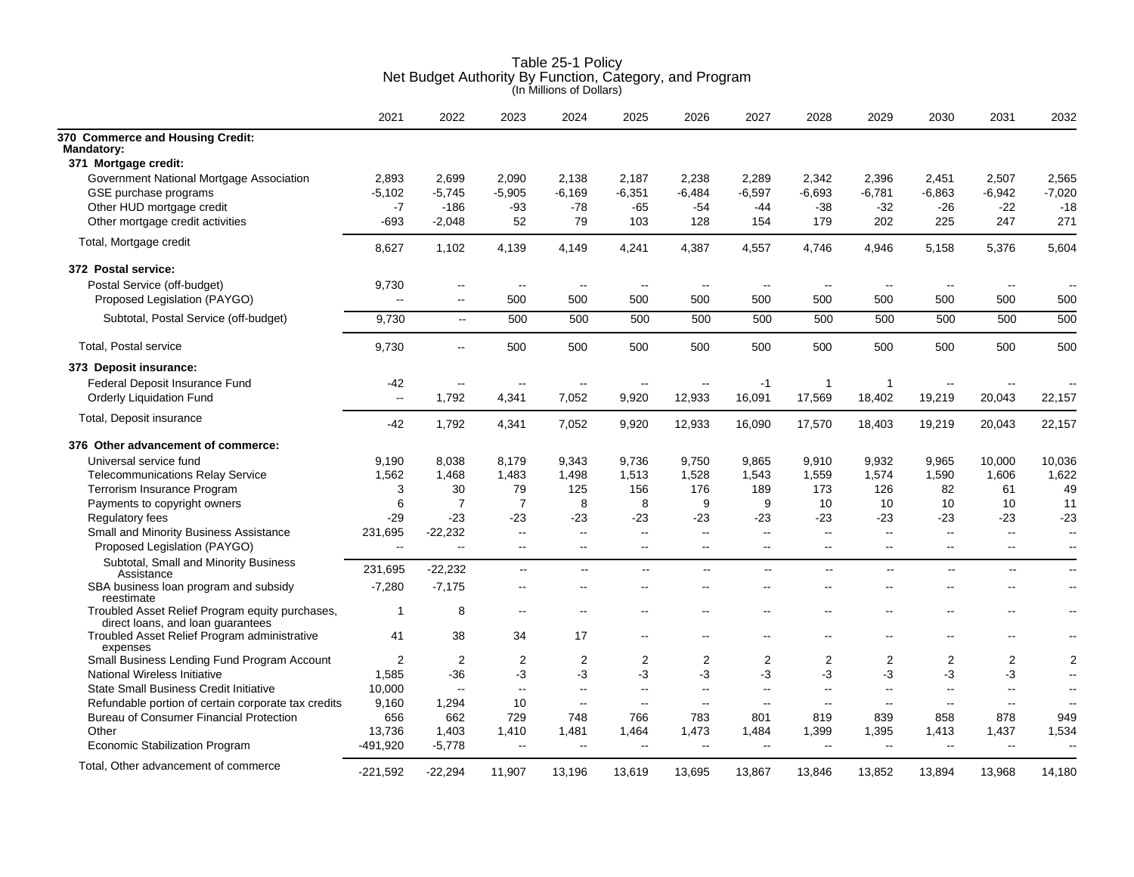|                                                                                      | 2021           | 2022           | 2023                     | 2024                     | 2025                     | 2026           | 2027                     | 2028                     | 2029                     | 2030                     | 2031                     | 2032                     |
|--------------------------------------------------------------------------------------|----------------|----------------|--------------------------|--------------------------|--------------------------|----------------|--------------------------|--------------------------|--------------------------|--------------------------|--------------------------|--------------------------|
| 370 Commerce and Housing Credit:<br><b>Mandatory:</b><br>371 Mortgage credit:        |                |                |                          |                          |                          |                |                          |                          |                          |                          |                          |                          |
|                                                                                      |                |                |                          |                          |                          |                |                          |                          |                          |                          |                          |                          |
| Government National Mortgage Association                                             | 2,893          | 2,699          | 2,090                    | 2,138                    | 2,187                    | 2,238          | 2,289                    | 2,342                    | 2,396                    | 2,451                    | 2,507                    | 2,565                    |
| GSE purchase programs                                                                | $-5.102$       | $-5,745$       | $-5,905$                 | $-6.169$                 | $-6,351$                 | $-6.484$       | $-6,597$                 | $-6,693$                 | -6,781                   | $-6.863$                 | -6,942                   | $-7,020$                 |
| Other HUD mortgage credit                                                            | $-7$           | $-186$         | $-93$                    | -78                      | $-65$                    | $-54$          | $-44$                    | $-38$                    | $-32$                    | $-26$                    | $-22$                    | $-18$                    |
| Other mortgage credit activities                                                     | -693           | $-2,048$       | 52                       | 79                       | 103                      | 128            | 154                      | 179                      | 202                      | 225                      | 247                      | 271                      |
| Total, Mortgage credit                                                               | 8,627          | 1,102          | 4,139                    | 4,149                    | 4,241                    | 4,387          | 4,557                    | 4,746                    | 4,946                    | 5,158                    | 5,376                    | 5,604                    |
| 372 Postal service:                                                                  |                |                |                          |                          |                          |                |                          |                          |                          |                          |                          |                          |
| Postal Service (off-budget)                                                          | 9,730          | --             |                          | $\overline{\phantom{m}}$ | $\sim$                   | --             |                          | $\overline{\phantom{a}}$ |                          |                          |                          |                          |
| Proposed Legislation (PAYGO)                                                         |                | $\sim$         | 500                      | 500                      | 500                      | 500            | 500                      | 500                      | 500                      | 500                      | 500                      | 500                      |
| Subtotal, Postal Service (off-budget)                                                | 9,730          | $\sim$         | 500                      | 500                      | 500                      | 500            | 500                      | 500                      | 500                      | 500                      | 500                      | 500                      |
| <b>Total, Postal service</b>                                                         | 9,730          | $\mathbf{L}$   | 500                      | 500                      | 500                      | 500            | 500                      | 500                      | 500                      | 500                      | 500                      | 500                      |
| 373 Deposit insurance:                                                               |                |                |                          |                          |                          |                |                          |                          |                          |                          |                          |                          |
|                                                                                      |                |                |                          |                          |                          |                |                          |                          |                          |                          |                          |                          |
| Federal Deposit Insurance Fund                                                       | $-42$          | $\sim$ $\sim$  | $\overline{\phantom{a}}$ | $\overline{\phantom{a}}$ | $\overline{\phantom{a}}$ | $\sim$ $\sim$  | $-1$                     | $\mathbf{1}$             | $\mathbf{1}$             | $-$                      |                          |                          |
| Orderly Liquidation Fund                                                             | $\sim$         | 1,792          | 4,341                    | 7,052                    | 9,920                    | 12,933         | 16,091                   | 17,569                   | 18,402                   | 19,219                   | 20,043                   | 22,157                   |
| Total, Deposit insurance                                                             | $-42$          | 1,792          | 4,341                    | 7,052                    | 9,920                    | 12,933         | 16,090                   | 17,570                   | 18,403                   | 19,219                   | 20,043                   | 22,157                   |
| 376 Other advancement of commerce:                                                   |                |                |                          |                          |                          |                |                          |                          |                          |                          |                          |                          |
| Universal service fund                                                               | 9,190          | 8,038          | 8,179                    | 9,343                    | 9,736                    | 9,750          | 9,865                    | 9,910                    | 9,932                    | 9,965                    | 10,000                   | 10,036                   |
| <b>Telecommunications Relay Service</b>                                              | 1,562          | 1,468          | 1,483                    | 1,498                    | 1,513                    | 1,528          | 1,543                    | 1,559                    | 1,574                    | 1,590                    | 1,606                    | 1,622                    |
| Terrorism Insurance Program                                                          | 3              | 30             | 79                       | 125                      | 156                      | 176            | 189                      | 173                      | 126                      | 82                       | 61                       | 49                       |
| Payments to copyright owners                                                         | 6              | $\overline{7}$ | $\overline{7}$           | 8                        | 8                        | 9              | 9                        | 10                       | 10                       | 10                       | 10                       | 11                       |
| Regulatory fees                                                                      | $-29$          | $-23$          | $-23$                    | $-23$                    | -23                      | -23            | -23                      | $-23$                    | $-23$                    | $-23$                    | $-23$                    | $-23$                    |
| Small and Minority Business Assistance                                               | 231,695        | $-22,232$      | $\sim$                   | $\sim$                   | $\sim$                   | $\mathbf{L}$   | $\overline{\phantom{a}}$ | $\overline{a}$           | $\overline{\phantom{a}}$ | $\overline{\phantom{a}}$ | $\overline{\phantom{a}}$ | $\sim$                   |
| Proposed Legislation (PAYGO)                                                         | $\sim$         | $\sim$         | $\sim$                   | $\sim$ $\sim$            | $\sim$ $\sim$            | $\sim$ $\sim$  | $\sim$                   | $\sim$                   | $\sim$                   | $\sim$                   | $\overline{a}$           | $\overline{\phantom{a}}$ |
| Subtotal, Small and Minority Business<br>Assistance                                  | 231,695        | $-22,232$      | $\overline{a}$           | $\mathbf{u}$             | $\mathbf{u}$             | $\mathbf{u}$   | $\mathbf{u}$             | $\mathbf{u}$             | $\overline{a}$           | $\mathbf{L}$             | $\mathbf{u}$             | $\sim$ $\sim$            |
| SBA business loan program and subsidy<br>reestimate                                  | $-7,280$       | $-7,175$       | $\sim$                   | --                       |                          |                |                          |                          |                          |                          | $\overline{a}$           | $\sim$ $\sim$            |
| Troubled Asset Relief Program equity purchases,<br>direct loans, and loan guarantees | 1              | 8              | $\overline{\phantom{a}}$ |                          |                          |                |                          |                          |                          |                          | --                       |                          |
| Troubled Asset Relief Program administrative<br>expenses                             | 41             | 38             | 34                       | 17                       | $\overline{\phantom{a}}$ | $\overline{a}$ | $\overline{a}$           | $\overline{\phantom{a}}$ |                          | $-$                      | ۵.                       | $\overline{\phantom{a}}$ |
| Small Business Lending Fund Program Account                                          | $\overline{2}$ | $\overline{2}$ | 2                        | $\overline{2}$           | 2                        | 2              | $\overline{2}$           | $\overline{2}$           | 2                        | 2                        | $\overline{\mathbf{c}}$  | $\overline{2}$           |
| National Wireless Initiative                                                         | 1,585          | $-36$          | -3                       | -3                       | $-3$                     | -3             | $-3$                     | $-3$                     | $-3$                     | -3                       | $-3$                     | $\overline{\phantom{a}}$ |
| <b>State Small Business Credit Initiative</b>                                        | 10,000         | $\sim$         | $\mathbf{H}$             | $\sim$                   | $\sim$ $\sim$            | $\mathbf{u}$   | $\sim$                   | $\overline{\phantom{a}}$ | $\overline{a}$           | $\overline{\phantom{a}}$ | -−                       | $\overline{\phantom{a}}$ |
| Refundable portion of certain corporate tax credits                                  | 9,160          | 1,294          | 10                       | $\sim$ $\sim$            | $\sim$ $\sim$            | $\sim$ $\sim$  | $\sim$                   | $\sim$                   | $\sim$                   | $\overline{a}$           | $\sim$                   | $\sim$                   |
| <b>Bureau of Consumer Financial Protection</b>                                       | 656            | 662            | 729                      | 748                      | 766                      | 783            | 801                      | 819                      | 839                      | 858                      | 878                      | 949                      |
| Other                                                                                | 13,736         | 1,403          | 1,410                    | 1,481                    | 1,464                    | 1,473          | 1,484                    | 1,399                    | 1,395                    | 1,413                    | 1,437                    | 1,534                    |
| <b>Economic Stabilization Program</b>                                                | -491,920       | $-5,778$       | $\overline{\phantom{a}}$ | $\sim$                   | $\mathbf{u}$             | $\sim$ $\sim$  | $\sim$ $\sim$            | $\overline{\phantom{a}}$ | $\overline{a}$           | $-$                      | $\overline{\phantom{a}}$ | $\overline{\phantom{a}}$ |
| Total, Other advancement of commerce                                                 | $-221,592$     | $-22,294$      | 11,907                   | 13,196                   | 13,619                   | 13,695         | 13,867                   | 13,846                   | 13,852                   | 13,894                   | 13,968                   | 14.180                   |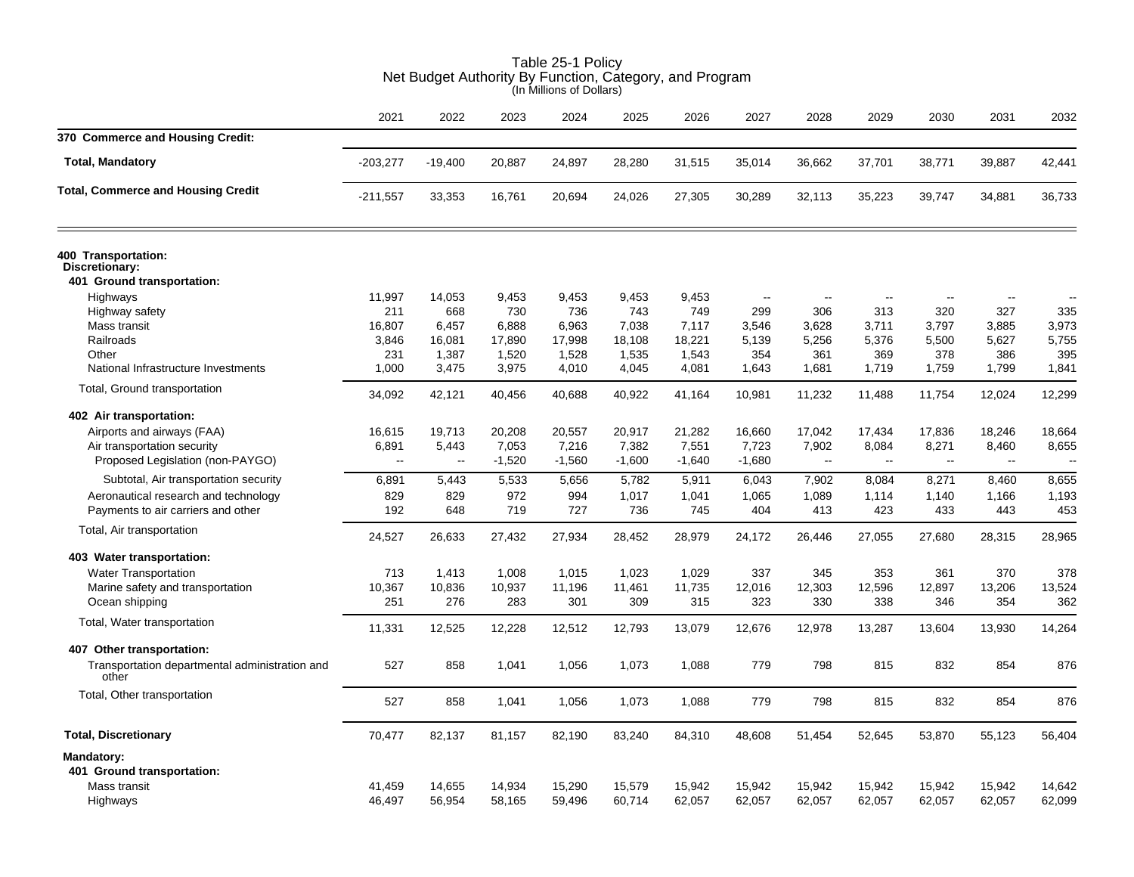|                                                                                                                                                                   |                                                      |                                                    |                                                   | (in Millions of Dollars)                          |                                                   |                                                   |                                                 |                                                      |                                                      |                                                       |                                                      |                                            |
|-------------------------------------------------------------------------------------------------------------------------------------------------------------------|------------------------------------------------------|----------------------------------------------------|---------------------------------------------------|---------------------------------------------------|---------------------------------------------------|---------------------------------------------------|-------------------------------------------------|------------------------------------------------------|------------------------------------------------------|-------------------------------------------------------|------------------------------------------------------|--------------------------------------------|
|                                                                                                                                                                   | 2021                                                 | 2022                                               | 2023                                              | 2024                                              | 2025                                              | 2026                                              | 2027                                            | 2028                                                 | 2029                                                 | 2030                                                  | 2031                                                 | 2032                                       |
| 370 Commerce and Housing Credit:                                                                                                                                  |                                                      |                                                    |                                                   |                                                   |                                                   |                                                   |                                                 |                                                      |                                                      |                                                       |                                                      |                                            |
| <b>Total, Mandatory</b>                                                                                                                                           | $-203,277$                                           | $-19,400$                                          | 20,887                                            | 24,897                                            | 28,280                                            | 31,515                                            | 35,014                                          | 36,662                                               | 37,701                                               | 38,771                                                | 39.887                                               | 42,441                                     |
| <b>Total, Commerce and Housing Credit</b>                                                                                                                         | $-211,557$                                           | 33,353                                             | 16,761                                            | 20,694                                            | 24,026                                            | 27,305                                            | 30,289                                          | 32,113                                               | 35,223                                               | 39,747                                                | 34,881                                               | 36,733                                     |
| 400 Transportation:<br>Discretionary:<br>401 Ground transportation:                                                                                               |                                                      |                                                    |                                                   |                                                   |                                                   |                                                   |                                                 |                                                      |                                                      |                                                       |                                                      |                                            |
| Highways<br>Highway safety<br>Mass transit<br>Railroads<br>Other<br>National Infrastructure Investments                                                           | 11,997<br>211<br>16,807<br>3,846<br>231<br>1.000     | 14,053<br>668<br>6,457<br>16,081<br>1,387<br>3,475 | 9,453<br>730<br>6,888<br>17,890<br>1,520<br>3,975 | 9,453<br>736<br>6,963<br>17,998<br>1,528<br>4,010 | 9,453<br>743<br>7,038<br>18,108<br>1,535<br>4,045 | 9,453<br>749<br>7,117<br>18,221<br>1,543<br>4,081 | $\sim$<br>299<br>3,546<br>5,139<br>354<br>1,643 | 306<br>3,628<br>5,256<br>361<br>1,681                | 313<br>3,711<br>5,376<br>369<br>1,719                | 320<br>3,797<br>5,500<br>378<br>1,759                 | 327<br>3,885<br>5,627<br>386<br>1.799                | 335<br>3,973<br>5,755<br>395<br>1,841      |
| Total, Ground transportation                                                                                                                                      | 34,092                                               | 42,121                                             | 40,456                                            | 40,688                                            | 40,922                                            | 41,164                                            | 10,981                                          | 11,232                                               | 11,488                                               | 11,754                                                | 12,024                                               | 12,299                                     |
| 402 Air transportation:<br>Airports and airways (FAA)<br>Air transportation security<br>Proposed Legislation (non-PAYGO)<br>Subtotal, Air transportation security | 16,615<br>6,891<br>$\overline{\phantom{a}}$<br>6,891 | 19,713<br>5,443<br>$\ddotsc$<br>5,443              | 20,208<br>7,053<br>$-1,520$<br>5,533              | 20,557<br>7,216<br>$-1,560$<br>5,656              | 20,917<br>7,382<br>$-1,600$<br>5,782              | 21,282<br>7,551<br>$-1,640$<br>5,911              | 16,660<br>7,723<br>$-1,680$<br>6,043            | 17,042<br>7,902<br>$\overline{\phantom{a}}$<br>7,902 | 17,434<br>8,084<br>$\overline{\phantom{a}}$<br>8,084 | 17,836<br>8,271<br>$\mathbb{L}^{\mathbb{L}}$<br>8,271 | 18,246<br>8,460<br>$\overline{\phantom{a}}$<br>8,460 | 18,664<br>8,655<br>$\overline{a}$<br>8,655 |
| Aeronautical research and technology<br>Payments to air carriers and other                                                                                        | 829<br>192                                           | 829<br>648                                         | 972<br>719                                        | 994<br>727                                        | 1,017<br>736                                      | 1,041<br>745                                      | 1,065<br>404                                    | 1,089<br>413                                         | 1,114<br>423                                         | 1,140<br>433                                          | 1,166<br>443                                         | 1,193<br>453                               |
| Total, Air transportation                                                                                                                                         | 24,527                                               | 26,633                                             | 27,432                                            | 27,934                                            | 28,452                                            | 28,979                                            | 24,172                                          | 26,446                                               | 27,055                                               | 27,680                                                | 28,315                                               | 28,965                                     |
| 403 Water transportation:<br><b>Water Transportation</b><br>Marine safety and transportation<br>Ocean shipping                                                    | 713<br>10,367<br>251                                 | 1,413<br>10,836<br>276                             | 1,008<br>10,937<br>283                            | 1,015<br>11,196<br>301                            | 1,023<br>11,461<br>309                            | 1,029<br>11,735<br>315                            | 337<br>12,016<br>323                            | 345<br>12,303<br>330                                 | 353<br>12,596<br>338                                 | 361<br>12,897<br>346                                  | 370<br>13,206<br>354                                 | 378<br>13,524<br>362                       |
| Total, Water transportation                                                                                                                                       | 11,331                                               | 12,525                                             | 12,228                                            | 12,512                                            | 12,793                                            | 13,079                                            | 12,676                                          | 12,978                                               | 13,287                                               | 13,604                                                | 13,930                                               | 14,264                                     |
| 407 Other transportation:<br>Transportation departmental administration and<br>other                                                                              | 527                                                  | 858                                                | 1,041                                             | 1,056                                             | 1,073                                             | 1,088                                             | 779                                             | 798                                                  | 815                                                  | 832                                                   | 854                                                  | 876                                        |
| Total, Other transportation                                                                                                                                       | 527                                                  | 858                                                | 1,041                                             | 1,056                                             | 1,073                                             | 1,088                                             | 779                                             | 798                                                  | 815                                                  | 832                                                   | 854                                                  | 876                                        |
| <b>Total, Discretionary</b>                                                                                                                                       | 70,477                                               | 82,137                                             | 81,157                                            | 82,190                                            | 83,240                                            | 84,310                                            | 48,608                                          | 51,454                                               | 52,645                                               | 53,870                                                | 55,123                                               | 56,404                                     |
| <b>Mandatory:</b><br>401 Ground transportation:<br>Mass transit<br>Highways                                                                                       | 41,459<br>46,497                                     | 14,655<br>56,954                                   | 14,934<br>58,165                                  | 15,290<br>59,496                                  | 15,579<br>60,714                                  | 15,942<br>62,057                                  | 15,942<br>62,057                                | 15,942<br>62,057                                     | 15,942<br>62,057                                     | 15,942<br>62,057                                      | 15,942<br>62,057                                     | 14,642<br>62,099                           |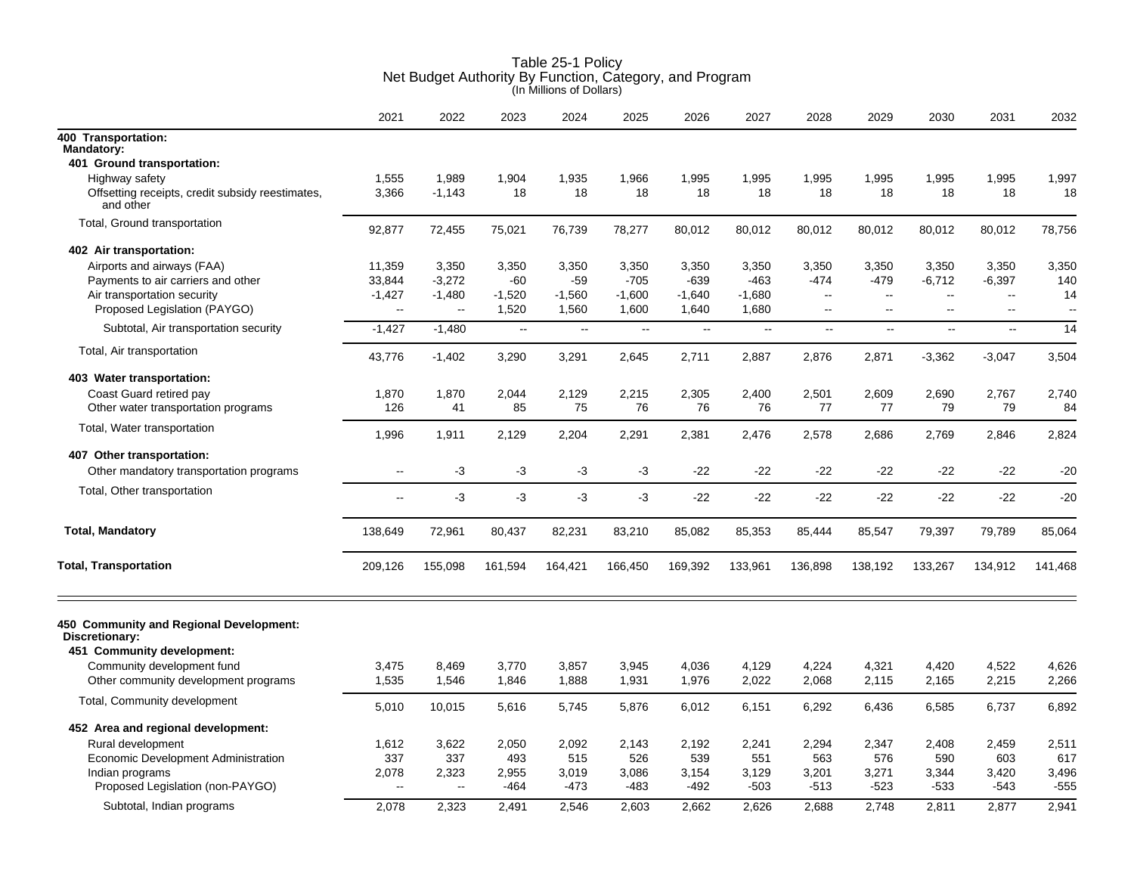|                                                                                         | 2021                     | 2022                     | 2023              | 2024              | 2025              | 2026                      | 2027              | 2028                     | 2029                     | 2030                            | 2031                     | 2032         |
|-----------------------------------------------------------------------------------------|--------------------------|--------------------------|-------------------|-------------------|-------------------|---------------------------|-------------------|--------------------------|--------------------------|---------------------------------|--------------------------|--------------|
| 400 Transportation:<br>Mandatory:                                                       |                          |                          |                   |                   |                   |                           |                   |                          |                          |                                 |                          |              |
| 401 Ground transportation:                                                              |                          |                          |                   |                   |                   |                           |                   |                          |                          |                                 |                          |              |
| Highway safety                                                                          | 1,555                    | 1,989                    | 1,904             | 1,935             | 1,966             | 1,995                     | 1,995             | 1,995                    | 1,995                    | 1,995                           | 1,995                    | 1,997        |
| Offsetting receipts, credit subsidy reestimates,<br>and other                           | 3,366                    | $-1,143$                 | 18                | 18                | 18                | 18                        | 18                | 18                       | 18                       | 18                              | 18                       | 18           |
| Total, Ground transportation                                                            | 92,877                   | 72,455                   | 75,021            | 76,739            | 78,277            | 80,012                    | 80,012            | 80,012                   | 80,012                   | 80,012                          | 80,012                   | 78,756       |
| 402 Air transportation:                                                                 |                          |                          |                   |                   |                   |                           |                   |                          |                          |                                 |                          |              |
| Airports and airways (FAA)                                                              | 11,359                   | 3,350                    | 3,350             | 3,350             | 3,350             | 3,350                     | 3,350             | 3,350                    | 3,350                    | 3,350                           | 3,350                    | 3,350        |
| Payments to air carriers and other                                                      | 33,844                   | $-3,272$                 | -60               | -59               | $-705$            | $-639$                    | $-463$            | $-474$                   | $-479$                   | $-6,712$                        | $-6,397$                 | 140          |
| Air transportation security<br>Proposed Legislation (PAYGO)                             | $-1,427$<br>$\mathbf{u}$ | $-1,480$<br>$\sim$       | $-1,520$<br>1,520 | $-1,560$<br>1,560 | $-1,600$<br>1,600 | $-1,640$<br>1,640         | $-1,680$<br>1,680 | $\sim$<br>$\mathbf{u}$   | $\overline{a}$<br>$\sim$ | $\overline{\phantom{a}}$<br>$-$ | $\overline{a}$<br>$\sim$ | 14<br>$\sim$ |
| Subtotal, Air transportation security                                                   | $-1,427$                 | $-1,480$                 | $\ddotsc$         | $\ddotsc$         | Ш,                | $\mathbb{Z}^{\mathbb{Z}}$ | $\sim$ $\sim$     | $\overline{\phantom{a}}$ | $\overline{\phantom{a}}$ | $\sim$                          | $\mathbf{u}$             | 14           |
| Total, Air transportation                                                               | 43,776                   | $-1,402$                 | 3,290             | 3,291             | 2,645             | 2,711                     | 2,887             | 2,876                    | 2,871                    | $-3,362$                        | $-3,047$                 | 3,504        |
| 403 Water transportation:                                                               |                          |                          |                   |                   |                   |                           |                   |                          |                          |                                 |                          |              |
| Coast Guard retired pay                                                                 | 1,870                    | 1,870                    | 2,044             | 2,129             | 2,215             | 2,305                     | 2,400             | 2,501                    | 2,609                    | 2,690                           | 2,767                    | 2,740        |
| Other water transportation programs                                                     | 126                      | 41                       | 85                | 75                | 76                | 76                        | 76                | 77                       | 77                       | 79                              | 79                       | 84           |
| Total, Water transportation                                                             | 1,996                    | 1,911                    | 2,129             | 2,204             | 2,291             | 2,381                     | 2,476             | 2,578                    | 2,686                    | 2,769                           | 2,846                    | 2,824        |
| 407 Other transportation:                                                               |                          |                          |                   |                   |                   |                           |                   |                          |                          |                                 |                          |              |
| Other mandatory transportation programs                                                 | --                       | -3                       | $-3$              | $-3$              | $-3$              | $-22$                     | $-22$             | $-22$                    | $-22$                    | $-22$                           | $-22$                    | $-20$        |
| Total, Other transportation                                                             | $\overline{a}$           | $-3$                     | $-3$              | $-3$              | $-3$              | $-22$                     | $-22$             | -22                      | $-22$                    | $-22$                           | $-22$                    | $-20$        |
| <b>Total, Mandatory</b>                                                                 | 138,649                  | 72,961                   | 80,437            | 82,231            | 83,210            | 85,082                    | 85,353            | 85,444                   | 85,547                   | 79,397                          | 79,789                   | 85,064       |
| <b>Total, Transportation</b>                                                            | 209,126                  | 155,098                  | 161,594           | 164,421           | 166,450           | 169,392                   | 133,961           | 136,898                  | 138,192                  | 133,267                         | 134,912                  | 141,468      |
| 450 Community and Regional Development:<br>Discretionary:<br>451 Community development: |                          |                          |                   |                   |                   |                           |                   |                          |                          |                                 |                          |              |
| Community development fund                                                              | 3,475                    | 8,469                    | 3,770             | 3,857             | 3,945             | 4,036                     | 4,129             | 4,224                    | 4,321                    | 4,420                           | 4,522                    | 4,626        |
| Other community development programs                                                    | 1,535                    | 1,546                    | 1.846             | 1,888             | 1,931             | 1,976                     | 2,022             | 2,068                    | 2,115                    | 2,165                           | 2,215                    | 2,266        |
| Total, Community development                                                            | 5,010                    | 10,015                   | 5,616             | 5,745             | 5,876             | 6,012                     | 6,151             | 6,292                    | 6,436                    | 6,585                           | 6,737                    | 6,892        |
| 452 Area and regional development:                                                      |                          |                          |                   |                   |                   |                           |                   |                          |                          |                                 |                          |              |
| Rural development                                                                       | 1,612                    | 3,622                    | 2,050             | 2,092             | 2,143             | 2,192                     | 2,241             | 2,294                    | 2,347                    | 2,408                           | 2,459                    | 2,511        |
| Economic Development Administration                                                     | 337                      | 337                      | 493               | 515               | 526               | 539                       | 551               | 563                      | 576                      | 590                             | 603                      | 617          |
| Indian programs                                                                         | 2,078                    | 2,323                    | 2,955             | 3,019             | 3,086             | 3,154                     | 3,129             | 3,201                    | 3,271                    | 3,344                           | 3,420                    | 3,496        |
| Proposed Legislation (non-PAYGO)                                                        | $\overline{\phantom{a}}$ | $\overline{\phantom{a}}$ | -464              | $-473$            | -483              | -492                      | $-503$            | $-513$                   | $-523$                   | $-533$                          | $-543$                   | $-555$       |
| Subtotal, Indian programs                                                               | 2,078                    | 2,323                    | 2,491             | 2,546             | 2,603             | 2,662                     | 2,626             | 2,688                    | 2,748                    | 2,811                           | 2,877                    | 2,941        |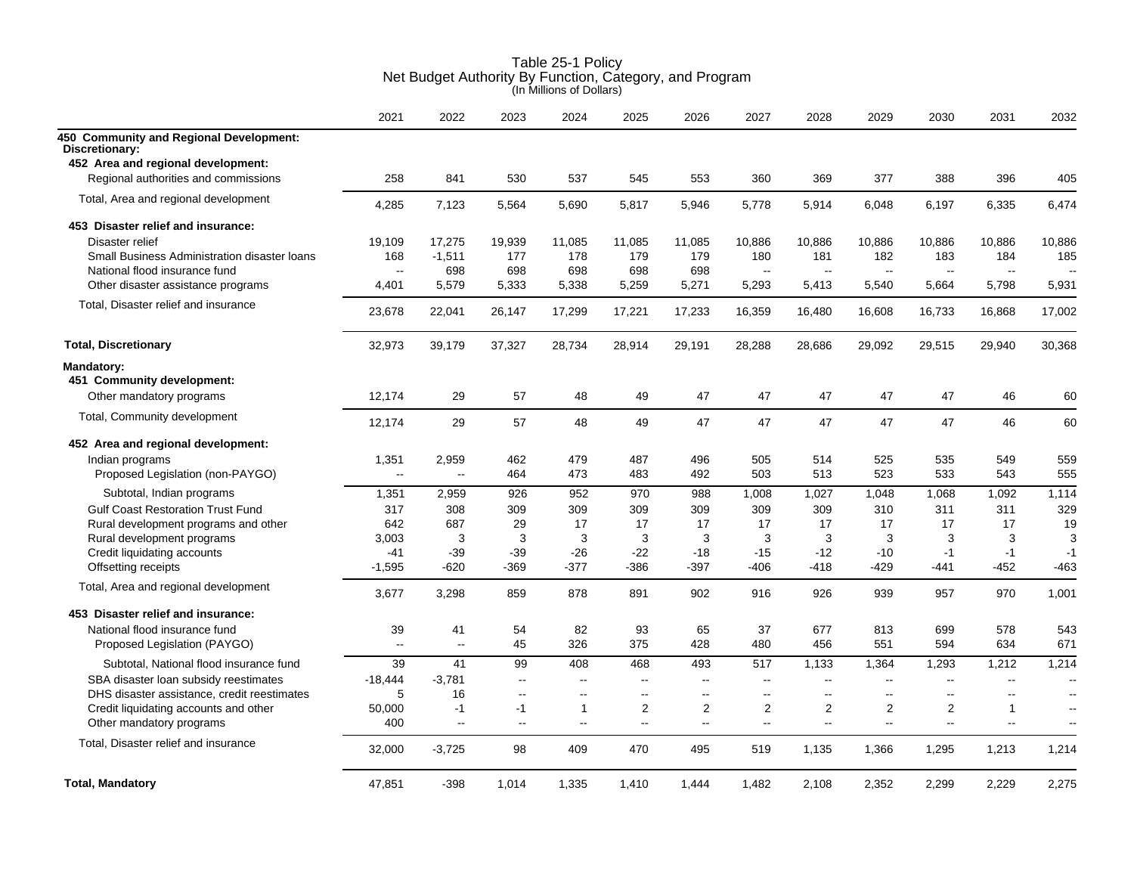|                                                      | 2021         | 2022      | 2023                                          | 2024   | 2025   | 2026                     | 2027                     | 2028                     | 2029                     | 2030                     | 2031                        | 2032                 |
|------------------------------------------------------|--------------|-----------|-----------------------------------------------|--------|--------|--------------------------|--------------------------|--------------------------|--------------------------|--------------------------|-----------------------------|----------------------|
| 450 Community and Regional Development:              |              |           |                                               |        |        |                          |                          |                          |                          |                          |                             |                      |
| Discretionary:<br>452 Area and regional development: |              |           |                                               |        |        |                          |                          |                          |                          |                          |                             |                      |
| Regional authorities and commissions                 | 258          | 841       | 530                                           | 537    | 545    | 553                      | 360                      | 369                      | 377                      | 388                      | 396                         | 405                  |
|                                                      |              |           |                                               |        |        |                          |                          |                          |                          |                          |                             |                      |
| Total, Area and regional development                 | 4,285        | 7,123     | 5,564                                         | 5,690  | 5,817  | 5,946                    | 5,778                    | 5,914                    | 6,048                    | 6,197                    | 6,335                       | 6,474                |
| 453 Disaster relief and insurance:                   |              |           |                                               |        |        |                          |                          |                          |                          |                          |                             |                      |
| Disaster relief                                      | 19,109       | 17,275    | 19,939                                        | 11,085 | 11,085 | 11,085                   | 10,886                   | 10,886                   | 10,886                   | 10,886                   | 10,886                      | 10,886               |
| Small Business Administration disaster loans         | 168          | $-1,511$  | 177                                           | 178    | 179    | 179                      | 180                      | 181                      | 182                      | 183                      | 184                         | 185                  |
| National flood insurance fund                        | Ξ.           | 698       | 698                                           | 698    | 698    | 698                      | $\overline{\phantom{a}}$ | $\sim$                   | $\overline{\phantom{a}}$ | $\sim$                   | $\overline{\phantom{a}}$    |                      |
| Other disaster assistance programs                   | 4.401        | 5,579     | 5,333                                         | 5,338  | 5,259  | 5,271                    | 5,293                    | 5,413                    | 5,540                    | 5,664                    | 5,798                       | 5,931                |
| Total, Disaster relief and insurance                 | 23,678       | 22,041    | 26,147                                        | 17,299 | 17,221 | 17,233                   | 16,359                   | 16,480                   | 16,608                   | 16,733                   | 16,868                      | 17,002               |
| <b>Total, Discretionary</b>                          | 32,973       | 39,179    | 37,327                                        | 28,734 | 28,914 | 29,191                   | 28,288                   | 28,686                   | 29,092                   | 29,515                   | 29,940                      | 30,368               |
| Mandatory:                                           |              |           |                                               |        |        |                          |                          |                          |                          |                          |                             |                      |
| 451 Community development:                           |              |           |                                               |        |        |                          |                          |                          |                          |                          |                             |                      |
| Other mandatory programs                             | 12,174       | 29        | 57                                            | 48     | 49     | 47                       | 47                       | 47                       | 47                       | 47                       | 46                          | 60                   |
| Total, Community development                         |              |           |                                               |        |        |                          |                          |                          |                          |                          |                             |                      |
|                                                      | 12,174       | 29        | 57                                            | 48     | 49     | 47                       | 47                       | 47                       | 47                       | 47                       | 46                          | 60                   |
| 452 Area and regional development:                   |              |           |                                               |        |        |                          |                          |                          |                          |                          |                             |                      |
| Indian programs                                      | 1,351        | 2,959     | 462                                           | 479    | 487    | 496                      | 505                      | 514                      | 525                      | 535                      | 549                         | 559                  |
| Proposed Legislation (non-PAYGO)                     | --           | $\ddotsc$ | 464                                           | 473    | 483    | 492                      | 503                      | 513                      | 523                      | 533                      | 543                         | 555                  |
| Subtotal, Indian programs                            | 1,351        | 2,959     | 926                                           | 952    | 970    | 988                      | 1,008                    | 1,027                    | 1,048                    | 1,068                    | 1,092                       | 1,114                |
| <b>Gulf Coast Restoration Trust Fund</b>             | 317          | 308       | 309                                           | 309    | 309    | 309                      | 309                      | 309                      | 310                      | 311                      | 311                         | 329                  |
| Rural development programs and other                 | 642          | 687       | 29                                            | 17     | 17     | 17                       | 17                       | 17                       | 17                       | 17                       | 17                          | 19                   |
| Rural development programs                           | 3,003        | 3         | 3                                             | 3      | 3      | 3                        | 3                        | 3                        | 3                        | 3                        | 3                           | 3                    |
| Credit liquidating accounts                          | $-41$        | $-39$     | $-39$                                         | $-26$  | $-22$  | $-18$                    | $-15$                    | $-12$                    | $-10$                    | $-1$                     | $-1$                        | $-1$                 |
| Offsetting receipts                                  | $-1,595$     | $-620$    | $-369$                                        | $-377$ | $-386$ | $-397$                   | $-406$                   | $-418$                   | $-429$                   | $-441$                   | $-452$                      | $-463$               |
| Total, Area and regional development                 | 3,677        | 3,298     | 859                                           | 878    | 891    | 902                      | 916                      | 926                      | 939                      | 957                      | 970                         | 1,001                |
| 453 Disaster relief and insurance:                   |              |           |                                               |        |        |                          |                          |                          |                          |                          |                             |                      |
| National flood insurance fund                        | 39           | 41        | 54                                            | 82     | 93     | 65                       | 37                       | 677                      | 813                      | 699                      | 578                         | 543                  |
| Proposed Legislation (PAYGO)                         | $\mathbf{u}$ | $\ddotsc$ | 45                                            | 326    | 375    | 428                      | 480                      | 456                      | 551                      | 594                      | 634                         | 671                  |
| Subtotal, National flood insurance fund              | 39           | 41        | 99                                            | 408    | 468    | 493                      | 517                      | 1,133                    | 1,364                    | 1,293                    | 1,212                       | 1,214                |
| SBA disaster loan subsidy reestimates                | $-18,444$    | $-3,781$  | $\overline{a}$                                | Щ,     | Щ,     | $\overline{\phantom{a}}$ | $\overline{\phantom{a}}$ | $\overline{\phantom{a}}$ | $\overline{\phantom{a}}$ | $\overline{\phantom{a}}$ | $\overline{\phantom{a}}$    | $\sim$               |
| DHS disaster assistance, credit reestimates          | 5            | 16        | $\overline{a}$                                | $-$    | $-$    | $\overline{\phantom{a}}$ | $\sim$                   | $\sim$                   | $\sim$                   | $\sim$ $\sim$            | $\sim$                      | $\sim$               |
| Credit liquidating accounts and other                | 50,000       | $-1$      | $-1$                                          | 1      | 2      | $\overline{2}$           | $\overline{2}$           | 2                        | $\overline{2}$           | 2                        | $\mathbf 1$                 | $\sim$               |
| Other mandatory programs                             | 400          | ц.        | $\mathord{\hspace{1pt}\text{--}\hspace{1pt}}$ | --     | --     | $\overline{\phantom{a}}$ | Ξ.                       | $\overline{\phantom{a}}$ | $\overline{\phantom{a}}$ | $\overline{\phantom{a}}$ | $\mathcal{L}_{\mathcal{F}}$ | $\ddot{\phantom{1}}$ |
| Total, Disaster relief and insurance                 |              |           |                                               |        |        |                          |                          |                          |                          |                          |                             |                      |
|                                                      | 32,000       | $-3,725$  | 98                                            | 409    | 470    | 495                      | 519                      | 1,135                    | 1,366                    | 1,295                    | 1,213                       | 1,214                |
| <b>Total, Mandatory</b>                              | 47,851       | $-398$    | 1,014                                         | 1,335  | 1,410  | 1,444                    | 1,482                    | 2,108                    | 2,352                    | 2,299                    | 2,229                       | 2,275                |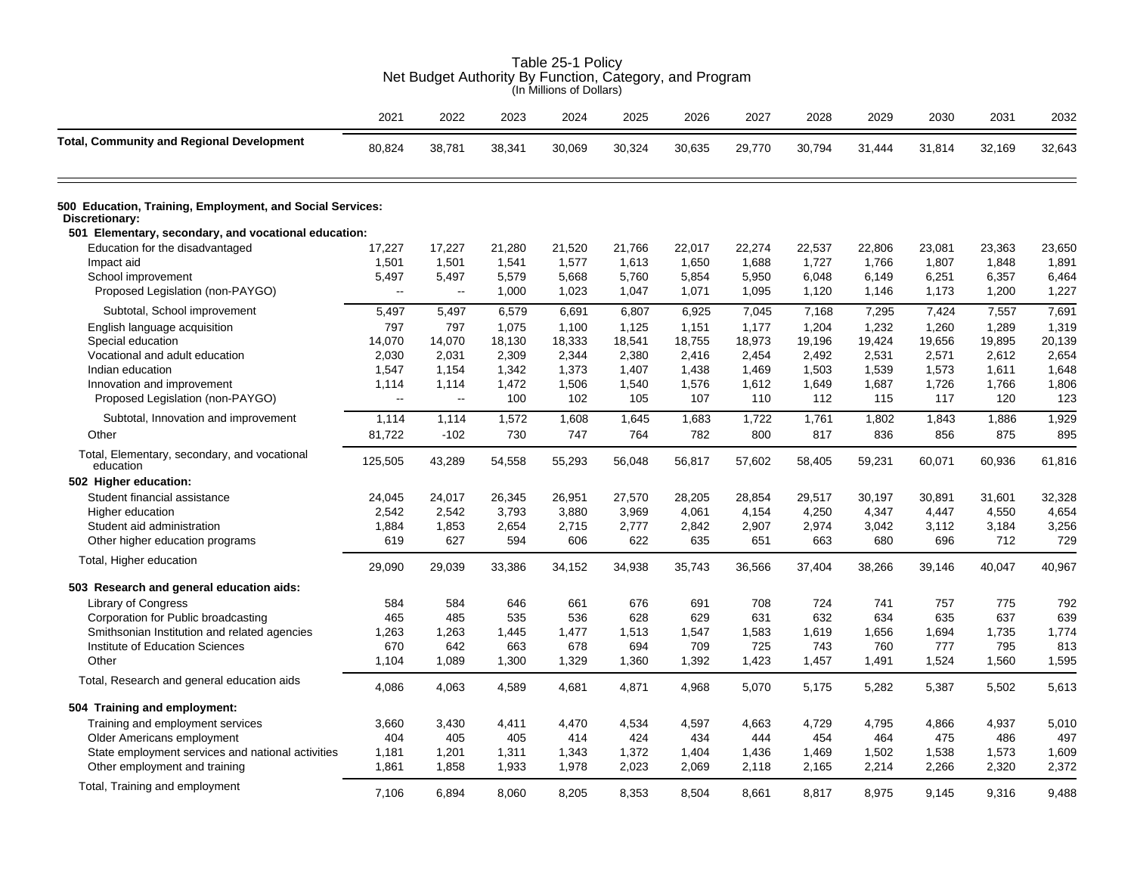|                                                                             | Net Budget Authority By Function, Category, and Program<br>(In Millions of Dollars) |           |        |        |        |        |        |        |        |        |        |        |  |  |
|-----------------------------------------------------------------------------|-------------------------------------------------------------------------------------|-----------|--------|--------|--------|--------|--------|--------|--------|--------|--------|--------|--|--|
|                                                                             | 2021                                                                                | 2022      | 2023   | 2024   | 2025   | 2026   | 2027   | 2028   | 2029   | 2030   | 2031   | 2032   |  |  |
| <b>Total, Community and Regional Development</b>                            | 80,824                                                                              | 38,781    | 38,341 | 30.069 | 30,324 | 30,635 | 29,770 | 30,794 | 31,444 | 31,814 | 32,169 | 32,643 |  |  |
| 500 Education, Training, Employment, and Social Services:<br>Discretionary: |                                                                                     |           |        |        |        |        |        |        |        |        |        |        |  |  |
| 501 Elementary, secondary, and vocational education:                        |                                                                                     |           |        |        |        |        |        |        |        |        |        |        |  |  |
| Education for the disadvantaged                                             | 17,227                                                                              | 17,227    | 21,280 | 21,520 | 21,766 | 22,017 | 22,274 | 22,537 | 22,806 | 23,081 | 23,363 | 23,650 |  |  |
| Impact aid                                                                  | 1,501                                                                               | 1,501     | 1,541  | 1,577  | 1,613  | 1,650  | 1,688  | 1,727  | 1,766  | 1,807  | 1,848  | 1,891  |  |  |
| School improvement                                                          | 5,497                                                                               | 5,497     | 5,579  | 5,668  | 5,760  | 5,854  | 5,950  | 6,048  | 6,149  | 6,251  | 6,357  | 6,464  |  |  |
| Proposed Legislation (non-PAYGO)                                            | $\mathbf{L}$                                                                        | $\ddotsc$ | 1,000  | 1,023  | 1,047  | 1,071  | 1,095  | 1,120  | 1,146  | 1,173  | 1,200  | 1,227  |  |  |
| Subtotal, School improvement                                                | 5,497                                                                               | 5,497     | 6,579  | 6,691  | 6,807  | 6,925  | 7,045  | 7,168  | 7,295  | 7,424  | 7,557  | 7,691  |  |  |
| English language acquisition                                                | 797                                                                                 | 797       | 1,075  | 1,100  | 1,125  | 1,151  | 1,177  | 1,204  | 1,232  | 1,260  | 1,289  | 1,319  |  |  |
| Special education                                                           | 14,070                                                                              | 14,070    | 18,130 | 18,333 | 18,541 | 18,755 | 18,973 | 19,196 | 19,424 | 19,656 | 19,895 | 20,139 |  |  |
| Vocational and adult education                                              | 2,030                                                                               | 2,031     | 2,309  | 2,344  | 2,380  | 2,416  | 2,454  | 2,492  | 2,531  | 2,571  | 2,612  | 2,654  |  |  |
| Indian education                                                            | 1,547                                                                               | 1,154     | 1,342  | 1,373  | 1,407  | 1,438  | 1,469  | 1,503  | 1,539  | 1,573  | 1,611  | 1.648  |  |  |
| Innovation and improvement                                                  | 1,114                                                                               | 1,114     | 1,472  | 1,506  | 1,540  | 1,576  | 1,612  | 1,649  | 1,687  | 1,726  | 1,766  | 1,806  |  |  |
| Proposed Legislation (non-PAYGO)                                            | $\sim$                                                                              | $\ddotsc$ | 100    | 102    | 105    | 107    | 110    | 112    | 115    | 117    | 120    | 123    |  |  |
| Subtotal, Innovation and improvement                                        | 1,114                                                                               | 1,114     | 1,572  | 1,608  | 1,645  | 1,683  | 1,722  | 1,761  | 1,802  | 1,843  | 1,886  | 1,929  |  |  |
| Other                                                                       | 81,722                                                                              | $-102$    | 730    | 747    | 764    | 782    | 800    | 817    | 836    | 856    | 875    | 895    |  |  |
| Total, Elementary, secondary, and vocational<br>education                   | 125,505                                                                             | 43,289    | 54,558 | 55,293 | 56,048 | 56,817 | 57,602 | 58,405 | 59,231 | 60,071 | 60,936 | 61,816 |  |  |
| 502 Higher education:                                                       |                                                                                     |           |        |        |        |        |        |        |        |        |        |        |  |  |
| Student financial assistance                                                | 24,045                                                                              | 24,017    | 26,345 | 26,951 | 27,570 | 28,205 | 28,854 | 29,517 | 30,197 | 30,891 | 31,601 | 32,328 |  |  |
| Higher education                                                            | 2,542                                                                               | 2,542     | 3,793  | 3,880  | 3,969  | 4,061  | 4,154  | 4,250  | 4,347  | 4,447  | 4,550  | 4,654  |  |  |
| Student aid administration                                                  | 1,884                                                                               | 1,853     | 2,654  | 2,715  | 2,777  | 2,842  | 2,907  | 2,974  | 3,042  | 3,112  | 3,184  | 3,256  |  |  |
| Other higher education programs                                             | 619                                                                                 | 627       | 594    | 606    | 622    | 635    | 651    | 663    | 680    | 696    | 712    | 729    |  |  |
| Total, Higher education                                                     | 29,090                                                                              | 29,039    | 33,386 | 34,152 | 34,938 | 35,743 | 36,566 | 37,404 | 38,266 | 39,146 | 40,047 | 40,967 |  |  |
| 503 Research and general education aids:                                    |                                                                                     |           |        |        |        |        |        |        |        |        |        |        |  |  |
| Library of Congress                                                         | 584                                                                                 | 584       | 646    | 661    | 676    | 691    | 708    | 724    | 741    | 757    | 775    | 792    |  |  |
| Corporation for Public broadcasting                                         | 465                                                                                 | 485       | 535    | 536    | 628    | 629    | 631    | 632    | 634    | 635    | 637    | 639    |  |  |
| Smithsonian Institution and related agencies                                | 1,263                                                                               | 1,263     | 1,445  | 1,477  | 1,513  | 1,547  | 1,583  | 1,619  | 1,656  | 1,694  | 1,735  | 1,774  |  |  |
| Institute of Education Sciences                                             | 670                                                                                 | 642       | 663    | 678    | 694    | 709    | 725    | 743    | 760    | 777    | 795    | 813    |  |  |
| Other                                                                       | 1,104                                                                               | 1,089     | 1,300  | 1,329  | 1,360  | 1,392  | 1,423  | 1,457  | 1,491  | 1,524  | 1,560  | 1,595  |  |  |
| Total, Research and general education aids                                  | 4,086                                                                               | 4,063     | 4,589  | 4,681  | 4,871  | 4,968  | 5,070  | 5,175  | 5,282  | 5,387  | 5,502  | 5,613  |  |  |
| 504 Training and employment:                                                |                                                                                     |           |        |        |        |        |        |        |        |        |        |        |  |  |
| Training and employment services                                            | 3,660                                                                               | 3,430     | 4,411  | 4,470  | 4,534  | 4,597  | 4,663  | 4,729  | 4,795  | 4,866  | 4,937  | 5,010  |  |  |
| Older Americans employment                                                  | 404                                                                                 | 405       | 405    | 414    | 424    | 434    | 444    | 454    | 464    | 475    | 486    | 497    |  |  |
| State employment services and national activities                           | 1,181                                                                               | 1,201     | 1,311  | 1,343  | 1,372  | 1,404  | 1,436  | 1,469  | 1,502  | 1,538  | 1,573  | 1,609  |  |  |
| Other employment and training                                               | 1,861                                                                               | 1,858     | 1,933  | 1,978  | 2,023  | 2,069  | 2,118  | 2,165  | 2,214  | 2,266  | 2,320  | 2,372  |  |  |
| Total, Training and employment                                              | 7.106                                                                               | 6,894     | 8.060  | 8.205  | 8.353  | 8.504  | 8.661  | 8.817  | 8,975  | 9,145  | 9.316  | 9,488  |  |  |

Table 25-1 Policy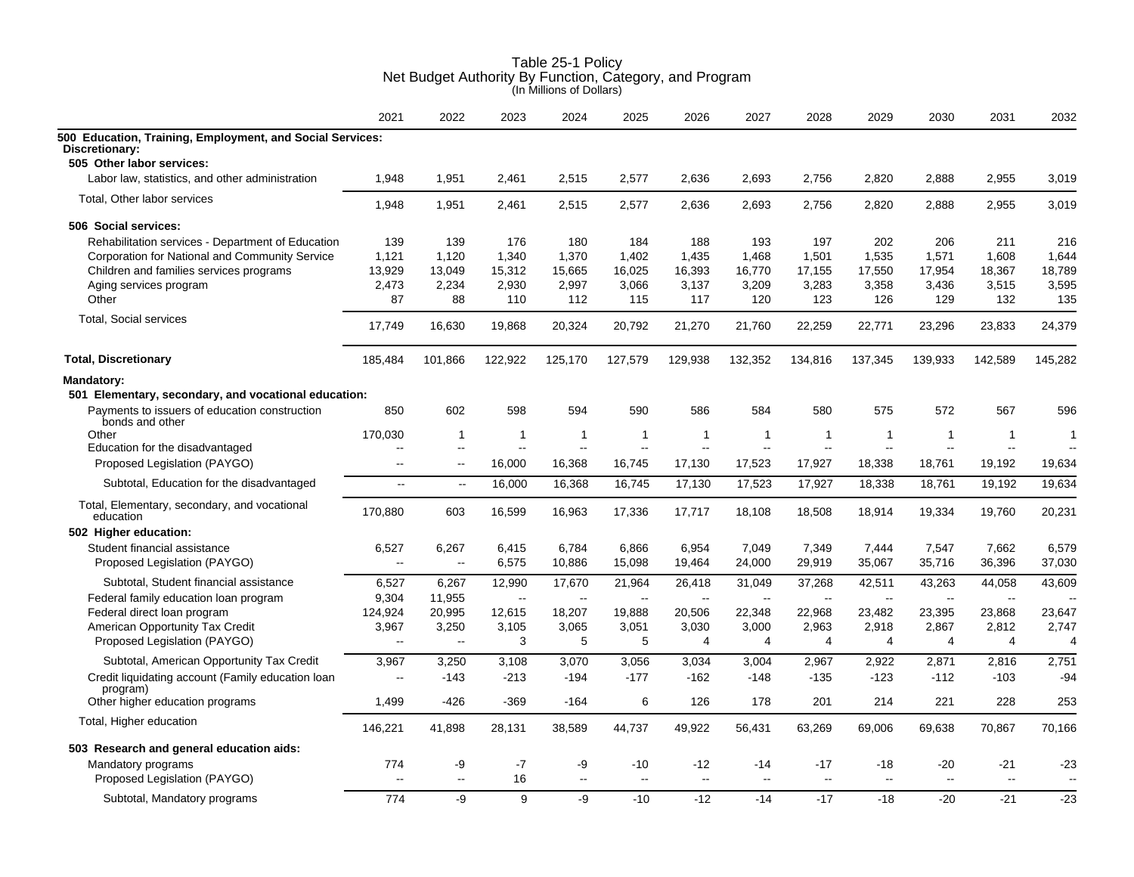|                                                                             | 2021                     | 2022           | 2023         | 2024           | 2025                     | 2026                     | 2027                     | 2028                     | 2029           | 2030    | 2031           | 2032                     |
|-----------------------------------------------------------------------------|--------------------------|----------------|--------------|----------------|--------------------------|--------------------------|--------------------------|--------------------------|----------------|---------|----------------|--------------------------|
| 500 Education, Training, Employment, and Social Services:<br>Discretionary: |                          |                |              |                |                          |                          |                          |                          |                |         |                |                          |
| 505 Other labor services:                                                   |                          |                |              |                |                          |                          |                          |                          |                |         |                |                          |
| Labor law, statistics, and other administration                             | 1.948                    | 1,951          | 2,461        | 2.515          | 2,577                    | 2,636                    | 2,693                    | 2,756                    | 2.820          | 2,888   | 2.955          | 3,019                    |
| Total, Other labor services                                                 | 1,948                    | 1,951          | 2,461        | 2,515          | 2,577                    | 2,636                    | 2,693                    | 2,756                    | 2,820          | 2,888   | 2,955          | 3,019                    |
| 506 Social services:                                                        |                          |                |              |                |                          |                          |                          |                          |                |         |                |                          |
| Rehabilitation services - Department of Education                           | 139                      | 139            | 176          | 180            | 184                      | 188                      | 193                      | 197                      | 202            | 206     | 211            | 216                      |
| Corporation for National and Community Service                              | 1,121                    | 1.120          | 1,340        | 1,370          | 1,402                    | 1,435                    | 1,468                    | 1,501                    | 1,535          | 1,571   | 1,608          | 1,644                    |
| Children and families services programs                                     | 13,929                   | 13,049         | 15,312       | 15,665         | 16,025                   | 16,393                   | 16,770                   | 17,155                   | 17,550         | 17,954  | 18,367         | 18,789                   |
| Aging services program                                                      | 2,473                    | 2,234          | 2,930        | 2,997          | 3,066                    | 3,137                    | 3,209                    | 3,283                    | 3,358          | 3,436   | 3,515          | 3,595                    |
| Other                                                                       | 87                       | 88             | 110          | 112            | 115                      | 117                      | 120                      | 123                      | 126            | 129     | 132            | 135                      |
| <b>Total, Social services</b>                                               | 17,749                   | 16,630         | 19,868       | 20,324         | 20,792                   | 21,270                   | 21,760                   | 22,259                   | 22,771         | 23,296  | 23,833         | 24,379                   |
| <b>Total, Discretionary</b>                                                 | 185,484                  | 101,866        | 122,922      | 125,170        | 127,579                  | 129,938                  | 132,352                  | 134,816                  | 137,345        | 139,933 | 142,589        | 145,282                  |
| <b>Mandatory:</b>                                                           |                          |                |              |                |                          |                          |                          |                          |                |         |                |                          |
| 501 Elementary, secondary, and vocational education:                        |                          |                |              |                |                          |                          |                          |                          |                |         |                |                          |
| Payments to issuers of education construction<br>bonds and other            | 850                      | 602            | 598          | 594            | 590                      | 586                      | 584                      | 580                      | 575            | 572     | 567            | 596                      |
| Other                                                                       | 170,030                  | -1             | 1            | $\overline{1}$ | $\mathbf{1}$             | $\mathbf{1}$             | -1                       | -1                       | $\mathbf{1}$   | 1       | $\overline{1}$ | $\overline{1}$           |
| Education for the disadvantaged                                             | $\overline{a}$           | $\mathbf{u}$   | $\mathbf{u}$ | $\mathbf{u}$   | $\sim$                   | $\sim$                   |                          | L.                       | $\sim$         | $\sim$  | $\sim$         | $\sim$                   |
| Proposed Legislation (PAYGO)                                                | --                       | $\overline{a}$ | 16,000       | 16,368         | 16,745                   | 17,130                   | 17,523                   | 17,927                   | 18,338         | 18,761  | 19,192         | 19,634                   |
| Subtotal, Education for the disadvantaged                                   | $\overline{\phantom{a}}$ | $\ddotsc$      | 16,000       | 16,368         | 16,745                   | 17,130                   | 17,523                   | 17,927                   | 18,338         | 18,761  | 19,192         | 19,634                   |
| Total, Elementary, secondary, and vocational<br>education                   | 170.880                  | 603            | 16,599       | 16,963         | 17,336                   | 17,717                   | 18,108                   | 18,508                   | 18,914         | 19,334  | 19,760         | 20,231                   |
| 502 Higher education:                                                       |                          |                |              |                |                          |                          |                          |                          |                |         |                |                          |
| Student financial assistance                                                | 6,527                    | 6,267          | 6,415        | 6,784          | 6,866                    | 6,954                    | 7,049                    | 7,349                    | 7,444          | 7,547   | 7,662          | 6,579                    |
| Proposed Legislation (PAYGO)                                                | $\overline{\phantom{a}}$ | $\sim$         | 6,575        | 10,886         | 15,098                   | 19,464                   | 24,000                   | 29,919                   | 35,067         | 35,716  | 36,396         | 37,030                   |
| Subtotal, Student financial assistance                                      | 6,527                    | 6,267          | 12,990       | 17,670         | 21,964                   | 26,418                   | 31,049                   | 37,268                   | 42,511         | 43,263  | 44,058         | 43,609                   |
| Federal family education loan program                                       | 9,304                    | 11,955         | $\sim$       | $\sim$         | $\overline{\phantom{a}}$ | $\overline{\phantom{a}}$ | $\overline{\phantom{a}}$ | $\overline{\phantom{a}}$ | $\sim$         | $\sim$  | $\sim$         | $\sim$                   |
| Federal direct loan program                                                 | 124,924                  | 20,995         | 12,615       | 18,207         | 19,888                   | 20,506                   | 22,348                   | 22,968                   | 23,482         | 23,395  | 23,868         | 23,647                   |
| American Opportunity Tax Credit                                             | 3,967                    | 3,250          | 3,105        | 3,065          | 3,051                    | 3,030                    | 3,000                    | 2,963                    | 2,918          | 2,867   | 2,812          | 2,747                    |
| Proposed Legislation (PAYGO)                                                | $\overline{\phantom{a}}$ | $\sim$         | 3            | 5              | 5                        | $\overline{4}$           | 4                        | 4                        | 4              | 4       | $\overline{4}$ | 4                        |
| Subtotal, American Opportunity Tax Credit                                   | 3,967                    | 3,250          | 3,108        | 3,070          | 3,056                    | 3,034                    | 3,004                    | 2,967                    | 2,922          | 2,871   | 2,816          | 2,751                    |
| Credit liquidating account (Family education loan                           | --                       | $-143$         | $-213$       | $-194$         | $-177$                   | $-162$                   | $-148$                   | $-135$                   | $-123$         | $-112$  | $-103$         | $-94$                    |
| program)                                                                    |                          |                |              |                |                          |                          |                          |                          |                |         |                |                          |
| Other higher education programs                                             | 1,499                    | $-426$         | $-369$       | $-164$         | 6                        | 126                      | 178                      | 201                      | 214            | 221     | 228            | 253                      |
| Total, Higher education                                                     | 146,221                  | 41,898         | 28,131       | 38,589         | 44,737                   | 49,922                   | 56,431                   | 63,269                   | 69,006         | 69,638  | 70,867         | 70,166                   |
| 503 Research and general education aids:                                    |                          |                |              |                |                          |                          |                          |                          |                |         |                |                          |
| Mandatory programs                                                          | 774                      | -9             | $-7$         | -9             | $-10$                    | $-12$                    | $-14$                    | $-17$                    | $-18$          | $-20$   | -21            | $-23$                    |
| Proposed Legislation (PAYGO)                                                | --                       | $-$            | 16           | $\overline{a}$ | $\sim$                   | $\sim$                   |                          | $\overline{a}$           | $\overline{a}$ |         | $\sim$         | $\overline{\phantom{a}}$ |
| Subtotal, Mandatory programs                                                | 774                      | -9             | 9            | -9             | $-10$                    | $-12$                    | $-14$                    | $-17$                    | $-18$          | $-20$   | $-21$          | $-23$                    |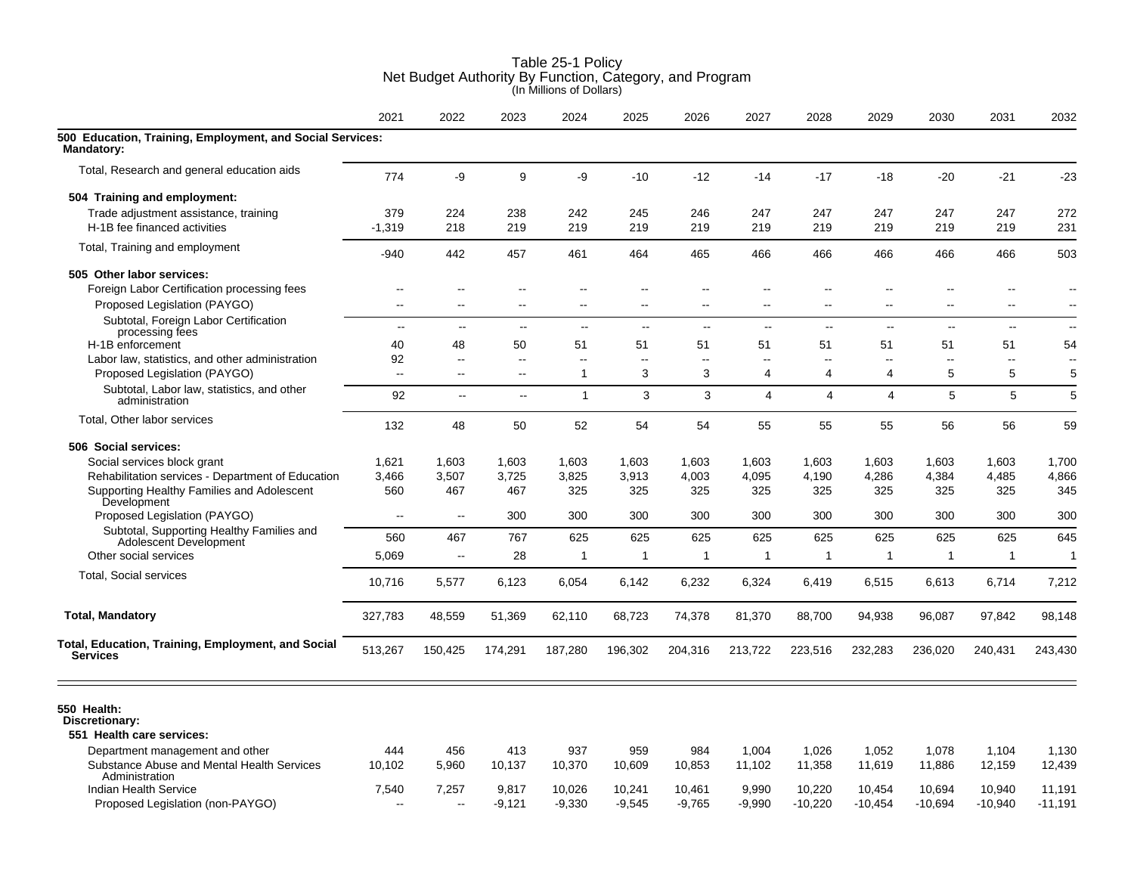|                                                                                 | 2021                           | 2022                               | 2023                                       | 2024         | 2025                | 2026                     | 2027                          | 2028                     | 2029                     | 2030                     | 2031                     | 2032                     |
|---------------------------------------------------------------------------------|--------------------------------|------------------------------------|--------------------------------------------|--------------|---------------------|--------------------------|-------------------------------|--------------------------|--------------------------|--------------------------|--------------------------|--------------------------|
| 500 Education, Training, Employment, and Social Services:<br>Mandatory:         |                                |                                    |                                            |              |                     |                          |                               |                          |                          |                          |                          |                          |
| Total, Research and general education aids                                      | 774                            | -9                                 | 9                                          | -9           | $-10$               | $-12$                    | $-14$                         | $-17$                    | $-18$                    | -20                      | $-21$                    | $-23$                    |
| 504 Training and employment:                                                    |                                |                                    |                                            |              |                     |                          |                               |                          |                          |                          |                          |                          |
| Trade adjustment assistance, training                                           | 379                            | 224                                | 238                                        | 242          | 245                 | 246                      | 247                           | 247                      | 247                      | 247                      | 247                      | 272                      |
| H-1B fee financed activities                                                    | $-1,319$                       | 218                                | 219                                        | 219          | 219                 | 219                      | 219                           | 219                      | 219                      | 219                      | 219                      | 231                      |
| Total, Training and employment                                                  | $-940$                         | 442                                | 457                                        | 461          | 464                 | 465                      | 466                           | 466                      | 466                      | 466                      | 466                      | 503                      |
| 505 Other labor services:                                                       |                                |                                    |                                            |              |                     |                          |                               |                          |                          |                          |                          |                          |
| Foreign Labor Certification processing fees                                     | --                             | $\overline{\phantom{a}}$           | $\overline{\phantom{a}}$                   | $-$          | $-$                 | $-$                      | $\overline{a}$                | $\overline{\phantom{a}}$ |                          | $-$                      | $\overline{\phantom{a}}$ | $\overline{\phantom{a}}$ |
| Proposed Legislation (PAYGO)                                                    | $\overline{\phantom{a}}$       | ц,                                 | ۵.                                         | --           | ۵.                  | $\overline{a}$           | $\overline{a}$                | --                       |                          | $\overline{a}$           | $\overline{a}$           |                          |
| Subtotal, Foreign Labor Certification<br>processing fees                        | $\sim$ $\sim$                  | $\mathbf{u}$                       | $\mathbf{u}$                               | $\mathbf{u}$ | $\mathbf{u}$        | $\overline{\phantom{a}}$ | $\mathbf{u}$                  | $\overline{\phantom{a}}$ | $\overline{\phantom{a}}$ | $\overline{\phantom{a}}$ | $\overline{\phantom{a}}$ | $\sim$                   |
| H-1B enforcement                                                                | 40                             | 48                                 | 50                                         | 51           | 51                  | 51                       | 51                            | 51                       | 51                       | 51                       | 51                       | 54                       |
| Labor law, statistics, and other administration<br>Proposed Legislation (PAYGO) | 92<br>$\overline{\phantom{a}}$ | $\overline{\phantom{a}}$<br>$\sim$ | $\overline{\phantom{a}}$<br>$\overline{a}$ | --<br>1      | $\overline{a}$<br>3 | $\sim$<br>3              | $\overline{\phantom{a}}$<br>4 | $\mathbf{u}$<br>4        | $\mathbf{u}$<br>4        | $\mathbf{L}$<br>5        | $\sim$<br>5              | $\sim$<br>5              |
| Subtotal, Labor law, statistics, and other<br>administration                    | 92                             | $\overline{\phantom{a}}$           | $\sim$                                     | $\mathbf{1}$ | 3                   | 3                        | $\overline{4}$                | $\overline{4}$           | 4                        | 5                        | 5                        | 5                        |
| Total, Other labor services                                                     | 132                            | 48                                 | 50                                         | 52           | 54                  | 54                       | 55                            | 55                       | 55                       | 56                       | 56                       | 59                       |
| 506 Social services:                                                            |                                |                                    |                                            |              |                     |                          |                               |                          |                          |                          |                          |                          |
| Social services block grant                                                     | 1,621                          | 1,603                              | 1,603                                      | 1,603        | 1,603               | 1,603                    | 1,603                         | 1,603                    | 1,603                    | 1,603                    | 1,603                    | 1,700                    |
| Rehabilitation services - Department of Education                               | 3,466                          | 3,507                              | 3,725                                      | 3,825        | 3,913               | 4,003                    | 4,095                         | 4,190                    | 4,286                    | 4,384                    | 4,485                    | 4,866                    |
| Supporting Healthy Families and Adolescent                                      | 560                            | 467                                | 467                                        | 325          | 325                 | 325                      | 325                           | 325                      | 325                      | 325                      | 325                      | 345                      |
| Development<br>Proposed Legislation (PAYGO)                                     | $\overline{a}$                 | $\sim$ $\sim$                      | 300                                        | 300          | 300                 | 300                      | 300                           | 300                      | 300                      | 300                      | 300                      | 300                      |
| Subtotal, Supporting Healthy Families and                                       | 560                            | 467                                | 767                                        | 625          | 625                 | 625                      | 625                           | 625                      | 625                      | 625                      | 625                      | 645                      |
| Adolescent Development<br>Other social services                                 | 5,069                          | $\overline{\phantom{a}}$           | 28                                         | $\mathbf{1}$ | 1                   | $\mathbf{1}$             | 1                             | 1                        | 1                        | $\mathbf 1$              | -1                       | $\mathbf{1}$             |
|                                                                                 |                                |                                    |                                            |              |                     |                          |                               |                          |                          |                          |                          |                          |
| Total, Social services                                                          | 10,716                         | 5,577                              | 6,123                                      | 6,054        | 6,142               | 6,232                    | 6,324                         | 6,419                    | 6,515                    | 6,613                    | 6,714                    | 7,212                    |
| <b>Total, Mandatory</b>                                                         | 327,783                        | 48,559                             | 51,369                                     | 62,110       | 68,723              | 74,378                   | 81,370                        | 88,700                   | 94,938                   | 96,087                   | 97,842                   | 98,148                   |
| Total, Education, Training, Employment, and Social<br><b>Services</b>           | 513,267                        | 150,425                            | 174,291                                    | 187,280      | 196,302             | 204,316                  | 213,722                       | 223,516                  | 232,283                  | 236,020                  | 240,431                  | 243,430                  |
| 550 Health:<br>Discretionary:<br>551 Health care services:                      |                                |                                    |                                            |              |                     |                          |                               |                          |                          |                          |                          |                          |
| Department management and other                                                 | 444                            | 456                                | 413                                        | 937          | 959                 | 984                      | 1,004                         | 1,026                    | 1,052                    | 1,078                    | 1,104                    | 1,130                    |
| Substance Abuse and Mental Health Services<br>Administration                    | 10,102                         | 5,960                              | 10,137                                     | 10,370       | 10,609              | 10,853                   | 11,102                        | 11,358                   | 11,619                   | 11,886                   | 12,159                   | 12,439                   |
| Indian Health Service                                                           | 7,540                          | 7,257                              | 9,817                                      | 10,026       | 10,241              | 10,461                   | 9,990                         | 10,220                   | 10,454                   | 10,694                   | 10,940                   | 11,191                   |
| Proposed Legislation (non-PAYGO)                                                | $-$                            | $\overline{a}$                     | -9,121                                     | $-9,330$     | $-9,545$            | $-9.765$                 | $-9,990$                      | $-10,220$                | $-10,454$                | $-10,694$                | $-10,940$                | $-11,191$                |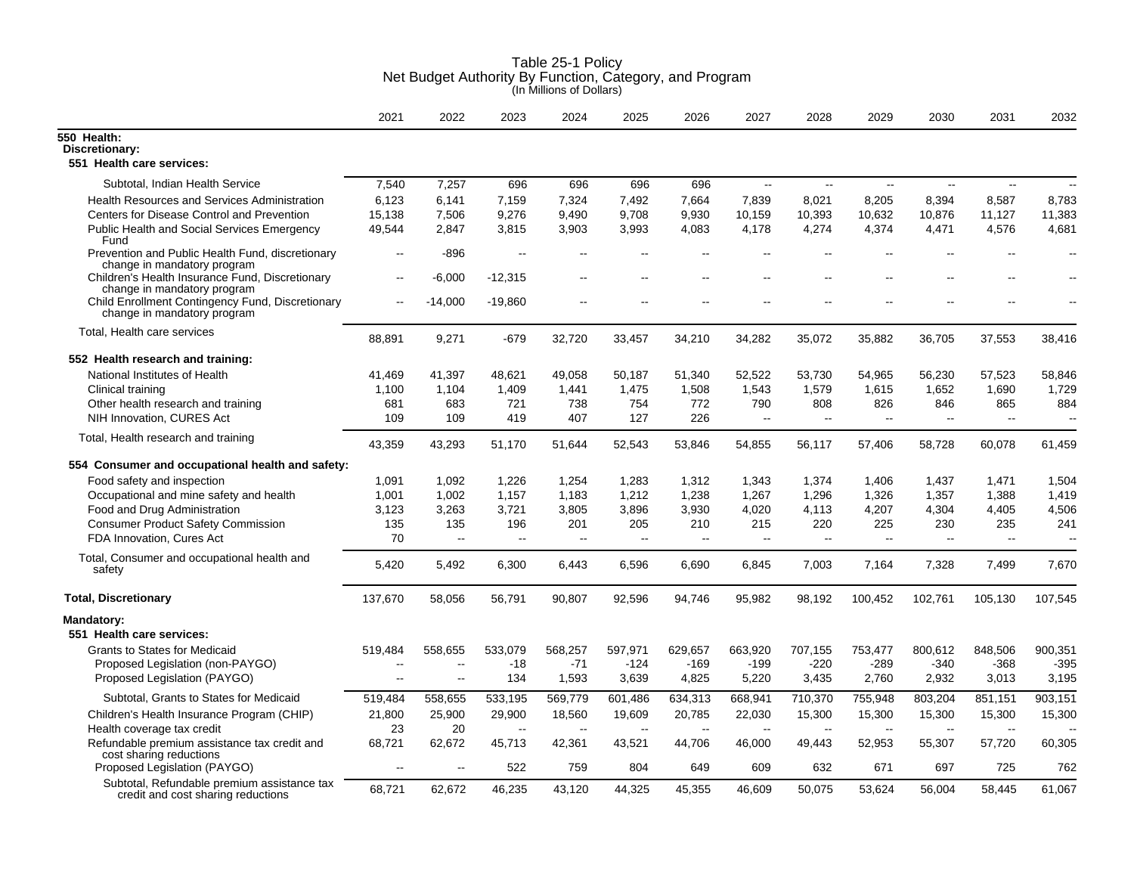|                                                                                   | 2021                     | 2022      | 2023                     | 2024    | 2025    | 2026    | 2027                     | 2028                     | 2029         | 2030                     | 2031                     | 2032           |
|-----------------------------------------------------------------------------------|--------------------------|-----------|--------------------------|---------|---------|---------|--------------------------|--------------------------|--------------|--------------------------|--------------------------|----------------|
| 550 Health:                                                                       |                          |           |                          |         |         |         |                          |                          |              |                          |                          |                |
| Discretionary:                                                                    |                          |           |                          |         |         |         |                          |                          |              |                          |                          |                |
| 551 Health care services:                                                         |                          |           |                          |         |         |         |                          |                          |              |                          |                          |                |
| Subtotal, Indian Health Service                                                   | 7,540                    | 7,257     | 696                      | 696     | 696     | 696     | $\sim$                   | $\overline{\phantom{a}}$ | $\sim$       | $\mathbf{L}$             | $\mathbf{L}$             | $\overline{a}$ |
| <b>Health Resources and Services Administration</b>                               | 6,123                    | 6,141     | 7,159                    | 7,324   | 7,492   | 7,664   | 7,839                    | 8,021                    | 8,205        | 8,394                    | 8,587                    | 8,783          |
| Centers for Disease Control and Prevention                                        | 15,138                   | 7,506     | 9,276                    | 9,490   | 9,708   | 9,930   | 10,159                   | 10,393                   | 10,632       | 10,876                   | 11,127                   | 11,383         |
| Public Health and Social Services Emergency<br>Fund                               | 49,544                   | 2,847     | 3,815                    | 3,903   | 3,993   | 4,083   | 4,178                    | 4,274                    | 4,374        | 4,471                    | 4,576                    | 4,681          |
| Prevention and Public Health Fund, discretionary<br>change in mandatory program   | $\overline{a}$           | -896      | $\overline{a}$           |         |         |         |                          |                          |              |                          |                          |                |
| Children's Health Insurance Fund, Discretionary<br>change in mandatory program    | $\overline{\phantom{a}}$ | $-6,000$  | $-12,315$                | --      |         |         |                          |                          |              |                          |                          |                |
| Child Enrollment Contingency Fund, Discretionary<br>change in mandatory program   | $\overline{\phantom{a}}$ | $-14,000$ | $-19.860$                |         |         |         |                          |                          |              |                          |                          |                |
| Total, Health care services                                                       | 88,891                   | 9,271     | $-679$                   | 32,720  | 33,457  | 34,210  | 34,282                   | 35,072                   | 35,882       | 36,705                   | 37,553                   | 38,416         |
| 552 Health research and training:                                                 |                          |           |                          |         |         |         |                          |                          |              |                          |                          |                |
| National Institutes of Health                                                     | 41,469                   | 41,397    | 48,621                   | 49,058  | 50,187  | 51,340  | 52,522                   | 53,730                   | 54,965       | 56,230                   | 57,523                   | 58,846         |
| Clinical training                                                                 | 1,100                    | 1,104     | 1,409                    | 1,441   | 1,475   | 1,508   | 1,543                    | 1,579                    | 1,615        | 1,652                    | 1,690                    | 1,729          |
| Other health research and training                                                | 681                      | 683       | 721                      | 738     | 754     | 772     | 790                      | 808                      | 826          | 846                      | 865                      | 884            |
| NIH Innovation, CURES Act                                                         | 109                      | 109       | 419                      | 407     | 127     | 226     | $\overline{\phantom{a}}$ | $\sim$                   | $\mathbf{u}$ | $\sim$                   | $\overline{\phantom{a}}$ | $\mathbf{u}$   |
| Total, Health research and training                                               | 43,359                   | 43,293    | 51,170                   | 51,644  | 52,543  | 53,846  | 54,855                   | 56,117                   | 57,406       | 58,728                   | 60,078                   | 61,459         |
| 554 Consumer and occupational health and safety:                                  |                          |           |                          |         |         |         |                          |                          |              |                          |                          |                |
| Food safety and inspection                                                        | 1,091                    | 1,092     | 1,226                    | 1,254   | 1,283   | 1,312   | 1,343                    | 1,374                    | 1,406        | 1,437                    | 1,471                    | 1,504          |
| Occupational and mine safety and health                                           | 1,001                    | 1,002     | 1,157                    | 1,183   | 1,212   | 1,238   | 1,267                    | 1,296                    | 1,326        | 1,357                    | 1,388                    | 1,419          |
| Food and Drug Administration                                                      | 3,123                    | 3,263     | 3,721                    | 3,805   | 3,896   | 3,930   | 4,020                    | 4,113                    | 4,207        | 4,304                    | 4,405                    | 4,506          |
| <b>Consumer Product Safety Commission</b>                                         | 135                      | 135       | 196                      | 201     | 205     | 210     | 215                      | 220                      | 225          | 230                      | 235                      | 241            |
| FDA Innovation, Cures Act                                                         | 70                       | $\ddotsc$ | $\overline{\phantom{a}}$ | --      | Ξ.      | $\sim$  | $\sim$                   | $\sim$                   | $\sim$       | $\overline{\phantom{a}}$ | $\sim$                   | $\overline{a}$ |
| Total, Consumer and occupational health and<br>safety                             | 5,420                    | 5,492     | 6,300                    | 6,443   | 6,596   | 6,690   | 6,845                    | 7,003                    | 7,164        | 7,328                    | 7,499                    | 7,670          |
| <b>Total, Discretionary</b>                                                       | 137,670                  | 58,056    | 56,791                   | 90,807  | 92,596  | 94,746  | 95,982                   | 98,192                   | 100,452      | 102,761                  | 105,130                  | 107,545        |
| Mandatory:                                                                        |                          |           |                          |         |         |         |                          |                          |              |                          |                          |                |
| 551 Health care services:                                                         |                          |           |                          |         |         |         |                          |                          |              |                          |                          |                |
| <b>Grants to States for Medicaid</b>                                              | 519,484                  | 558,655   | 533,079                  | 568,257 | 597,971 | 629,657 | 663,920                  | 707,155                  | 753,477      | 800,612                  | 848,506                  | 900,351        |
| Proposed Legislation (non-PAYGO)                                                  | $\overline{\phantom{a}}$ | $-$       | $-18$                    | $-71$   | $-124$  | -169    | $-199$                   | -220                     | -289         | -340                     | -368                     | $-395$         |
| Proposed Legislation (PAYGO)                                                      | $\overline{a}$           | $\ddotsc$ | 134                      | 1,593   | 3,639   | 4,825   | 5,220                    | 3,435                    | 2,760        | 2,932                    | 3,013                    | 3,195          |
| Subtotal, Grants to States for Medicaid                                           | 519,484                  | 558,655   | 533,195                  | 569,779 | 601,486 | 634,313 | 668,941                  | 710,370                  | 755,948      | 803,204                  | 851,151                  | 903,151        |
| Children's Health Insurance Program (CHIP)                                        | 21,800                   | 25,900    | 29,900                   | 18,560  | 19,609  | 20,785  | 22,030                   | 15,300                   | 15,300       | 15,300                   | 15,300                   | 15,300         |
| Health coverage tax credit                                                        | 23                       | 20        | $\overline{a}$           |         |         |         |                          |                          |              |                          |                          |                |
| Refundable premium assistance tax credit and<br>cost sharing reductions           | 68,721                   | 62,672    | 45,713                   | 42,361  | 43,521  | 44,706  | 46,000                   | 49,443                   | 52,953       | 55,307                   | 57,720                   | 60,305         |
| Proposed Legislation (PAYGO)                                                      | $\sim$                   | $-$       | 522                      | 759     | 804     | 649     | 609                      | 632                      | 671          | 697                      | 725                      | 762            |
| Subtotal, Refundable premium assistance tax<br>credit and cost sharing reductions | 68,721                   | 62,672    | 46,235                   | 43,120  | 44,325  | 45,355  | 46,609                   | 50,075                   | 53,624       | 56,004                   | 58,445                   | 61,067         |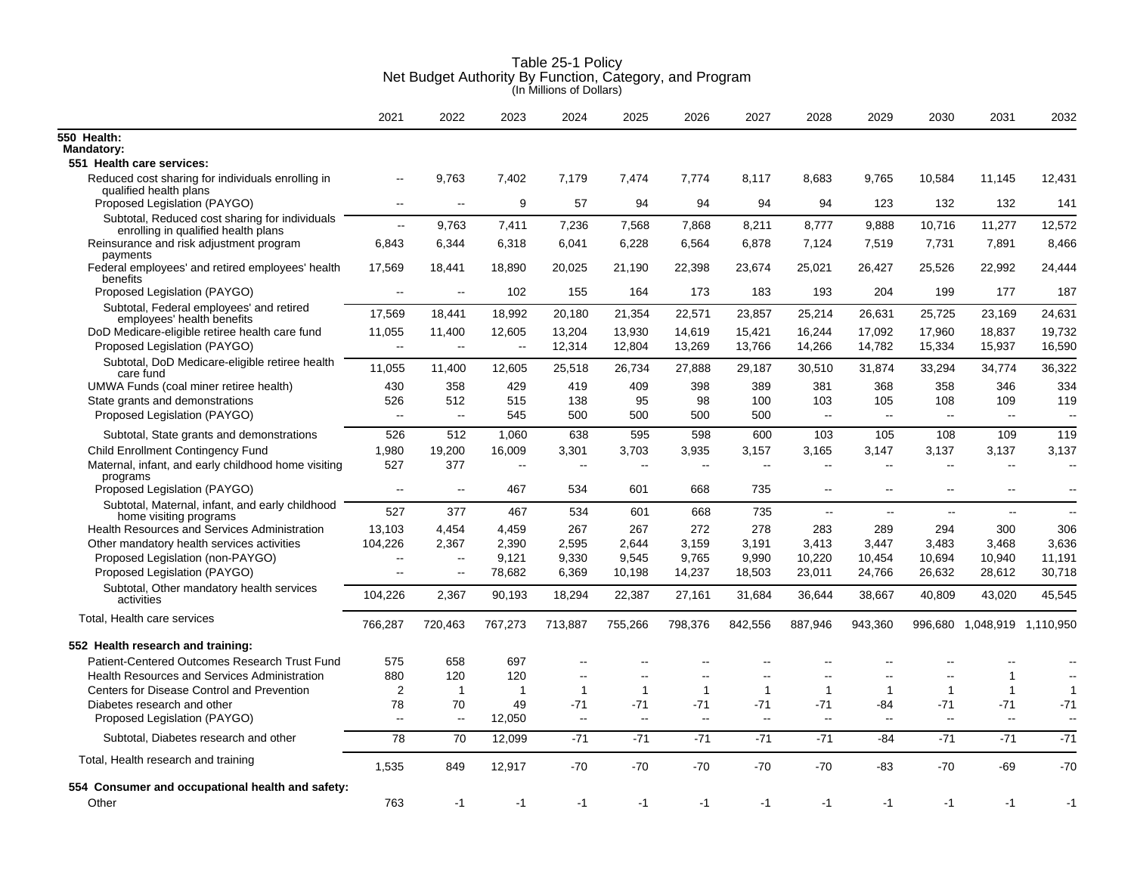|                                                                                                 | 2021                            | 2022          | 2023          | 2024                  | 2025                  | 2026                 | 2027                     | 2028                                                 | 2029                                                 | 2030                     | 2031                        | 2032                                                 |
|-------------------------------------------------------------------------------------------------|---------------------------------|---------------|---------------|-----------------------|-----------------------|----------------------|--------------------------|------------------------------------------------------|------------------------------------------------------|--------------------------|-----------------------------|------------------------------------------------------|
| 550 Health:<br><b>Mandatory:</b>                                                                |                                 |               |               |                       |                       |                      |                          |                                                      |                                                      |                          |                             |                                                      |
| 551 Health care services:                                                                       |                                 |               |               |                       |                       |                      |                          |                                                      |                                                      |                          |                             |                                                      |
| Reduced cost sharing for individuals enrolling in<br>qualified health plans                     | $\overline{\phantom{a}}$        | 9.763         | 7.402         | 7,179                 | 7,474                 | 7,774                | 8.117                    | 8.683                                                | 9,765                                                | 10,584                   | 11,145                      | 12,431                                               |
| Proposed Legislation (PAYGO)                                                                    | $\overline{a}$                  | $\sim$        | 9             | 57                    | 94                    | 94                   | 94                       | 94                                                   | 123                                                  | 132                      | 132                         | 141                                                  |
| Subtotal, Reduced cost sharing for individuals<br>enrolling in qualified health plans           | $\overline{a}$                  | 9,763         | 7,411         | 7,236                 | 7,568                 | 7,868                | 8,211                    | 8,777                                                | 9,888                                                | 10,716                   | 11,277                      | 12,572                                               |
| Reinsurance and risk adjustment program<br>payments                                             | 6,843                           | 6,344         | 6,318         | 6,041                 | 6,228                 | 6,564                | 6,878                    | 7,124                                                | 7,519                                                | 7,731                    | 7,891                       | 8,466                                                |
| Federal employees' and retired employees' health<br>benefits                                    | 17,569                          | 18,441        | 18,890        | 20,025                | 21,190                | 22,398               | 23,674                   | 25,021                                               | 26,427                                               | 25,526                   | 22,992                      | 24,444                                               |
| Proposed Legislation (PAYGO)                                                                    | $\sim$                          | $\sim$        | 102           | 155                   | 164                   | 173                  | 183                      | 193                                                  | 204                                                  | 199                      | 177                         | 187                                                  |
| Subtotal, Federal employees' and retired<br>employees' health benefits                          | 17,569                          | 18,441        | 18,992        | 20,180                | 21,354                | 22,571               | 23,857                   | 25,214                                               | 26,631                                               | 25,725                   | 23,169                      | 24,631                                               |
| DoD Medicare-eligible retiree health care fund                                                  | 11,055                          | 11,400        | 12,605        | 13,204                | 13,930                | 14.619               | 15,421                   | 16,244                                               | 17,092                                               | 17,960                   | 18,837                      | 19,732                                               |
| Proposed Legislation (PAYGO)                                                                    | $\mathbf{u}$                    | $\mathbf{L}$  | $\ddotsc$     | 12,314                | 12,804                | 13,269               | 13,766                   | 14,266                                               | 14,782                                               | 15,334                   | 15,937                      | 16,590                                               |
| Subtotal, DoD Medicare-eligible retiree health<br>care fund                                     | 11,055                          | 11,400        | 12,605        | 25,518                | 26,734                | 27,888               | 29,187                   | 30,510                                               | 31,874                                               | 33,294                   | 34,774                      | 36,322                                               |
| UMWA Funds (coal miner retiree health)                                                          | 430                             | 358           | 429           | 419                   | 409                   | 398                  | 389                      | 381                                                  | 368                                                  | 358                      | 346                         | 334                                                  |
| State grants and demonstrations                                                                 | 526                             | 512           | 515           | 138                   | 95                    | 98                   | 100                      | 103                                                  | 105                                                  | 108                      | 109                         | 119                                                  |
| Proposed Legislation (PAYGO)                                                                    | $\mathbf{L}$                    | $\mathbf{L}$  | 545           | 500                   | 500                   | 500                  | 500                      | $\sim$                                               | $\ddotsc$                                            | $\mathbf{L}$             | $\mathbf{u}$                | $\sim$                                               |
| Subtotal, State grants and demonstrations                                                       | 526                             | 512           | 1.060         | 638                   | 595                   | 598                  | 600                      | 103                                                  | 105                                                  | 108                      | 109                         | 119                                                  |
| <b>Child Enrollment Contingency Fund</b>                                                        | 1,980                           | 19,200        | 16,009        | 3,301                 | 3,703                 | 3,935                | 3,157                    | 3,165                                                | 3,147                                                | 3,137                    | 3,137                       | 3,137                                                |
| Maternal, infant, and early childhood home visiting<br>programs<br>Proposed Legislation (PAYGO) | 527<br>$\overline{\phantom{a}}$ | 377<br>$\sim$ | $\sim$<br>467 | $\overline{a}$<br>534 | $\overline{a}$<br>601 | $\sim$ $\sim$<br>668 | $\overline{a}$<br>735    | $\overline{\phantom{a}}$<br>$\overline{\phantom{a}}$ | $\overline{\phantom{a}}$<br>$\overline{\phantom{a}}$ | $-$<br>--                | $\sim$<br>$\mathbf{u}$      | $\overline{\phantom{a}}$<br>$\overline{\phantom{a}}$ |
| Subtotal, Maternal, infant, and early childhood                                                 |                                 |               |               |                       |                       |                      |                          |                                                      |                                                      |                          |                             |                                                      |
| home visiting programs                                                                          | 527                             | 377           | 467           | 534                   | 601                   | 668                  | 735                      | $\overline{a}$                                       | $\overline{a}$                                       | $\overline{\phantom{a}}$ | $\mathbf{u}$                | $\sim$                                               |
| <b>Health Resources and Services Administration</b>                                             | 13,103                          | 4,454         | 4,459         | 267                   | 267                   | 272                  | 278                      | 283                                                  | 289                                                  | 294                      | 300                         | 306                                                  |
| Other mandatory health services activities                                                      | 104,226                         | 2,367         | 2,390         | 2,595                 | 2,644                 | 3,159                | 3,191                    | 3,413                                                | 3,447                                                | 3,483                    | 3,468                       | 3.636                                                |
| Proposed Legislation (non-PAYGO)                                                                | $\overline{\phantom{a}}$        | $\sim$        | 9,121         | 9,330                 | 9,545                 | 9,765                | 9,990                    | 10,220                                               | 10,454                                               | 10,694                   | 10,940                      | 11,191                                               |
| Proposed Legislation (PAYGO)                                                                    | $\overline{\phantom{a}}$        | $\sim$        | 78,682        | 6,369                 | 10,198                | 14,237               | 18,503                   | 23,011                                               | 24,766                                               | 26,632                   | 28,612                      | 30,718                                               |
| Subtotal, Other mandatory health services<br>activities                                         | 104,226                         | 2,367         | 90,193        | 18,294                | 22,387                | 27,161               | 31,684                   | 36.644                                               | 38,667                                               | 40,809                   | 43,020                      | 45,545                                               |
| Total, Health care services                                                                     | 766,287                         | 720,463       | 767,273       | 713,887               | 755,266               | 798,376              | 842,556                  | 887,946                                              | 943,360                                              |                          | 996,680 1,048,919 1,110,950 |                                                      |
| 552 Health research and training:                                                               |                                 |               |               |                       |                       |                      |                          |                                                      |                                                      |                          |                             |                                                      |
| Patient-Centered Outcomes Research Trust Fund                                                   | 575                             | 658           | 697           | $\overline{a}$        | $\overline{a}$        |                      |                          | --                                                   |                                                      |                          |                             |                                                      |
| <b>Health Resources and Services Administration</b>                                             | 880                             | 120           | 120           | $\overline{a}$        | $\overline{a}$        | $-$                  | $\overline{\phantom{a}}$ | $\overline{\phantom{a}}$                             | $\overline{a}$                                       | $-$                      | 1                           | $\sim$                                               |
| Centers for Disease Control and Prevention                                                      | 2                               | -1            | -1            | $\overline{1}$        | $\mathbf{1}$          | $\mathbf{1}$         | $\mathbf{1}$             | $\mathbf{1}$                                         | $\mathbf{1}$                                         | 1                        | $\mathbf{1}$                | $\mathbf{1}$                                         |
| Diabetes research and other                                                                     | 78                              | 70            | 49            | $-71$                 | $-71$                 | $-71$                | $-71$                    | $-71$                                                | -84                                                  | $-71$                    | $-71$                       | $-71$                                                |
| Proposed Legislation (PAYGO)                                                                    | $\sim$                          | $\sim$ $\sim$ | 12,050        | $\sim$                | $\sim$                | $\sim$               | $\sim$                   | $\sim$                                               | $\sim$                                               | $\sim$                   | $\overline{a}$              | $\sim$                                               |
| Subtotal, Diabetes research and other                                                           | 78                              | 70            | 12,099        | $-71$                 | $-71$                 | $-71$                | $-71$                    | $-71$                                                | $-84$                                                | $-71$                    | $-71$                       | $-71$                                                |
| Total, Health research and training                                                             | 1,535                           | 849           | 12,917        | $-70$                 | $-70$                 | $-70$                | $-70$                    | $-70$                                                | -83                                                  | $-70$                    | $-69$                       | $-70$                                                |
| 554 Consumer and occupational health and safety:                                                |                                 |               |               |                       |                       |                      |                          |                                                      |                                                      |                          |                             |                                                      |
| Other                                                                                           | 763                             | $-1$          | $-1$          | $-1$                  | $-1$                  | $-1$                 | $-1$                     | $-1$                                                 | $-1$                                                 | $-1$                     | -1                          | -1                                                   |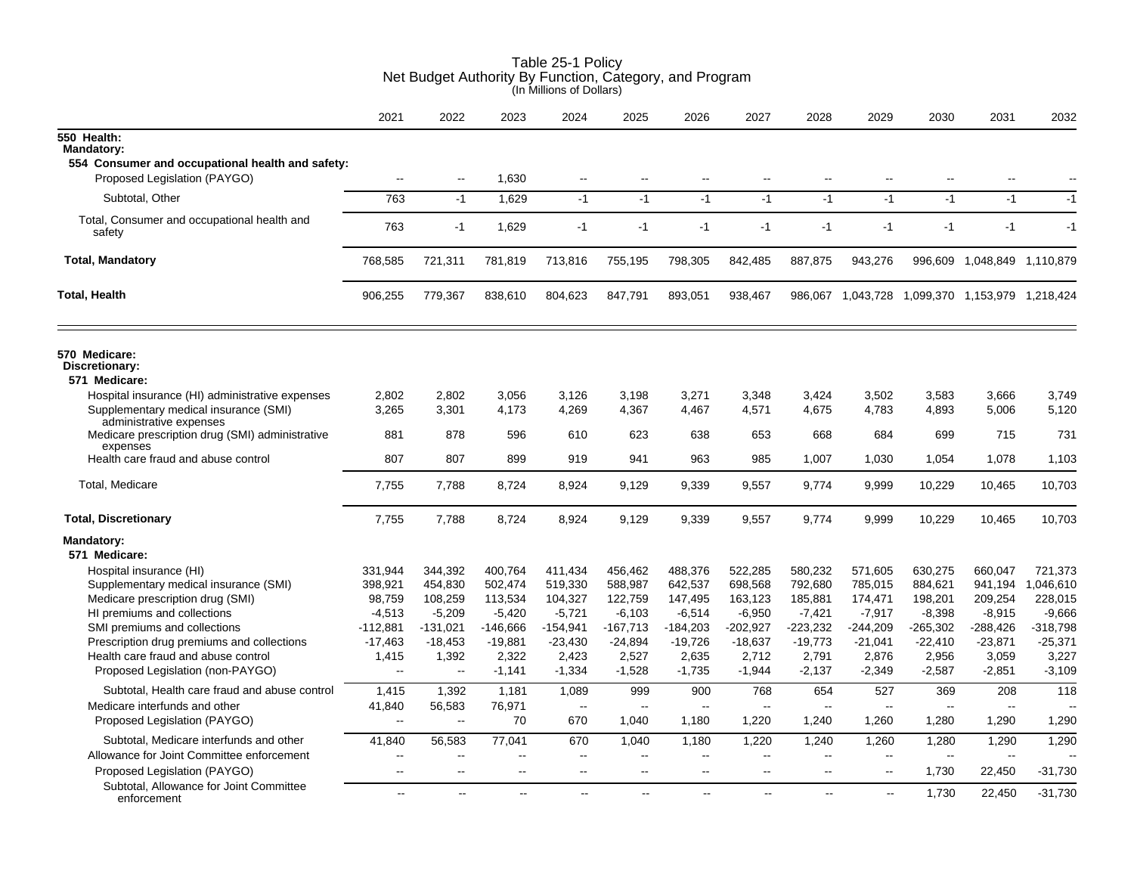|                                                                               | 2021                     | 2022                   | 2023                     | 2024                     | 2025                     | 2026              | 2027                     | 2028              | 2029                     | 2030                     | 2031                                            | 2032              |
|-------------------------------------------------------------------------------|--------------------------|------------------------|--------------------------|--------------------------|--------------------------|-------------------|--------------------------|-------------------|--------------------------|--------------------------|-------------------------------------------------|-------------------|
| 550 Health:<br>Mandatory:<br>554 Consumer and occupational health and safety: |                          |                        |                          |                          |                          |                   |                          |                   |                          |                          |                                                 |                   |
| Proposed Legislation (PAYGO)                                                  | $\sim$                   | $\sim$ $\sim$          | 1,630                    | $\overline{\phantom{a}}$ |                          |                   |                          |                   |                          |                          |                                                 |                   |
| Subtotal, Other                                                               | 763                      | $-1$                   | 1,629                    | $-1$                     | $-1$                     | $-1$              | $-1$                     | $-1$              | $-1$                     | $-1$                     | $-1$                                            | $-1$              |
| Total, Consumer and occupational health and<br>safety                         | 763                      | $-1$                   | 1,629                    | $-1$                     | $-1$                     | $-1$              | $-1$                     | $-1$              | $-1$                     | $-1$                     | $-1$                                            | $-1$              |
| <b>Total, Mandatory</b>                                                       | 768,585                  | 721,311                | 781,819                  | 713,816                  | 755,195                  | 798,305           | 842,485                  | 887,875           | 943,276                  |                          | 996,609 1,048,849 1,110,879                     |                   |
| <b>Total, Health</b>                                                          | 906,255                  | 779,367                | 838,610                  | 804,623                  | 847,791                  | 893,051           | 938,467                  |                   |                          |                          | 986,067 1,043,728 1,099,370 1,153,979 1,218,424 |                   |
| 570 Medicare:<br>Discretionary:<br>571 Medicare:                              |                          |                        |                          |                          |                          |                   |                          |                   |                          |                          |                                                 |                   |
| Hospital insurance (HI) administrative expenses                               | 2,802                    | 2,802                  | 3,056                    | 3,126                    | 3,198                    | 3,271             | 3,348                    | 3,424             | 3,502                    | 3,583                    | 3,666                                           | 3,749             |
| Supplementary medical insurance (SMI)                                         | 3,265                    | 3,301                  | 4,173                    | 4,269                    | 4,367                    | 4,467             | 4,571                    | 4,675             | 4,783                    | 4,893                    | 5,006                                           | 5,120             |
| administrative expenses<br>Medicare prescription drug (SMI) administrative    | 881                      | 878                    | 596                      | 610                      | 623                      | 638               | 653                      | 668               | 684                      | 699                      | 715                                             | 731               |
| expenses<br>Health care fraud and abuse control                               | 807                      | 807                    | 899                      | 919                      | 941                      | 963               | 985                      | 1,007             | 1,030                    | 1,054                    | 1,078                                           | 1,103             |
| Total, Medicare                                                               | 7,755                    | 7,788                  | 8,724                    | 8,924                    | 9,129                    | 9,339             | 9,557                    | 9,774             | 9,999                    | 10,229                   | 10,465                                          | 10,703            |
| <b>Total, Discretionary</b>                                                   | 7,755                    | 7,788                  | 8,724                    | 8,924                    | 9,129                    | 9,339             | 9,557                    | 9,774             | 9,999                    | 10,229                   | 10,465                                          | 10,703            |
| <b>Mandatory:</b><br>571 Medicare:                                            |                          |                        |                          |                          |                          |                   |                          |                   |                          |                          |                                                 |                   |
| Hospital insurance (HI)                                                       | 331,944                  | 344,392                | 400,764                  | 411,434                  | 456,462                  | 488,376           | 522,285                  | 580,232           | 571,605                  | 630,275                  | 660,047                                         | 721,373           |
| Supplementary medical insurance (SMI)                                         | 398,921                  | 454,830                | 502,474                  | 519,330                  | 588,987                  | 642,537           | 698,568                  | 792,680           | 785,015                  | 884,621                  | 941,194                                         | 1,046,610         |
| Medicare prescription drug (SMI)                                              | 98,759                   | 108,259                | 113,534                  | 104,327                  | 122,759                  | 147,495           | 163,123                  | 185,881           | 174,471                  | 198,201                  | 209,254                                         | 228,015           |
| HI premiums and collections                                                   | $-4,513$                 | $-5,209$               | $-5,420$                 | $-5,721$                 | $-6,103$                 | $-6,514$          | $-6,950$                 | $-7,421$          | $-7,917$                 | $-8,398$                 | $-8,915$                                        | $-9,666$          |
| SMI premiums and collections                                                  | $-112,881$               | $-131,021$             | $-146,666$               | $-154,941$               | $-167,713$               | $-184,203$        | $-202,927$               | $-223,232$        | $-244,209$               | $-265,302$               | $-288,426$                                      | $-318,798$        |
| Prescription drug premiums and collections                                    | $-17,463$                | $-18,453$              | $-19,881$                | $-23,430$                | $-24,894$                | $-19,726$         | $-18,637$                | $-19,773$         | $-21,041$                | $-22,410$                | $-23,871$                                       | $-25,371$         |
| Health care fraud and abuse control<br>Proposed Legislation (non-PAYGO)       | 1,415<br>$\mathbf{u}$    | 1,392<br>$\sim$ $\sim$ | 2,322<br>$-1,141$        | 2,423<br>$-1,334$        | 2,527<br>$-1,528$        | 2,635<br>$-1,735$ | 2,712<br>$-1,944$        | 2,791<br>$-2,137$ | 2,876<br>$-2,349$        | 2,956<br>$-2,587$        | 3,059<br>$-2,851$                               | 3,227<br>$-3,109$ |
| Subtotal, Health care fraud and abuse control                                 | 1,415                    | 1,392                  | 1,181                    | 1,089                    | 999                      | 900               | 768                      | 654               | 527                      | 369                      | 208                                             | 118               |
| Medicare interfunds and other                                                 | 41,840                   | 56,583                 | 76,971                   | $\sim$                   | $\overline{\phantom{a}}$ | $\sim$            | $\sim$                   | $\sim$            | $\overline{\phantom{a}}$ | $\overline{\phantom{a}}$ | $\overline{\phantom{a}}$                        |                   |
| Proposed Legislation (PAYGO)                                                  | $\sim$                   | $\sim$                 | 70                       | 670                      | 1,040                    | 1,180             | 1,220                    | 1,240             | 1,260                    | 1,280                    | 1,290                                           | 1,290             |
| Subtotal, Medicare interfunds and other                                       | 41,840                   | 56,583                 | 77,041                   | 670                      | 1,040                    | 1,180             | 1,220                    | 1,240             | 1,260                    | 1,280                    | 1,290                                           | 1,290             |
| Allowance for Joint Committee enforcement                                     | $\overline{\phantom{a}}$ | $-$                    |                          | $\overline{a}$           | --                       | $\overline{a}$    | $\sim$                   | $\overline{a}$    | $\sim$                   | $-$                      | Ξ.                                              |                   |
| Proposed Legislation (PAYGO)                                                  | $\overline{\phantom{a}}$ | $\sim$                 | $\overline{\phantom{a}}$ | $\overline{\phantom{a}}$ | $\overline{\phantom{a}}$ | $\overline{a}$    | $\overline{\phantom{a}}$ | $\mathbf{H}$      | $\overline{\phantom{a}}$ | 1,730                    | 22,450                                          | $-31,730$         |
| Subtotal, Allowance for Joint Committee<br>enforcement                        | $\sim$                   | $\sim$                 | $\sim$                   | $\mathbf{u}$             | $\sim$                   | $\sim$            | --                       | $\overline{a}$    | $\mathbf{u}$             | 1,730                    | 22,450                                          | $-31,730$         |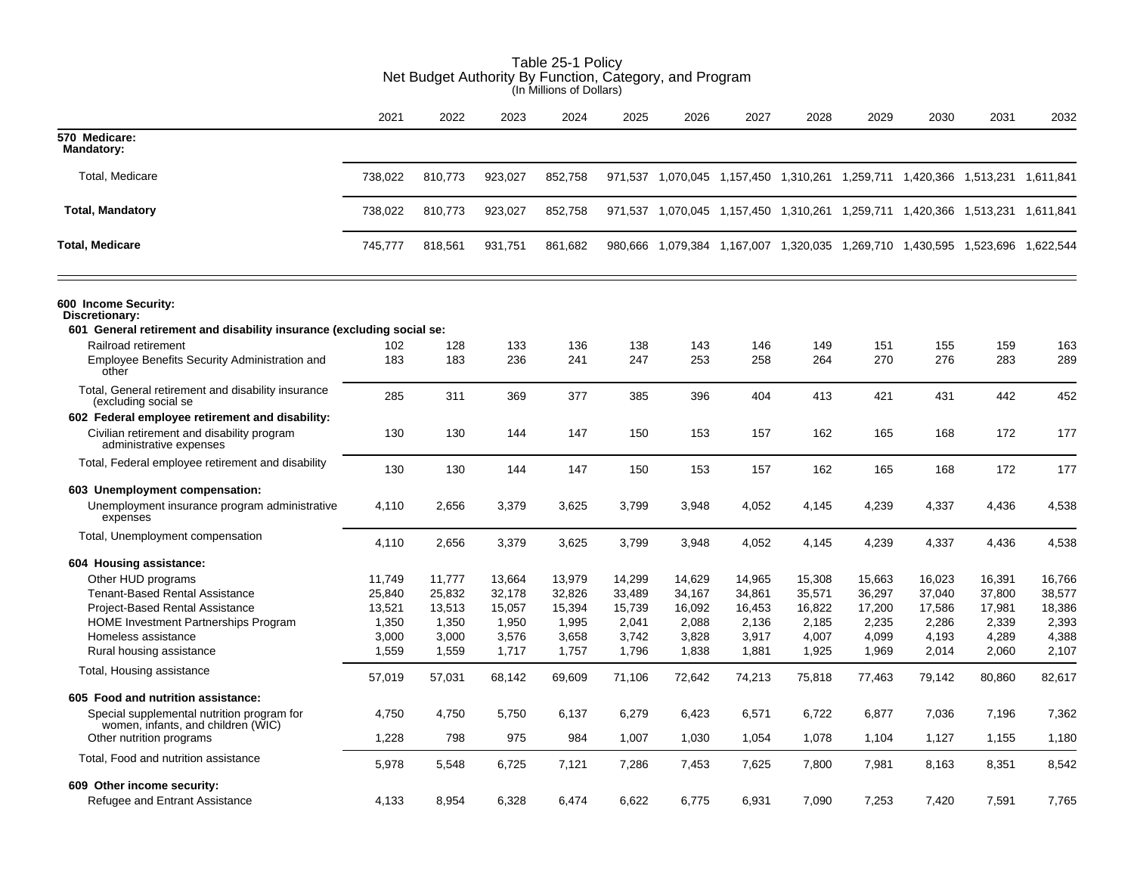|                                                                                                                 | Net Budget Authority By Function, Category, and Program<br>(In Millions of Dollars) |            |         |         |            |        |        |        |            |                                                                               |        |            |  |
|-----------------------------------------------------------------------------------------------------------------|-------------------------------------------------------------------------------------|------------|---------|---------|------------|--------|--------|--------|------------|-------------------------------------------------------------------------------|--------|------------|--|
|                                                                                                                 | 2021                                                                                | 2022       | 2023    | 2024    | 2025       | 2026   | 2027   | 2028   | 2029       | 2030                                                                          | 2031   | 2032       |  |
| 570 Medicare:<br><b>Mandatory:</b>                                                                              |                                                                                     |            |         |         |            |        |        |        |            |                                                                               |        |            |  |
| Total, Medicare                                                                                                 | 738,022                                                                             | 810,773    | 923,027 | 852,758 |            |        |        |        |            | 971,537 1,070,045 1,157,450 1,310,261 1,259,711 1,420,366 1,513,231 1,611,841 |        |            |  |
| <b>Total, Mandatory</b>                                                                                         | 738,022                                                                             | 810,773    | 923,027 | 852,758 |            |        |        |        |            | 971,537 1,070,045 1,157,450 1,310,261 1,259,711 1,420,366 1,513,231 1,611,841 |        |            |  |
| <b>Total, Medicare</b>                                                                                          | 745,777                                                                             | 818,561    | 931,751 | 861,682 |            |        |        |        |            | 980,666 1,079,384 1,167,007 1,320,035 1,269,710 1,430,595 1,523,696 1,622,544 |        |            |  |
| 600 Income Security:<br>Discretionary:<br>601 General retirement and disability insurance (excluding social se: |                                                                                     |            |         |         |            |        |        |        |            |                                                                               |        |            |  |
| Railroad retirement                                                                                             | 102                                                                                 |            | 133     | 136     |            | 143    | 146    | 149    |            |                                                                               | 159    |            |  |
| Employee Benefits Security Administration and<br>other                                                          | 183                                                                                 | 128<br>183 | 236     | 241     | 138<br>247 | 253    | 258    | 264    | 151<br>270 | 155<br>276                                                                    | 283    | 163<br>289 |  |
| Total, General retirement and disability insurance<br>(excluding social se                                      | 285                                                                                 | 311        | 369     | 377     | 385        | 396    | 404    | 413    | 421        | 431                                                                           | 442    | 452        |  |
| 602 Federal employee retirement and disability:                                                                 |                                                                                     |            |         |         |            |        |        |        |            |                                                                               |        |            |  |
| Civilian retirement and disability program<br>administrative expenses                                           | 130                                                                                 | 130        | 144     | 147     | 150        | 153    | 157    | 162    | 165        | 168                                                                           | 172    | 177        |  |
| Total, Federal employee retirement and disability                                                               | 130                                                                                 | 130        | 144     | 147     | 150        | 153    | 157    | 162    | 165        | 168                                                                           | 172    | 177        |  |
| 603 Unemployment compensation:                                                                                  |                                                                                     |            |         |         |            |        |        |        |            |                                                                               |        |            |  |
| Unemployment insurance program administrative<br>expenses                                                       | 4,110                                                                               | 2,656      | 3,379   | 3,625   | 3,799      | 3,948  | 4,052  | 4,145  | 4,239      | 4,337                                                                         | 4,436  | 4,538      |  |
| Total, Unemployment compensation                                                                                | 4,110                                                                               | 2,656      | 3,379   | 3,625   | 3,799      | 3,948  | 4,052  | 4,145  | 4,239      | 4,337                                                                         | 4,436  | 4,538      |  |
| 604 Housing assistance:                                                                                         |                                                                                     |            |         |         |            |        |        |        |            |                                                                               |        |            |  |
| Other HUD programs                                                                                              | 11,749                                                                              | 11,777     | 13,664  | 13,979  | 14,299     | 14,629 | 14,965 | 15,308 | 15,663     | 16,023                                                                        | 16,391 | 16,766     |  |
| <b>Tenant-Based Rental Assistance</b>                                                                           | 25,840                                                                              | 25,832     | 32,178  | 32,826  | 33,489     | 34,167 | 34,861 | 35,571 | 36,297     | 37,040                                                                        | 37,800 | 38,577     |  |
| <b>Project-Based Rental Assistance</b>                                                                          | 13,521                                                                              | 13,513     | 15,057  | 15,394  | 15,739     | 16,092 | 16,453 | 16,822 | 17,200     | 17,586                                                                        | 17,981 | 18,386     |  |
| <b>HOME</b> Investment Partnerships Program                                                                     | 1,350                                                                               | 1,350      | 1,950   | 1,995   | 2,041      | 2,088  | 2,136  | 2,185  | 2,235      | 2,286                                                                         | 2,339  | 2,393      |  |
| Homeless assistance                                                                                             | 3,000                                                                               | 3,000      | 3,576   | 3,658   | 3,742      | 3,828  | 3,917  | 4,007  | 4,099      | 4,193                                                                         | 4,289  | 4,388      |  |
| Rural housing assistance                                                                                        | 1,559                                                                               | 1,559      | 1,717   | 1,757   | 1,796      | 1,838  | 1,881  | 1,925  | 1,969      | 2,014                                                                         | 2,060  | 2,107      |  |
| Total, Housing assistance                                                                                       | 57,019                                                                              | 57,031     | 68,142  | 69,609  | 71,106     | 72,642 | 74,213 | 75,818 | 77,463     | 79,142                                                                        | 80,860 | 82,617     |  |
| 605 Food and nutrition assistance:                                                                              |                                                                                     |            |         |         |            |        |        |        |            |                                                                               |        |            |  |
| Special supplemental nutrition program for<br>women, infants, and children (WIC)                                | 4,750                                                                               | 4,750      | 5,750   | 6,137   | 6,279      | 6,423  | 6,571  | 6,722  | 6,877      | 7,036                                                                         | 7,196  | 7,362      |  |
| Other nutrition programs                                                                                        | 1,228                                                                               | 798        | 975     | 984     | 1,007      | 1,030  | 1,054  | 1,078  | 1,104      | 1,127                                                                         | 1,155  | 1,180      |  |
| Total, Food and nutrition assistance                                                                            | 5,978                                                                               | 5,548      | 6,725   | 7,121   | 7,286      | 7,453  | 7,625  | 7,800  | 7,981      | 8,163                                                                         | 8,351  | 8,542      |  |
| 609 Other income security:                                                                                      |                                                                                     |            |         |         |            |        |        |        |            |                                                                               |        |            |  |
| Refugee and Entrant Assistance                                                                                  | 4,133                                                                               | 8,954      | 6,328   | 6.474   | 6,622      | 6,775  | 6,931  | 7,090  | 7,253      | 7,420                                                                         | 7,591  | 7,765      |  |

# Table 25-1 Policy Net Budget Authority By Function, Category, and Program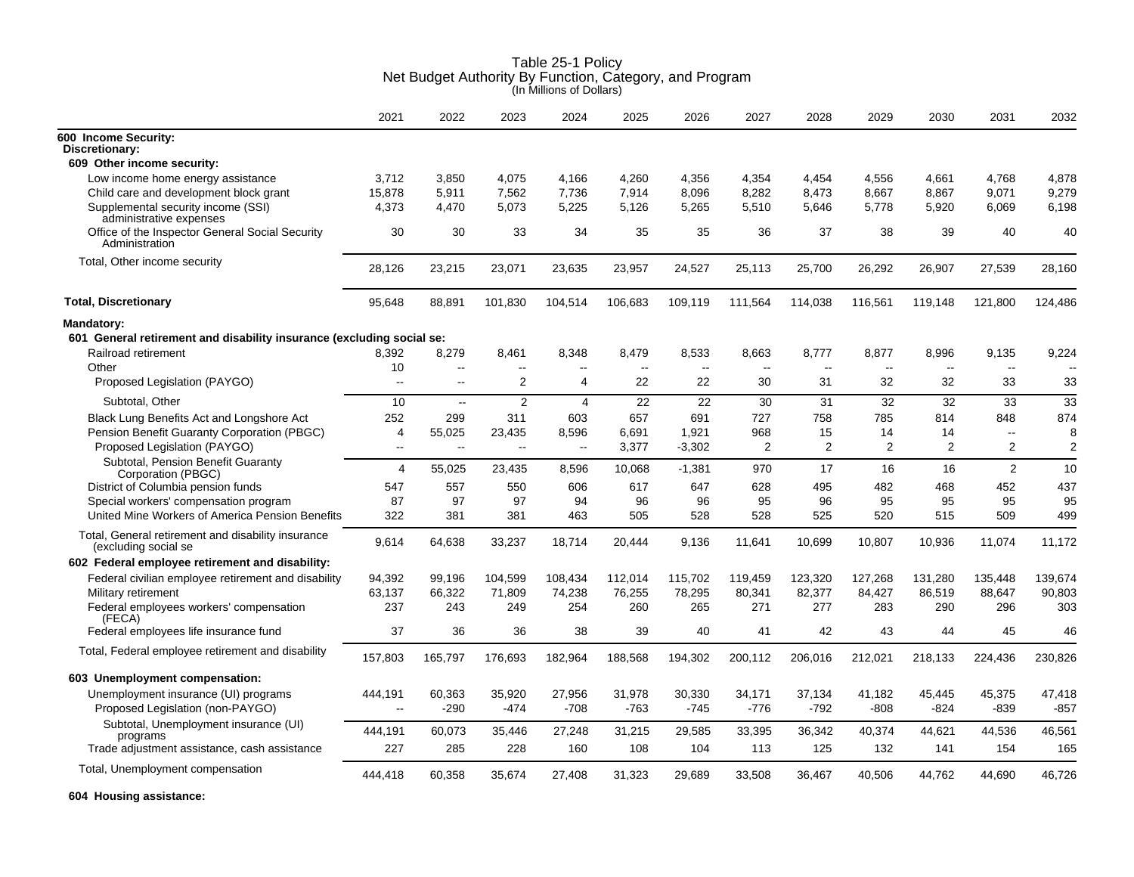|                                                                             | 2021                      | 2022             | 2023                     | 2024                     | 2025                     | 2026              | 2027                     | 2028             | 2029             | 2030                     | 2031                     | 2032             |
|-----------------------------------------------------------------------------|---------------------------|------------------|--------------------------|--------------------------|--------------------------|-------------------|--------------------------|------------------|------------------|--------------------------|--------------------------|------------------|
| 600 Income Security:<br>Discretionary:                                      |                           |                  |                          |                          |                          |                   |                          |                  |                  |                          |                          |                  |
| 609 Other income security:                                                  |                           |                  |                          |                          |                          |                   |                          |                  |                  |                          |                          |                  |
| Low income home energy assistance                                           | 3.712                     | 3.850            | 4.075                    | 4.166                    | 4,260                    | 4.356             | 4.354                    | 4.454            | 4.556            | 4.661                    | 4.768                    | 4.878            |
| Child care and development block grant                                      | 15,878                    | 5,911            | 7,562                    | 7,736                    | 7,914                    | 8,096             | 8,282                    | 8.473            | 8,667            | 8,867                    | 9.071                    | 9,279            |
| Supplemental security income (SSI)<br>administrative expenses               | 4,373                     | 4,470            | 5.073                    | 5,225                    | 5,126                    | 5,265             | 5,510                    | 5,646            | 5,778            | 5,920                    | 6,069                    | 6,198            |
| Office of the Inspector General Social Security<br>Administration           | 30                        | 30               | 33                       | 34                       | 35                       | 35                | 36                       | 37               | 38               | 39                       | 40                       | 40               |
| Total, Other income security                                                | 28,126                    | 23,215           | 23,071                   | 23,635                   | 23,957                   | 24,527            | 25,113                   | 25,700           | 26,292           | 26,907                   | 27,539                   | 28,160           |
| <b>Total, Discretionary</b>                                                 | 95,648                    | 88,891           | 101,830                  | 104,514                  | 106,683                  | 109,119           | 111,564                  | 114,038          | 116,561          | 119,148                  | 121,800                  | 124,486          |
| Mandatory:                                                                  |                           |                  |                          |                          |                          |                   |                          |                  |                  |                          |                          |                  |
| 601 General retirement and disability insurance (excluding social se:       |                           |                  |                          |                          |                          |                   |                          |                  |                  |                          |                          |                  |
| Railroad retirement                                                         | 8.392                     | 8,279            | 8.461                    | 8.348                    | 8.479                    | 8,533             | 8.663                    | 8.777            | 8.877            | 8.996                    | 9,135                    | 9.224            |
| Other                                                                       | 10                        | --               | $\overline{\phantom{a}}$ | $\overline{\phantom{a}}$ | $\overline{\phantom{a}}$ | $\sim$            | $\overline{\phantom{a}}$ | $\sim$           | $\sim$           | $\overline{\phantom{a}}$ | $\overline{\phantom{a}}$ |                  |
| Proposed Legislation (PAYGO)                                                | $\sim$                    | $\sim$           | 2                        | 4                        | 22                       | 22                | 30                       | 31               | 32               | 32                       | 33                       | 33               |
| Subtotal, Other                                                             | 10                        | $\mathbb{L}$     | 2                        | $\overline{4}$           | 22                       | 22                | 30                       | 31               | 32               | 32                       | 33                       | 33               |
| Black Lung Benefits Act and Longshore Act                                   | 252                       | 299              | 311                      | 603                      | 657                      | 691               | 727                      | 758              | 785              | 814                      | 848                      | 874              |
| Pension Benefit Guaranty Corporation (PBGC)<br>Proposed Legislation (PAYGO) | $\overline{4}$<br>$\sim$  | 55,025<br>ä.     | 23,435<br>Ξ.             | 8.596<br>$\sim$          | 6,691<br>3,377           | 1.921<br>$-3,302$ | 968<br>2                 | 15<br>2          | 14<br>2          | 14<br>2                  | $\mathbf{u}$<br>2        | 8<br>2           |
| Subtotal, Pension Benefit Guaranty<br>Corporation (PBGC)                    | 4                         | 55,025           | 23,435                   | 8,596                    | 10,068                   | $-1,381$          | 970                      | 17               | 16               | 16                       | 2                        | 10               |
| District of Columbia pension funds                                          | 547                       | 557              | 550                      | 606                      | 617                      | 647               | 628                      | 495              | 482              | 468                      | 452                      | 437              |
| Special workers' compensation program                                       | 87                        | 97               | 97                       | 94                       | 96                       | 96                | 95                       | 96               | 95               | 95                       | 95                       | 95               |
| United Mine Workers of America Pension Benefits                             | 322                       | 381              | 381                      | 463                      | 505                      | 528               | 528                      | 525              | 520              | 515                      | 509                      | 499              |
| Total, General retirement and disability insurance<br>(excluding social se  | 9,614                     | 64,638           | 33,237                   | 18,714                   | 20,444                   | 9,136             | 11,641                   | 10,699           | 10,807           | 10,936                   | 11,074                   | 11,172           |
| 602 Federal employee retirement and disability:                             |                           |                  |                          |                          |                          |                   |                          |                  |                  |                          |                          |                  |
| Federal civilian employee retirement and disability                         | 94,392                    | 99,196           | 104,599                  | 108,434                  | 112,014                  | 115,702           | 119,459                  | 123,320          | 127,268          | 131,280                  | 135,448                  | 139,674          |
| Military retirement                                                         | 63,137                    | 66,322           | 71,809                   | 74,238                   | 76,255                   | 78,295            | 80,341                   | 82,377           | 84,427           | 86,519                   | 88,647                   | 90,803           |
| Federal employees workers' compensation<br>(FECA)                           | 237                       | 243              | 249                      | 254                      | 260                      | 265               | 271                      | 277              | 283              | 290                      | 296                      | 303              |
| Federal employees life insurance fund                                       | 37                        | 36               | 36                       | 38                       | 39                       | 40                | 41                       | 42               | 43               | 44                       | 45                       | 46               |
| Total, Federal employee retirement and disability                           | 157,803                   | 165,797          | 176,693                  | 182,964                  | 188,568                  | 194,302           | 200,112                  | 206,016          | 212,021          | 218,133                  | 224,436                  | 230,826          |
| 603 Unemployment compensation:                                              |                           |                  |                          |                          |                          |                   |                          |                  |                  |                          |                          |                  |
| Unemployment insurance (UI) programs<br>Proposed Legislation (non-PAYGO)    | 444,191<br>$\overline{a}$ | 60,363<br>$-290$ | 35,920<br>-474           | 27,956<br>$-708$         | 31,978<br>$-763$         | 30,330<br>$-745$  | 34,171<br>$-776$         | 37,134<br>$-792$ | 41,182<br>$-808$ | 45,445<br>-824           | 45,375<br>-839           | 47,418<br>$-857$ |
| Subtotal, Unemployment insurance (UI)                                       | 444,191                   | 60,073           | 35,446                   | 27,248                   | 31,215                   | 29,585            | 33,395                   | 36,342           | 40,374           | 44,621                   | 44,536                   | 46,561           |
| programs<br>Trade adjustment assistance, cash assistance                    | 227                       | 285              | 228                      | 160                      | 108                      | 104               | 113                      | 125              | 132              | 141                      | 154                      | 165              |
| Total, Unemployment compensation                                            |                           |                  |                          |                          |                          |                   |                          |                  |                  |                          |                          | 46,726           |
|                                                                             | 444,418                   | 60,358           | 35,674                   | 27,408                   | 31,323                   | 29,689            | 33,508                   | 36,467           | 40,506           | 44,762                   | 44,690                   |                  |

**604 Housing assistance:**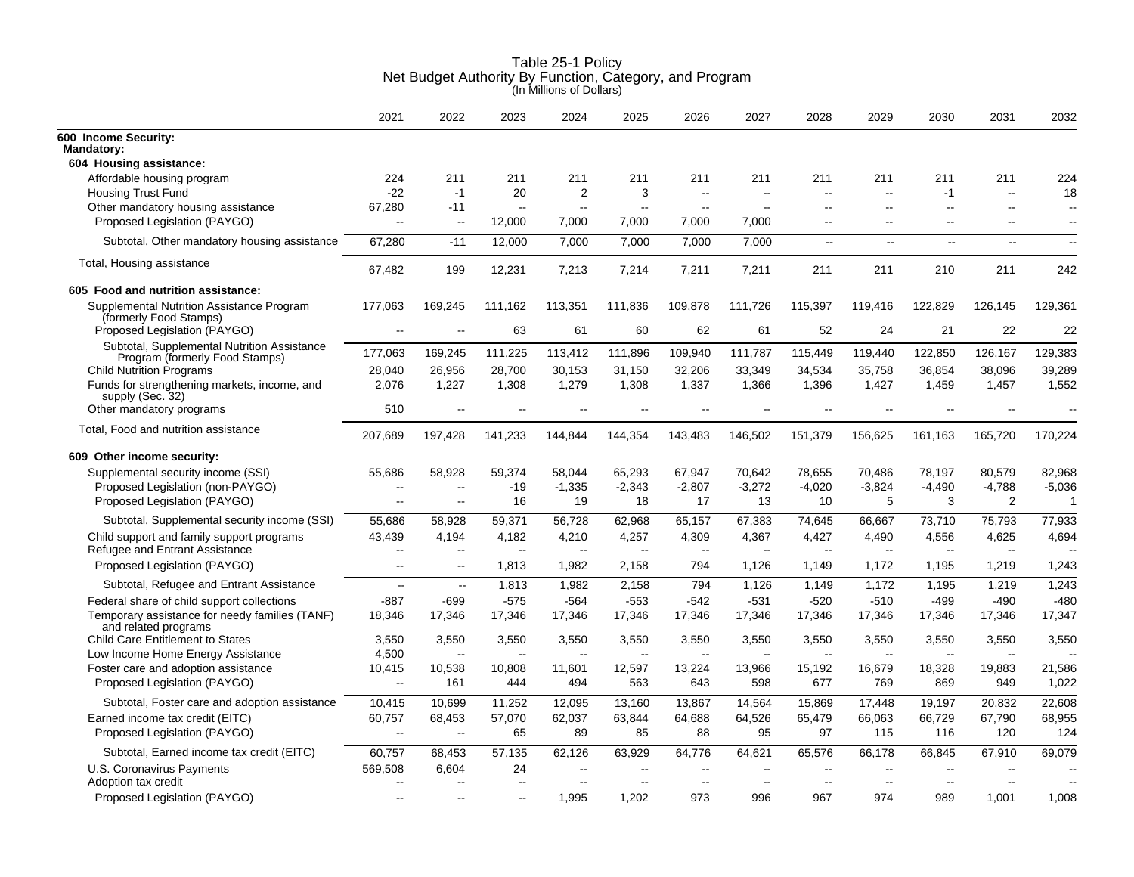|                                                                               | 2021                                | 2022                              | 2023                              | 2024                                                 | 2025                              | 2026                  | 2027                     | 2028                     | 2029                              | 2030            | 2031                              | 2032                     |
|-------------------------------------------------------------------------------|-------------------------------------|-----------------------------------|-----------------------------------|------------------------------------------------------|-----------------------------------|-----------------------|--------------------------|--------------------------|-----------------------------------|-----------------|-----------------------------------|--------------------------|
| 600 Income Security:<br><b>Mandatory:</b>                                     |                                     |                                   |                                   |                                                      |                                   |                       |                          |                          |                                   |                 |                                   |                          |
| 604 Housing assistance:                                                       |                                     |                                   |                                   |                                                      |                                   |                       |                          |                          |                                   |                 |                                   |                          |
| Affordable housing program<br><b>Housing Trust Fund</b>                       | 224<br>$-22$                        | 211<br>$-1$                       | 211<br>20                         | 211<br>$\boldsymbol{2}$                              | 211<br>3                          | 211<br>$\overline{a}$ | 211                      | 211<br>$-$               | 211<br>$\sim$ $\sim$              | 211<br>$-1$     | 211<br>$\sim$                     | 224<br>18                |
| Other mandatory housing assistance                                            | 67,280                              | $-11$                             | $\sim$ $\sim$                     | Щ.                                                   | $\overline{\phantom{a}}$          | $\sim$                | $\sim$                   | $\overline{a}$           | $\sim$                            | $\sim$          | $\sim$                            | $\sim$                   |
| Proposed Legislation (PAYGO)                                                  | $\sim$                              | $\sim$                            | 12,000                            | 7,000                                                | 7,000                             | 7,000                 | 7,000                    | $\overline{\phantom{a}}$ | $\sim$                            | $\sim$          | $\sim$                            | $\sim$                   |
| Subtotal, Other mandatory housing assistance                                  | 67,280                              | $-11$                             | 12,000                            | 7,000                                                | 7,000                             | 7,000                 | 7,000                    | $\overline{\phantom{a}}$ | $\overline{a}$                    | Щ,              | $\mathbf{u}$                      | $\overline{\phantom{a}}$ |
| Total, Housing assistance                                                     | 67,482                              | 199                               | 12,231                            | 7,213                                                | 7,214                             | 7,211                 | 7,211                    | 211                      | 211                               | 210             | 211                               | 242                      |
| 605 Food and nutrition assistance:                                            |                                     |                                   |                                   |                                                      |                                   |                       |                          |                          |                                   |                 |                                   |                          |
| Supplemental Nutrition Assistance Program<br>(formerly Food Stamps)           | 177,063                             | 169,245                           | 111,162                           | 113,351                                              | 111,836                           | 109,878               | 111,726                  | 115,397                  | 119,416                           | 122,829         | 126,145                           | 129,361                  |
| Proposed Legislation (PAYGO)                                                  |                                     |                                   | 63                                | 61                                                   | 60                                | 62                    | 61                       | 52                       | 24                                | 21              | 22                                | 22                       |
| Subtotal, Supplemental Nutrition Assistance<br>Program (formerly Food Stamps) | 177,063                             | 169,245                           | 111,225                           | 113,412                                              | 111,896                           | 109,940               | 111,787                  | 115,449                  | 119,440                           | 122,850         | 126,167                           | 129,383                  |
| <b>Child Nutrition Programs</b>                                               | 28,040                              | 26,956                            | 28,700                            | 30,153                                               | 31,150                            | 32,206                | 33,349                   | 34,534                   | 35,758                            | 36,854          | 38,096                            | 39,289                   |
| Funds for strengthening markets, income, and<br>supply (Sec. 32)              | 2,076                               | 1,227                             | 1,308                             | 1,279                                                | 1,308                             | 1,337                 | 1,366                    | 1,396                    | 1,427                             | 1,459           | 1,457                             | 1,552                    |
| Other mandatory programs                                                      | 510                                 | $\overline{\phantom{a}}$          | $\overline{\phantom{a}}$          | $\sim$                                               | $\overline{\phantom{a}}$          | $\overline{a}$        |                          | $\overline{\phantom{a}}$ |                                   |                 |                                   |                          |
| Total, Food and nutrition assistance                                          | 207,689                             | 197,428                           | 141,233                           | 144,844                                              | 144,354                           | 143,483               | 146,502                  | 151,379                  | 156,625                           | 161,163         | 165,720                           | 170,224                  |
| 609 Other income security:                                                    |                                     |                                   |                                   |                                                      |                                   |                       |                          |                          |                                   |                 |                                   |                          |
| Supplemental security income (SSI)                                            | 55,686                              | 58,928                            | 59,374                            | 58,044                                               | 65,293                            | 67,947                | 70,642                   | 78,655                   | 70,486                            | 78,197          | 80,579                            | 82,968                   |
| Proposed Legislation (non-PAYGO)                                              | $\overline{\phantom{a}}$            | $\overline{a}$                    | $-19$                             | $-1,335$                                             | $-2,343$                          | $-2,807$              | $-3,272$                 | $-4,020$                 | $-3,824$                          | $-4,490$        | $-4,788$                          | $-5,036$                 |
| Proposed Legislation (PAYGO)                                                  | $\sim$                              | $\sim$                            | 16                                | 19                                                   | 18                                | 17                    | 13                       | 10                       | 5                                 | 3               | 2                                 | $\mathbf 1$              |
| Subtotal, Supplemental security income (SSI)                                  | 55,686                              | 58,928                            | 59,371                            | 56,728                                               | 62,968                            | 65,157                | 67,383                   | 74,645                   | 66,667                            | 73,710          | 75,793                            | 77,933                   |
| Child support and family support programs<br>Refugee and Entrant Assistance   | 43,439<br>$\overline{\phantom{a}}$  | 4,194<br>$\overline{a}$           | 4,182<br>$\overline{\phantom{a}}$ | 4,210<br>$\sim$                                      | 4,257<br>$\overline{\phantom{a}}$ | 4,309<br>$\sim$       | 4,367<br>$\sim$          | 4,427<br>$\sim$          | 4,490<br>$\overline{\phantom{a}}$ | 4,556<br>$\sim$ | 4,625<br>$\overline{\phantom{a}}$ | 4,694<br>$\mathbf{u}$    |
| Proposed Legislation (PAYGO)                                                  | $\overline{\phantom{a}}$            | $\overline{\phantom{a}}$          | 1,813                             | 1,982                                                | 2,158                             | 794                   | 1,126                    | 1,149                    | 1,172                             | 1,195           | 1,219                             | 1,243                    |
| Subtotal, Refugee and Entrant Assistance                                      | $\overline{\phantom{a}}$            | $\mathbb{Z}^{\mathbb{Z}}$         | 1,813                             | 1,982                                                | 2,158                             | 794                   | 1,126                    | 1,149                    | 1,172                             | 1,195           | 1,219                             | 1,243                    |
| Federal share of child support collections                                    | $-887$                              | -699                              | $-575$                            | $-564$                                               | $-553$                            | $-542$                | $-531$                   | $-520$                   | $-510$                            | $-499$          | $-490$                            | $-480$                   |
| Temporary assistance for needy families (TANF)<br>and related programs        | 18,346                              | 17,346                            | 17,346                            | 17,346                                               | 17,346                            | 17,346                | 17,346                   | 17,346                   | 17,346                            | 17,346          | 17,346                            | 17,347                   |
| <b>Child Care Entitlement to States</b>                                       | 3,550                               | 3,550                             | 3,550                             | 3,550                                                | 3,550                             | 3,550                 | 3,550                    | 3,550                    | 3,550                             | 3,550           | 3,550                             | 3,550                    |
| Low Income Home Energy Assistance                                             | 4,500                               | $\sim$                            | $\overline{a}$                    | $\sim$                                               | $\overline{\phantom{a}}$          | $\sim$                | $\sim$                   | $\sim$                   | $\overline{\phantom{a}}$          | $\sim$          | $\overline{\phantom{a}}$          |                          |
| Foster care and adoption assistance                                           | 10,415                              | 10,538                            | 10,808                            | 11,601                                               | 12,597                            | 13,224                | 13,966                   | 15,192                   | 16,679                            | 18,328          | 19,883                            | 21,586                   |
| Proposed Legislation (PAYGO)                                                  | $\mathbf{u}$                        | 161                               | 444                               | 494                                                  | 563                               | 643                   | 598                      | 677                      | 769                               | 869             | 949                               | 1,022                    |
| Subtotal, Foster care and adoption assistance                                 | 10,415                              | 10,699                            | 11,252                            | 12,095                                               | 13,160                            | 13,867                | 14,564                   | 15,869                   | 17,448                            | 19,197          | 20,832                            | 22,608                   |
| Earned income tax credit (EITC)                                               | 60,757                              | 68,453                            | 57,070                            | 62,037                                               | 63,844                            | 64,688                | 64,526                   | 65,479                   | 66,063                            | 66,729          | 67,790                            | 68,955                   |
| Proposed Legislation (PAYGO)                                                  | $\overline{a}$                      | $\overline{a}$                    | 65                                | 89                                                   | 85                                | 88                    | 95                       | 97                       | 115                               | 116             | 120                               | 124                      |
| Subtotal, Earned income tax credit (EITC)                                     | 60,757                              | 68,453                            | 57,135                            | 62,126                                               | 63,929                            | 64,776                | 64,621                   | 65,576                   | 66,178                            | 66,845          | 67,910                            | 69,079                   |
| U.S. Coronavirus Payments<br>Adoption tax credit                              | 569,508<br>$\overline{\phantom{a}}$ | 6,604<br>$\overline{\phantom{a}}$ | 24<br>$\overline{a}$              | $\overline{\phantom{a}}$<br>$\overline{\phantom{a}}$ | $-$<br>$-$                        | --<br>$\overline{a}$  | $\overline{\phantom{a}}$ | --<br>$\sim$             | ٠.<br>$\overline{a}$              | $\overline{a}$  |                                   | $\overline{\phantom{a}}$ |
| Proposed Legislation (PAYGO)                                                  |                                     | --                                | --                                | 1,995                                                | 1,202                             | 973                   | 996                      | 967                      | 974                               | 989             | 1,001                             | 1,008                    |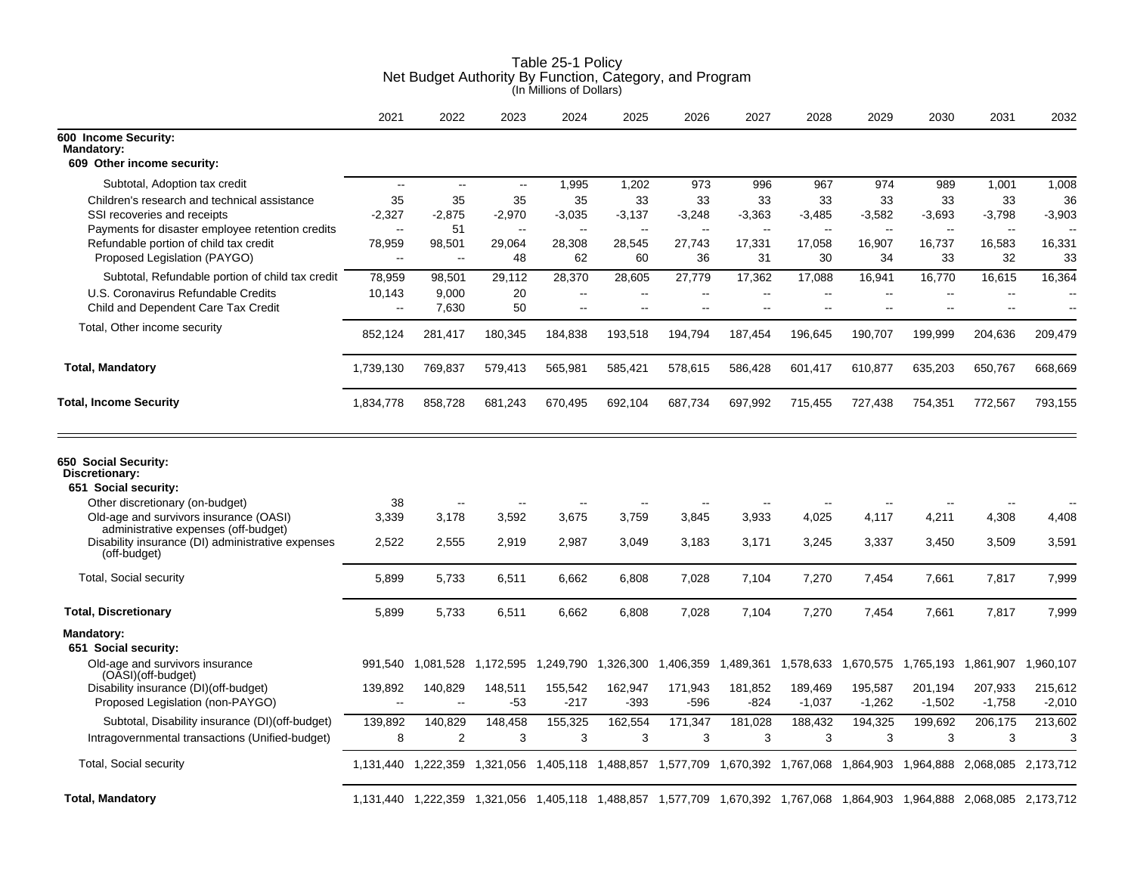|                                                                                                                                 | 2021                               | 2022                 | 2023                             | 2024                                                 | 2025                               | 2026            | 2027                             | 2028                                       | 2029                                       | 2030                 | 2031                                                                                                                    | 2032                                     |
|---------------------------------------------------------------------------------------------------------------------------------|------------------------------------|----------------------|----------------------------------|------------------------------------------------------|------------------------------------|-----------------|----------------------------------|--------------------------------------------|--------------------------------------------|----------------------|-------------------------------------------------------------------------------------------------------------------------|------------------------------------------|
| 600 Income Security:<br><b>Mandatory:</b><br>609 Other income security:                                                         |                                    |                      |                                  |                                                      |                                    |                 |                                  |                                            |                                            |                      |                                                                                                                         |                                          |
| Subtotal, Adoption tax credit                                                                                                   | $\overline{\phantom{a}}$           | $\sim$               | $\sim$                           | 1,995                                                | 1,202                              | 973             | 996                              | 967                                        | 974                                        | 989                  | 1,001                                                                                                                   | 1,008                                    |
| Children's research and technical assistance<br>SSI recoveries and receipts<br>Payments for disaster employee retention credits | 35<br>$-2,327$<br>$\sim$           | 35<br>$-2,875$<br>51 | 35<br>$-2,970$<br>$\overline{a}$ | 35<br>$-3,035$                                       | 33<br>$-3,137$<br>$\sim$           | 33<br>$-3,248$  | 33<br>$-3,363$<br>$\overline{a}$ | 33<br>$-3,485$<br>$\overline{\phantom{a}}$ | 33<br>$-3,582$<br>$\overline{\phantom{a}}$ | 33<br>$-3,693$       | 33<br>$-3,798$                                                                                                          | 36<br>$-3,903$                           |
| Refundable portion of child tax credit<br>Proposed Legislation (PAYGO)                                                          | 78,959<br>$\overline{\phantom{a}}$ | 98,501<br>$\sim$     | 29,064<br>48                     | 28,308<br>62                                         | 28,545<br>60                       | 27,743<br>36    | 17,331<br>31                     | 17,058<br>30                               | 16,907<br>34                               | 16,737<br>33         | 16,583<br>32                                                                                                            | 16,331<br>33                             |
| Subtotal, Refundable portion of child tax credit                                                                                | 78,959                             | 98,501               | 29,112                           | 28,370                                               | 28,605                             | 27,779          | 17,362                           | 17,088                                     | 16,941                                     | 16,770               | 16,615                                                                                                                  | 16,364                                   |
| U.S. Coronavirus Refundable Credits<br>Child and Dependent Care Tax Credit                                                      | 10,143<br>$\sim$                   | 9,000<br>7,630       | 20<br>50                         | $\overline{\phantom{a}}$<br>$\overline{\phantom{a}}$ | $\overline{\phantom{a}}$<br>$\sim$ | ц.<br>ä.        | --<br>Ξ.                         | $\overline{\phantom{a}}$<br>$\overline{a}$ | --<br>$\overline{a}$                       | $\sim$ $\sim$<br>$-$ | $\sim$                                                                                                                  | $\mathbf{u}$<br>$\overline{\phantom{a}}$ |
| Total, Other income security                                                                                                    | 852,124                            | 281,417              | 180,345                          | 184,838                                              | 193,518                            | 194,794         | 187,454                          | 196,645                                    | 190,707                                    | 199,999              | 204,636                                                                                                                 | 209,479                                  |
| <b>Total, Mandatory</b>                                                                                                         | 1,739,130                          | 769,837              | 579,413                          | 565,981                                              | 585,421                            | 578,615         | 586,428                          | 601,417                                    | 610,877                                    | 635,203              | 650,767                                                                                                                 | 668,669                                  |
| <b>Total, Income Security</b>                                                                                                   | 1,834,778                          | 858,728              | 681,243                          | 670,495                                              | 692,104                            | 687,734         | 697,992                          | 715,455                                    | 727,438                                    | 754,351              | 772,567                                                                                                                 | 793,155                                  |
| 650 Social Security:<br>Discretionary:<br>651 Social security:                                                                  |                                    |                      |                                  |                                                      |                                    |                 |                                  |                                            |                                            |                      |                                                                                                                         |                                          |
| Other discretionary (on-budget)                                                                                                 | 38                                 |                      |                                  |                                                      |                                    |                 |                                  |                                            |                                            |                      |                                                                                                                         |                                          |
| Old-age and survivors insurance (OASI)<br>administrative expenses (off-budget)                                                  | 3,339                              | 3,178                | 3,592                            | 3,675                                                | 3,759                              | 3,845           | 3,933                            | 4,025                                      | 4,117                                      | 4,211                | 4,308                                                                                                                   | 4,408                                    |
| Disability insurance (DI) administrative expenses<br>(off-budget)                                                               | 2,522                              | 2,555                | 2,919                            | 2,987                                                | 3,049                              | 3,183           | 3,171                            | 3,245                                      | 3,337                                      | 3,450                | 3,509                                                                                                                   | 3,591                                    |
| <b>Total, Social security</b>                                                                                                   | 5,899                              | 5,733                | 6,511                            | 6,662                                                | 6,808                              | 7,028           | 7,104                            | 7,270                                      | 7,454                                      | 7,661                | 7,817                                                                                                                   | 7,999                                    |
| <b>Total, Discretionary</b>                                                                                                     | 5,899                              | 5,733                | 6,511                            | 6.662                                                | 6,808                              | 7,028           | 7.104                            | 7,270                                      | 7,454                                      | 7,661                | 7,817                                                                                                                   | 7.999                                    |
| Mandatory:<br>651 Social security:                                                                                              |                                    |                      |                                  |                                                      |                                    |                 |                                  |                                            |                                            |                      |                                                                                                                         |                                          |
| Old-age and survivors insurance<br>(OASI)(off-budget)                                                                           | 991,540                            | 1,081,528            | 1,172,595                        | 1,249,790                                            | 1,326,300                          | 1,406,359       |                                  | 1,489,361 1,578,633 1,670,575 1,765,193    |                                            |                      | 1,861,907                                                                                                               | 1,960,107                                |
| Disability insurance (DI)(off-budget)<br>Proposed Legislation (non-PAYGO)                                                       | 139,892<br>$\sim$                  | 140,829<br>$\sim$    | 148,511<br>$-53$                 | 155,542<br>-217                                      | 162,947<br>$-393$                  | 171,943<br>-596 | 181,852<br>$-824$                | 189,469<br>$-1,037$                        | 195,587<br>$-1,262$                        | 201,194<br>$-1,502$  | 207,933<br>$-1,758$                                                                                                     | 215,612<br>$-2,010$                      |
| Subtotal, Disability insurance (DI)(off-budget)                                                                                 | 139,892                            | 140,829              | 148,458                          | 155,325                                              | 162,554                            | 171,347         | 181,028                          | 188,432                                    | 194,325                                    | 199,692              | 206,175                                                                                                                 | 213,602                                  |
| Intragovernmental transactions (Unified-budget)                                                                                 | 8                                  | $\overline{2}$       | 3                                | 3                                                    | 3                                  | 3               | 3                                | 3                                          | 3                                          | 3                    | 3                                                                                                                       | 3                                        |
| <b>Total, Social security</b>                                                                                                   |                                    | 1,131,440 1,222,359  |                                  |                                                      |                                    |                 |                                  |                                            |                                            |                      | 1,321,056 1,405,118 1,488,857 1,577,709 1,670,392 1,767,068 1,864,903 1,964,888 2,068,085 2,173,712                     |                                          |
| <b>Total, Mandatory</b>                                                                                                         |                                    |                      |                                  |                                                      |                                    |                 |                                  |                                            |                                            |                      | 1,131,440 1,222,359 1,321,056 1,405,118 1,488,857 1,577,709 1,670,392 1,767,068 1,864,903 1,964,888 2,068,085 2,173,712 |                                          |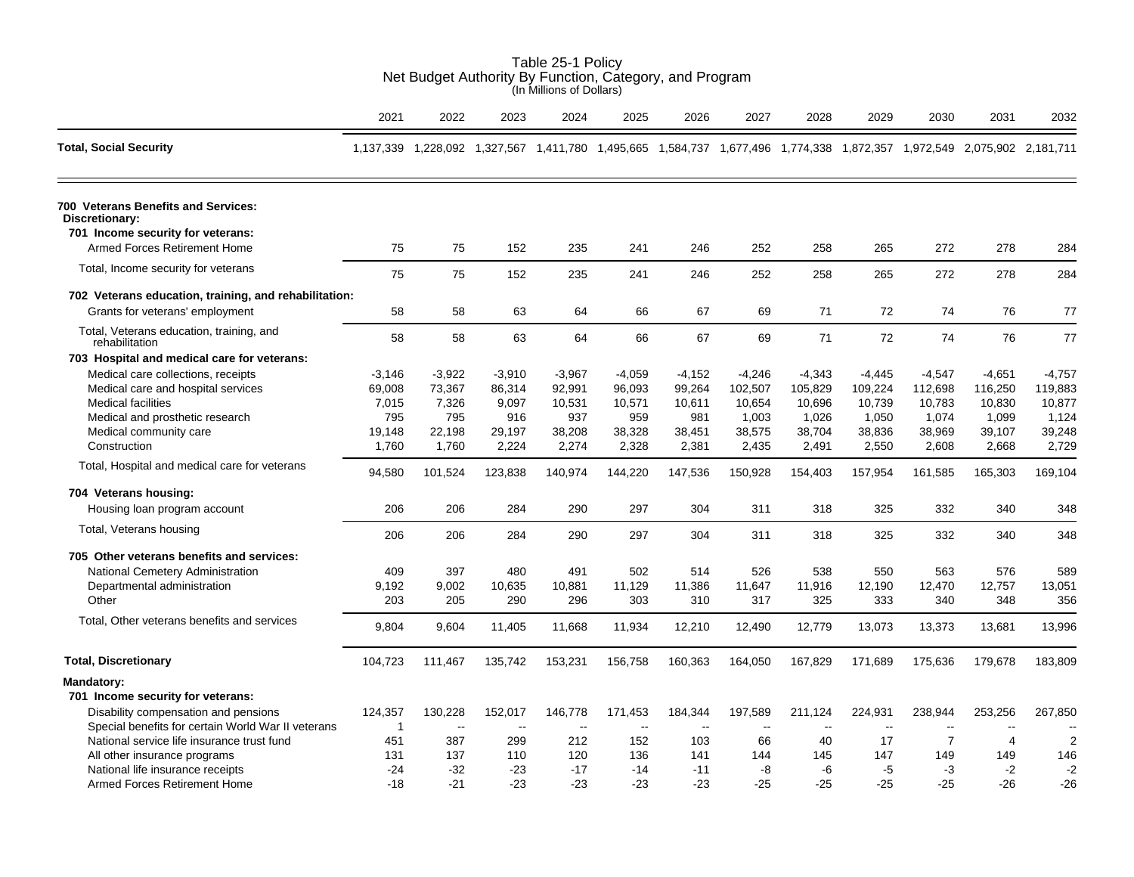| Table 25-1 Policy<br>Net Budget Authority By Function, Category, and Program<br>(In Millions of Dollars)                                                                           |                                                       |                                                       |                                                                                                                         |                                                        |                                                        |                                                        |                                                           |                                                           |                                                           |                                                           |                                                           |                                                           |
|------------------------------------------------------------------------------------------------------------------------------------------------------------------------------------|-------------------------------------------------------|-------------------------------------------------------|-------------------------------------------------------------------------------------------------------------------------|--------------------------------------------------------|--------------------------------------------------------|--------------------------------------------------------|-----------------------------------------------------------|-----------------------------------------------------------|-----------------------------------------------------------|-----------------------------------------------------------|-----------------------------------------------------------|-----------------------------------------------------------|
|                                                                                                                                                                                    | 2021                                                  | 2022                                                  | 2023                                                                                                                    | 2024                                                   | 2025                                                   | 2026                                                   | 2027                                                      | 2028                                                      | 2029                                                      | 2030                                                      | 2031                                                      | 2032                                                      |
| <b>Total, Social Security</b>                                                                                                                                                      |                                                       |                                                       | 1,137,339 1,228,092 1,327,567 1,411,780 1,495,665 1,584,737 1,677,496 1,774,338 1,872,357 1,972,549 2,075,902 2,181,711 |                                                        |                                                        |                                                        |                                                           |                                                           |                                                           |                                                           |                                                           |                                                           |
| 700 Veterans Benefits and Services:<br>Discretionary:                                                                                                                              |                                                       |                                                       |                                                                                                                         |                                                        |                                                        |                                                        |                                                           |                                                           |                                                           |                                                           |                                                           |                                                           |
| 701 Income security for veterans:                                                                                                                                                  |                                                       |                                                       |                                                                                                                         |                                                        |                                                        |                                                        |                                                           |                                                           |                                                           |                                                           |                                                           |                                                           |
| Armed Forces Retirement Home                                                                                                                                                       | 75                                                    | 75                                                    | 152                                                                                                                     | 235                                                    | 241                                                    | 246                                                    | 252                                                       | 258                                                       | 265                                                       | 272                                                       | 278                                                       | 284                                                       |
| Total, Income security for veterans                                                                                                                                                | 75                                                    | 75                                                    | 152                                                                                                                     | 235                                                    | 241                                                    | 246                                                    | 252                                                       | 258                                                       | 265                                                       | 272                                                       | 278                                                       | 284                                                       |
| 702 Veterans education, training, and rehabilitation:                                                                                                                              |                                                       |                                                       |                                                                                                                         |                                                        |                                                        |                                                        |                                                           |                                                           |                                                           |                                                           |                                                           |                                                           |
| Grants for veterans' employment                                                                                                                                                    | 58                                                    | 58                                                    | 63                                                                                                                      | 64                                                     | 66                                                     | 67                                                     | 69                                                        | 71                                                        | 72                                                        | 74                                                        | 76                                                        | 77                                                        |
| Total, Veterans education, training, and<br>rehabilitation                                                                                                                         | 58                                                    | 58                                                    | 63                                                                                                                      | 64                                                     | 66                                                     | 67                                                     | 69                                                        | 71                                                        | 72                                                        | 74                                                        | 76                                                        | 77                                                        |
| 703 Hospital and medical care for veterans:                                                                                                                                        |                                                       |                                                       |                                                                                                                         |                                                        |                                                        |                                                        |                                                           |                                                           |                                                           |                                                           |                                                           |                                                           |
| Medical care collections, receipts<br>Medical care and hospital services<br><b>Medical facilities</b><br>Medical and prosthetic research<br>Medical community care<br>Construction | $-3,146$<br>69,008<br>7,015<br>795<br>19,148<br>1,760 | $-3,922$<br>73,367<br>7,326<br>795<br>22,198<br>1,760 | $-3,910$<br>86,314<br>9,097<br>916<br>29,197<br>2,224                                                                   | $-3,967$<br>92,991<br>10,531<br>937<br>38,208<br>2,274 | $-4,059$<br>96,093<br>10,571<br>959<br>38,328<br>2,328 | $-4,152$<br>99,264<br>10,611<br>981<br>38,451<br>2,381 | $-4,246$<br>102,507<br>10,654<br>1,003<br>38,575<br>2,435 | $-4,343$<br>105,829<br>10,696<br>1,026<br>38,704<br>2,491 | $-4,445$<br>109,224<br>10,739<br>1,050<br>38,836<br>2,550 | $-4,547$<br>112,698<br>10,783<br>1,074<br>38,969<br>2,608 | $-4,651$<br>116,250<br>10,830<br>1,099<br>39,107<br>2,668 | $-4,757$<br>119,883<br>10,877<br>1,124<br>39,248<br>2,729 |
| Total, Hospital and medical care for veterans                                                                                                                                      | 94,580                                                | 101,524                                               | 123,838                                                                                                                 | 140,974                                                | 144,220                                                | 147,536                                                | 150,928                                                   | 154,403                                                   | 157,954                                                   | 161,585                                                   | 165,303                                                   | 169,104                                                   |
| 704 Veterans housing:<br>Housing loan program account                                                                                                                              | 206                                                   | 206                                                   | 284                                                                                                                     | 290                                                    | 297                                                    | 304                                                    | 311                                                       | 318                                                       | 325                                                       | 332                                                       | 340                                                       | 348                                                       |
| Total, Veterans housing                                                                                                                                                            | 206                                                   | 206                                                   | 284                                                                                                                     | 290                                                    | 297                                                    | 304                                                    | 311                                                       | 318                                                       | 325                                                       | 332                                                       | 340                                                       | 348                                                       |
| 705 Other veterans benefits and services:<br>National Cemetery Administration<br>Departmental administration<br>Other                                                              | 409<br>9,192<br>203                                   | 397<br>9,002<br>205                                   | 480<br>10,635<br>290                                                                                                    | 491<br>10,881<br>296                                   | 502<br>11,129<br>303                                   | 514<br>11,386<br>310                                   | 526<br>11,647<br>317                                      | 538<br>11,916<br>325                                      | 550<br>12,190<br>333                                      | 563<br>12,470<br>340                                      | 576<br>12,757<br>348                                      | 589<br>13,051<br>356                                      |
| Total, Other veterans benefits and services                                                                                                                                        | 9,804                                                 | 9,604                                                 | 11,405                                                                                                                  | 11,668                                                 | 11,934                                                 | 12,210                                                 | 12,490                                                    | 12,779                                                    | 13,073                                                    | 13,373                                                    | 13,681                                                    | 13,996                                                    |
| <b>Total, Discretionary</b>                                                                                                                                                        | 104,723                                               | 111,467                                               | 135,742                                                                                                                 | 153,231                                                | 156,758                                                | 160,363                                                | 164,050                                                   | 167,829                                                   | 171,689                                                   | 175,636                                                   | 179,678                                                   | 183,809                                                   |
| <b>Mandatory:</b><br>701 Income security for veterans:                                                                                                                             |                                                       |                                                       |                                                                                                                         |                                                        |                                                        |                                                        |                                                           |                                                           |                                                           |                                                           |                                                           |                                                           |
| Disability compensation and pensions<br>Special benefits for certain World War II veterans                                                                                         | 124,357<br>1                                          | 130,228<br>$\sim$ $\sim$                              | 152,017<br>$\sim$                                                                                                       | 146,778<br>$\sim$                                      | 171,453<br>$\sim$                                      | 184,344<br>$\overline{\phantom{a}}$                    | 197,589<br>$\overline{a}$                                 | 211,124<br>$\overline{\phantom{a}}$                       | 224,931<br>$\overline{a}$                                 | 238,944                                                   | 253,256                                                   | 267,850                                                   |
| National service life insurance trust fund<br>All other insurance programs                                                                                                         | 451<br>131                                            | 387<br>137                                            | 299<br>110                                                                                                              | 212<br>120                                             | 152<br>136                                             | 103<br>141                                             | 66<br>144                                                 | 40<br>145                                                 | 17<br>147                                                 | $\overline{7}$<br>149                                     | $\overline{4}$<br>149                                     | 2<br>146                                                  |
| National life insurance receipts                                                                                                                                                   | $-24$                                                 | $-32$                                                 | $-23$                                                                                                                   | $-17$                                                  | $-14$                                                  | $-11$                                                  | -8                                                        | -6                                                        | $-5$                                                      | $-3$                                                      | $-2$                                                      | $-2$                                                      |
| Armed Forces Retirement Home                                                                                                                                                       | $-18$                                                 | $-21$                                                 | $-23$                                                                                                                   | -23                                                    | $-23$                                                  | $-23$                                                  | -25                                                       | $-25$                                                     | $-25$                                                     | $-25$                                                     | $-26$                                                     | $-26$                                                     |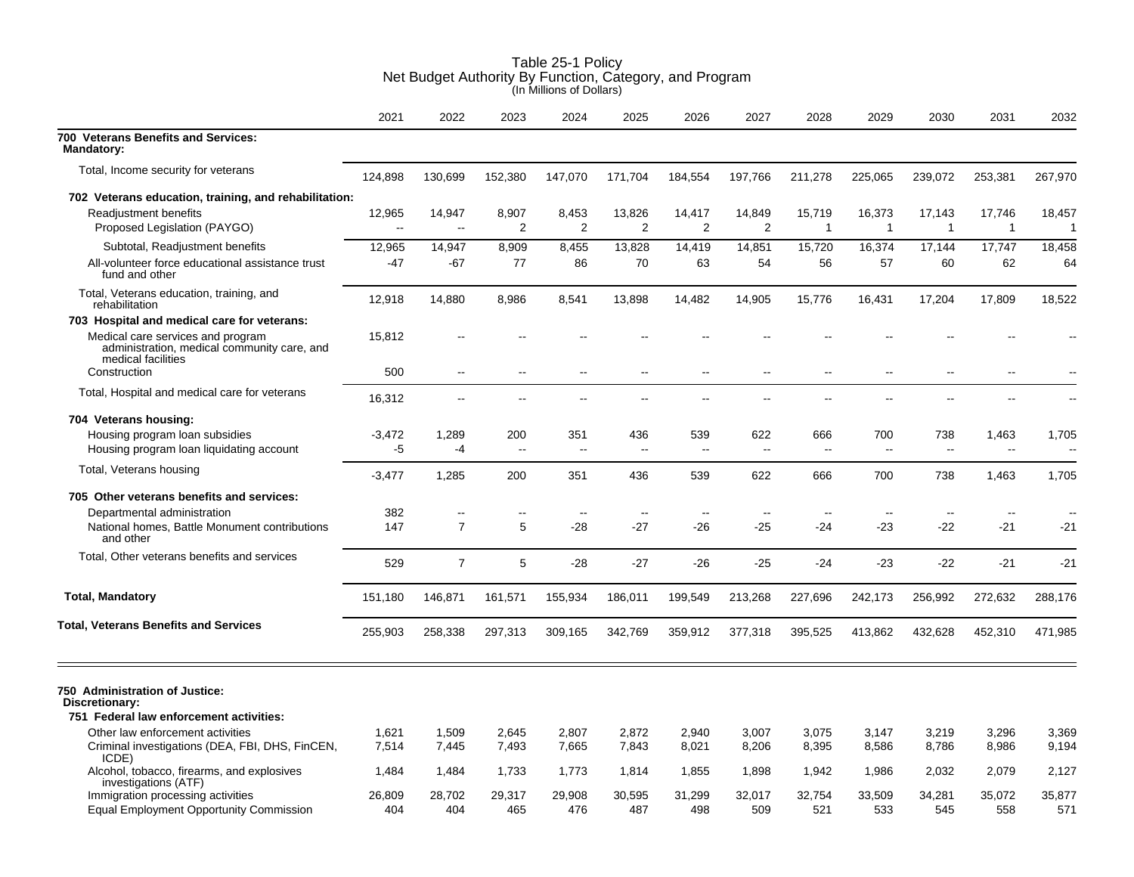|                                                                                                        | 2021           | 2022                     | 2023                     | 2024                     | 2025                     | 2026                     | 2027                     | 2028                     | 2029                     | 2030                   | 2031                     | 2032                    |
|--------------------------------------------------------------------------------------------------------|----------------|--------------------------|--------------------------|--------------------------|--------------------------|--------------------------|--------------------------|--------------------------|--------------------------|------------------------|--------------------------|-------------------------|
| 700 Veterans Benefits and Services:<br><b>Mandatory:</b>                                               |                |                          |                          |                          |                          |                          |                          |                          |                          |                        |                          |                         |
| Total, Income security for veterans                                                                    | 124,898        | 130,699                  | 152,380                  | 147,070                  | 171,704                  | 184,554                  | 197,766                  | 211,278                  | 225,065                  | 239,072                | 253,381                  | 267,970                 |
| 702 Veterans education, training, and rehabilitation:                                                  |                |                          |                          |                          |                          |                          |                          |                          |                          |                        |                          |                         |
| Readjustment benefits<br>Proposed Legislation (PAYGO)                                                  | 12,965         | 14,947<br>$\sim$         | 8,907<br>2               | 8,453<br>$\overline{2}$  | 13,826<br>2              | 14,417<br>$\overline{2}$ | 14,849<br>2              | 15,719<br>1              | 16,373<br>$\mathbf{1}$   | 17,143<br>$\mathbf{1}$ | 17,746<br>$\mathbf{1}$   | 18,457<br>1             |
| Subtotal, Readjustment benefits                                                                        | 12,965         | 14,947                   | 8,909                    | 8,455                    | 13,828                   | 14,419                   | 14,851                   | 15,720                   | 16,374                   | 17,144                 | 17,747                   | 18,458                  |
| All-volunteer force educational assistance trust<br>fund and other                                     | -47            | $-67$                    | 77                       | 86                       | 70                       | 63                       | 54                       | 56                       | 57                       | 60                     | 62                       | 64                      |
| Total, Veterans education, training, and<br>rehabilitation                                             | 12,918         | 14,880                   | 8,986                    | 8,541                    | 13,898                   | 14,482                   | 14,905                   | 15,776                   | 16,431                   | 17,204                 | 17,809                   | 18,522                  |
| 703 Hospital and medical care for veterans:                                                            |                |                          |                          |                          |                          |                          |                          |                          |                          |                        |                          |                         |
| Medical care services and program<br>administration, medical community care, and<br>medical facilities | 15,812         |                          |                          |                          |                          |                          |                          |                          |                          |                        |                          |                         |
| Construction                                                                                           | 500            | $\sim$ $\sim$            | $\sim$                   | $\sim$                   | $\overline{\phantom{a}}$ | $\overline{a}$           | $\overline{\phantom{a}}$ | $\overline{\phantom{a}}$ | $\overline{\phantom{a}}$ | $-$                    | $\overline{\phantom{a}}$ |                         |
| Total, Hospital and medical care for veterans                                                          | 16,312         | $\overline{\phantom{a}}$ | $\overline{a}$           | $\overline{\phantom{a}}$ | $\sim$                   | $\overline{a}$           | $\overline{a}$           | $\overline{a}$           | $\overline{\phantom{a}}$ | $-$                    | $\overline{a}$           | Ξ.                      |
| 704 Veterans housing:                                                                                  |                |                          |                          |                          |                          |                          |                          |                          |                          |                        |                          |                         |
| Housing program loan subsidies<br>Housing program loan liquidating account                             | $-3,472$<br>-5 | 1,289<br>$-4$            | 200<br>$\sim$            | 351<br>$\sim$ $\sim$     | 436<br>$\sim$            | 539<br>$\sim$            | 622<br>$\sim$            | 666<br>$-$               | 700<br>$\overline{a}$    | 738<br>$\sim$          | 1,463<br>$\overline{a}$  | 1,705<br>$\overline{a}$ |
| Total, Veterans housing                                                                                | $-3,477$       | 1,285                    | 200                      | 351                      | 436                      | 539                      | 622                      | 666                      | 700                      | 738                    | 1,463                    | 1,705                   |
| 705 Other veterans benefits and services:                                                              |                |                          |                          |                          |                          |                          |                          |                          |                          |                        |                          |                         |
| Departmental administration                                                                            | 382            | $\overline{\phantom{a}}$ | $\overline{\phantom{a}}$ | $\overline{\phantom{a}}$ | $\overline{\phantom{a}}$ | $\sim$                   | ц.                       |                          | --                       | $\sim$                 | $\overline{\phantom{a}}$ |                         |
| National homes, Battle Monument contributions<br>and other                                             | 147            | $\overline{7}$           | 5                        | -28                      | $-27$                    | $-26$                    | $-25$                    | $-24$                    | $-23$                    | $-22$                  | $-21$                    | $-21$                   |
| Total, Other veterans benefits and services                                                            | 529            | $\overline{7}$           | 5                        | $-28$                    | $-27$                    | $-26$                    | $-25$                    | $-24$                    | $-23$                    | $-22$                  | $-21$                    | $-21$                   |
| <b>Total, Mandatory</b>                                                                                | 151,180        | 146,871                  | 161,571                  | 155,934                  | 186,011                  | 199,549                  | 213,268                  | 227,696                  | 242,173                  | 256,992                | 272,632                  | 288,176                 |
| <b>Total, Veterans Benefits and Services</b>                                                           | 255,903        | 258,338                  | 297,313                  | 309,165                  | 342,769                  | 359,912                  | 377,318                  | 395,525                  | 413,862                  | 432,628                | 452,310                  | 471,985                 |
| 750 Administration of Justice:<br>Discretionary:                                                       |                |                          |                          |                          |                          |                          |                          |                          |                          |                        |                          |                         |
| 751 Federal law enforcement activities:                                                                |                |                          |                          |                          |                          |                          |                          |                          |                          |                        |                          |                         |
| Other law enforcement activities                                                                       | 1,621          | 1,509                    | 2,645                    | 2,807                    | 2,872                    | 2,940                    | 3,007                    | 3,075                    | 3,147                    | 3,219                  | 3,296                    | 3,369                   |
| Criminal investigations (DEA, FBI, DHS, FinCEN,<br>ICDE)                                               | 7,514          | 7,445                    | 7,493                    | 7,665                    | 7,843                    | 8,021                    | 8,206                    | 8,395                    | 8,586                    | 8,786                  | 8,986                    | 9,194                   |
| Alcohol, tobacco, firearms, and explosives<br>investigations (ATF)                                     | 1,484          | 1,484                    | 1,733                    | 1,773                    | 1,814                    | 1,855                    | 1,898                    | 1,942                    | 1,986                    | 2,032                  | 2,079                    | 2,127                   |
| Immigration processing activities<br><b>Equal Employment Opportunity Commission</b>                    | 26,809<br>404  | 28,702<br>404            | 29,317<br>465            | 29,908<br>476            | 30,595<br>487            | 31,299<br>498            | 32,017<br>509            | 32,754<br>521            | 33,509<br>533            | 34,281<br>545          | 35,072<br>558            | 35,877<br>571           |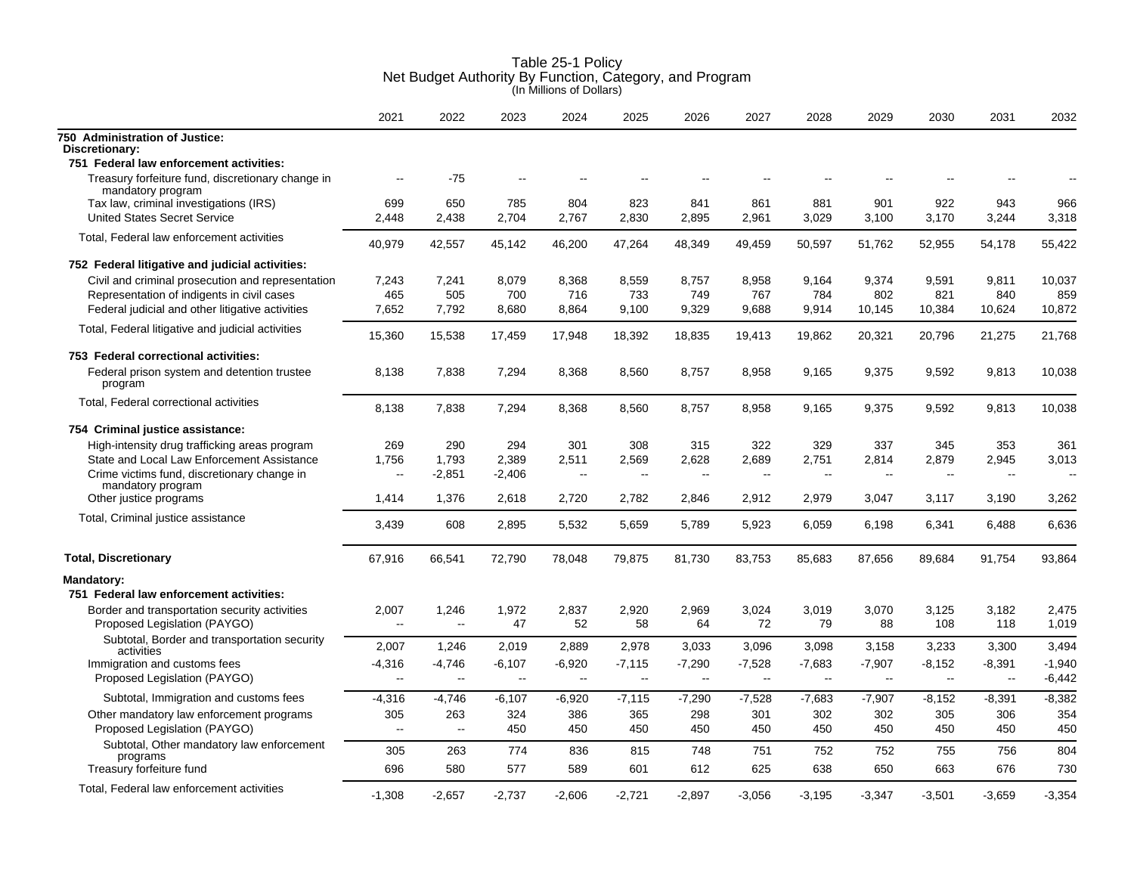|                                                                        | 2021                     | 2022          | 2023     | 2024     | 2025                     | 2026     | 2027     | 2028     | 2029         | 2030           | 2031     | 2032     |
|------------------------------------------------------------------------|--------------------------|---------------|----------|----------|--------------------------|----------|----------|----------|--------------|----------------|----------|----------|
| 750 Administration of Justice:<br>Discretionary:                       |                          |               |          |          |                          |          |          |          |              |                |          |          |
| 751 Federal law enforcement activities:                                |                          |               |          |          |                          |          |          |          |              |                |          |          |
| Treasury forfeiture fund, discretionary change in<br>mandatory program | $\overline{a}$           | $-75$         | $-$      | $-$      |                          |          |          |          |              |                |          |          |
| Tax law, criminal investigations (IRS)                                 | 699                      | 650           | 785      | 804      | 823                      | 841      | 861      | 881      | 901          | 922            | 943      | 966      |
| <b>United States Secret Service</b>                                    | 2,448                    | 2,438         | 2,704    | 2,767    | 2,830                    | 2,895    | 2,961    | 3,029    | 3,100        | 3,170          | 3,244    | 3,318    |
| Total, Federal law enforcement activities                              | 40,979                   | 42,557        | 45,142   | 46,200   | 47,264                   | 48,349   | 49,459   | 50,597   | 51,762       | 52,955         | 54,178   | 55,422   |
| 752 Federal litigative and judicial activities:                        |                          |               |          |          |                          |          |          |          |              |                |          |          |
| Civil and criminal prosecution and representation                      | 7,243                    | 7,241         | 8,079    | 8,368    | 8,559                    | 8,757    | 8,958    | 9.164    | 9,374        | 9,591          | 9,811    | 10,037   |
| Representation of indigents in civil cases                             | 465                      | 505           | 700      | 716      | 733                      | 749      | 767      | 784      | 802          | 821            | 840      | 859      |
| Federal judicial and other litigative activities                       | 7,652                    | 7,792         | 8,680    | 8,864    | 9,100                    | 9,329    | 9,688    | 9,914    | 10,145       | 10,384         | 10,624   | 10,872   |
| Total, Federal litigative and judicial activities                      | 15,360                   | 15,538        | 17,459   | 17,948   | 18,392                   | 18,835   | 19,413   | 19,862   | 20,321       | 20,796         | 21,275   | 21,768   |
| 753 Federal correctional activities:                                   |                          |               |          |          |                          |          |          |          |              |                |          |          |
| Federal prison system and detention trustee<br>program                 | 8,138                    | 7,838         | 7,294    | 8,368    | 8,560                    | 8,757    | 8,958    | 9,165    | 9,375        | 9,592          | 9,813    | 10,038   |
| Total, Federal correctional activities                                 | 8,138                    | 7,838         | 7,294    | 8,368    | 8,560                    | 8,757    | 8,958    | 9,165    | 9,375        | 9,592          | 9,813    | 10,038   |
| 754 Criminal justice assistance:                                       |                          |               |          |          |                          |          |          |          |              |                |          |          |
| High-intensity drug trafficking areas program                          | 269                      | 290           | 294      | 301      | 308                      | 315      | 322      | 329      | 337          | 345            | 353      | 361      |
| State and Local Law Enforcement Assistance                             | 1,756                    | 1,793         | 2,389    | 2,511    | 2,569                    | 2,628    | 2,689    | 2,751    | 2,814        | 2,879          | 2,945    | 3,013    |
| Crime victims fund, discretionary change in                            | $\overline{\phantom{a}}$ | $-2,851$      | $-2,406$ | $\sim$   | $\sim$                   | $\sim$   | $\sim$   | $\sim$   | $\sim$       | $\sim$         | $\sim$   |          |
| mandatory program                                                      |                          |               |          |          |                          |          |          |          |              |                |          |          |
| Other justice programs                                                 | 1.414                    | 1,376         | 2.618    | 2.720    | 2,782                    | 2,846    | 2,912    | 2,979    | 3,047        | 3,117          | 3,190    | 3,262    |
| Total, Criminal justice assistance                                     | 3,439                    | 608           | 2,895    | 5,532    | 5,659                    | 5,789    | 5,923    | 6,059    | 6,198        | 6,341          | 6,488    | 6,636    |
| <b>Total, Discretionary</b>                                            | 67,916                   | 66,541        | 72,790   | 78,048   | 79,875                   | 81,730   | 83,753   | 85,683   | 87,656       | 89,684         | 91,754   | 93,864   |
| <b>Mandatory:</b>                                                      |                          |               |          |          |                          |          |          |          |              |                |          |          |
| 751 Federal law enforcement activities:                                |                          |               |          |          |                          |          |          |          |              |                |          |          |
| Border and transportation security activities                          | 2,007                    | 1,246         | 1,972    | 2,837    | 2,920                    | 2,969    | 3,024    | 3,019    | 3,070        | 3,125          | 3,182    | 2.475    |
| Proposed Legislation (PAYGO)                                           | $\mathbf{u}$             | $\sim$        | 47       | 52       | 58                       | 64       | 72       | 79       | 88           | 108            | 118      | 1,019    |
| Subtotal, Border and transportation security<br>activities             | 2,007                    | 1,246         | 2,019    | 2,889    | 2,978                    | 3,033    | 3,096    | 3,098    | 3,158        | 3,233          | 3,300    | 3,494    |
| Immigration and customs fees                                           | $-4,316$                 | $-4,746$      | $-6,107$ | $-6,920$ | $-7,115$                 | $-7,290$ | $-7,528$ | $-7,683$ | $-7,907$     | $-8,152$       | $-8,391$ | $-1,940$ |
| Proposed Legislation (PAYGO)                                           | $\overline{\phantom{a}}$ | $\sim$        | $\sim$   | $\sim$   | $\overline{\phantom{a}}$ | $\sim$   | $\sim$   | $\sim$   | $\mathbb{L}$ | $\mathbb{Z}^2$ | $\sim$   | $-6,442$ |
| Subtotal, Immigration and customs fees                                 | $-4,316$                 | $-4,746$      | $-6,107$ | $-6,920$ | $-7,115$                 | $-7,290$ | $-7,528$ | $-7,683$ | $-7,907$     | $-8,152$       | $-8,391$ | $-8,382$ |
| Other mandatory law enforcement programs                               | 305                      | 263           | 324      | 386      | 365                      | 298      | 301      | 302      | 302          | 305            | 306      | 354      |
| Proposed Legislation (PAYGO)                                           | $\sim$                   | $\sim$ $\sim$ | 450      | 450      | 450                      | 450      | 450      | 450      | 450          | 450            | 450      | 450      |
| Subtotal, Other mandatory law enforcement                              | 305                      | 263           | 774      | 836      | 815                      | 748      | 751      | 752      | 752          | 755            | 756      | 804      |
| programs<br>Treasury forfeiture fund                                   | 696                      | 580           | 577      | 589      | 601                      | 612      | 625      | 638      | 650          | 663            | 676      | 730      |
| Total, Federal law enforcement activities                              |                          |               |          |          |                          |          |          |          |              |                |          |          |
|                                                                        | $-1,308$                 | $-2,657$      | $-2,737$ | $-2.606$ | -2,721                   | $-2.897$ | $-3,056$ | $-3,195$ | $-3,347$     | $-3,501$       | $-3,659$ | $-3,354$ |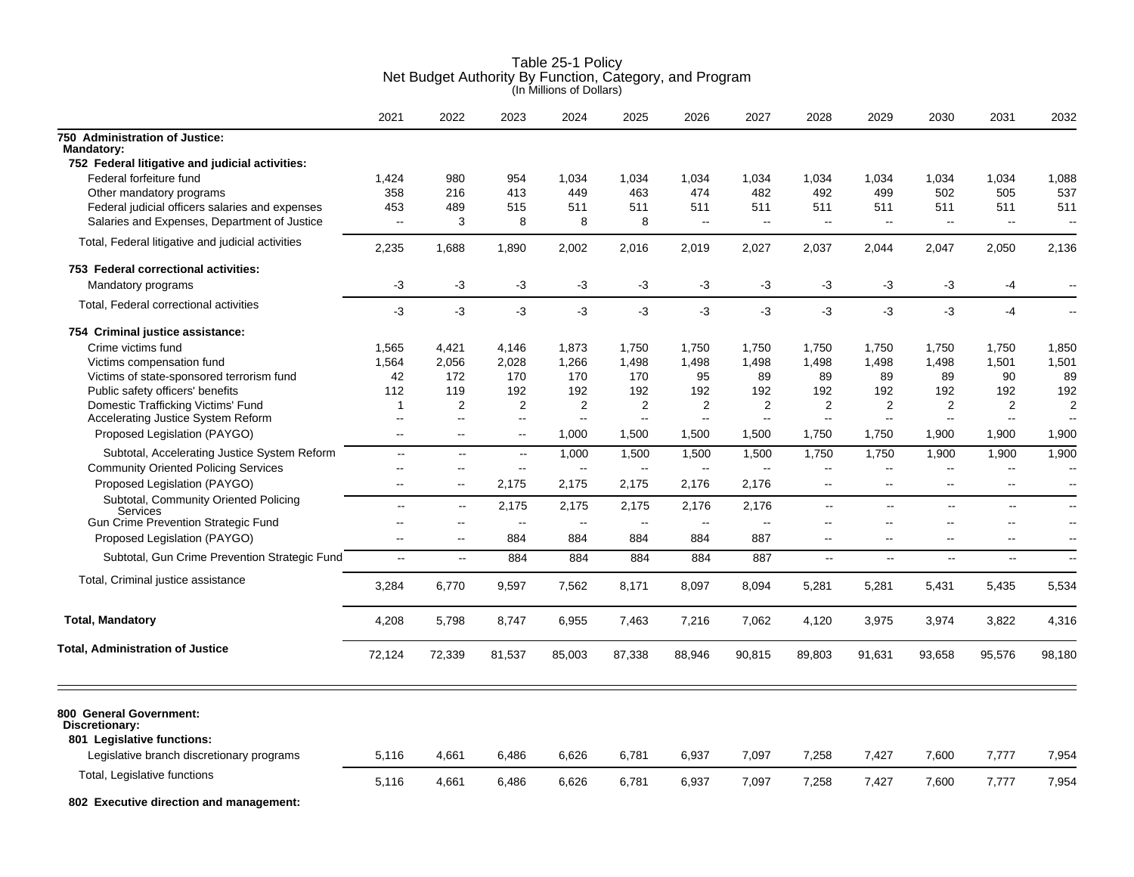|                                                     | 2021                     | 2022                     | 2023                     | 2024   | 2025                     | 2026                     | 2027                     | 2028                     | 2029                     | 2030                     | 2031                     | 2032                     |
|-----------------------------------------------------|--------------------------|--------------------------|--------------------------|--------|--------------------------|--------------------------|--------------------------|--------------------------|--------------------------|--------------------------|--------------------------|--------------------------|
| 750 Administration of Justice:<br><b>Mandatory:</b> |                          |                          |                          |        |                          |                          |                          |                          |                          |                          |                          |                          |
| 752 Federal litigative and judicial activities:     |                          |                          |                          |        |                          |                          |                          |                          |                          |                          |                          |                          |
| Federal forfeiture fund                             | 1,424                    | 980                      | 954                      | 1,034  | 1,034                    | 1,034                    | 1,034                    | 1,034                    | 1,034                    | 1,034                    | 1,034                    | 1,088                    |
| Other mandatory programs                            | 358                      | 216                      | 413                      | 449    | 463                      | 474                      | 482                      | 492                      | 499                      | 502                      | 505                      | 537                      |
| Federal judicial officers salaries and expenses     | 453                      | 489                      | 515                      | 511    | 511                      | 511                      | 511                      | 511                      | 511                      | 511                      | 511                      | 511                      |
| Salaries and Expenses, Department of Justice        | $\mathbf{u}$             | 3                        | 8                        | 8      | 8                        | $\sim$                   | $\sim$                   | $\sim$                   | $\mathbf{u}$             | $\mathbf{u}$             | $\sim$                   | $\overline{a}$           |
| Total, Federal litigative and judicial activities   | 2,235                    | 1,688                    | 1,890                    | 2,002  | 2,016                    | 2,019                    | 2.027                    | 2,037                    | 2,044                    | 2,047                    | 2.050                    | 2,136                    |
| 753 Federal correctional activities:                |                          |                          |                          |        |                          |                          |                          |                          |                          |                          |                          |                          |
| Mandatory programs                                  | -3                       | $-3$                     | $-3$                     | $-3$   | $-3$                     | -3                       | -3                       | -3                       | $-3$                     | $-3$                     | $-4$                     | $\overline{a}$           |
| Total, Federal correctional activities              | $-3$                     | $-3$                     | $-3$                     | $-3$   | $-3$                     | $-3$                     | -3                       | -3                       | $-3$                     | $-3$                     | $-4$                     | $\overline{\phantom{a}}$ |
| 754 Criminal justice assistance:                    |                          |                          |                          |        |                          |                          |                          |                          |                          |                          |                          |                          |
| Crime victims fund                                  | 1,565                    | 4,421                    | 4.146                    | 1,873  | 1,750                    | 1,750                    | 1,750                    | 1,750                    | 1,750                    | 1,750                    | 1,750                    | 1,850                    |
| Victims compensation fund                           | 1,564                    | 2,056                    | 2,028                    | 1,266  | 1,498                    | 1,498                    | 1,498                    | 1,498                    | 1,498                    | 1,498                    | 1,501                    | 1,501                    |
| Victims of state-sponsored terrorism fund           | 42                       | 172                      | 170                      | 170    | 170                      | 95                       | 89                       | 89                       | 89                       | 89                       | 90                       | 89                       |
| Public safety officers' benefits                    | 112                      | 119                      | 192                      | 192    | 192                      | 192                      | 192                      | 192                      | 192                      | 192                      | 192                      | 192                      |
| Domestic Trafficking Victims' Fund                  | $\mathbf 1$              | 2                        | 2                        | 2      | $\overline{2}$           | $\overline{2}$           | 2                        | 2                        | $\overline{2}$           | 2                        | 2                        | 2                        |
| Accelerating Justice System Reform                  | $\sim$                   | $\overline{\phantom{a}}$ | $\overline{\phantom{a}}$ | --     | $\overline{a}$           | $\overline{\phantom{a}}$ | $\overline{\phantom{a}}$ | $\overline{\phantom{a}}$ | $\overline{\phantom{a}}$ | $\sim$                   | $\overline{\phantom{a}}$ |                          |
| Proposed Legislation (PAYGO)                        | $\mathbf{u}$             | $\overline{a}$           | $\overline{\phantom{a}}$ | 1.000  | 1,500                    | 1,500                    | 1,500                    | 1,750                    | 1,750                    | 1,900                    | 1,900                    | 1,900                    |
| Subtotal, Accelerating Justice System Reform        | $\mathbf{u}$             | $\sim$                   | $\sim$                   | 1,000  | 1,500                    | 1,500                    | 1,500                    | 1,750                    | 1,750                    | 1,900                    | 1,900                    | 1,900                    |
| <b>Community Oriented Policing Services</b>         | $\sim$                   | $\overline{\phantom{a}}$ | $\overline{\phantom{a}}$ | $\sim$ | $\overline{\phantom{a}}$ | $\sim$                   | $\sim$                   | $\overline{\phantom{a}}$ | $\overline{\phantom{a}}$ | $\mathbf{u}$             | $\overline{\phantom{a}}$ | $\overline{\phantom{a}}$ |
| Proposed Legislation (PAYGO)                        | $\overline{\phantom{a}}$ | $\overline{\phantom{a}}$ | 2,175                    | 2,175  | 2,175                    | 2,176                    | 2,176                    | $\overline{\phantom{a}}$ | $\overline{\phantom{a}}$ | $\sim$                   | $\overline{\phantom{a}}$ |                          |
| Subtotal, Community Oriented Policing<br>Services   | $\ddot{\phantom{a}}$     | $\sim$                   | 2,175                    | 2,175  | 2,175                    | 2,176                    | 2,176                    | $\mathbb{L}^2$           | u.                       | $\mathbb{L}$             | $\mathbf{u}$             | $-$                      |
| <b>Gun Crime Prevention Strategic Fund</b>          | $\sim$                   | $\overline{\phantom{a}}$ | $\sim$                   | $\sim$ | ц.                       | $\sim$                   | $\sim$                   | $\sim$                   | $\sim$ $\sim$            | $\overline{\phantom{a}}$ | $\overline{\phantom{a}}$ | $-$                      |
| Proposed Legislation (PAYGO)                        | $\sim$                   | $\overline{\phantom{a}}$ | 884                      | 884    | 884                      | 884                      | 887                      | $\sim$                   | $\sim$                   | $\sim$                   | $\sim$                   | $\sim$                   |
| Subtotal, Gun Crime Prevention Strategic Fund       | $\sim$                   | $\sim$                   | 884                      | 884    | 884                      | 884                      | 887                      | щ,                       | $\overline{\phantom{a}}$ | $\sim$                   | $\overline{\phantom{a}}$ | $\overline{\phantom{a}}$ |
| Total, Criminal justice assistance                  | 3,284                    | 6,770                    | 9,597                    | 7,562  | 8,171                    | 8,097                    | 8,094                    | 5,281                    | 5,281                    | 5,431                    | 5,435                    | 5,534                    |
| <b>Total, Mandatory</b>                             | 4,208                    | 5,798                    | 8,747                    | 6,955  | 7,463                    | 7,216                    | 7,062                    | 4,120                    | 3,975                    | 3,974                    | 3,822                    | 4,316                    |
| <b>Total, Administration of Justice</b>             |                          |                          |                          |        |                          |                          |                          |                          |                          |                          |                          |                          |
|                                                     | 72,124                   | 72,339                   | 81,537                   | 85,003 | 87,338                   | 88,946                   | 90,815                   | 89,803                   | 91,631                   | 93,658                   | 95,576                   | 98,180                   |
| 800 General Government:<br>Discretionary:           |                          |                          |                          |        |                          |                          |                          |                          |                          |                          |                          |                          |
| 801 Legislative functions:                          |                          |                          |                          |        |                          |                          |                          |                          |                          |                          |                          |                          |
| Legislative branch discretionary programs           | 5,116                    | 4,661                    | 6,486                    | 6,626  | 6,781                    | 6,937                    | 7,097                    | 7,258                    | 7,427                    | 7,600                    | 7,777                    | 7,954                    |
| Total, Legislative functions                        | 5,116                    | 4,661                    | 6,486                    | 6,626  | 6,781                    | 6,937                    | 7,097                    | 7,258                    | 7,427                    | 7,600                    | 7,777                    | 7,954                    |
| 802 Executive direction and management:             |                          |                          |                          |        |                          |                          |                          |                          |                          |                          |                          |                          |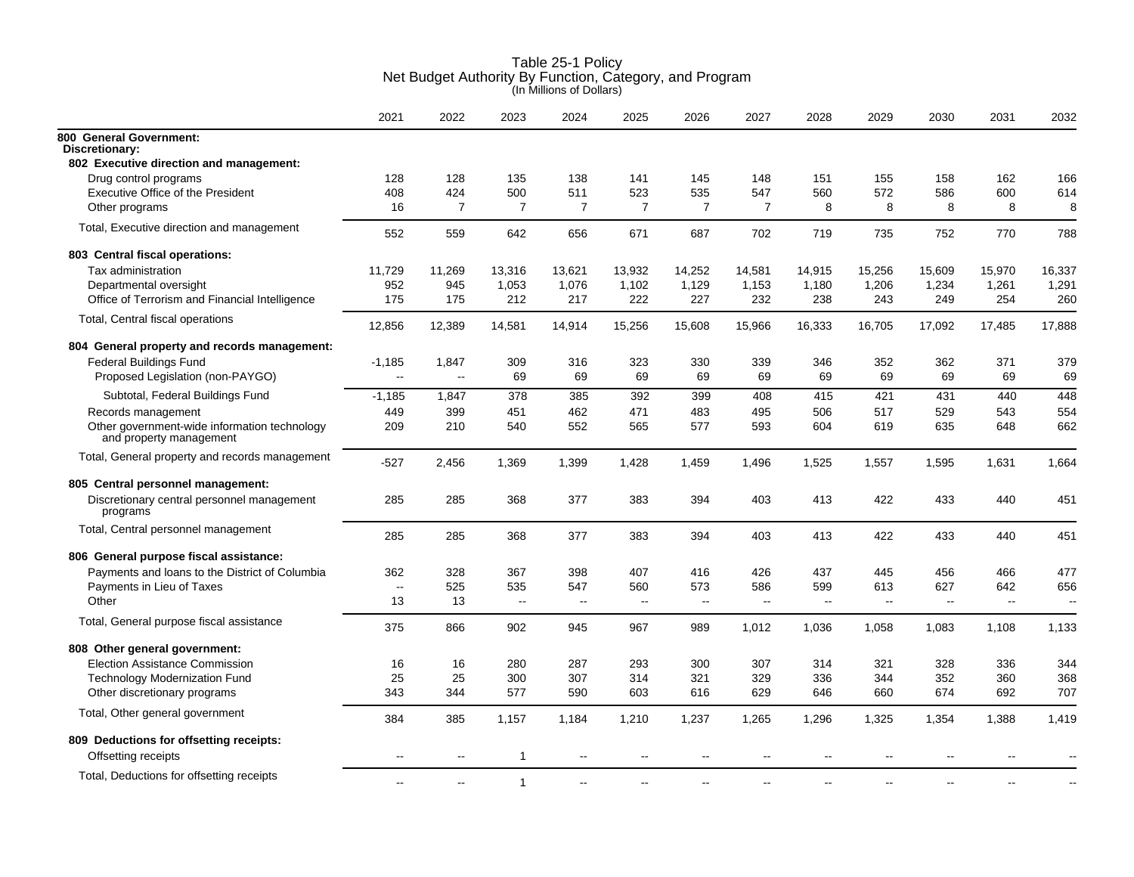|                                                                         | 2021           | 2022                     | 2023           | 2024           | 2025           | 2026           | 2027           | 2028   | 2029                     | 2030   | 2031   | 2032   |
|-------------------------------------------------------------------------|----------------|--------------------------|----------------|----------------|----------------|----------------|----------------|--------|--------------------------|--------|--------|--------|
| 800 General Government:<br>Discretionary:                               |                |                          |                |                |                |                |                |        |                          |        |        |        |
| 802 Executive direction and management:                                 |                |                          |                |                |                |                |                |        |                          |        |        |        |
| Drug control programs                                                   | 128            | 128                      | 135            | 138            | 141            | 145            | 148            | 151    | 155                      | 158    | 162    | 166    |
| Executive Office of the President                                       | 408            | 424                      | 500            | 511            | 523            | 535            | 547            | 560    | 572                      | 586    | 600    | 614    |
| Other programs                                                          | 16             | $\overline{7}$           | $\overline{7}$ | 7              | $\overline{7}$ | $\overline{7}$ | $\overline{7}$ | 8      | 8                        | 8      | 8      | 8      |
| Total, Executive direction and management                               | 552            | 559                      | 642            | 656            | 671            | 687            | 702            | 719    | 735                      | 752    | 770    | 788    |
| 803 Central fiscal operations:                                          |                |                          |                |                |                |                |                |        |                          |        |        |        |
| Tax administration                                                      | 11,729         | 11,269                   | 13,316         | 13,621         | 13,932         | 14,252         | 14,581         | 14,915 | 15,256                   | 15,609 | 15,970 | 16,337 |
| Departmental oversight                                                  | 952            | 945                      | 1,053          | 1,076          | 1,102          | 1,129          | 1,153          | 1,180  | 1,206                    | 1,234  | 1,261  | 1,291  |
| Office of Terrorism and Financial Intelligence                          | 175            | 175                      | 212            | 217            | 222            | 227            | 232            | 238    | 243                      | 249    | 254    | 260    |
| Total, Central fiscal operations                                        | 12,856         | 12,389                   | 14,581         | 14,914         | 15,256         | 15,608         | 15,966         | 16,333 | 16,705                   | 17,092 | 17,485 | 17,888 |
| 804 General property and records management:                            |                |                          |                |                |                |                |                |        |                          |        |        |        |
| <b>Federal Buildings Fund</b>                                           | $-1,185$       | 1,847                    | 309            | 316            | 323            | 330            | 339            | 346    | 352                      | 362    | 371    | 379    |
| Proposed Legislation (non-PAYGO)                                        | ш,             | $\overline{\phantom{a}}$ | 69             | 69             | 69             | 69             | 69             | 69     | 69                       | 69     | 69     | 69     |
| Subtotal, Federal Buildings Fund                                        | $-1,185$       | 1,847                    | 378            | 385            | 392            | 399            | 408            | 415    | 421                      | 431    | 440    | 448    |
| Records management                                                      | 449            | 399                      | 451            | 462            | 471            | 483            | 495            | 506    | 517                      | 529    | 543    | 554    |
| Other government-wide information technology<br>and property management | 209            | 210                      | 540            | 552            | 565            | 577            | 593            | 604    | 619                      | 635    | 648    | 662    |
| Total, General property and records management                          | -527           | 2,456                    | 1,369          | 1,399          | 1,428          | 1.459          | 1,496          | 1,525  | 1,557                    | 1,595  | 1,631  | 1,664  |
| 805 Central personnel management:                                       |                |                          |                |                |                |                |                |        |                          |        |        |        |
| Discretionary central personnel management<br>programs                  | 285            | 285                      | 368            | 377            | 383            | 394            | 403            | 413    | 422                      | 433    | 440    | 451    |
| Total, Central personnel management                                     | 285            | 285                      | 368            | 377            | 383            | 394            | 403            | 413    | 422                      | 433    | 440    | 451    |
| 806 General purpose fiscal assistance:                                  |                |                          |                |                |                |                |                |        |                          |        |        |        |
| Payments and loans to the District of Columbia                          | 362            | 328                      | 367            | 398            | 407            | 416            | 426            | 437    | 445                      | 456    | 466    | 477    |
| Payments in Lieu of Taxes                                               | Ξ.             | 525                      | 535            | 547            | 560            | 573            | 586            | 599    | 613                      | 627    | 642    | 656    |
| Other                                                                   | 13             | 13                       | $\ddotsc$      | $\sim$         | $\sim$         | $\sim$ $\sim$  | $\sim$         | $\sim$ | $\overline{\phantom{a}}$ | $\sim$ | $\sim$ | $\sim$ |
| Total, General purpose fiscal assistance                                | 375            | 866                      | 902            | 945            | 967            | 989            | 1,012          | 1,036  | 1,058                    | 1,083  | 1,108  | 1,133  |
| 808 Other general government:                                           |                |                          |                |                |                |                |                |        |                          |        |        |        |
| <b>Election Assistance Commission</b>                                   | 16             | 16                       | 280            | 287            | 293            | 300            | 307            | 314    | 321                      | 328    | 336    | 344    |
| <b>Technology Modernization Fund</b>                                    | 25             | 25                       | 300            | 307            | 314            | 321            | 329            | 336    | 344                      | 352    | 360    | 368    |
| Other discretionary programs                                            | 343            | 344                      | 577            | 590            | 603            | 616            | 629            | 646    | 660                      | 674    | 692    | 707    |
| Total, Other general government                                         | 384            | 385                      | 1,157          | 1,184          | 1,210          | 1,237          | 1,265          | 1,296  | 1,325                    | 1,354  | 1,388  | 1,419  |
| 809 Deductions for offsetting receipts:                                 |                |                          |                |                |                |                |                |        |                          |        |        |        |
| Offsetting receipts                                                     | $\overline{a}$ | $\overline{a}$           | 1              | $-$            | ۵.             | $\overline{a}$ | $\sim$         | $\sim$ |                          |        |        |        |
| Total, Deductions for offsetting receipts                               |                |                          | $\mathbf{1}$   | $\overline{a}$ |                |                |                |        |                          |        |        |        |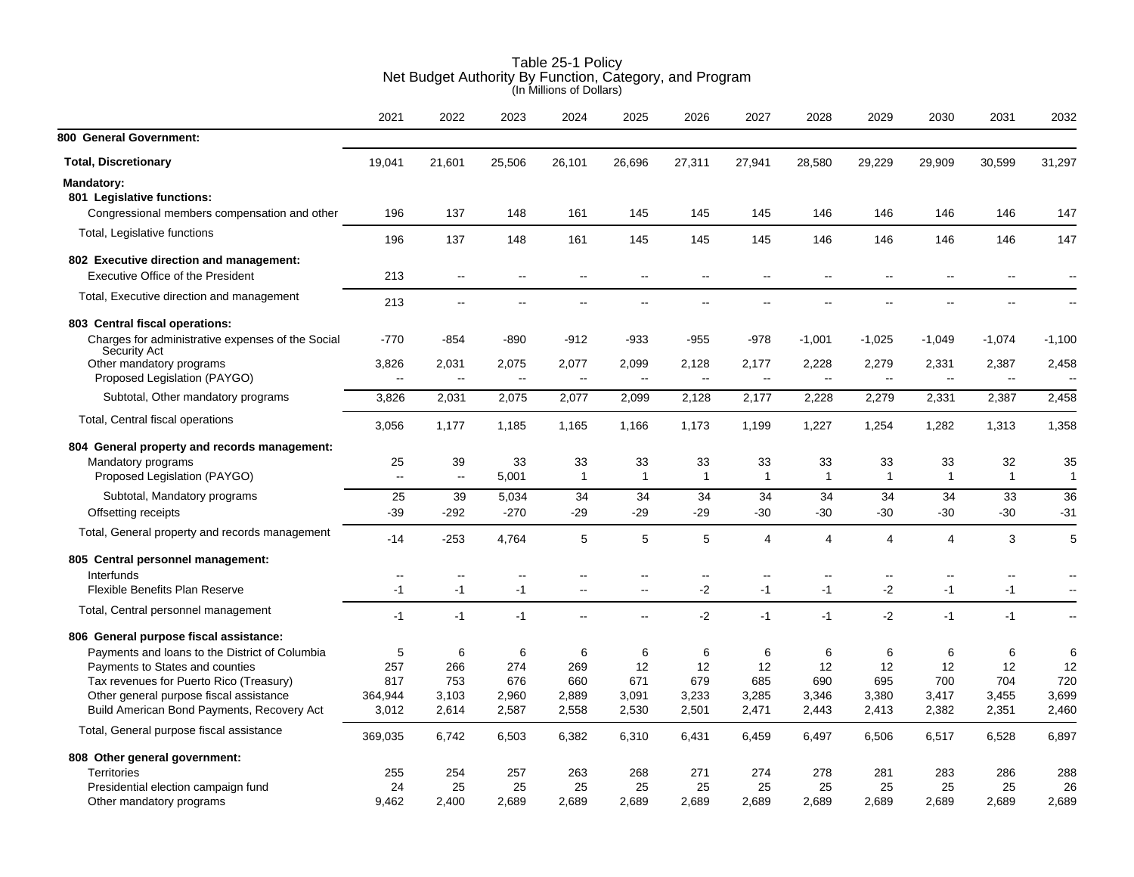|                                                                                       | 2021                     | 2022                              | 2023                               | 2024                               | 2025                              | 2026                     | 2027                              | 2028                              | 2029                              | 2030                 | 2031                              | 2032                              |
|---------------------------------------------------------------------------------------|--------------------------|-----------------------------------|------------------------------------|------------------------------------|-----------------------------------|--------------------------|-----------------------------------|-----------------------------------|-----------------------------------|----------------------|-----------------------------------|-----------------------------------|
| 800 General Government:                                                               |                          |                                   |                                    |                                    |                                   |                          |                                   |                                   |                                   |                      |                                   |                                   |
| <b>Total, Discretionary</b>                                                           | 19,041                   | 21,601                            | 25,506                             | 26,101                             | 26,696                            | 27,311                   | 27,941                            | 28,580                            | 29,229                            | 29,909               | 30,599                            | 31,297                            |
| <b>Mandatory:</b><br>801 Legislative functions:                                       |                          |                                   |                                    |                                    |                                   |                          |                                   |                                   |                                   |                      |                                   |                                   |
| Congressional members compensation and other                                          | 196                      | 137                               | 148                                | 161                                | 145                               | 145                      | 145                               | 146                               | 146                               | 146                  | 146                               | 147                               |
| Total, Legislative functions                                                          | 196                      | 137                               | 148                                | 161                                | 145                               | 145                      | 145                               | 146                               | 146                               | 146                  | 146                               | 147                               |
| 802 Executive direction and management:                                               |                          |                                   |                                    |                                    |                                   |                          |                                   |                                   |                                   |                      |                                   |                                   |
| <b>Executive Office of the President</b>                                              | 213                      | $\sim$ $\sim$                     | $\mathbf{u}$                       | $\mathbf{u}$                       | $\sim$                            | $\mathbf{u}$             | $\mathbf{u}$                      | $\sim$                            |                                   | $\sim$ $\sim$        | $\mathbf{u}$                      |                                   |
| Total, Executive direction and management                                             | 213                      | $\sim$ $\sim$                     | 44                                 | $\sim$ $\sim$                      | 44                                | $\overline{a}$           | $\overline{a}$                    | $\sim$                            |                                   |                      |                                   |                                   |
| 803 Central fiscal operations:                                                        |                          |                                   |                                    |                                    |                                   |                          |                                   |                                   |                                   |                      |                                   |                                   |
| Charges for administrative expenses of the Social<br>Security Act                     | $-770$                   | $-854$                            | $-890$                             | $-912$                             | $-933$                            | $-955$                   | $-978$                            | $-1,001$                          | $-1,025$                          | $-1,049$             | $-1,074$                          | $-1,100$                          |
| Other mandatory programs<br>Proposed Legislation (PAYGO)                              | 3,826<br>-−              | 2,031<br>$\overline{\phantom{a}}$ | 2,075<br>$\mathbb{Z}^{\mathbb{Z}}$ | 2,077<br>$\mathbb{Z}^{\mathbb{Z}}$ | 2,099<br>$\overline{\phantom{a}}$ | 2,128<br>$\sim$ $\sim$   | 2,177<br>$\overline{\phantom{a}}$ | 2,228<br>$\overline{\phantom{a}}$ | 2,279<br>$\overline{\phantom{a}}$ | 2,331<br>$\sim$      | 2,387<br>$\overline{\phantom{a}}$ | 2,458<br>$\overline{\phantom{a}}$ |
| Subtotal, Other mandatory programs                                                    | 3,826                    | 2,031                             | 2,075                              | 2,077                              | 2,099                             | 2,128                    | 2,177                             | 2,228                             | 2,279                             | 2,331                | 2,387                             | 2,458                             |
| Total, Central fiscal operations                                                      | 3,056                    | 1,177                             | 1,185                              | 1,165                              | 1,166                             | 1,173                    | 1,199                             | 1,227                             | 1,254                             | 1,282                | 1,313                             | 1,358                             |
| 804 General property and records management:                                          |                          |                                   |                                    |                                    |                                   |                          |                                   |                                   |                                   |                      |                                   |                                   |
| Mandatory programs<br>Proposed Legislation (PAYGO)                                    | 25<br>$\mathbf{u}$       | 39<br>$\sim$                      | 33<br>5,001                        | 33<br>$\mathbf{1}$                 | 33<br>$\mathbf{1}$                | 33<br>$\mathbf{1}$       | 33<br>1                           | 33<br>$\mathbf{1}$                | 33<br>1                           | 33<br>$\overline{1}$ | 32<br>$\mathbf{1}$                | 35<br>$\mathbf{1}$                |
| Subtotal, Mandatory programs                                                          | 25                       | 39                                | 5,034                              | 34                                 | 34                                | 34                       | 34                                | 34                                | 34                                | 34                   | 33                                | 36                                |
| Offsetting receipts                                                                   | $-39$                    | $-292$                            | $-270$                             | -29                                | $-29$                             | $-29$                    | $-30$                             | $-30$                             | $-30$                             | $-30$                | $-30$                             | $-31$                             |
| Total, General property and records management                                        | $-14$                    | $-253$                            | 4,764                              | $\sqrt{5}$                         | 5                                 | 5                        | 4                                 | 4                                 | 4                                 | 4                    | 3                                 | 5                                 |
| 805 Central personnel management:                                                     |                          |                                   |                                    |                                    |                                   |                          |                                   |                                   |                                   |                      |                                   |                                   |
| Interfunds                                                                            | $\overline{\phantom{a}}$ | $\overline{\phantom{a}}$          |                                    |                                    |                                   | $\overline{\phantom{a}}$ |                                   | $\overline{\phantom{a}}$          |                                   | $-$                  |                                   |                                   |
| Flexible Benefits Plan Reserve                                                        | $-1$                     | $-1$                              | $-1$                               | $\overline{\phantom{a}}$           | $\overline{\phantom{a}}$          | -2                       | $-1$                              | $-1$                              | -2                                | $-1$                 | $-1$                              | $\overline{a}$                    |
| Total, Central personnel management                                                   | $-1$                     | $-1$                              | $-1$                               | $\overline{\phantom{a}}$           | Ξ.                                | $-2$                     | $-1$                              | $-1$                              | $-2$                              | $-1$                 | $-1$                              | $\overline{\phantom{a}}$          |
| 806 General purpose fiscal assistance:                                                |                          |                                   |                                    |                                    |                                   |                          |                                   |                                   |                                   |                      |                                   |                                   |
| Payments and loans to the District of Columbia                                        | 5                        | 6                                 | 6                                  | 6                                  | 6                                 | 6                        | 6                                 | 6                                 | 6                                 | 6                    | 6                                 | 6                                 |
| Payments to States and counties                                                       | 257                      | 266                               | 274                                | 269                                | 12                                | 12                       | 12                                | 12                                | 12                                | 12                   | 12                                | 12                                |
| Tax revenues for Puerto Rico (Treasury)                                               | 817                      | 753                               | 676                                | 660                                | 671                               | 679                      | 685                               | 690                               | 695                               | 700                  | 704                               | 720                               |
| Other general purpose fiscal assistance<br>Build American Bond Payments, Recovery Act | 364,944<br>3,012         | 3,103<br>2,614                    | 2,960<br>2,587                     | 2,889<br>2,558                     | 3,091<br>2,530                    | 3,233<br>2,501           | 3,285<br>2,471                    | 3,346<br>2,443                    | 3,380<br>2,413                    | 3,417<br>2,382       | 3,455<br>2,351                    | 3,699<br>2,460                    |
| Total, General purpose fiscal assistance                                              | 369,035                  | 6,742                             | 6,503                              | 6,382                              | 6,310                             | 6,431                    | 6,459                             | 6,497                             | 6,506                             | 6,517                | 6,528                             | 6,897                             |
| 808 Other general government:                                                         |                          |                                   |                                    |                                    |                                   |                          |                                   |                                   |                                   |                      |                                   |                                   |
| Territories                                                                           | 255                      | 254                               | 257                                | 263                                | 268                               | 271                      | 274                               | 278                               | 281                               | 283                  | 286                               | 288                               |
| Presidential election campaign fund                                                   | 24                       | 25                                | 25                                 | 25                                 | 25                                | 25                       | 25                                | 25                                | 25                                | 25                   | 25                                | 26                                |
| Other mandatory programs                                                              | 9.462                    | 2.400                             | 2.689                              | 2.689                              | 2.689                             | 2.689                    | 2.689                             | 2.689                             | 2.689                             | 2.689                | 2.689                             | 2,689                             |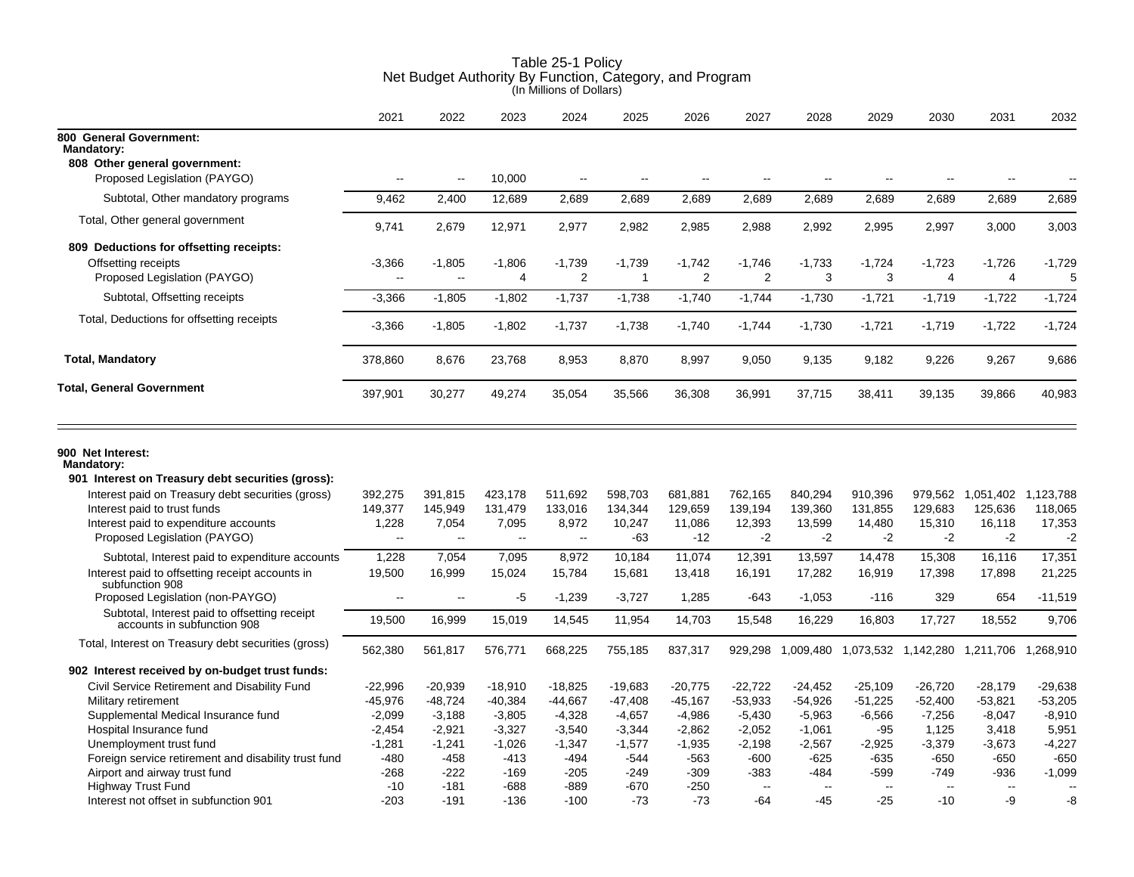|                                                                                                | 2021                                 | 2022                     | 2023                       | 2024                     | 2025                     | 2026                       | 2027                       | 2028           | 2029                     | 2030                       | 2031                                            | 2032          |
|------------------------------------------------------------------------------------------------|--------------------------------------|--------------------------|----------------------------|--------------------------|--------------------------|----------------------------|----------------------------|----------------|--------------------------|----------------------------|-------------------------------------------------|---------------|
| 800 General Government:<br><b>Mandatory:</b>                                                   |                                      |                          |                            |                          |                          |                            |                            |                |                          |                            |                                                 |               |
| 808 Other general government:                                                                  |                                      |                          |                            |                          |                          |                            |                            |                |                          |                            |                                                 |               |
| Proposed Legislation (PAYGO)                                                                   | $\overline{\phantom{a}}$             | $\overline{\phantom{a}}$ | 10,000                     | $\overline{\phantom{a}}$ | Ξ.                       | Ξ.                         | --                         | $\overline{a}$ | --                       | $\overline{\phantom{a}}$   |                                                 |               |
| Subtotal, Other mandatory programs                                                             | 9,462                                | 2,400                    | 12,689                     | 2,689                    | 2,689                    | 2,689                      | 2,689                      | 2,689          | 2,689                    | 2,689                      | 2,689                                           | 2,689         |
| Total, Other general government                                                                | 9,741                                | 2,679                    | 12,971                     | 2,977                    | 2,982                    | 2,985                      | 2,988                      | 2,992          | 2,995                    | 2,997                      | 3,000                                           | 3,003         |
| 809 Deductions for offsetting receipts:<br>Offsetting receipts<br>Proposed Legislation (PAYGO) | $-3,366$<br>$\overline{\phantom{a}}$ | $-1,805$<br>ц.           | $-1,806$<br>$\overline{4}$ | $-1,739$<br>2            | $-1,739$<br>$\mathbf{1}$ | $-1,742$<br>$\overline{2}$ | $-1,746$<br>$\overline{2}$ | $-1,733$<br>3  | $-1,724$<br>3            | $-1,723$<br>$\overline{4}$ | $-1,726$<br>$\overline{4}$                      | $-1,729$<br>5 |
| Subtotal, Offsetting receipts                                                                  | $-3,366$                             | $-1,805$                 | $-1,802$                   | $-1,737$                 | $-1,738$                 | $-1,740$                   | $-1,744$                   | $-1,730$       | $-1,721$                 | $-1,719$                   | $-1,722$                                        | $-1,724$      |
| Total, Deductions for offsetting receipts                                                      | $-3,366$                             | $-1,805$                 | $-1,802$                   | $-1,737$                 | $-1,738$                 | $-1,740$                   | $-1,744$                   | $-1,730$       | $-1,721$                 | $-1,719$                   | $-1,722$                                        | $-1,724$      |
| <b>Total, Mandatory</b>                                                                        | 378,860                              | 8,676                    | 23,768                     | 8,953                    | 8,870                    | 8,997                      | 9,050                      | 9,135          | 9,182                    | 9,226                      | 9,267                                           | 9,686         |
| <b>Total, General Government</b>                                                               | 397,901                              | 30,277                   | 49,274                     | 35,054                   | 35,566                   | 36,308                     | 36,991                     | 37,715         | 38,411                   | 39,135                     | 39,866                                          | 40,983        |
| 900 Net Interest:<br><b>Mandatory:</b><br>901 Interest on Treasury debt securities (gross):    |                                      |                          |                            |                          |                          |                            |                            |                |                          |                            |                                                 |               |
| Interest paid on Treasury debt securities (gross)                                              | 392,275                              | 391,815                  | 423,178                    | 511,692                  | 598,703                  | 681,881                    | 762,165                    | 840,294        | 910,396                  | 979,562                    | 1,051,402 1,123,788                             |               |
| Interest paid to trust funds                                                                   | 149,377                              | 145,949                  | 131,479                    | 133,016                  | 134,344                  | 129,659                    | 139,194                    | 139,360        | 131,855                  | 129,683                    | 125,636                                         | 118,065       |
| Interest paid to expenditure accounts                                                          | 1,228                                | 7,054                    | 7,095                      | 8,972                    | 10,247                   | 11,086                     | 12,393                     | 13,599         | 14,480                   | 15,310                     | 16,118                                          | 17,353        |
| Proposed Legislation (PAYGO)                                                                   | $\sim$                               | $\sim$                   | $\sim$                     | $\sim$ $\sim$            | $-63$                    | $-12$                      | $-2$                       | $-2$           | $-2$                     | $-2$                       | $-2$                                            | $-2$          |
| Subtotal, Interest paid to expenditure accounts                                                | 1,228                                | 7,054                    | 7,095                      | 8,972                    | 10,184                   | 11,074                     | 12,391                     | 13,597         | 14,478                   | 15,308                     | 16,116                                          | 17,351        |
| Interest paid to offsetting receipt accounts in<br>subfunction 908                             | 19,500                               | 16,999                   | 15,024                     | 15,784                   | 15,681                   | 13,418                     | 16,191                     | 17,282         | 16,919                   | 17,398                     | 17,898                                          | 21,225        |
| Proposed Legislation (non-PAYGO)                                                               | $\overline{\phantom{a}}$             | $\overline{\phantom{a}}$ | -5                         | $-1,239$                 | $-3,727$                 | 1,285                      | -643                       | $-1,053$       | $-116$                   | 329                        | 654                                             | $-11,519$     |
| Subtotal, Interest paid to offsetting receipt<br>accounts in subfunction 908                   | 19,500                               | 16,999                   | 15,019                     | 14,545                   | 11,954                   | 14,703                     | 15,548                     | 16,229         | 16,803                   | 17,727                     | 18,552                                          | 9.706         |
| Total, Interest on Treasury debt securities (gross)                                            | 562,380                              | 561,817                  | 576,771                    | 668,225                  | 755,185                  | 837,317                    |                            |                |                          |                            | 929,298 1,009,480 1,073,532 1,142,280 1,211,706 | 1,268,910     |
| 902 Interest received by on-budget trust funds:                                                |                                      |                          |                            |                          |                          |                            |                            |                |                          |                            |                                                 |               |
| Civil Service Retirement and Disability Fund                                                   | $-22,996$                            | $-20,939$                | $-18,910$                  | $-18,825$                | $-19,683$                | $-20,775$                  | $-22,722$                  | $-24,452$      | $-25,109$                | $-26,720$                  | $-28,179$                                       | $-29,638$     |
| Military retirement                                                                            | $-45,976$                            | $-48,724$                | $-40,384$                  | $-44,667$                | $-47,408$                | $-45,167$                  | $-53,933$                  | $-54,926$      | $-51,225$                | $-52,400$                  | $-53,821$                                       | $-53,205$     |
| Supplemental Medical Insurance fund                                                            | $-2,099$                             | $-3,188$                 | $-3,805$                   | $-4,328$                 | $-4,657$                 | -4,986                     | $-5,430$                   | $-5,963$       | $-6,566$                 | $-7,256$                   | $-8,047$                                        | $-8,910$      |
| Hospital Insurance fund                                                                        | $-2,454$                             | $-2,921$                 | $-3,327$                   | $-3,540$                 | $-3,344$                 | $-2,862$                   | $-2,052$                   | $-1,061$       | $-95$                    | 1,125                      | 3,418                                           | 5,951         |
| Unemployment trust fund                                                                        | $-1,281$                             | $-1,241$                 | $-1,026$                   | $-1,347$                 | $-1,577$                 | $-1,935$                   | $-2,198$                   | $-2,567$       | $-2,925$                 | $-3,379$                   | $-3,673$                                        | $-4,227$      |
| Foreign service retirement and disability trust fund                                           | $-480$                               | $-458$                   | $-413$                     | $-494$                   | $-544$                   | $-563$                     | $-600$                     | $-625$         | -635                     | $-650$                     | $-650$                                          | $-650$        |
| Airport and airway trust fund                                                                  | $-268$                               | $-222$                   | $-169$                     | $-205$                   | $-249$                   | -309                       | $-383$                     | $-484$         | -599                     | $-749$                     | -936                                            | $-1,099$      |
| <b>Highway Trust Fund</b>                                                                      | -10                                  | -181                     | -688                       | -889                     | -670                     | $-250$                     | $\overline{a}$             | $\overline{a}$ | $\overline{\phantom{a}}$ | $\sim$                     | $\sim$                                          |               |
| Interest not offset in subfunction 901                                                         | $-203$                               | $-191$                   | $-136$                     | $-100$                   | $-73$                    | $-73$                      | $-64$                      | $-45$          | $-25$                    | $-10$                      | -9                                              | -8            |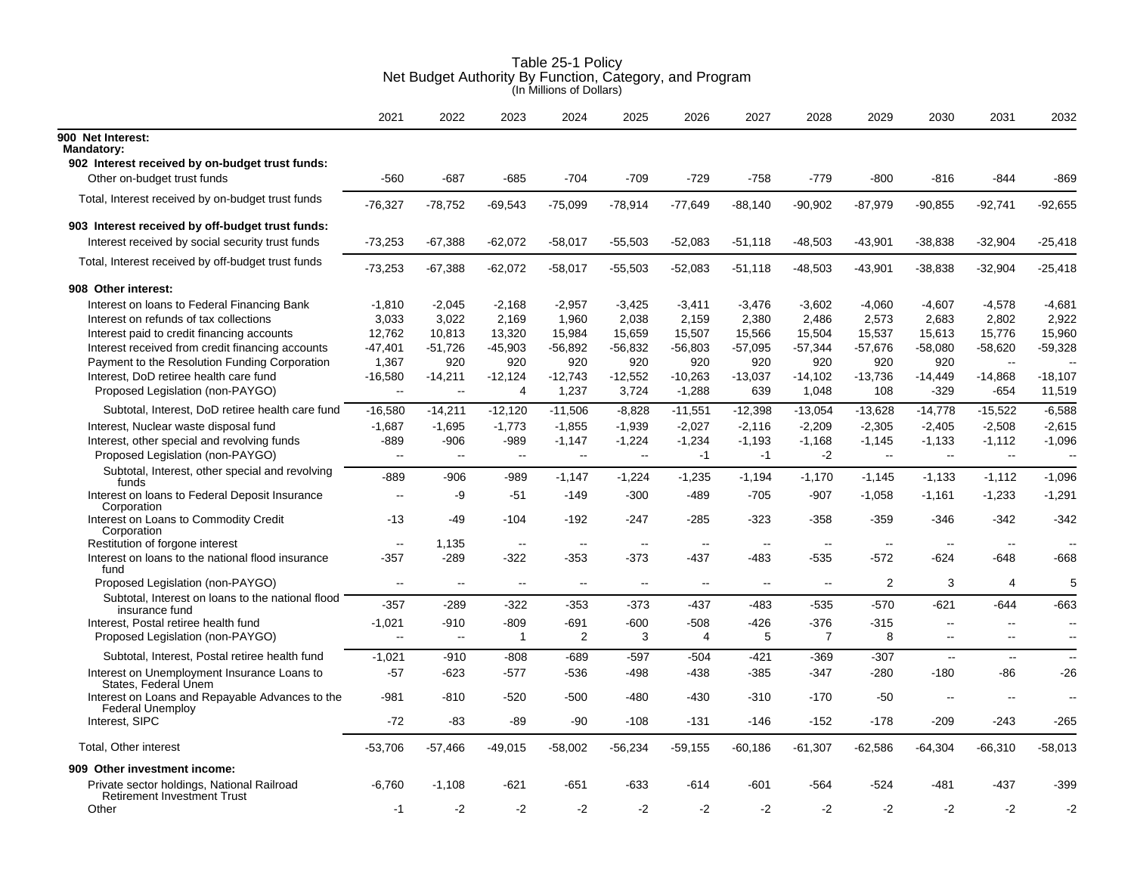|                                                                                  | 2021                     | 2022          | 2023                     | 2024                     | 2025                     | 2026          | 2027      | 2028                     | 2029           | 2030                     | 2031           | 2032           |
|----------------------------------------------------------------------------------|--------------------------|---------------|--------------------------|--------------------------|--------------------------|---------------|-----------|--------------------------|----------------|--------------------------|----------------|----------------|
| 900 Net Interest:<br><b>Mandatory:</b>                                           |                          |               |                          |                          |                          |               |           |                          |                |                          |                |                |
| 902 Interest received by on-budget trust funds:                                  |                          |               |                          |                          |                          |               |           |                          |                |                          |                |                |
| Other on-budget trust funds                                                      | $-560$                   | $-687$        | $-685$                   | $-704$                   | $-709$                   | $-729$        | $-758$    | $-779$                   | $-800$         | $-816$                   | $-844$         | $-869$         |
| Total, Interest received by on-budget trust funds                                | $-76,327$                | $-78,752$     | $-69,543$                | $-75,099$                | $-78,914$                | $-77,649$     | $-88,140$ | $-90,902$                | $-87,979$      | $-90,855$                | $-92,741$      | $-92,655$      |
| 903 Interest received by off-budget trust funds:                                 |                          |               |                          |                          |                          |               |           |                          |                |                          |                |                |
| Interest received by social security trust funds                                 | $-73,253$                | $-67,388$     | $-62,072$                | -58,017                  | $-55,503$                | $-52,083$     | $-51,118$ | $-48,503$                | $-43,901$      | $-38,838$                | $-32,904$      | $-25,418$      |
| Total, Interest received by off-budget trust funds                               | $-73,253$                | $-67,388$     | $-62,072$                | $-58,017$                | $-55,503$                | $-52,083$     | $-51,118$ | $-48,503$                | $-43.901$      | $-38,838$                | $-32,904$      | $-25,418$      |
| 908 Other interest:                                                              |                          |               |                          |                          |                          |               |           |                          |                |                          |                |                |
| Interest on loans to Federal Financing Bank                                      | $-1,810$                 | $-2,045$      | $-2,168$                 | $-2,957$                 | $-3,425$                 | $-3,411$      | $-3,476$  | $-3,602$                 | $-4,060$       | $-4,607$                 | $-4,578$       | $-4,681$       |
| Interest on refunds of tax collections                                           | 3,033                    | 3,022         | 2,169                    | 1,960                    | 2,038                    | 2,159         | 2,380     | 2,486                    | 2,573          | 2,683                    | 2,802          | 2,922          |
| Interest paid to credit financing accounts                                       | 12,762                   | 10,813        | 13,320                   | 15,984                   | 15,659                   | 15,507        | 15,566    | 15,504                   | 15,537         | 15,613                   | 15,776         | 15,960         |
| Interest received from credit financing accounts                                 | $-47,401$                | $-51,726$     | $-45,903$                | -56,892                  | -56,832                  | -56,803       | -57,095   | $-57,344$                | $-57,676$      | $-58,080$                | $-58,620$      | $-59,328$      |
| Payment to the Resolution Funding Corporation                                    | 1,367                    | 920           | 920                      | 920                      | 920                      | 920           | 920       | 920                      | 920            | 920                      | $\sim$         |                |
| Interest, DoD retiree health care fund                                           | $-16,580$                | $-14,211$     | $-12,124$                | $-12,743$                | $-12,552$                | $-10,263$     | $-13,037$ | $-14,102$                | $-13,736$      | $-14,449$                | $-14,868$      | $-18,107$      |
| Proposed Legislation (non-PAYGO)                                                 | $\sim$                   | L.            | 4                        | 1,237                    | 3,724                    | $-1,288$      | 639       | 1,048                    | 108            | $-329$                   | $-654$         | 11,519         |
| Subtotal, Interest, DoD retiree health care fund                                 | $-16,580$                | $-14,211$     | $-12,120$                | $-11,506$                | $-8,828$                 | $-11,551$     | $-12,398$ | -13,054                  | $-13,628$      | $-14,778$                | $-15,522$      | $-6,588$       |
| Interest, Nuclear waste disposal fund                                            | $-1,687$                 | $-1,695$      | $-1,773$                 | $-1,855$                 | $-1,939$                 | $-2,027$      | $-2,116$  | $-2,209$                 | $-2,305$       | $-2,405$                 | $-2,508$       | $-2,615$       |
| Interest, other special and revolving funds                                      | $-889$                   | $-906$        | -989                     | $-1,147$                 | $-1,224$                 | $-1,234$      | $-1,193$  | $-1.168$                 | $-1,145$       | $-1,133$                 | -1,112         | $-1,096$       |
| Proposed Legislation (non-PAYGO)                                                 | $\ddot{\phantom{a}}$     | $\sim$ $\sim$ | $\mathbf{u}$             | $\sim$                   | $\sim$ $\sim$            | $-1$          | $-1$      | $-2$                     | $\mathbf{L}$   | $\mathbf{u}$             | $\mathbf{u}$   | $\sim$         |
| Subtotal, Interest, other special and revolving<br>funds                         | -889                     | $-906$        | -989                     | $-1,147$                 | $-1,224$                 | $-1,235$      | $-1,194$  | $-1,170$                 | $-1,145$       | $-1,133$                 | $-1,112$       | $-1,096$       |
| Interest on loans to Federal Deposit Insurance<br>Corporation                    | $\overline{a}$           | -9            | $-51$                    | $-149$                   | $-300$                   | $-489$        | $-705$    | $-907$                   | $-1,058$       | $-1,161$                 | $-1,233$       | $-1,291$       |
| Interest on Loans to Commodity Credit<br>Corporation                             | $-13$                    | $-49$         | $-104$                   | $-192$                   | $-247$                   | $-285$        | $-323$    | $-358$                   | $-359$         | $-346$                   | $-342$         | $-342$         |
| Restitution of forgone interest                                                  | $\overline{\phantom{a}}$ | 1,135         | $\sim$                   | $\overline{\phantom{a}}$ | $\sim$                   | $\sim$        | $\sim$    | $\overline{\phantom{a}}$ | $\sim$         | $\sim$                   | $\sim$         |                |
| Interest on loans to the national flood insurance<br>fund                        | -357                     | $-289$        | $-322$                   | $-353$                   | $-373$                   | $-437$        | $-483$    | $-535$                   | -572           | $-624$                   | -648           | $-668$         |
| Proposed Legislation (non-PAYGO)                                                 | $\sim$                   | $\sim$        | $\overline{\phantom{a}}$ | $\overline{\phantom{a}}$ | $\overline{\phantom{a}}$ | $\sim$ $\sim$ | $\sim$    | $\sim$                   | $\overline{2}$ | 3                        | $\overline{4}$ | 5              |
| Subtotal, Interest on loans to the national flood<br>insurance fund              | $-357$                   | $-289$        | $-322$                   | $-353$                   | $-373$                   | $-437$        | -483      | $-535$                   | $-570$         | $-621$                   | $-644$         | $-663$         |
| Interest, Postal retiree health fund                                             | $-1,021$                 | $-910$        | $-809$                   | -691                     | $-600$                   | $-508$        | $-426$    | $-376$                   | $-315$         | $\mathbf{u}$             | $\sim$         | $-$            |
| Proposed Legislation (non-PAYGO)                                                 | $\sim$                   | $\sim$ $\sim$ | $\mathbf 1$              | 2                        | 3                        | 4             | 5         | $\overline{7}$           | 8              | $\mathbf{u}$             | $\mathbf{u}$   | $\overline{a}$ |
| Subtotal, Interest, Postal retiree health fund                                   | $-1,021$                 | $-910$        | $-808$                   | $-689$                   | $-597$                   | $-504$        | $-421$    | $-369$                   | $-307$         | $\sim$                   | $\sim$         | $-$            |
| Interest on Unemployment Insurance Loans to<br>States, Federal Unem              | $-57$                    | $-623$        | $-577$                   | $-536$                   | -498                     | $-438$        | $-385$    | $-347$                   | $-280$         | $-180$                   | -86            | $-26$          |
| Interest on Loans and Repayable Advances to the<br><b>Federal Unemploy</b>       | $-981$                   | $-810$        | $-520$                   | $-500$                   | $-480$                   | $-430$        | $-310$    | $-170$                   | $-50$          | $\overline{\phantom{a}}$ |                |                |
| Interest, SIPC                                                                   | $-72$                    | $-83$         | $-89$                    | $-90$                    | $-108$                   | $-131$        | $-146$    | $-152$                   | $-178$         | $-209$                   | $-243$         | $-265$         |
| Total, Other interest                                                            | $-53,706$                | $-57,466$     | $-49,015$                | $-58,002$                | $-56,234$                | $-59,155$     | $-60,186$ | $-61,307$                | $-62,586$      | $-64,304$                | $-66,310$      | $-58,013$      |
| 909 Other investment income:                                                     |                          |               |                          |                          |                          |               |           |                          |                |                          |                |                |
| Private sector holdings, National Railroad<br><b>Retirement Investment Trust</b> | $-6,760$                 | $-1,108$      | $-621$                   | $-651$                   | $-633$                   | $-614$        | $-601$    | $-564$                   | $-524$         | $-481$                   | -437           | -399           |
| Other                                                                            | $-1$                     | $-2$          | $-2$                     | $-2$                     | $-2$                     | $-2$          | $-2$      | $-2$                     | $-2$           | $-2$                     | $-2$           | $-2$           |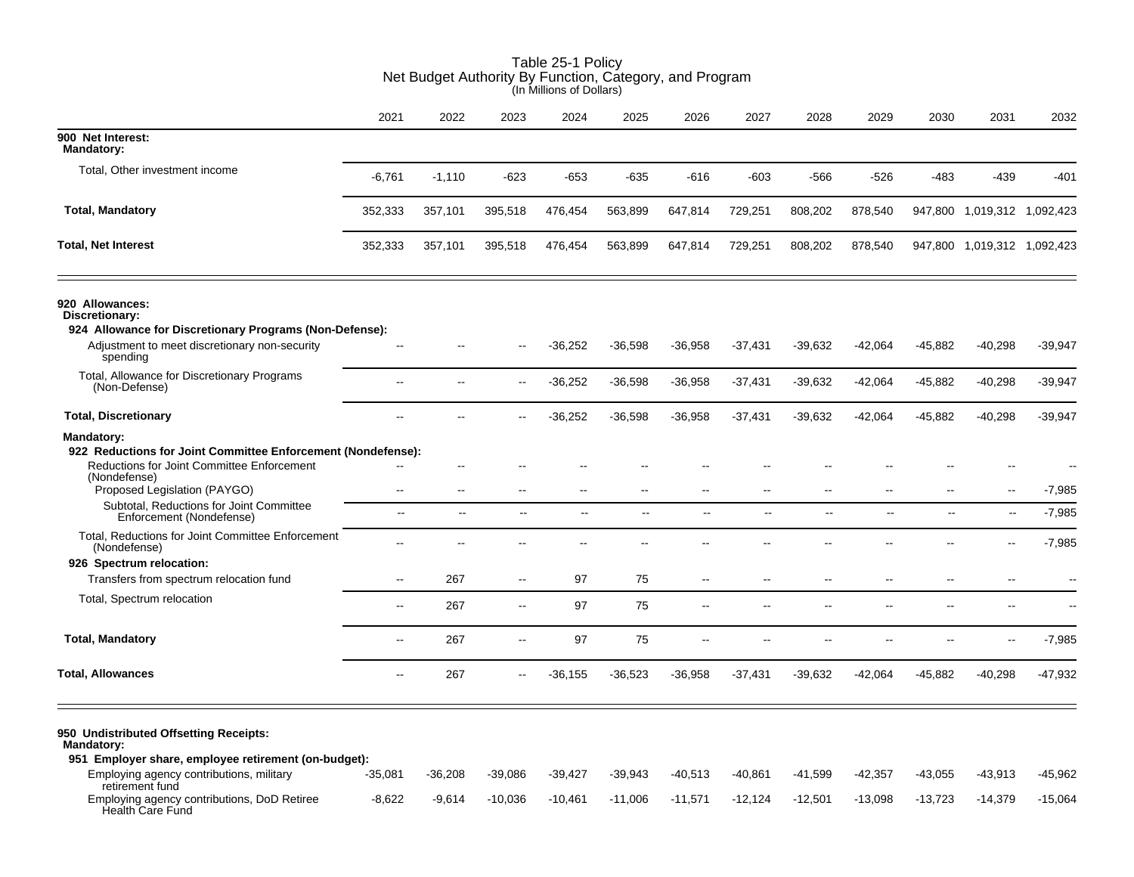|                                                                                                                          | Net Budget Authority By Function, Category, and Program<br>(In Millions of Dollars) |               |                          |                |                          |                          |                          |                          |               |                          |                             |           |  |
|--------------------------------------------------------------------------------------------------------------------------|-------------------------------------------------------------------------------------|---------------|--------------------------|----------------|--------------------------|--------------------------|--------------------------|--------------------------|---------------|--------------------------|-----------------------------|-----------|--|
|                                                                                                                          | 2021                                                                                | 2022          | 2023                     | 2024           | 2025                     | 2026                     | 2027                     | 2028                     | 2029          | 2030                     | 2031                        | 2032      |  |
| 900 Net Interest:<br><b>Mandatory:</b>                                                                                   |                                                                                     |               |                          |                |                          |                          |                          |                          |               |                          |                             |           |  |
| Total, Other investment income                                                                                           | $-6,761$                                                                            | $-1,110$      | $-623$                   | $-653$         | $-635$                   | $-616$                   | $-603$                   | $-566$                   | -526          | $-483$                   | $-439$                      | $-401$    |  |
| <b>Total, Mandatory</b>                                                                                                  | 352,333                                                                             | 357,101       | 395,518                  | 476,454        | 563,899                  | 647,814                  | 729,251                  | 808,202                  | 878,540       |                          | 947,800 1,019,312 1,092,423 |           |  |
| <b>Total, Net Interest</b>                                                                                               | 352,333                                                                             | 357,101       | 395,518                  | 476,454        | 563,899                  | 647,814                  | 729,251                  | 808,202                  | 878,540       |                          | 947,800 1,019,312 1,092,423 |           |  |
| 920 Allowances:<br>Discretionary:<br>924 Allowance for Discretionary Programs (Non-Defense):                             |                                                                                     |               |                          |                |                          |                          |                          |                          |               |                          |                             |           |  |
| Adjustment to meet discretionary non-security<br>spending                                                                |                                                                                     |               |                          | $-36,252$      | $-36,598$                | $-36,958$                | -37,431                  | $-39,632$                | $-42,064$     | $-45,882$                | $-40,298$                   | $-39,947$ |  |
| Total, Allowance for Discretionary Programs<br>(Non-Defense)                                                             | $\overline{\phantom{a}}$                                                            |               |                          | $-36,252$      | $-36,598$                | $-36,958$                | $-37,431$                | $-39,632$                | $-42,064$     | $-45,882$                | $-40,298$                   | $-39,947$ |  |
| <b>Total, Discretionary</b>                                                                                              | ш.                                                                                  |               |                          | $-36,252$      | $-36,598$                | $-36,958$                | $-37,431$                | $-39,632$                | $-42,064$     | $-45,882$                | $-40,298$                   | $-39,947$ |  |
| Mandatory:<br>922 Reductions for Joint Committee Enforcement (Nondefense):<br>Reductions for Joint Committee Enforcement |                                                                                     |               |                          |                |                          |                          |                          |                          |               |                          |                             |           |  |
| (Nondefense)<br>Proposed Legislation (PAYGO)                                                                             | $\overline{\phantom{a}}$                                                            | $\sim$        | $\overline{a}$           | $\overline{a}$ | ۵.                       | $-$                      | --                       |                          | $\sim$ $\sim$ | $-$                      |                             | $-7,985$  |  |
| Subtotal, Reductions for Joint Committee<br>Enforcement (Nondefense)                                                     | $\overline{\phantom{a}}$                                                            | $\sim$        | $\sim$                   | $\sim$         | $\overline{\phantom{a}}$ | $\mathbf{L}$             | $\overline{\phantom{a}}$ | $\overline{\phantom{a}}$ | Ξ.            | $\overline{\phantom{a}}$ | $\sim$                      | $-7,985$  |  |
| Total, Reductions for Joint Committee Enforcement<br>(Nondefense)                                                        | $\overline{\phantom{a}}$                                                            | $\sim$ $\sim$ | $\overline{\phantom{a}}$ | Ξ.             | ۵.                       | $-$                      | --                       | $\overline{\phantom{a}}$ |               | $-$                      |                             | $-7,985$  |  |
| 926 Spectrum relocation:                                                                                                 |                                                                                     |               |                          |                |                          |                          |                          |                          |               |                          |                             |           |  |
| Transfers from spectrum relocation fund                                                                                  | $\sim$                                                                              | 267           | $\sim$                   | 97             | 75                       | $\overline{\phantom{a}}$ | --                       | $\sim$                   |               | $-$                      |                             |           |  |
| Total, Spectrum relocation                                                                                               | $\sim$                                                                              | 267           | $\sim$                   | 97             | 75                       | $\overline{a}$           |                          |                          |               |                          |                             |           |  |
| <b>Total, Mandatory</b>                                                                                                  | $\sim$                                                                              | 267           | $\sim$                   | 97             | 75                       | $\overline{a}$           | $\overline{a}$           | $\overline{a}$           | $\sim$        |                          | $\overline{a}$              | $-7,985$  |  |
| <b>Total, Allowances</b>                                                                                                 | $\sim$                                                                              | 267           | $\overline{\phantom{a}}$ | $-36,155$      | $-36,523$                | $-36,958$                | $-37,431$                | $-39,632$                | -42,064       | $-45,882$                | $-40,298$                   | $-47,932$ |  |
| 950 Undistributed Offsetting Receipts:<br>Mandatory:<br>951 Employer share, employee retirement (on-budget):             |                                                                                     |               |                          |                |                          |                          |                          |                          |               |                          |                             |           |  |

-35,081 -36,208 -39,086 -39,427 -39,943 -40,513 -40,861 -41,599 -42,357 -43,055 -43,913 -45,962

-8,622 -9,614 -10,036 -10,461 -11,006 -11,571 -12,124 -12,501 -13,098 -13,723 -14,379 -15,064

Employing agency contributions, military

Employing agency contributions, DoD Retiree

retirement fund

Health Care Fund

# Table 25-1 Policy Net Budget Authority By Function, Category, and Program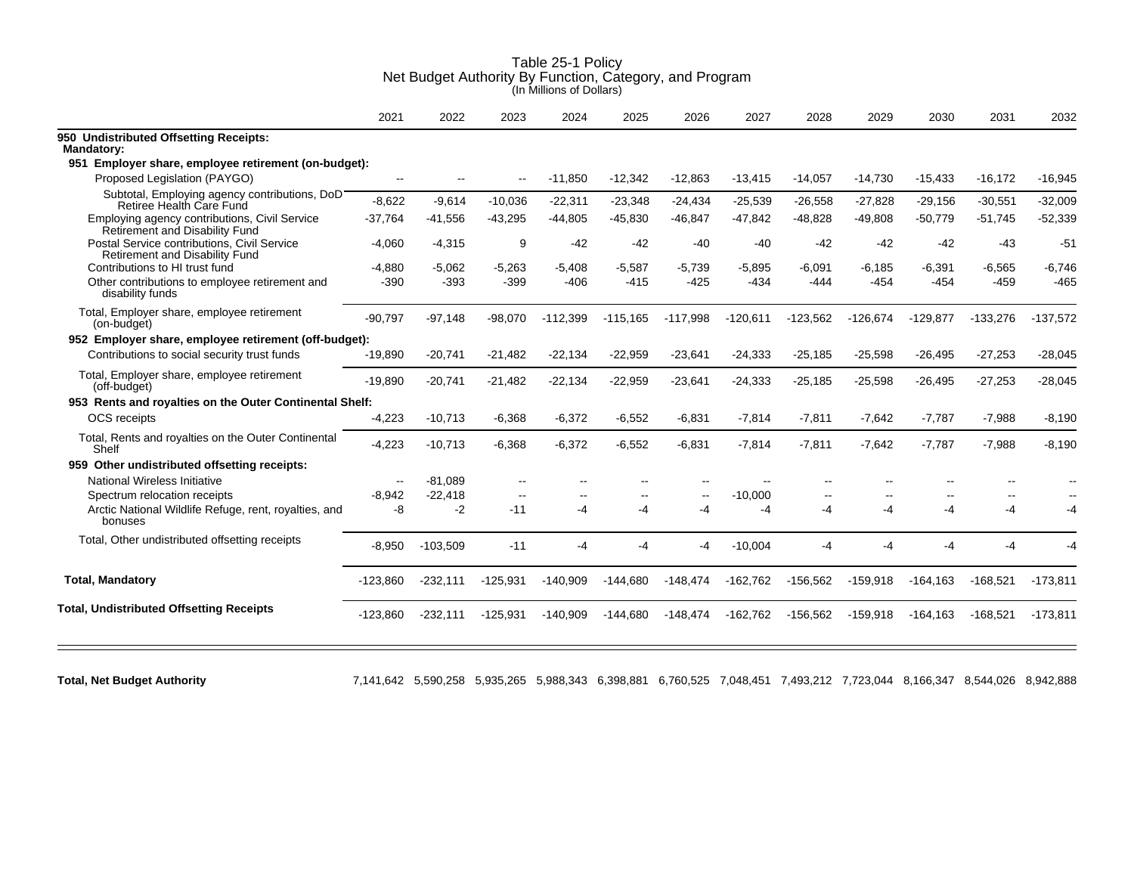|                                                                                 | 2021                     | 2022       | 2023           | 2024       | 2025           | 2026       | 2027       | 2028       | 2029       | 2030        | 2031       | 2032       |
|---------------------------------------------------------------------------------|--------------------------|------------|----------------|------------|----------------|------------|------------|------------|------------|-------------|------------|------------|
| 950 Undistributed Offsetting Receipts:<br><b>Mandatory:</b>                     |                          |            |                |            |                |            |            |            |            |             |            |            |
| Employer share, employee retirement (on-budget):<br>951                         |                          |            |                |            |                |            |            |            |            |             |            |            |
| Proposed Legislation (PAYGO)                                                    | $\overline{\phantom{a}}$ |            |                | $-11,850$  | $-12,342$      | $-12,863$  | $-13,415$  | $-14,057$  | $-14,730$  | $-15,433$   | $-16,172$  | $-16,945$  |
| Subtotal, Employing agency contributions, DoD<br>Retiree Health Care Fund       | $-8,622$                 | $-9,614$   | $-10,036$      | $-22,311$  | $-23,348$      | $-24,434$  | $-25,539$  | $-26,558$  | $-27,828$  | $-29,156$   | $-30,551$  | $-32,009$  |
| Employing agency contributions, Civil Service<br>Retirement and Disability Fund | $-37.764$                | $-41.556$  | $-43,295$      | $-44,805$  | $-45.830$      | $-46,847$  | $-47,842$  | $-48,828$  | $-49.808$  | $-50,779$   | $-51,745$  | $-52,339$  |
| Postal Service contributions, Civil Service<br>Retirement and Disability Fund   | $-4.060$                 | $-4,315$   | 9              | $-42$      | $-42$          | $-40$      | $-40$      | $-42$      | $-42$      | $-42$       | $-43$      | $-51$      |
| Contributions to HI trust fund                                                  | $-4,880$                 | $-5.062$   | $-5,263$       | $-5.408$   | $-5,587$       | $-5,739$   | $-5,895$   | $-6.091$   | $-6,185$   | $-6,391$    | $-6,565$   | $-6,746$   |
| Other contributions to employee retirement and<br>disability funds              | $-390$                   | $-393$     | $-399$         | $-406$     | $-415$         | $-425$     | $-434$     | $-444$     | $-454$     | $-454$      | $-459$     | $-465$     |
| Total, Employer share, employee retirement<br>(on-budget)                       | $-90,797$                | $-97,148$  | $-98,070$      | $-112,399$ | $-115,165$     | $-117,998$ | $-120,611$ | $-123,562$ | $-126,674$ | $-129,877$  | $-133,276$ | $-137,572$ |
| 952 Employer share, employee retirement (off-budget):                           |                          |            |                |            |                |            |            |            |            |             |            |            |
| Contributions to social security trust funds                                    | $-19,890$                | $-20,741$  | $-21,482$      | $-22,134$  | $-22,959$      | $-23,641$  | $-24,333$  | $-25,185$  | $-25,598$  | $-26,495$   | $-27,253$  | $-28,045$  |
| Total, Employer share, employee retirement<br>(off-budget)                      | $-19,890$                | $-20,741$  | $-21,482$      | $-22,134$  | $-22,959$      | $-23,641$  | $-24,333$  | $-25,185$  | $-25,598$  | $-26,495$   | $-27,253$  | $-28,045$  |
| 953 Rents and royalties on the Outer Continental Shelf:                         |                          |            |                |            |                |            |            |            |            |             |            |            |
| <b>OCS</b> receipts                                                             | $-4,223$                 | $-10,713$  | $-6,368$       | $-6,372$   | $-6,552$       | $-6,831$   | $-7,814$   | $-7,811$   | $-7,642$   | $-7,787$    | $-7,988$   | $-8,190$   |
| Total, Rents and royalties on the Outer Continental<br>Shelf                    | $-4,223$                 | $-10,713$  | $-6,368$       | $-6,372$   | $-6,552$       | $-6,831$   | $-7,814$   | $-7,811$   | $-7,642$   | $-7,787$    | $-7,988$   | $-8,190$   |
| 959 Other undistributed offsetting receipts:                                    |                          |            |                |            |                |            |            |            |            |             |            |            |
| National Wireless Initiative                                                    | $\overline{a}$           | $-81.089$  | $\overline{a}$ | --         | --             |            |            |            |            |             |            |            |
| Spectrum relocation receipts                                                    | $-8.942$                 | $-22.418$  | $-$            | --         | $\overline{a}$ | $-$        | $-10.000$  |            |            |             |            |            |
| Arctic National Wildlife Refuge, rent, royalties, and<br>bonuses                | -8                       | $-2$       | $-11$          | -4         | -4             | -4         | -4         | -4         | -4         | -4          | -4         | -4         |
| Total, Other undistributed offsetting receipts                                  | $-8,950$                 | $-103,509$ | $-11$          | -4         | -4             | -4         | $-10,004$  | -4         | -4         | -4          | -4         |            |
| <b>Total, Mandatory</b>                                                         | $-123.860$               | $-232,111$ | $-125,931$     | $-140,909$ | $-144,680$     | $-148,474$ | $-162,762$ | $-156,562$ | $-159,918$ | $-164.163$  | $-168,521$ | $-173,811$ |
|                                                                                 |                          |            |                |            |                |            |            |            |            |             |            |            |
| <b>Total, Undistributed Offsetting Receipts</b>                                 | $-123,860$               | $-232,111$ | $-125,931$     | $-140,909$ | $-144,680$     | $-148,474$ | $-162,762$ | $-156,562$ | $-159,918$ | $-164, 163$ | $-168,521$ | $-173,811$ |

**Total, Net Budget Authority** 7,141,642 5,590,258 5,935,265 5,988,343 6,398,881 6,760,525 7,048,451 7,493,212 7,723,044 8,166,347 8,544,026 8,942,888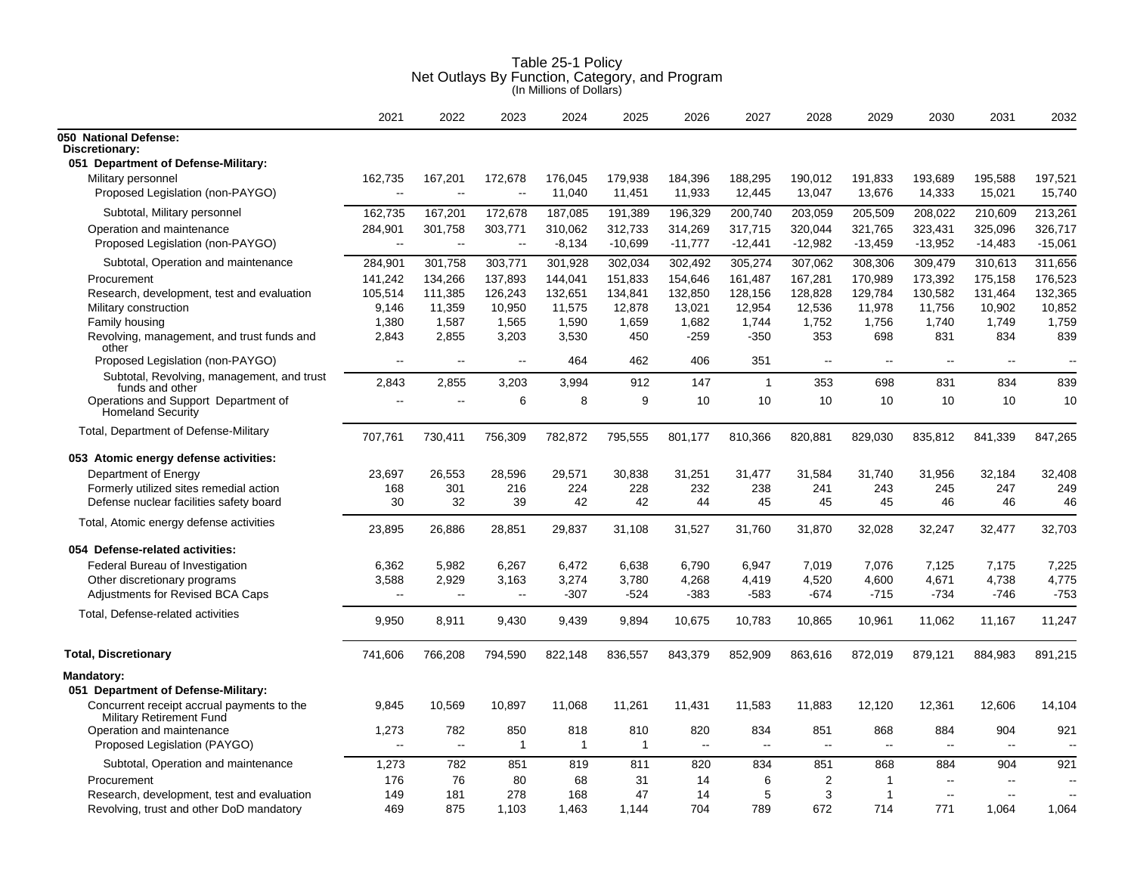| Table 25-1 Policy<br>Net Outlays By Function, Category, and Program<br>(In Millions of Dollars) |  |
|-------------------------------------------------------------------------------------------------|--|
|                                                                                                 |  |

|                                                                  | 2021                     | 2022              | 2023                 | 2024              | 2025              | 2026                     | 2027                     | 2028                     | 2029              | 2030                     | 2031              | 2032              |
|------------------------------------------------------------------|--------------------------|-------------------|----------------------|-------------------|-------------------|--------------------------|--------------------------|--------------------------|-------------------|--------------------------|-------------------|-------------------|
| 050 National Defense:<br>Discretionary:                          |                          |                   |                      |                   |                   |                          |                          |                          |                   |                          |                   |                   |
| 051 Department of Defense-Military:                              |                          |                   |                      |                   |                   |                          |                          |                          |                   |                          |                   |                   |
| Military personnel<br>Proposed Legislation (non-PAYGO)           | 162,735<br>$\sim$        | 167,201<br>$\sim$ | 172,678<br>$\ddotsc$ | 176,045<br>11,040 | 179,938<br>11,451 | 184,396<br>11,933        | 188,295<br>12,445        | 190,012<br>13,047        | 191,833<br>13,676 | 193,689<br>14,333        | 195,588<br>15,021 | 197,521<br>15,740 |
| Subtotal, Military personnel                                     | 162,735                  | 167,201           | 172,678              | 187,085           | 191,389           | 196,329                  | 200,740                  | 203,059                  | 205,509           | 208,022                  | 210,609           | 213,261           |
| Operation and maintenance                                        | 284,901                  | 301,758           | 303,771              | 310,062           | 312,733           | 314,269                  | 317,715                  | 320,044                  | 321,765           | 323,431                  | 325,096           | 326,717           |
| Proposed Legislation (non-PAYGO)                                 | $\sim$                   | $\sim$            | $\sim$               | $-8,134$          | $-10,699$         | $-11,777$                | $-12,441$                | $-12,982$                | $-13,459$         | $-13,952$                | $-14,483$         | $-15,061$         |
| Subtotal, Operation and maintenance                              | 284,901                  | 301,758           | 303,771              | 301,928           | 302,034           | 302,492                  | 305,274                  | 307,062                  | 308,306           | 309,479                  | 310,613           | 311,656           |
| Procurement                                                      | 141,242                  | 134,266           | 137,893              | 144,041           | 151,833           | 154,646                  | 161,487                  | 167,281                  | 170,989           | 173,392                  | 175,158           | 176,523           |
| Research, development, test and evaluation                       | 105,514                  | 111,385           | 126,243              | 132,651           | 134,841           | 132,850                  | 128,156                  | 128,828                  | 129,784           | 130,582                  | 131,464           | 132,365           |
| Military construction                                            | 9,146                    | 11.359            | 10,950               | 11,575            | 12,878            | 13,021                   | 12,954                   | 12,536                   | 11,978            | 11,756                   | 10,902            | 10,852            |
| Family housing                                                   | 1,380                    | 1,587             | 1,565                | 1,590             | 1,659             | 1,682                    | 1,744                    | 1,752                    | 1,756             | 1,740                    | 1,749             | 1,759             |
| Revolving, management, and trust funds and<br>other              | 2,843                    | 2,855             | 3,203                | 3,530             | 450               | $-259$                   | $-350$                   | 353                      | 698               | 831                      | 834               | 839               |
| Proposed Legislation (non-PAYGO)                                 | $\sim$                   | $\sim$ $\sim$     | $\mathbf{u}$         | 464               | 462               | 406                      | 351                      | $\sim$                   | $\sim$            | $\sim$                   | $\sim$            | $\sim$            |
| Subtotal, Revolving, management, and trust<br>funds and other    | 2,843                    | 2,855             | 3,203                | 3,994             | 912               | 147                      | $\mathbf{1}$             | 353                      | 698               | 831                      | 834               | 839               |
| Operations and Support Department of<br><b>Homeland Security</b> | $\overline{a}$           | $\sim$ $\sim$     | 6                    | 8                 | 9                 | 10                       | 10                       | 10                       | 10                | 10                       | 10                | 10                |
| Total, Department of Defense-Military                            | 707,761                  | 730,411           | 756,309              | 782,872           | 795,555           | 801,177                  | 810,366                  | 820,881                  | 829,030           | 835,812                  | 841,339           | 847,265           |
| 053 Atomic energy defense activities:                            |                          |                   |                      |                   |                   |                          |                          |                          |                   |                          |                   |                   |
| Department of Energy                                             | 23.697                   | 26,553            | 28,596               | 29,571            | 30,838            | 31,251                   | 31,477                   | 31,584                   | 31.740            | 31,956                   | 32,184            | 32,408            |
| Formerly utilized sites remedial action                          | 168                      | 301               | 216                  | 224               | 228               | 232                      | 238                      | 241                      | 243               | 245                      | 247               | 249               |
| Defense nuclear facilities safety board                          | 30                       | 32                | 39                   | 42                | 42                | 44                       | 45                       | 45                       | 45                | 46                       | 46                | 46                |
| Total, Atomic energy defense activities                          | 23,895                   | 26,886            | 28,851               | 29,837            | 31,108            | 31,527                   | 31,760                   | 31,870                   | 32,028            | 32,247                   | 32,477            | 32,703            |
| 054 Defense-related activities:                                  |                          |                   |                      |                   |                   |                          |                          |                          |                   |                          |                   |                   |
| Federal Bureau of Investigation                                  | 6,362                    | 5,982             | 6,267                | 6,472             | 6,638             | 6,790                    | 6,947                    | 7,019                    | 7,076             | 7,125                    | 7,175             | 7,225             |
| Other discretionary programs                                     | 3,588                    | 2,929             | 3.163                | 3,274             | 3,780             | 4,268                    | 4,419                    | 4,520                    | 4,600             | 4,671                    | 4,738             | 4,775             |
| Adjustments for Revised BCA Caps                                 | $\overline{\phantom{a}}$ | $\sim$            | $\sim$               | $-307$            | $-524$            | $-383$                   | $-583$                   | $-674$                   | $-715$            | $-734$                   | $-746$            | $-753$            |
| Total, Defense-related activities                                | 9,950                    | 8,911             | 9,430                | 9,439             | 9,894             | 10,675                   | 10,783                   | 10,865                   | 10,961            | 11,062                   | 11,167            | 11,247            |
| <b>Total, Discretionary</b>                                      | 741,606                  | 766,208           | 794,590              | 822,148           | 836,557           | 843,379                  | 852,909                  | 863,616                  | 872,019           | 879,121                  | 884,983           | 891,215           |
| Mandatory:<br>051 Department of Defense-Military:                |                          |                   |                      |                   |                   |                          |                          |                          |                   |                          |                   |                   |
| Concurrent receipt accrual payments to the                       | 9,845                    | 10,569            | 10,897               | 11,068            | 11,261            | 11,431                   | 11,583                   | 11,883                   | 12,120            | 12,361                   | 12,606            | 14,104            |
| Military Retirement Fund                                         |                          |                   |                      |                   |                   |                          |                          |                          |                   |                          |                   |                   |
| Operation and maintenance                                        | 1,273                    | 782               | 850                  | 818               | 810               | 820                      | 834                      | 851                      | 868               | 884                      | 904               | 921               |
| Proposed Legislation (PAYGO)                                     | $\overline{\phantom{a}}$ | $\sim$            | -1                   | $\overline{1}$    | $\mathbf 1$       | $\overline{\phantom{a}}$ | $\overline{\phantom{a}}$ | $\overline{\phantom{a}}$ | $\sim$            | $\overline{\phantom{a}}$ | $\overline{a}$    |                   |
| Subtotal, Operation and maintenance                              | 1,273                    | 782               | 851                  | 819               | 811               | 820                      | 834                      | 851                      | 868               | 884                      | 904               | 921               |
| Procurement                                                      | 176                      | 76                | 80                   | 68                | 31                | 14                       | 6                        | 2                        | 1                 |                          |                   |                   |
| Research, development, test and evaluation                       | 149                      | 181               | 278                  | 168               | 47                | 14                       | 5                        | 3                        | 1                 | $\overline{\phantom{a}}$ |                   | $-$               |
| Revolving, trust and other DoD mandatory                         | 469                      | 875               | 1.103                | 1,463             | 1,144             | 704                      | 789                      | 672                      | 714               | 771                      | 1.064             | 1.064             |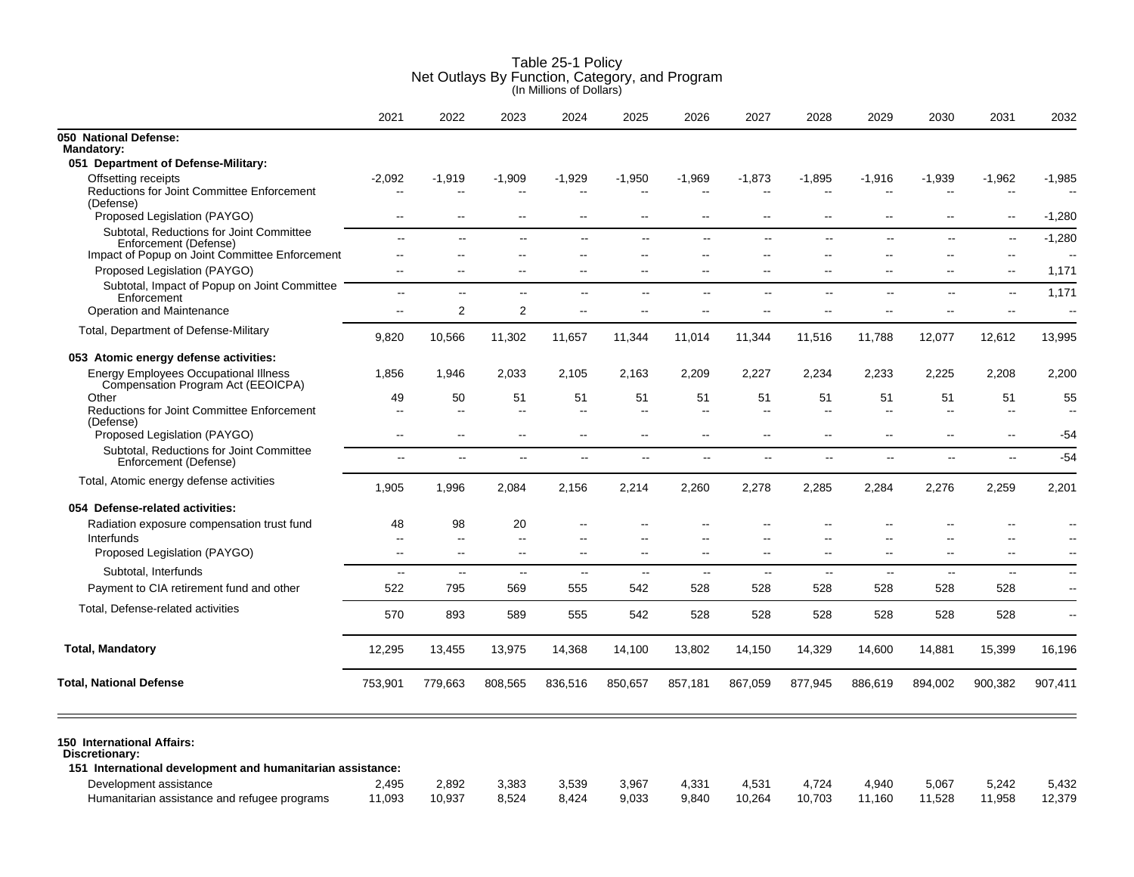|                                                                                                                                      | 2021                     | 2022                  | 2023             | 2024                     | 2025           | 2026                     | 2027                                     | 2028                                                 | 2029                           | 2030                           | 2031                                                 | 2032                           |
|--------------------------------------------------------------------------------------------------------------------------------------|--------------------------|-----------------------|------------------|--------------------------|----------------|--------------------------|------------------------------------------|------------------------------------------------------|--------------------------------|--------------------------------|------------------------------------------------------|--------------------------------|
| 050 National Defense:<br><b>Mandatory:</b>                                                                                           |                          |                       |                  |                          |                |                          |                                          |                                                      |                                |                                |                                                      |                                |
| 051 Department of Defense-Military:                                                                                                  |                          |                       |                  |                          |                |                          |                                          |                                                      |                                |                                |                                                      |                                |
| Offsetting receipts<br><b>Reductions for Joint Committee Enforcement</b><br>(Defense)                                                | $-2,092$                 | -1,919                | $-1,909$         | $-1,929$                 | $-1,950$       | $-1,969$                 | $-1,873$                                 | $-1,895$                                             | $-1,916$                       | $-1,939$                       | $-1,962$                                             | $-1,985$                       |
| Proposed Legislation (PAYGO)                                                                                                         | $-$                      | $-$                   | $\overline{a}$   | $\sim$                   | $\sim$         | $\sim$ $\sim$            | $\overline{a}$                           | $\overline{\phantom{a}}$                             | $\overline{a}$                 | $\overline{a}$                 | $\sim$                                               | $-1,280$                       |
| Subtotal, Reductions for Joint Committee<br>Enforcement (Defense)<br>Impact of Popup on Joint Committee Enforcement                  | $\overline{a}$<br>--     | $\sim$ $\sim$         | $-$              | --                       | $-$            | $\sim$<br>$\sim$         | $\mathbf{L}$<br>$\overline{\phantom{a}}$ | $\overline{\phantom{a}}$<br>$\overline{\phantom{a}}$ | $\overline{\phantom{a}}$<br>ц, | $\overline{a}$<br>--           | $\overline{\phantom{a}}$<br>$\overline{\phantom{a}}$ | $-1,280$                       |
| Proposed Legislation (PAYGO)                                                                                                         | $\overline{a}$           | $\sim$                | $\sim$           | $\sim$                   | $\sim$         | $\overline{a}$           | $\sim$                                   | $\overline{a}$                                       | $\overline{\phantom{a}}$       | $-$                            | $\overline{\phantom{a}}$                             | 1,171                          |
| Subtotal, Impact of Popup on Joint Committee<br>Enforcement                                                                          | $\sim$                   | $\sim$                | $-$              | $\sim$ $\sim$            | $\sim$         | $\sim$                   | $\sim$ $\sim$                            | $\sim$                                               | $\sim$                         | $\sim$                         | $\overline{\phantom{a}}$                             | 1,171                          |
| Operation and Maintenance                                                                                                            | $\overline{\phantom{a}}$ | $\overline{2}$        | 2                | $\sim$ $\sim$            | $\overline{a}$ | $\sim$                   | $\overline{\phantom{a}}$                 | $\overline{\phantom{a}}$                             | ц,                             | $-$                            | $\overline{\phantom{a}}$                             | $\overline{\phantom{a}}$       |
| Total, Department of Defense-Military                                                                                                | 9,820                    | 10,566                | 11,302           | 11,657                   | 11,344         | 11,014                   | 11,344                                   | 11,516                                               | 11,788                         | 12,077                         | 12,612                                               | 13,995                         |
| 053 Atomic energy defense activities:                                                                                                |                          |                       |                  |                          |                |                          |                                          |                                                      |                                |                                |                                                      |                                |
| <b>Energy Employees Occupational Illness</b><br>Compensation Program Act (EEOICPA)                                                   | 1,856                    | 1,946                 | 2,033            | 2,105                    | 2,163          | 2,209                    | 2,227                                    | 2,234                                                | 2,233                          | 2,225                          | 2,208                                                | 2,200                          |
| Other<br><b>Reductions for Joint Committee Enforcement</b><br>(Defense)                                                              | 49<br>$-$                | 50<br>$\sim$          | 51<br>$\sim$     | 51<br>$\sim$             | 51<br>$\sim$   | 51<br>$\sim$             | 51<br>$\sim$                             | 51<br>$\sim$                                         | 51<br>Ξ.                       | 51<br>$\overline{\phantom{a}}$ | 51<br>$\sim$                                         | 55<br>$\overline{\phantom{a}}$ |
| Proposed Legislation (PAYGO)                                                                                                         | $\overline{a}$           | $\overline{a}$        | $\sim$           | $\sim$ $\sim$            | $\sim$         | $\overline{\phantom{a}}$ | $\overline{\phantom{a}}$                 | $\overline{a}$                                       | $\overline{a}$                 | $-$                            | $\overline{\phantom{a}}$                             | -54                            |
| Subtotal, Reductions for Joint Committee<br>Enforcement (Defense)                                                                    | $\overline{\phantom{a}}$ | н.                    | .,               | $\overline{\phantom{a}}$ | --             | $\sim$                   | $\sim$                                   | $\sim$                                               | $\overline{\phantom{a}}$       | Ξ.                             | $\overline{\phantom{a}}$                             | $-54$                          |
| Total, Atomic energy defense activities                                                                                              | 1,905                    | 1,996                 | 2,084            | 2,156                    | 2,214          | 2,260                    | 2,278                                    | 2,285                                                | 2,284                          | 2,276                          | 2,259                                                | 2,201                          |
| 054 Defense-related activities:                                                                                                      |                          |                       |                  |                          |                |                          |                                          |                                                      |                                |                                |                                                      |                                |
| Radiation exposure compensation trust fund                                                                                           | 48                       | 98                    | 20               |                          |                |                          |                                          |                                                      |                                |                                | $-$                                                  | $\overline{\phantom{a}}$       |
| Interfunds<br>Proposed Legislation (PAYGO)                                                                                           | --<br>Ξ.                 | $\overline{a}$<br>$-$ | $\sim$<br>$\sim$ | $\sim$                   | $\sim$         | $\overline{\phantom{a}}$ | $\overline{\phantom{a}}$                 | $\overline{\phantom{a}}$                             | ц,                             | $-$                            | $\overline{a}$<br>$\overline{\phantom{a}}$           |                                |
| Subtotal, Interfunds                                                                                                                 | $\sim$                   | $-$                   | $\sim$ $\sim$    | $\overline{\phantom{a}}$ | $\sim$         | $\sim$                   | $\sim$ $\sim$                            | $\sim$                                               | $\sim$                         | $\overline{\phantom{a}}$       | $\overline{\phantom{a}}$                             | $\sim$                         |
| Payment to CIA retirement fund and other                                                                                             | 522                      | 795                   | 569              | 555                      | 542            | 528                      | 528                                      | 528                                                  | 528                            | 528                            | 528                                                  | $\overline{\phantom{a}}$       |
| Total, Defense-related activities                                                                                                    | 570                      | 893                   | 589              | 555                      | 542            | 528                      | 528                                      | 528                                                  | 528                            | 528                            | 528                                                  | $\overline{\phantom{a}}$       |
| <b>Total, Mandatory</b>                                                                                                              | 12,295                   | 13,455                | 13,975           | 14,368                   | 14,100         | 13,802                   | 14,150                                   | 14,329                                               | 14,600                         | 14,881                         | 15,399                                               | 16,196                         |
| <b>Total, National Defense</b>                                                                                                       | 753,901                  | 779,663               | 808,565          | 836,516                  | 850,657        | 857,181                  | 867,059                                  | 877,945                                              | 886,619                        | 894,002                        | 900,382                                              | 907,411                        |
| 150 International Affairs:<br>Discretionary:<br>151 International development and humanitarian assistance:<br>Development assistance | 2,495                    | 2,892                 | 3,383            | 3,539                    | 3,967          | 4,331                    | 4,531                                    | 4,724                                                | 4,940                          | 5,067                          | 5,242                                                | 5,432                          |
| Humanitarian assistance and refugee programs                                                                                         | 11,093                   | 10,937                | 8,524            | 8,424                    | 9,033          | 9,840                    | 10,264                                   | 10,703                                               | 11,160                         | 11,528                         | 11,958                                               | 12,379                         |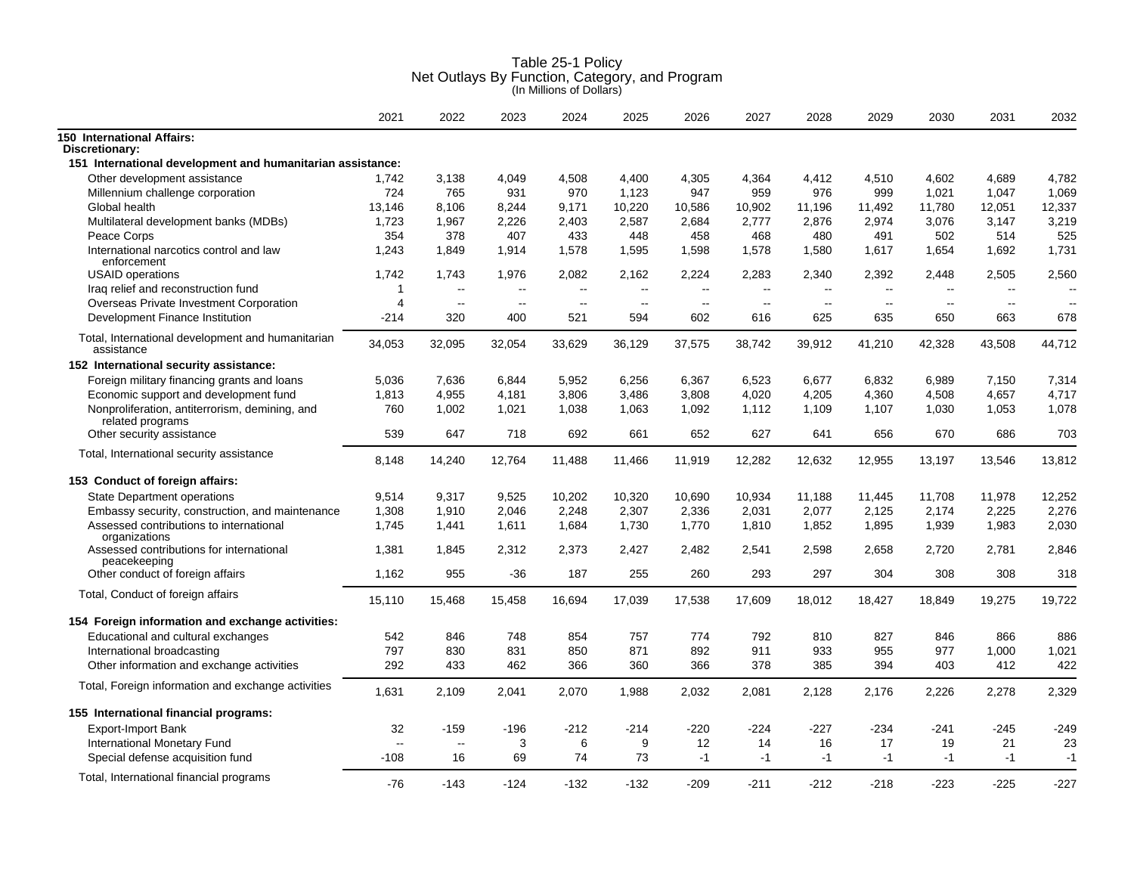|                                                                 | 2021                     | 2022                     | 2023          | 2024          | 2025           | 2026          | 2027   | 2028   | 2029   | 2030          | 2031                     | 2032   |
|-----------------------------------------------------------------|--------------------------|--------------------------|---------------|---------------|----------------|---------------|--------|--------|--------|---------------|--------------------------|--------|
| <b>150 International Affairs:</b><br>Discretionary:             |                          |                          |               |               |                |               |        |        |        |               |                          |        |
| 151 International development and humanitarian assistance:      |                          |                          |               |               |                |               |        |        |        |               |                          |        |
| Other development assistance                                    | 1,742                    | 3,138                    | 4,049         | 4,508         | 4,400          | 4,305         | 4,364  | 4,412  | 4,510  | 4,602         | 4,689                    | 4,782  |
| Millennium challenge corporation                                | 724                      | 765                      | 931           | 970           | 1,123          | 947           | 959    | 976    | 999    | 1,021         | 1,047                    | 1,069  |
| Global health                                                   | 13,146                   | 8,106                    | 8,244         | 9,171         | 10,220         | 10,586        | 10,902 | 11,196 | 11,492 | 11,780        | 12,051                   | 12,337 |
| Multilateral development banks (MDBs)                           | 1,723                    | 1,967                    | 2,226         | 2,403         | 2,587          | 2,684         | 2,777  | 2,876  | 2,974  | 3,076         | 3,147                    | 3,219  |
| Peace Corps                                                     | 354                      | 378                      | 407           | 433           | 448            | 458           | 468    | 480    | 491    | 502           | 514                      | 525    |
| International narcotics control and law<br>enforcement          | 1,243                    | 1,849                    | 1,914         | 1,578         | 1,595          | 1,598         | 1,578  | 1,580  | 1,617  | 1,654         | 1,692                    | 1,731  |
| <b>USAID</b> operations                                         | 1,742                    | 1,743                    | 1,976         | 2,082         | 2,162          | 2,224         | 2,283  | 2,340  | 2,392  | 2,448         | 2,505                    | 2,560  |
| Iraq relief and reconstruction fund                             | $\overline{1}$           | $\overline{\phantom{a}}$ | $\sim$ $\sim$ | $\sim$ $\sim$ | $\overline{a}$ | $\sim$        | $\sim$ | $\sim$ | $\sim$ | $\mathbf{u}$  | $\overline{\phantom{a}}$ | $\sim$ |
| Overseas Private Investment Corporation                         | $\overline{4}$           | $\sim$ $\sim$            | $\mathbf{u}$  | $\sim$        | $\overline{a}$ | $\sim$ $\sim$ | $\sim$ | $\sim$ | $\sim$ | $\sim$ $\sim$ | $\mathbf{u}$             | $\sim$ |
| Development Finance Institution                                 | $-214$                   | 320                      | 400           | 521           | 594            | 602           | 616    | 625    | 635    | 650           | 663                      | 678    |
| Total, International development and humanitarian<br>assistance | 34,053                   | 32,095                   | 32,054        | 33,629        | 36,129         | 37,575        | 38,742 | 39,912 | 41,210 | 42,328        | 43,508                   | 44,712 |
| 152 International security assistance:                          |                          |                          |               |               |                |               |        |        |        |               |                          |        |
| Foreign military financing grants and loans                     | 5,036                    | 7,636                    | 6,844         | 5,952         | 6,256          | 6,367         | 6,523  | 6,677  | 6,832  | 6,989         | 7,150                    | 7,314  |
| Economic support and development fund                           | 1,813                    | 4,955                    | 4,181         | 3,806         | 3,486          | 3,808         | 4,020  | 4,205  | 4,360  | 4,508         | 4,657                    | 4,717  |
| Nonproliferation, antiterrorism, demining, and                  | 760                      | 1.002                    | 1,021         | 1.038         | 1,063          | 1.092         | 1.112  | 1,109  | 1,107  | 1.030         | 1.053                    | 1,078  |
| related programs<br>Other security assistance                   | 539                      | 647                      | 718           | 692           | 661            | 652           | 627    | 641    | 656    | 670           | 686                      | 703    |
| Total, International security assistance                        | 8,148                    | 14,240                   | 12,764        | 11,488        | 11,466         | 11,919        | 12,282 | 12,632 | 12,955 | 13,197        | 13,546                   | 13,812 |
| 153 Conduct of foreign affairs:                                 |                          |                          |               |               |                |               |        |        |        |               |                          |        |
| <b>State Department operations</b>                              | 9,514                    | 9,317                    | 9,525         | 10,202        | 10,320         | 10,690        | 10,934 | 11,188 | 11,445 | 11,708        | 11,978                   | 12,252 |
| Embassy security, construction, and maintenance                 | 1,308                    | 1,910                    | 2,046         | 2,248         | 2,307          | 2,336         | 2,031  | 2,077  | 2,125  | 2,174         | 2,225                    | 2,276  |
| Assessed contributions to international<br>organizations        | 1,745                    | 1,441                    | 1,611         | 1,684         | 1,730          | 1,770         | 1,810  | 1,852  | 1,895  | 1,939         | 1,983                    | 2,030  |
| Assessed contributions for international<br>peacekeeping        | 1,381                    | 1,845                    | 2,312         | 2,373         | 2,427          | 2,482         | 2,541  | 2,598  | 2,658  | 2,720         | 2,781                    | 2,846  |
| Other conduct of foreign affairs                                | 1,162                    | 955                      | $-36$         | 187           | 255            | 260           | 293    | 297    | 304    | 308           | 308                      | 318    |
| Total, Conduct of foreign affairs                               | 15,110                   | 15,468                   | 15,458        | 16,694        | 17,039         | 17,538        | 17,609 | 18,012 | 18,427 | 18,849        | 19,275                   | 19,722 |
| 154 Foreign information and exchange activities:                |                          |                          |               |               |                |               |        |        |        |               |                          |        |
| Educational and cultural exchanges                              | 542                      | 846                      | 748           | 854           | 757            | 774           | 792    | 810    | 827    | 846           | 866                      | 886    |
| International broadcasting                                      | 797                      | 830                      | 831           | 850           | 871            | 892           | 911    | 933    | 955    | 977           | 1,000                    | 1,021  |
| Other information and exchange activities                       | 292                      | 433                      | 462           | 366           | 360            | 366           | 378    | 385    | 394    | 403           | 412                      | 422    |
| Total, Foreign information and exchange activities              | 1,631                    | 2,109                    | 2,041         | 2,070         | 1,988          | 2,032         | 2,081  | 2,128  | 2,176  | 2,226         | 2,278                    | 2,329  |
| 155 International financial programs:                           |                          |                          |               |               |                |               |        |        |        |               |                          |        |
| Export-Import Bank                                              | 32                       | -159                     | $-196$        | $-212$        | $-214$         | $-220$        | $-224$ | -227   | $-234$ | $-241$        | -245                     | $-249$ |
| <b>International Monetary Fund</b>                              | $\overline{\phantom{a}}$ | $\overline{\phantom{a}}$ | 3             | 6             | 9              | 12            | 14     | 16     | 17     | 19            | 21                       | 23     |
| Special defense acquisition fund                                | $-108$                   | 16                       | 69            | 74            | 73             | $-1$          | $-1$   | $-1$   | $-1$   | $-1$          | $-1$                     | $-1$   |
| Total, International financial programs                         | $-76$                    | $-143$                   | $-124$        | $-132$        | $-132$         | $-209$        | $-211$ | $-212$ | $-218$ | $-223$        | $-225$                   | $-227$ |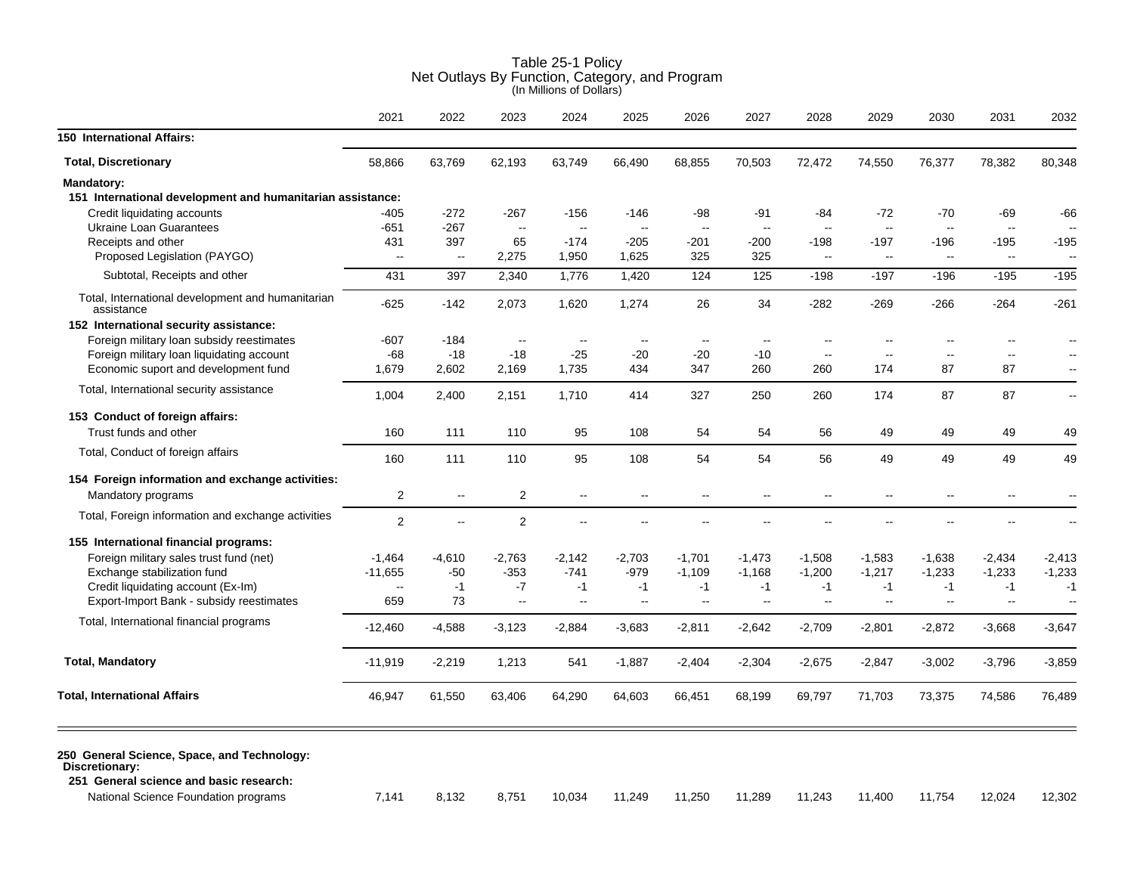| 62,193<br>$-267$<br>$\sim$<br>65<br>2,275<br>2,340<br>2,073<br>$\mathbf{u}$<br>$-18$<br>2,169<br>2,151<br>110<br>110 | 63,749<br>-156<br>$\sim$<br>$-174$<br>1,950<br>1,776<br>1,620<br>$\sim$<br>-25<br>1,735<br>1,710<br>95<br>95 | 66,490<br>-146<br>$\mathord{\hspace{1pt}\text{--}\hspace{1pt}}$<br>$-205$<br>1,625<br>1,420<br>1,274<br>$\mathbf{u}$<br>$-20$<br>434<br>414<br>108<br>108 | 68,855<br>-98<br>$\mathord{\hspace{1pt}\text{--}\hspace{1pt}}$<br>-201<br>325<br>124<br>26<br>$\overline{\phantom{a}}$<br>$-20$<br>347<br>327<br>54<br>54 | 70,503<br>$-91$<br>$\overline{a}$<br>$-200$<br>325<br>125<br>34<br>$\overline{\phantom{a}}$<br>$-10$<br>260<br>250<br>54<br>54 | 72,472<br>$-84$<br>$\sim$ $\sim$<br>$-198$<br>$\overline{\phantom{a}}$<br>$-198$<br>$-282$<br>--<br>$\sim$<br>260<br>260<br>56<br>56 | 74,550<br>$-72$<br>$\sim$<br>$-197$<br>$\sim$<br>$-197$<br>$-269$<br>$\overline{\phantom{a}}$<br>$\overline{\phantom{a}}$<br>174<br>174<br>49<br>49 | 76,377<br>$-70$<br>$\sim$<br>$-196$<br>$\sim$<br>$-196$<br>$-266$<br>$\sim$<br>87<br>87<br>49<br>49 | 78,382<br>-69<br>$\sim$<br>$-195$<br>$\sim$<br>$-195$<br>$-264$<br>$\overline{\phantom{a}}$<br>$\overline{\phantom{a}}$<br>87<br>87<br>49<br>49 | 80,348<br>$\sim$<br>$-195$<br>$-261$<br>$\overline{a}$ |
|----------------------------------------------------------------------------------------------------------------------|--------------------------------------------------------------------------------------------------------------|-----------------------------------------------------------------------------------------------------------------------------------------------------------|-----------------------------------------------------------------------------------------------------------------------------------------------------------|--------------------------------------------------------------------------------------------------------------------------------|--------------------------------------------------------------------------------------------------------------------------------------|-----------------------------------------------------------------------------------------------------------------------------------------------------|-----------------------------------------------------------------------------------------------------|-------------------------------------------------------------------------------------------------------------------------------------------------|--------------------------------------------------------|
|                                                                                                                      |                                                                                                              |                                                                                                                                                           |                                                                                                                                                           |                                                                                                                                |                                                                                                                                      |                                                                                                                                                     |                                                                                                     |                                                                                                                                                 | -66<br>$-195$<br>49<br>49                              |
|                                                                                                                      |                                                                                                              |                                                                                                                                                           |                                                                                                                                                           |                                                                                                                                |                                                                                                                                      |                                                                                                                                                     |                                                                                                     |                                                                                                                                                 |                                                        |
|                                                                                                                      |                                                                                                              |                                                                                                                                                           |                                                                                                                                                           |                                                                                                                                |                                                                                                                                      |                                                                                                                                                     |                                                                                                     |                                                                                                                                                 |                                                        |
|                                                                                                                      |                                                                                                              |                                                                                                                                                           |                                                                                                                                                           |                                                                                                                                |                                                                                                                                      |                                                                                                                                                     |                                                                                                     |                                                                                                                                                 |                                                        |
|                                                                                                                      |                                                                                                              |                                                                                                                                                           |                                                                                                                                                           |                                                                                                                                |                                                                                                                                      |                                                                                                                                                     |                                                                                                     |                                                                                                                                                 |                                                        |
|                                                                                                                      |                                                                                                              |                                                                                                                                                           |                                                                                                                                                           |                                                                                                                                |                                                                                                                                      |                                                                                                                                                     |                                                                                                     |                                                                                                                                                 |                                                        |
|                                                                                                                      |                                                                                                              |                                                                                                                                                           |                                                                                                                                                           |                                                                                                                                |                                                                                                                                      |                                                                                                                                                     |                                                                                                     |                                                                                                                                                 |                                                        |
|                                                                                                                      |                                                                                                              |                                                                                                                                                           |                                                                                                                                                           |                                                                                                                                |                                                                                                                                      |                                                                                                                                                     |                                                                                                     |                                                                                                                                                 |                                                        |
|                                                                                                                      |                                                                                                              |                                                                                                                                                           |                                                                                                                                                           |                                                                                                                                |                                                                                                                                      |                                                                                                                                                     |                                                                                                     |                                                                                                                                                 |                                                        |
|                                                                                                                      |                                                                                                              |                                                                                                                                                           |                                                                                                                                                           |                                                                                                                                |                                                                                                                                      |                                                                                                                                                     |                                                                                                     |                                                                                                                                                 |                                                        |
|                                                                                                                      |                                                                                                              |                                                                                                                                                           |                                                                                                                                                           |                                                                                                                                |                                                                                                                                      |                                                                                                                                                     |                                                                                                     |                                                                                                                                                 |                                                        |
|                                                                                                                      |                                                                                                              |                                                                                                                                                           |                                                                                                                                                           |                                                                                                                                |                                                                                                                                      |                                                                                                                                                     |                                                                                                     |                                                                                                                                                 |                                                        |
|                                                                                                                      |                                                                                                              |                                                                                                                                                           |                                                                                                                                                           |                                                                                                                                |                                                                                                                                      |                                                                                                                                                     |                                                                                                     |                                                                                                                                                 |                                                        |
|                                                                                                                      |                                                                                                              |                                                                                                                                                           |                                                                                                                                                           |                                                                                                                                |                                                                                                                                      |                                                                                                                                                     |                                                                                                     |                                                                                                                                                 |                                                        |
|                                                                                                                      |                                                                                                              |                                                                                                                                                           |                                                                                                                                                           |                                                                                                                                |                                                                                                                                      |                                                                                                                                                     |                                                                                                     |                                                                                                                                                 |                                                        |
|                                                                                                                      |                                                                                                              |                                                                                                                                                           |                                                                                                                                                           |                                                                                                                                |                                                                                                                                      |                                                                                                                                                     |                                                                                                     |                                                                                                                                                 |                                                        |
|                                                                                                                      |                                                                                                              |                                                                                                                                                           |                                                                                                                                                           |                                                                                                                                |                                                                                                                                      |                                                                                                                                                     |                                                                                                     |                                                                                                                                                 |                                                        |
|                                                                                                                      |                                                                                                              |                                                                                                                                                           |                                                                                                                                                           |                                                                                                                                |                                                                                                                                      |                                                                                                                                                     |                                                                                                     |                                                                                                                                                 |                                                        |
|                                                                                                                      |                                                                                                              |                                                                                                                                                           |                                                                                                                                                           |                                                                                                                                |                                                                                                                                      |                                                                                                                                                     |                                                                                                     |                                                                                                                                                 |                                                        |
| 2                                                                                                                    | $\sim$                                                                                                       | $\overline{\phantom{a}}$                                                                                                                                  | $\sim$                                                                                                                                                    |                                                                                                                                | --                                                                                                                                   | $\overline{\phantom{a}}$                                                                                                                            | $\overline{\phantom{a}}$                                                                            | $\overline{\phantom{a}}$                                                                                                                        |                                                        |
|                                                                                                                      |                                                                                                              |                                                                                                                                                           |                                                                                                                                                           |                                                                                                                                |                                                                                                                                      |                                                                                                                                                     |                                                                                                     |                                                                                                                                                 |                                                        |
| $\overline{2}$                                                                                                       | $\sim$                                                                                                       |                                                                                                                                                           |                                                                                                                                                           |                                                                                                                                |                                                                                                                                      |                                                                                                                                                     |                                                                                                     |                                                                                                                                                 |                                                        |
|                                                                                                                      |                                                                                                              |                                                                                                                                                           |                                                                                                                                                           |                                                                                                                                |                                                                                                                                      |                                                                                                                                                     |                                                                                                     |                                                                                                                                                 |                                                        |
| $-2,763$                                                                                                             | $-2,142$                                                                                                     | $-2,703$                                                                                                                                                  | $-1,701$                                                                                                                                                  | -1,473                                                                                                                         | $-1,508$                                                                                                                             | $-1,583$                                                                                                                                            | $-1,638$                                                                                            | $-2,434$                                                                                                                                        | $-2,413$                                               |
| $-353$                                                                                                               | $-741$                                                                                                       | $-979$                                                                                                                                                    | $-1,109$                                                                                                                                                  | $-1,168$                                                                                                                       | $-1,200$                                                                                                                             | $-1,217$                                                                                                                                            | $-1,233$                                                                                            | $-1,233$                                                                                                                                        | $-1,233$                                               |
| $-7$                                                                                                                 | $-1$                                                                                                         | $-1$                                                                                                                                                      | $-1$                                                                                                                                                      | $-1$                                                                                                                           | $-1$                                                                                                                                 | $-1$                                                                                                                                                | $-1$                                                                                                | $-1$                                                                                                                                            | $-1$                                                   |
| $\mathbf{u}$                                                                                                         | $\sim$                                                                                                       | $\mathbf{u}$                                                                                                                                              | $\sim$                                                                                                                                                    | $\sim$                                                                                                                         | $\sim$                                                                                                                               | $\sim$                                                                                                                                              | $\mathbf{u}$                                                                                        | $\sim$                                                                                                                                          | $\sim$                                                 |
| $-3,123$                                                                                                             | $-2,884$                                                                                                     | $-3,683$                                                                                                                                                  | $-2,811$                                                                                                                                                  | -2,642                                                                                                                         | $-2,709$                                                                                                                             | $-2,801$                                                                                                                                            | $-2,872$                                                                                            | $-3,668$                                                                                                                                        | $-3,647$                                               |
| 1,213                                                                                                                | 541                                                                                                          | $-1,887$                                                                                                                                                  | $-2,404$                                                                                                                                                  | $-2,304$                                                                                                                       | $-2,675$                                                                                                                             | $-2,847$                                                                                                                                            | $-3,002$                                                                                            | $-3,796$                                                                                                                                        | $-3,859$                                               |
|                                                                                                                      |                                                                                                              |                                                                                                                                                           |                                                                                                                                                           |                                                                                                                                |                                                                                                                                      |                                                                                                                                                     |                                                                                                     |                                                                                                                                                 | 76,489                                                 |
|                                                                                                                      | 63,406                                                                                                       | 64,290                                                                                                                                                    | 64,603                                                                                                                                                    | 66,451                                                                                                                         | 68,199                                                                                                                               | 69,797                                                                                                                                              | 71,703                                                                                              | 73,375                                                                                                                                          | 74,586                                                 |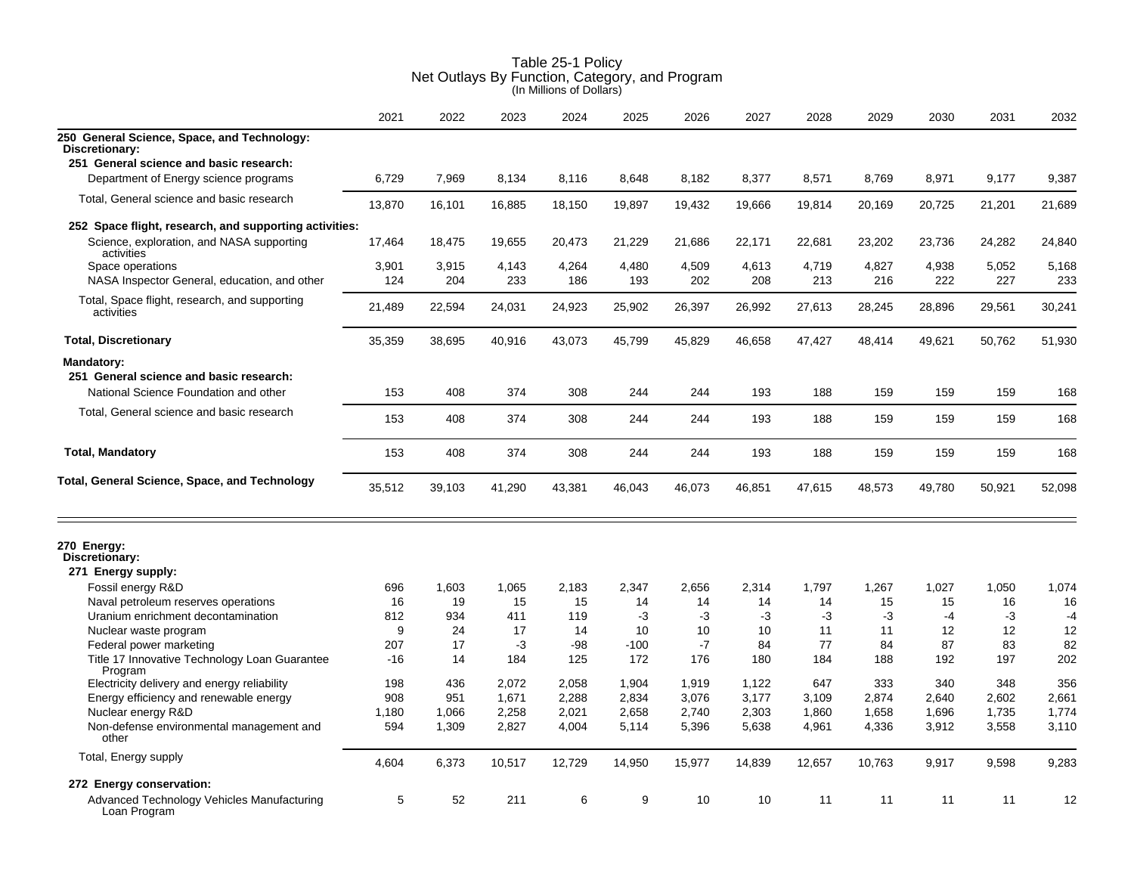|                                                             | 2021   | 2022   | 2023   | 2024   | 2025   | 2026   | 2027   | 2028   | 2029   | 2030   | 2031   | 2032   |
|-------------------------------------------------------------|--------|--------|--------|--------|--------|--------|--------|--------|--------|--------|--------|--------|
| 250 General Science, Space, and Technology:                 |        |        |        |        |        |        |        |        |        |        |        |        |
| Discretionary:                                              |        |        |        |        |        |        |        |        |        |        |        |        |
| 251 General science and basic research:                     |        |        |        |        |        |        |        |        |        |        |        |        |
| Department of Energy science programs                       | 6,729  | 7,969  | 8,134  | 8,116  | 8,648  | 8,182  | 8,377  | 8,571  | 8,769  | 8,971  | 9,177  | 9,387  |
| Total, General science and basic research                   | 13,870 | 16,101 | 16,885 | 18,150 | 19,897 | 19,432 | 19,666 | 19,814 | 20,169 | 20,725 | 21,201 | 21,689 |
| 252 Space flight, research, and supporting activities:      |        |        |        |        |        |        |        |        |        |        |        |        |
| Science, exploration, and NASA supporting<br>activities     | 17,464 | 18,475 | 19,655 | 20,473 | 21,229 | 21,686 | 22,171 | 22,681 | 23,202 | 23,736 | 24,282 | 24,840 |
| Space operations                                            | 3,901  | 3,915  | 4,143  | 4,264  | 4,480  | 4,509  | 4,613  | 4,719  | 4,827  | 4,938  | 5,052  | 5.168  |
| NASA Inspector General, education, and other                | 124    | 204    | 233    | 186    | 193    | 202    | 208    | 213    | 216    | 222    | 227    | 233    |
| Total, Space flight, research, and supporting<br>activities | 21,489 | 22,594 | 24,031 | 24,923 | 25,902 | 26,397 | 26,992 | 27,613 | 28,245 | 28,896 | 29,561 | 30,241 |
| <b>Total, Discretionary</b>                                 | 35,359 | 38,695 | 40,916 | 43,073 | 45,799 | 45,829 | 46,658 | 47,427 | 48,414 | 49,621 | 50,762 | 51,930 |
| <b>Mandatory:</b>                                           |        |        |        |        |        |        |        |        |        |        |        |        |
| 251 General science and basic research:                     |        |        |        |        |        |        |        |        |        |        |        |        |
| National Science Foundation and other                       | 153    | 408    | 374    | 308    | 244    | 244    | 193    | 188    | 159    | 159    | 159    | 168    |
| Total, General science and basic research                   | 153    | 408    | 374    | 308    | 244    | 244    | 193    | 188    | 159    | 159    | 159    | 168    |
| <b>Total, Mandatory</b>                                     | 153    | 408    | 374    | 308    | 244    | 244    | 193    | 188    | 159    | 159    | 159    | 168    |
| Total, General Science, Space, and Technology               | 35,512 | 39,103 | 41,290 | 43,381 | 46,043 | 46,073 | 46,851 | 47,615 | 48,573 | 49,780 | 50,921 | 52,098 |
| 270 Energy:<br>Discretionary:                               |        |        |        |        |        |        |        |        |        |        |        |        |
| 271 Energy supply:                                          |        |        |        |        |        |        |        |        |        |        |        |        |
| Fossil energy R&D                                           | 696    | 1,603  | 1,065  | 2,183  | 2,347  | 2,656  | 2,314  | 1,797  | 1,267  | 1,027  | 1,050  | 1,074  |
| Naval petroleum reserves operations                         | 16     | 19     | 15     | 15     | 14     | 14     | 14     | 14     | 15     | 15     | 16     | 16     |
| Uranium enrichment decontamination                          | 812    | 934    | 411    | 119    | -3     | -3     | -3     | -3     | -3     | $-4$   | $-3$   | $-4$   |
| Nuclear waste program                                       | 9      | 24     | 17     | 14     | 10     | 10     | 10     | 11     | 11     | 12     | 12     | 12     |
| Federal power marketing                                     | 207    | 17     | $-3$   | -98    | $-100$ | $-7$   | 84     | 77     | 84     | 87     | 83     | 82     |
| Title 17 Innovative Technology Loan Guarantee<br>Program    | $-16$  | 14     | 184    | 125    | 172    | 176    | 180    | 184    | 188    | 192    | 197    | 202    |
| Electricity delivery and energy reliability                 | 198    | 436    | 2,072  | 2,058  | 1,904  | 1,919  | 1,122  | 647    | 333    | 340    | 348    | 356    |
| Energy efficiency and renewable energy                      | 908    | 951    | 1,671  | 2,288  | 2,834  | 3,076  | 3,177  | 3,109  | 2,874  | 2,640  | 2,602  | 2,661  |
| Nuclear energy R&D                                          | 1,180  | 1,066  | 2,258  | 2,021  | 2,658  | 2,740  | 2,303  | 1,860  | 1,658  | 1,696  | 1,735  | 1,774  |
| Non-defense environmental management and<br>other           | 594    | 1,309  | 2,827  | 4,004  | 5,114  | 5,396  | 5,638  | 4,961  | 4,336  | 3,912  | 3,558  | 3,110  |
| Total, Energy supply                                        | 4,604  | 6.373  | 10,517 | 12,729 | 14.950 | 15,977 | 14,839 | 12,657 | 10,763 | 9.917  | 9.598  | 9.283  |
| 272 Energy conservation:                                    |        |        |        |        |        |        |        |        |        |        |        |        |
| Advanced Technology Vehicles Manufacturing<br>Loan Program  | 5      | 52     | 211    | 6      | 9      | 10     | 10     | 11     | 11     | 11     | 11     | 12     |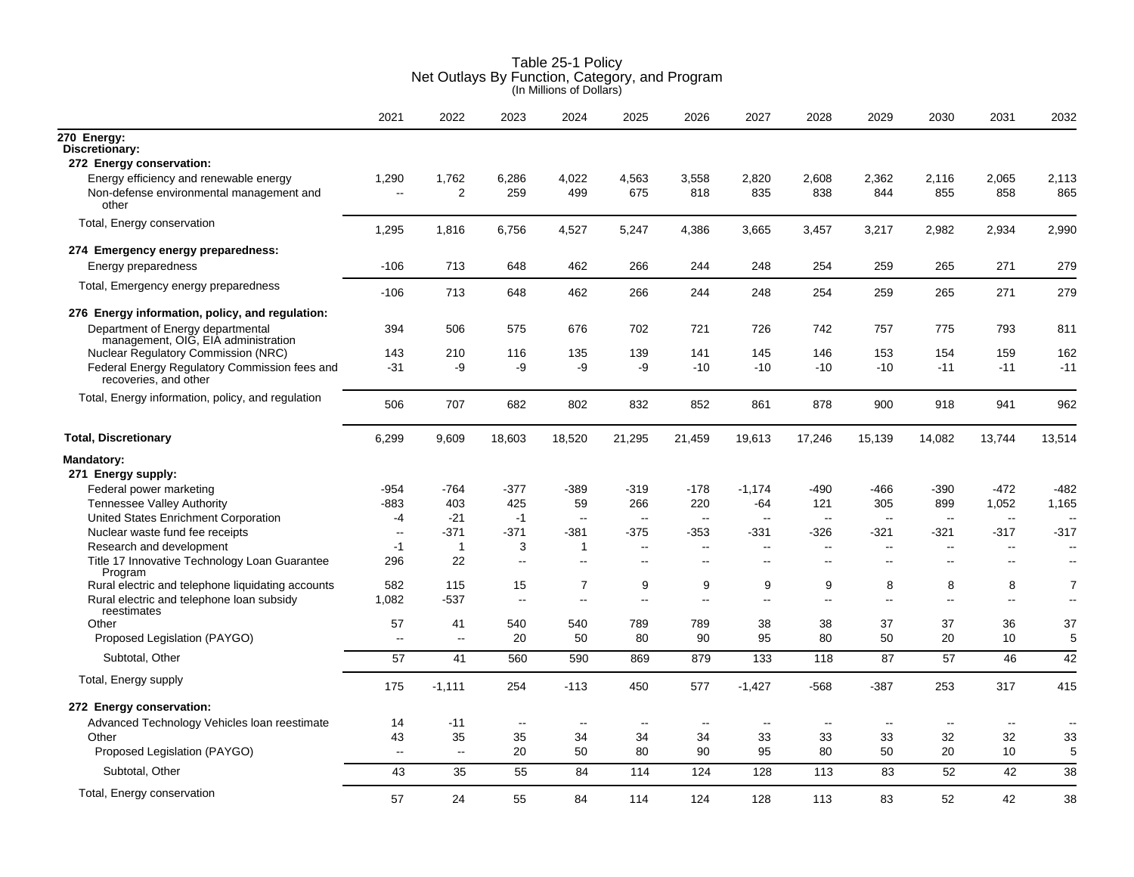|                                                                                             | 2021                     | 2022                    | 2023          | 2024                     | 2025                     | 2026           | 2027                     | 2028         | 2029                     | 2030                     | 2031                     | 2032                     |
|---------------------------------------------------------------------------------------------|--------------------------|-------------------------|---------------|--------------------------|--------------------------|----------------|--------------------------|--------------|--------------------------|--------------------------|--------------------------|--------------------------|
| 270 Energy:<br>Discretionary:                                                               |                          |                         |               |                          |                          |                |                          |              |                          |                          |                          |                          |
| 272 Energy conservation:                                                                    |                          |                         |               |                          |                          |                |                          |              |                          |                          |                          |                          |
| Energy efficiency and renewable energy<br>Non-defense environmental management and<br>other | 1,290<br>$\overline{a}$  | 1,762<br>$\overline{2}$ | 6,286<br>259  | 4,022<br>499             | 4,563<br>675             | 3,558<br>818   | 2,820<br>835             | 2,608<br>838 | 2,362<br>844             | 2,116<br>855             | 2,065<br>858             | 2,113<br>865             |
| Total, Energy conservation                                                                  | 1,295                    | 1,816                   | 6,756         | 4,527                    | 5,247                    | 4,386          | 3,665                    | 3,457        | 3,217                    | 2,982                    | 2,934                    | 2,990                    |
| 274 Emergency energy preparedness:                                                          |                          |                         |               |                          |                          |                |                          |              |                          |                          |                          |                          |
| Energy preparedness                                                                         | -106                     | 713                     | 648           | 462                      | 266                      | 244            | 248                      | 254          | 259                      | 265                      | 271                      | 279                      |
| Total, Emergency energy preparedness                                                        | $-106$                   | 713                     | 648           | 462                      | 266                      | 244            | 248                      | 254          | 259                      | 265                      | 271                      | 279                      |
| 276 Energy information, policy, and regulation:                                             |                          |                         |               |                          |                          |                |                          |              |                          |                          |                          |                          |
| Department of Energy departmental<br>management, OIG, EIA administration                    | 394                      | 506                     | 575           | 676                      | 702                      | 721            | 726                      | 742          | 757                      | 775                      | 793                      | 811                      |
| <b>Nuclear Regulatory Commission (NRC)</b>                                                  | 143                      | 210                     | 116           | 135                      | 139                      | 141            | 145                      | 146          | 153                      | 154                      | 159                      | 162                      |
| Federal Energy Regulatory Commission fees and<br>recoveries, and other                      | $-31$                    | -9                      | -9            | -9                       | -9                       | $-10$          | $-10$                    | $-10$        | $-10$                    | $-11$                    | $-11$                    | $-11$                    |
| Total, Energy information, policy, and regulation                                           | 506                      | 707                     | 682           | 802                      | 832                      | 852            | 861                      | 878          | 900                      | 918                      | 941                      | 962                      |
| <b>Total, Discretionary</b>                                                                 | 6,299                    | 9,609                   | 18,603        | 18,520                   | 21,295                   | 21,459         | 19,613                   | 17,246       | 15,139                   | 14,082                   | 13,744                   | 13,514                   |
| <b>Mandatory:</b>                                                                           |                          |                         |               |                          |                          |                |                          |              |                          |                          |                          |                          |
| 271 Energy supply:                                                                          |                          |                         |               |                          |                          |                |                          |              |                          |                          |                          |                          |
| Federal power marketing                                                                     | $-954$                   | $-764$                  | $-377$        | $-389$                   | -319                     | $-178$         | $-1,174$                 | $-490$       | $-466$                   | $-390$                   | $-472$                   | $-482$                   |
| <b>Tennessee Valley Authority</b>                                                           | $-883$                   | 403                     | 425           | 59                       | 266                      | 220            | -64                      | 121          | 305                      | 899                      | 1,052                    | 1,165                    |
| United States Enrichment Corporation                                                        | -4                       | $-21$                   | $-1$          | $\mathbf{u}$             | $\sim$ $\sim$            | $\sim$         | $\overline{a}$           | $\sim$       | $\overline{\phantom{a}}$ | $\overline{\phantom{a}}$ | $\sim$                   | $\sim$                   |
| Nuclear waste fund fee receipts                                                             | $\sim$                   | $-371$                  | $-371$        | $-381$                   | $-375$                   | -353           | -331                     | -326         | $-321$                   | $-321$                   | $-317$                   | -317                     |
| Research and development                                                                    | $-1$                     | $\overline{1}$          | 3             | $\overline{1}$           | $\sim$                   | $\sim$         | $\sim$                   | $\sim$       | $\sim$                   | $\sim$                   | $\overline{a}$           | $\overline{\phantom{a}}$ |
| Title 17 Innovative Technology Loan Guarantee<br>Program                                    | 296                      | 22                      | $\sim$        | $\sim$                   | $\sim$                   | $\overline{a}$ | $\overline{a}$           | $\sim$       | $\overline{a}$           | $\overline{a}$           | $\sim$                   | $\sim$                   |
| Rural electric and telephone liquidating accounts                                           | 582                      | 115                     | 15            | 7                        | 9                        | 9              | 9                        | 9            | 8                        | 8                        | 8                        | $\overline{7}$           |
| Rural electric and telephone loan subsidy<br>reestimates                                    | 1,082                    | -537                    | $\sim$ $\sim$ | $\mathbf{u}$             | $\sim$ $\sim$            | $\overline{a}$ | $\overline{a}$           | $\sim$       | $\ddot{\phantom{a}}$     | $\mathbf{u}$             | $\sim$                   | $\sim$                   |
| Other                                                                                       | 57                       | 41                      | 540           | 540                      | 789                      | 789            | 38                       | 38           | 37                       | 37                       | 36                       | 37                       |
| Proposed Legislation (PAYGO)                                                                | $\overline{\phantom{a}}$ | $\sim$                  | 20            | 50                       | 80                       | 90             | 95                       | 80           | 50                       | 20                       | 10                       | 5                        |
| Subtotal, Other                                                                             | 57                       | 41                      | 560           | 590                      | 869                      | 879            | 133                      | 118          | 87                       | 57                       | 46                       | 42                       |
| Total, Energy supply                                                                        | 175                      | $-1,111$                | 254           | $-113$                   | 450                      | 577            | $-1,427$                 | $-568$       | $-387$                   | 253                      | 317                      | 415                      |
| 272 Energy conservation:                                                                    |                          |                         |               |                          |                          |                |                          |              |                          |                          |                          |                          |
| Advanced Technology Vehicles Ioan reestimate                                                | 14                       | -11                     | $\sim$        | $\overline{\phantom{a}}$ | $\overline{\phantom{a}}$ | $\overline{a}$ | $\overline{\phantom{a}}$ | --           | $\overline{\phantom{a}}$ | $\overline{\phantom{a}}$ | $\overline{\phantom{a}}$ |                          |
| Other                                                                                       | 43                       | 35                      | 35            | 34                       | 34                       | 34             | 33                       | 33           | 33                       | 32                       | 32                       | 33                       |
| Proposed Legislation (PAYGO)                                                                | $\overline{\phantom{a}}$ | $\sim$                  | 20            | 50                       | 80                       | 90             | 95                       | 80           | 50                       | 20                       | 10                       | 5                        |
| Subtotal, Other                                                                             | 43                       | 35                      | 55            | 84                       | 114                      | 124            | 128                      | 113          | 83                       | 52                       | 42                       | 38                       |
| Total, Energy conservation                                                                  | 57                       | 24                      | 55            | 84                       | 114                      | 124            | 128                      | 113          | 83                       | 52                       | 42                       | 38                       |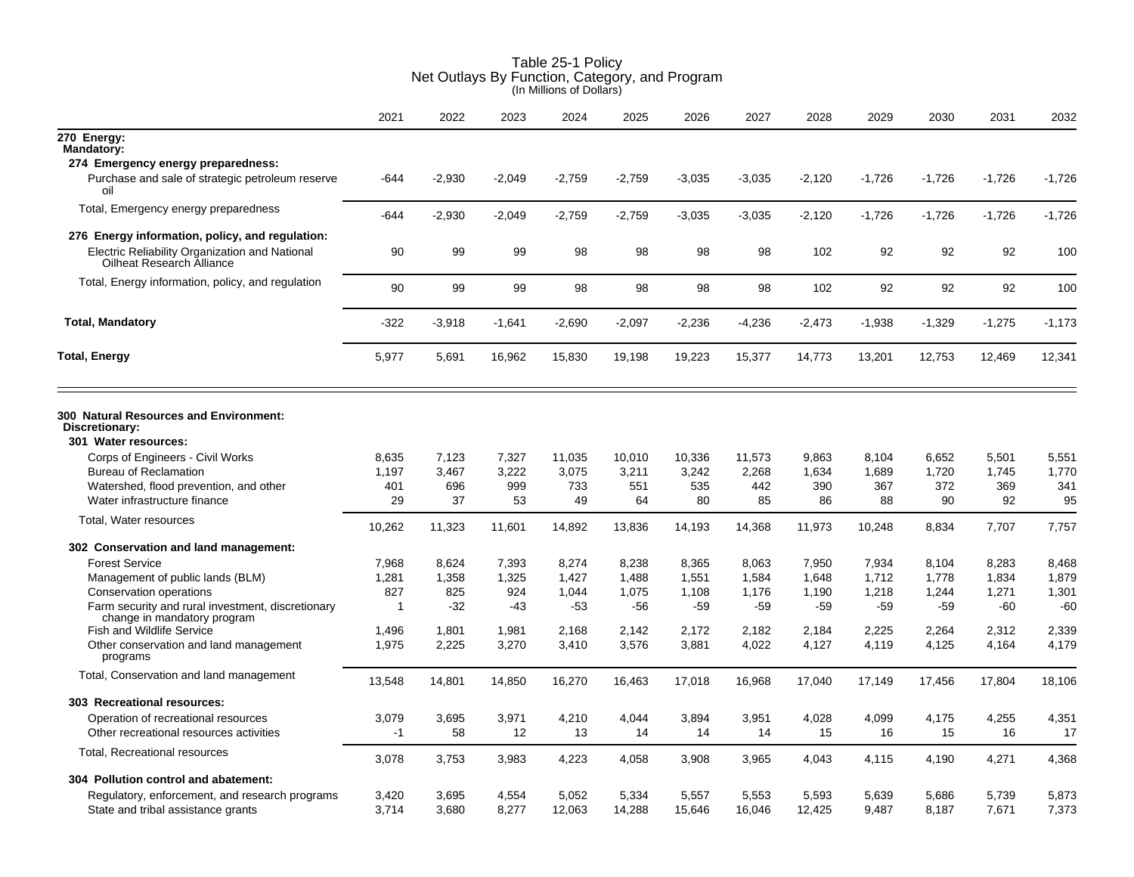|                                                                                         | 2021        | 2022     | 2023     | 2024     | 2025     | 2026     | 2027     | 2028     | 2029     | 2030     | 2031     | 2032     |
|-----------------------------------------------------------------------------------------|-------------|----------|----------|----------|----------|----------|----------|----------|----------|----------|----------|----------|
| 270 Energy:<br><b>Mandatory:</b>                                                        |             |          |          |          |          |          |          |          |          |          |          |          |
| 274 Emergency energy preparedness:                                                      |             |          |          |          |          |          |          |          |          |          |          |          |
| Purchase and sale of strategic petroleum reserve<br>oil                                 | -644        | $-2,930$ | $-2,049$ | $-2,759$ | $-2,759$ | $-3,035$ | $-3,035$ | $-2,120$ | $-1,726$ | $-1,726$ | $-1,726$ | $-1,726$ |
| Total, Emergency energy preparedness                                                    | $-644$      | $-2,930$ | $-2,049$ | $-2,759$ | $-2,759$ | $-3,035$ | $-3,035$ | $-2,120$ | $-1,726$ | $-1,726$ | $-1,726$ | $-1,726$ |
| 276 Energy information, policy, and regulation:                                         |             |          |          |          |          |          |          |          |          |          |          |          |
| Electric Reliability Organization and National<br>Oilheat Research Alliance             | 90          | 99       | 99       | 98       | 98       | 98       | 98       | 102      | 92       | 92       | 92       | 100      |
| Total, Energy information, policy, and regulation                                       | 90          | 99       | 99       | 98       | 98       | 98       | 98       | 102      | 92       | 92       | 92       | 100      |
| <b>Total, Mandatory</b>                                                                 | -322        | $-3,918$ | $-1,641$ | $-2,690$ | $-2,097$ | $-2,236$ | $-4,236$ | $-2,473$ | $-1,938$ | $-1,329$ | $-1,275$ | $-1,173$ |
| <b>Total, Energy</b>                                                                    | 5,977       | 5,691    | 16,962   | 15,830   | 19,198   | 19,223   | 15,377   | 14,773   | 13,201   | 12,753   | 12,469   | 12,341   |
| <b>300 Natural Resources and Environment:</b><br>Discretionary:<br>301 Water resources: |             |          |          |          |          |          |          |          |          |          |          |          |
| Corps of Engineers - Civil Works                                                        | 8,635       | 7,123    | 7,327    | 11,035   | 10,010   | 10,336   | 11,573   | 9,863    | 8,104    | 6,652    | 5,501    | 5,551    |
| <b>Bureau of Reclamation</b>                                                            | 1,197       | 3,467    | 3,222    | 3,075    | 3,211    | 3,242    | 2,268    | 1,634    | 1,689    | 1,720    | 1,745    | 1,770    |
| Watershed, flood prevention, and other                                                  | 401         | 696      | 999      | 733      | 551      | 535      | 442      | 390      | 367      | 372      | 369      | 341      |
| Water infrastructure finance                                                            | 29          | 37       | 53       | 49       | 64       | 80       | 85       | 86       | 88       | 90       | 92       | 95       |
| Total, Water resources                                                                  | 10,262      | 11,323   | 11,601   | 14,892   | 13,836   | 14,193   | 14,368   | 11,973   | 10,248   | 8,834    | 7,707    | 7,757    |
| 302 Conservation and land management:                                                   |             |          |          |          |          |          |          |          |          |          |          |          |
| <b>Forest Service</b>                                                                   | 7,968       | 8,624    | 7,393    | 8,274    | 8,238    | 8,365    | 8,063    | 7,950    | 7,934    | 8,104    | 8,283    | 8,468    |
| Management of public lands (BLM)                                                        | 1,281       | 1,358    | 1,325    | 1,427    | 1,488    | 1,551    | 1,584    | 1,648    | 1,712    | 1,778    | 1,834    | 1,879    |
| Conservation operations                                                                 | 827         | 825      | 924      | 1.044    | 1,075    | 1,108    | 1,176    | 1,190    | 1,218    | 1,244    | 1,271    | 1,301    |
| Farm security and rural investment, discretionary                                       | $\mathbf 1$ | $-32$    | $-43$    | $-53$    | -56      | $-59$    | $-59$    | $-59$    | -59      | $-59$    | -60      | $-60$    |
| change in mandatory program<br><b>Fish and Wildlife Service</b>                         | 1,496       | 1,801    | 1,981    | 2,168    | 2,142    | 2,172    | 2,182    | 2,184    | 2,225    | 2,264    | 2,312    | 2,339    |
| Other conservation and land management<br>programs                                      | 1,975       | 2,225    | 3,270    | 3,410    | 3,576    | 3,881    | 4,022    | 4,127    | 4,119    | 4,125    | 4,164    | 4,179    |
| Total, Conservation and land management                                                 | 13,548      | 14,801   | 14,850   | 16,270   | 16,463   | 17,018   | 16,968   | 17,040   | 17,149   | 17,456   | 17,804   | 18,106   |
| 303 Recreational resources:                                                             |             |          |          |          |          |          |          |          |          |          |          |          |
| Operation of recreational resources                                                     | 3,079       | 3,695    | 3,971    | 4,210    | 4,044    | 3,894    | 3,951    | 4,028    | 4,099    | 4,175    | 4,255    | 4,351    |
| Other recreational resources activities                                                 | $-1$        | 58       | 12       | 13       | 14       | 14       | 14       | 15       | 16       | 15       | 16       | 17       |
| Total, Recreational resources                                                           | 3,078       | 3,753    | 3,983    | 4,223    | 4,058    | 3,908    | 3,965    | 4,043    | 4,115    | 4,190    | 4,271    | 4,368    |
| 304 Pollution control and abatement:                                                    |             |          |          |          |          |          |          |          |          |          |          |          |
| Regulatory, enforcement, and research programs                                          | 3,420       | 3,695    | 4,554    | 5,052    | 5,334    | 5.557    | 5,553    | 5,593    | 5,639    | 5,686    | 5,739    | 5,873    |
| State and tribal assistance grants                                                      | 3.714       | 3.680    | 8.277    | 12,063   | 14,288   | 15,646   | 16,046   | 12,425   | 9,487    | 8,187    | 7,671    | 7,373    |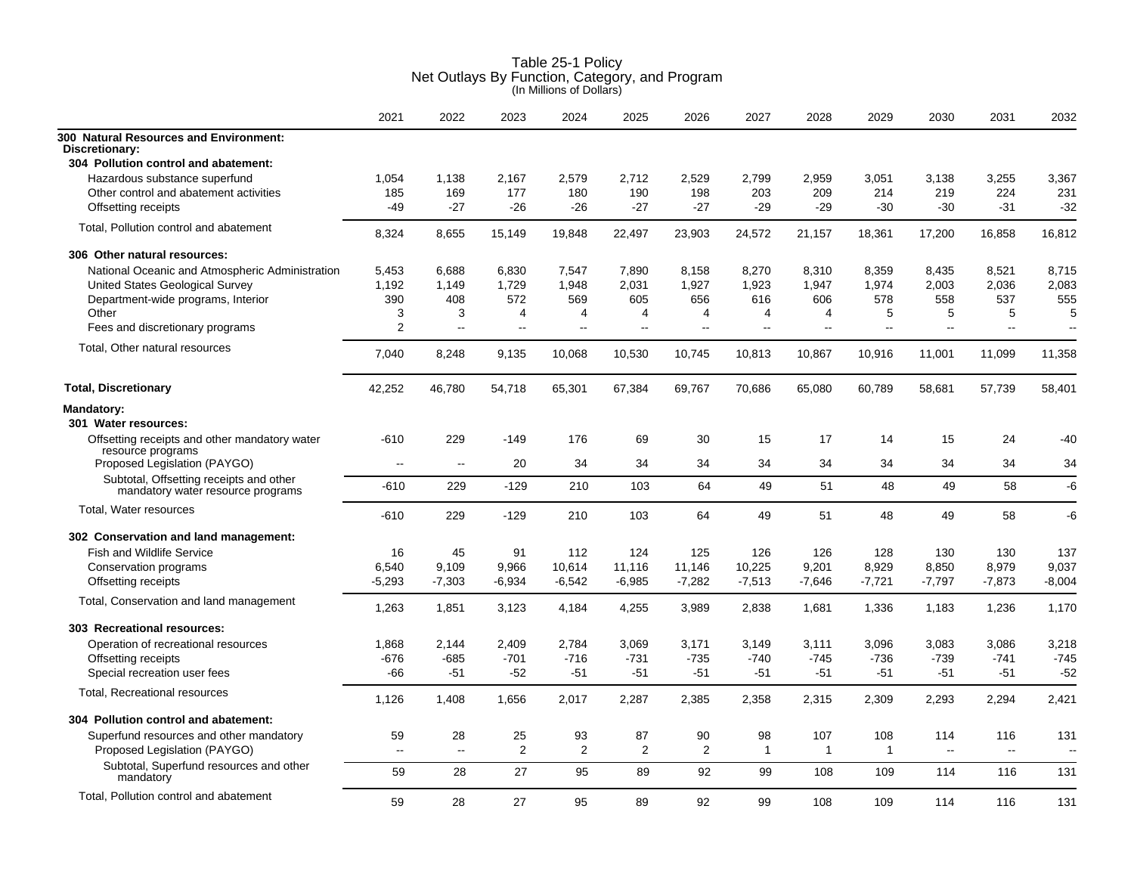|                                                                              | 2021                     | 2022                     | 2023           | 2024             | 2025           | 2026           | 2027           | 2028           | 2029           | 2030     | 2031                     | 2032                     |
|------------------------------------------------------------------------------|--------------------------|--------------------------|----------------|------------------|----------------|----------------|----------------|----------------|----------------|----------|--------------------------|--------------------------|
| 300 Natural Resources and Environment:<br>Discretionary:                     |                          |                          |                |                  |                |                |                |                |                |          |                          |                          |
| 304 Pollution control and abatement:                                         |                          |                          |                |                  |                |                |                |                |                |          |                          |                          |
| Hazardous substance superfund                                                | 1,054                    | 1,138                    | 2,167          | 2,579            | 2,712          | 2,529          | 2,799          | 2,959          | 3,051          | 3,138    | 3,255                    | 3,367                    |
| Other control and abatement activities                                       | 185                      | 169                      | 177            | 180              | 190            | 198            | 203            | 209            | 214            | 219      | 224                      | 231                      |
| Offsetting receipts                                                          | $-49$                    | $-27$                    | $-26$          | $-26$            | $-27$          | $-27$          | $-29$          | $-29$          | $-30$          | $-30$    | $-31$                    | $-32$                    |
| Total, Pollution control and abatement                                       | 8,324                    | 8,655                    | 15,149         | 19,848           | 22,497         | 23,903         | 24,572         | 21,157         | 18,361         | 17,200   | 16,858                   | 16,812                   |
| 306 Other natural resources:                                                 |                          |                          |                |                  |                |                |                |                |                |          |                          |                          |
| National Oceanic and Atmospheric Administration                              | 5,453                    | 6.688                    | 6,830          | 7,547            | 7,890          | 8,158          | 8,270          | 8,310          | 8,359          | 8,435    | 8,521                    | 8,715                    |
| United States Geological Survey                                              | 1,192                    | 1,149                    | 1,729          | 1,948            | 2,031          | 1,927          | 1,923          | 1,947          | 1,974          | 2,003    | 2,036                    | 2,083                    |
| Department-wide programs, Interior                                           | 390                      | 408                      | 572            | 569              | 605            | 656            | 616            | 606            | 578            | 558      | 537                      | 555                      |
| Other                                                                        | 3                        | 3                        | 4              | 4                | 4              | 4              | 4              | 4              | 5              | 5        | 5                        | 5                        |
| Fees and discretionary programs                                              | 2                        | цü                       | $\overline{a}$ | $\overline{a}$   | $\overline{a}$ | Ξ.             | $\overline{a}$ | $\overline{a}$ | $\overline{a}$ | $\sim$   | $\sim$                   | $\overline{\phantom{a}}$ |
| Total, Other natural resources                                               | 7.040                    | 8,248                    | 9,135          | 10,068           | 10,530         | 10,745         | 10,813         | 10,867         | 10,916         | 11,001   | 11,099                   | 11,358                   |
| <b>Total, Discretionary</b>                                                  | 42,252                   | 46,780                   | 54,718         | 65,301           | 67,384         | 69,767         | 70,686         | 65,080         | 60,789         | 58,681   | 57,739                   | 58,401                   |
| <b>Mandatory:</b>                                                            |                          |                          |                |                  |                |                |                |                |                |          |                          |                          |
| 301 Water resources:                                                         |                          |                          |                |                  |                |                |                |                |                |          |                          |                          |
| Offsetting receipts and other mandatory water<br>resource programs           | $-610$                   | 229                      | $-149$         | 176              | 69             | 30             | 15             | 17             | 14             | 15       | 24                       | -40                      |
| Proposed Legislation (PAYGO)                                                 | $\overline{\phantom{a}}$ | $\overline{\phantom{a}}$ | 20             | 34               | 34             | 34             | 34             | 34             | 34             | 34       | 34                       | 34                       |
| Subtotal, Offsetting receipts and other<br>mandatory water resource programs | -610                     | 229                      | $-129$         | 210              | 103            | 64             | 49             | 51             | 48             | 49       | 58                       | -6                       |
| Total, Water resources                                                       | $-610$                   | 229                      | $-129$         | 210              | 103            | 64             | 49             | 51             | 48             | 49       | 58                       | -6                       |
| 302 Conservation and land management:                                        |                          |                          |                |                  |                |                |                |                |                |          |                          |                          |
| <b>Fish and Wildlife Service</b>                                             | 16                       | 45                       | 91             | 112              | 124            | 125            | 126            | 126            | 128            | 130      | 130                      | 137                      |
| Conservation programs                                                        | 6,540                    | 9,109                    | 9,966          | 10,614           | 11,116         | 11,146         | 10,225         | 9,201          | 8,929          | 8,850    | 8,979                    | 9,037                    |
| Offsetting receipts                                                          | $-5,293$                 | $-7,303$                 | $-6,934$       | $-6,542$         | $-6,985$       | $-7,282$       | $-7,513$       | $-7,646$       | $-7,721$       | $-7,797$ | $-7,873$                 | $-8,004$                 |
| Total, Conservation and land management                                      | 1,263                    | 1,851                    | 3,123          | 4,184            | 4,255          | 3,989          | 2,838          | 1,681          | 1,336          | 1,183    | 1,236                    | 1,170                    |
| 303 Recreational resources:                                                  |                          |                          |                |                  |                |                |                |                |                |          |                          |                          |
| Operation of recreational resources                                          | 1,868                    | 2,144                    | 2,409          | 2,784            | 3,069          | 3.171          | 3,149          | 3,111          | 3,096          | 3,083    | 3,086                    | 3,218                    |
| Offsetting receipts                                                          | $-676$                   | $-685$                   | $-701$         | $-716$           | $-731$         | $-735$         | $-740$         | $-745$         | $-736$         | $-739$   | $-741$                   | $-745$                   |
| Special recreation user fees                                                 | $-66$                    | $-51$                    | $-52$          | $-51$            | $-51$          | $-51$          | $-51$          | $-51$          | $-51$          | $-51$    | $-51$                    | $-52$                    |
| <b>Total, Recreational resources</b>                                         | 1,126                    | 1,408                    | 1,656          | 2,017            | 2,287          | 2,385          | 2,358          | 2,315          | 2,309          | 2,293    | 2,294                    | 2,421                    |
| 304 Pollution control and abatement:                                         |                          |                          |                |                  |                |                |                |                |                |          |                          |                          |
| Superfund resources and other mandatory                                      | 59                       | 28                       | 25             | 93               | 87             | 90             | 98             | 107            | 108            | 114      | 116                      | 131                      |
| Proposed Legislation (PAYGO)                                                 | $\overline{\phantom{a}}$ | $\overline{\phantom{a}}$ | $\overline{2}$ | $\boldsymbol{2}$ | $\overline{2}$ | $\overline{2}$ | $\mathbf{1}$   | 1              | $\mathbf{1}$   | $\sim$   | $\overline{\phantom{a}}$ | $\overline{\phantom{a}}$ |
| Subtotal, Superfund resources and other<br>mandatory                         | 59                       | 28                       | 27             | 95               | 89             | 92             | 99             | 108            | 109            | 114      | 116                      | 131                      |
| Total, Pollution control and abatement                                       | 59                       | 28                       | 27             | 95               | 89             | 92             | 99             | 108            | 109            | 114      | 116                      | 131                      |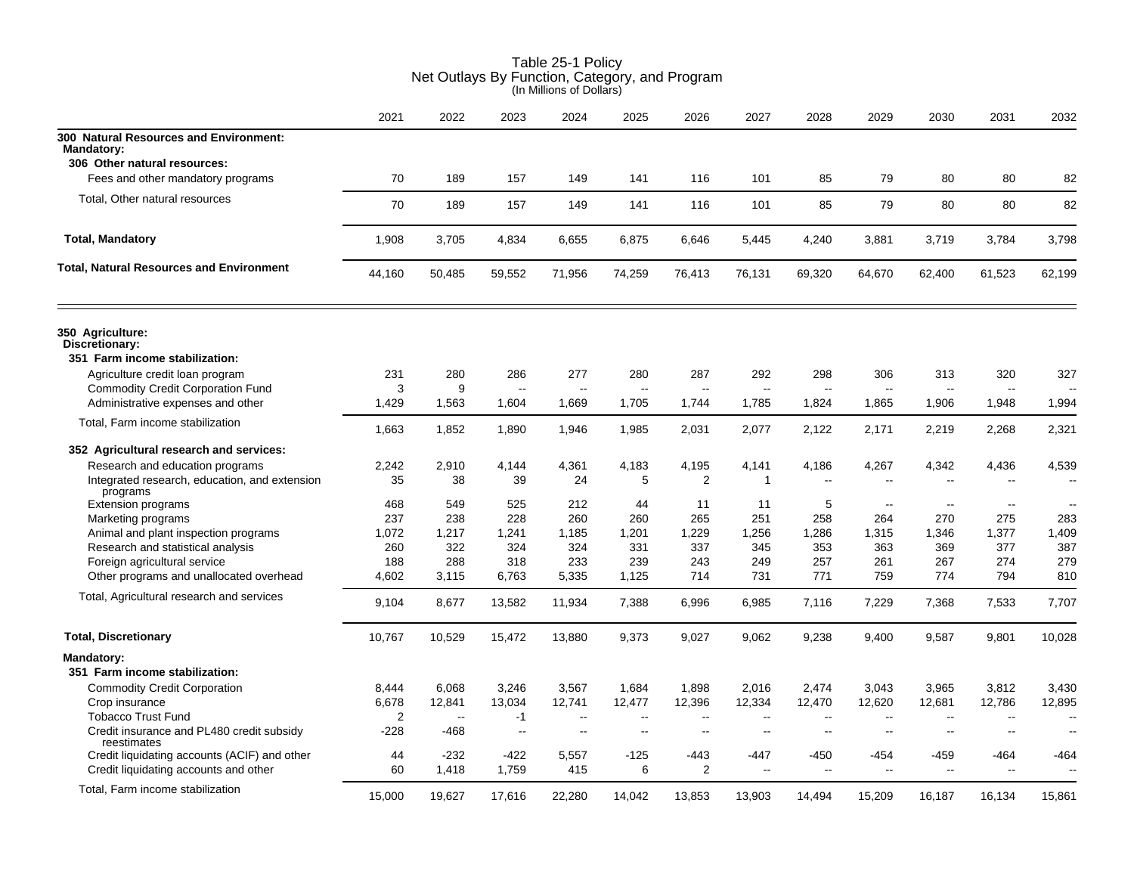|                                                                                                                  | 2021              | 2022              | 2023                                     | 2024                           | 2025                     | 2026                                     | 2027                                     | 2028                           | 2029                     | 2030                   | 2031                     | 2032                     |
|------------------------------------------------------------------------------------------------------------------|-------------------|-------------------|------------------------------------------|--------------------------------|--------------------------|------------------------------------------|------------------------------------------|--------------------------------|--------------------------|------------------------|--------------------------|--------------------------|
| 300 Natural Resources and Environment:<br><b>Mandatory:</b><br>306 Other natural resources:                      |                   |                   |                                          |                                |                          |                                          |                                          |                                |                          |                        |                          |                          |
| Fees and other mandatory programs                                                                                | 70                | 189               | 157                                      | 149                            | 141                      | 116                                      | 101                                      | 85                             | 79                       | 80                     | 80                       | 82                       |
| Total, Other natural resources                                                                                   | 70                | 189               | 157                                      | 149                            | 141                      | 116                                      | 101                                      | 85                             | 79                       | 80                     | 80                       | 82                       |
| <b>Total, Mandatory</b>                                                                                          | 1,908             | 3,705             | 4,834                                    | 6,655                          | 6,875                    | 6,646                                    | 5,445                                    | 4,240                          | 3,881                    | 3,719                  | 3,784                    | 3,798                    |
| <b>Total, Natural Resources and Environment</b>                                                                  | 44,160            | 50,485            | 59,552                                   | 71,956                         | 74,259                   | 76,413                                   | 76,131                                   | 69,320                         | 64,670                   | 62,400                 | 61,523                   | 62,199                   |
| 350 Agriculture:<br>Discretionary:<br>351 Farm income stabilization:                                             |                   |                   |                                          |                                |                          |                                          |                                          |                                |                          |                        |                          |                          |
| Agriculture credit loan program<br><b>Commodity Credit Corporation Fund</b><br>Administrative expenses and other | 231<br>3<br>1,429 | 280<br>9<br>1,563 | 286<br>$\overline{\phantom{a}}$<br>1,604 | 277<br>$\overline{a}$<br>1,669 | 280<br>--<br>1,705       | 287<br>$\overline{\phantom{a}}$<br>1,744 | 292<br>$\overline{\phantom{a}}$<br>1,785 | 298<br>$\overline{a}$<br>1,824 | 306<br>--<br>1,865       | 313<br>$\sim$<br>1,906 | 320<br>1,948             | 327<br>1,994             |
| Total, Farm income stabilization                                                                                 |                   |                   |                                          |                                |                          |                                          |                                          |                                |                          |                        |                          |                          |
|                                                                                                                  | 1,663             | 1,852             | 1,890                                    | 1,946                          | 1,985                    | 2,031                                    | 2,077                                    | 2,122                          | 2,171                    | 2,219                  | 2,268                    | 2,321                    |
| 352 Agricultural research and services:                                                                          |                   |                   |                                          |                                |                          |                                          |                                          |                                |                          |                        |                          |                          |
| Research and education programs                                                                                  | 2,242             | 2,910             | 4,144                                    | 4,361                          | 4,183                    | 4,195                                    | 4,141                                    | 4,186                          | 4,267                    | 4,342                  | 4,436                    | 4,539                    |
| Integrated research, education, and extension<br>programs                                                        | 35                | 38                | 39                                       | 24                             | 5                        | $\overline{2}$                           | $\mathbf{1}$                             | $\sim$                         | $\overline{a}$           | $\sim$                 |                          |                          |
| <b>Extension programs</b>                                                                                        | 468               | 549               | 525                                      | 212                            | 44                       | 11                                       | 11                                       | 5                              | $\overline{\phantom{a}}$ | $\sim$                 | $\sim$                   |                          |
| Marketing programs                                                                                               | 237               | 238               | 228                                      | 260                            | 260                      | 265                                      | 251                                      | 258                            | 264                      | 270                    | 275                      | 283                      |
| Animal and plant inspection programs                                                                             | 1,072             | 1,217             | 1,241                                    | 1,185                          | 1,201                    | 1,229                                    | 1,256                                    | 1,286                          | 1,315                    | 1,346                  | 1,377                    | 1,409                    |
| Research and statistical analysis                                                                                | 260               | 322               | 324                                      | 324                            | 331                      | 337                                      | 345                                      | 353                            | 363                      | 369                    | 377                      | 387                      |
| Foreign agricultural service                                                                                     | 188               | 288               | 318                                      | 233                            | 239                      | 243                                      | 249                                      | 257                            | 261                      | 267                    | 274                      | 279                      |
| Other programs and unallocated overhead                                                                          | 4,602             | 3,115             | 6.763                                    | 5,335                          | 1,125                    | 714                                      | 731                                      | 771                            | 759                      | 774                    | 794                      | 810                      |
| Total, Agricultural research and services                                                                        | 9,104             | 8,677             | 13,582                                   | 11,934                         | 7,388                    | 6,996                                    | 6,985                                    | 7,116                          | 7,229                    | 7,368                  | 7,533                    | 7,707                    |
| <b>Total, Discretionary</b>                                                                                      | 10,767            | 10,529            | 15,472                                   | 13,880                         | 9,373                    | 9,027                                    | 9,062                                    | 9,238                          | 9,400                    | 9,587                  | 9,801                    | 10,028                   |
| Mandatory:<br>351 Farm income stabilization:                                                                     |                   |                   |                                          |                                |                          |                                          |                                          |                                |                          |                        |                          |                          |
| <b>Commodity Credit Corporation</b>                                                                              | 8,444             | 6,068             | 3,246                                    | 3,567                          | 1,684                    | 1,898                                    | 2,016                                    | 2,474                          | 3,043                    | 3,965                  | 3,812                    | 3,430                    |
| Crop insurance                                                                                                   | 6,678             | 12,841            | 13,034                                   | 12,741                         | 12,477                   | 12,396                                   | 12,334                                   | 12,470                         | 12,620                   | 12,681                 | 12,786                   | 12,895                   |
| <b>Tobacco Trust Fund</b>                                                                                        | 2                 | $\sim$            | $-1$                                     | $\overline{a}$                 | --                       | $\overline{a}$                           | $\overline{a}$                           | $\overline{a}$                 | $\overline{a}$           | $\sim$                 | $\overline{\phantom{a}}$ | $\overline{\phantom{a}}$ |
| Credit insurance and PL480 credit subsidy<br>reestimates                                                         | $-228$            | -468              | $\overline{\phantom{a}}$                 | --                             | $\overline{\phantom{a}}$ | $\overline{\phantom{a}}$                 | $\overline{\phantom{a}}$                 | --                             | $\overline{a}$           | $\sim$ $\sim$          | $\sim$                   | $\sim$                   |
| Credit liquidating accounts (ACIF) and other                                                                     | 44                | $-232$            | -422                                     | 5,557                          | $-125$                   | -443                                     | $-447$                                   | -450                           | $-454$                   | -459                   | -464                     | -464                     |
| Credit liquidating accounts and other                                                                            | 60                | 1,418             | 1,759                                    | 415                            | 6                        | $\overline{2}$                           | $\overline{\phantom{a}}$                 | --                             | Ξ.                       | Ξ.                     | $\overline{a}$           | $\overline{\phantom{a}}$ |
| Total, Farm income stabilization                                                                                 | 15.000            | 19.627            | 17.616                                   | 22.280                         | 14.042                   | 13,853                                   | 13,903                                   | 14.494                         | 15,209                   | 16.187                 | 16,134                   | 15,861                   |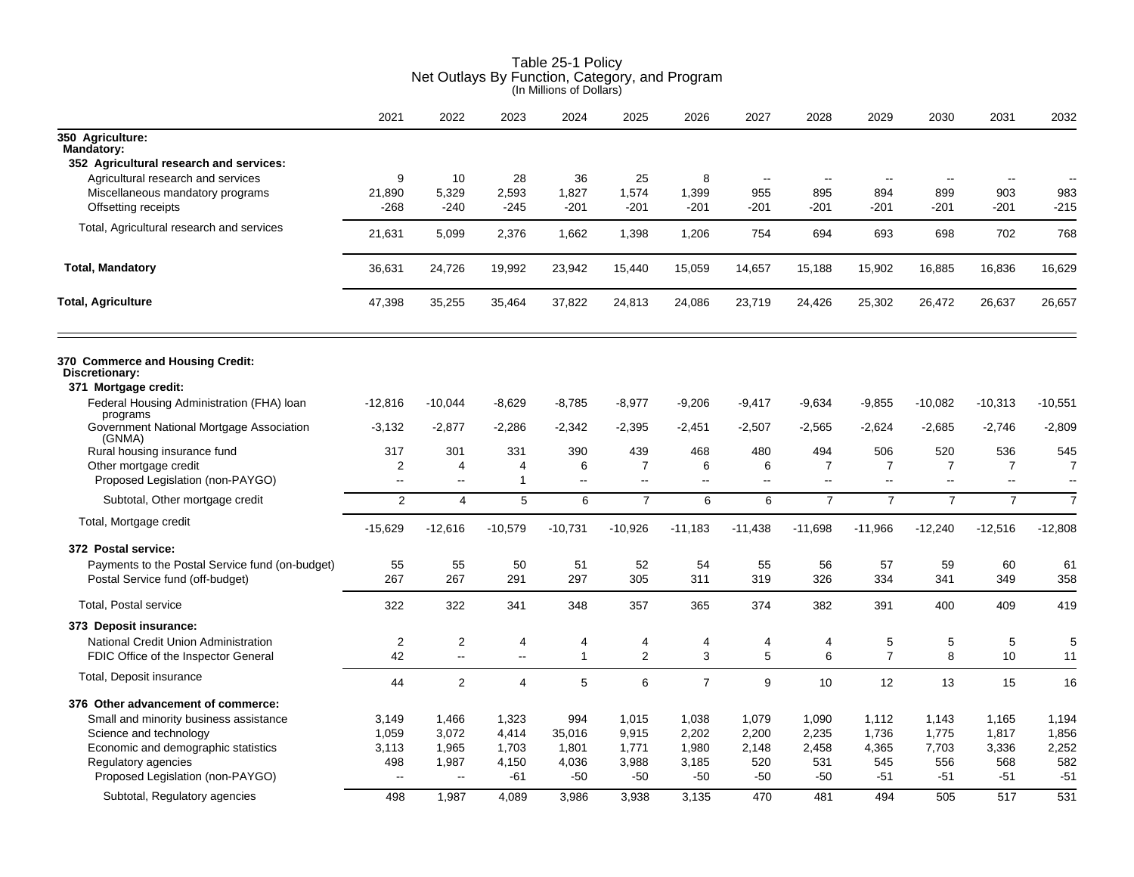|                                                       | 2021                     | 2022           | 2023           | 2024           | 2025           | 2026           | 2027                     | 2028                     | 2029           | 2030                     | 2031                     | 2032                     |
|-------------------------------------------------------|--------------------------|----------------|----------------|----------------|----------------|----------------|--------------------------|--------------------------|----------------|--------------------------|--------------------------|--------------------------|
| 350 Agriculture:<br><b>Mandatory:</b>                 |                          |                |                |                |                |                |                          |                          |                |                          |                          |                          |
| 352 Agricultural research and services:               |                          |                |                |                |                |                |                          |                          |                |                          |                          |                          |
| Agricultural research and services                    | 9                        | 10             | 28             | 36             | 25             | 8              | $\overline{\phantom{a}}$ | $\overline{\phantom{a}}$ | $\sim$         | $\overline{\phantom{a}}$ | $\overline{\phantom{a}}$ | $\overline{\phantom{a}}$ |
| Miscellaneous mandatory programs                      | 21,890                   | 5,329          | 2,593          | 1,827          | 1,574          | 1,399          | 955                      | 895                      | 894            | 899                      | 903                      | 983                      |
| Offsetting receipts                                   | $-268$                   | $-240$         | $-245$         | $-201$         | $-201$         | $-201$         | -201                     | -201                     | $-201$         | $-201$                   | $-201$                   | $-215$                   |
| Total, Agricultural research and services             | 21,631                   | 5,099          | 2,376          | 1,662          | 1,398          | 1,206          | 754                      | 694                      | 693            | 698                      | 702                      | 768                      |
| <b>Total, Mandatory</b>                               | 36,631                   | 24,726         | 19,992         | 23,942         | 15,440         | 15,059         | 14,657                   | 15,188                   | 15,902         | 16,885                   | 16,836                   | 16,629                   |
| <b>Total, Agriculture</b>                             | 47,398                   | 35,255         | 35,464         | 37,822         | 24,813         | 24,086         | 23,719                   | 24,426                   | 25,302         | 26,472                   | 26,637                   | 26,657                   |
| 370 Commerce and Housing Credit:<br>Discretionary:    |                          |                |                |                |                |                |                          |                          |                |                          |                          |                          |
| 371 Mortgage credit:                                  |                          |                |                |                |                |                |                          |                          |                |                          |                          |                          |
| Federal Housing Administration (FHA) loan<br>programs | $-12,816$                | $-10,044$      | $-8,629$       | $-8,785$       | $-8,977$       | $-9,206$       | -9,417                   | $-9,634$                 | $-9,855$       | $-10,082$                | $-10,313$                | $-10,551$                |
| Government National Mortgage Association<br>(GNMA)    | $-3,132$                 | $-2,877$       | $-2,286$       | $-2,342$       | $-2,395$       | $-2,451$       | $-2,507$                 | $-2,565$                 | $-2,624$       | $-2,685$                 | $-2,746$                 | $-2,809$                 |
| Rural housing insurance fund                          | 317                      | 301            | 331            | 390            | 439            | 468            | 480                      | 494                      | 506            | 520                      | 536                      | 545                      |
| Other mortgage credit                                 | 2                        | 4              | 4              | 6              | $\overline{7}$ | 6              | 6                        | $\overline{7}$           | $\overline{7}$ | $\overline{7}$           | 7                        | 7                        |
| Proposed Legislation (non-PAYGO)                      | $\mathbf{u}$             | $\sim$         | $\overline{1}$ | $\sim$ $\sim$  | $\sim$ $\sim$  | $\overline{a}$ | $\overline{a}$           | $-$                      | ц.             | $\overline{a}$           | $\mathbf{u}$             | --                       |
| Subtotal, Other mortgage credit                       | $\overline{2}$           | 4              | 5              | 6              | $\overline{7}$ | 6              | 6                        | $\overline{7}$           | $\overline{7}$ | $\overline{7}$           | $\overline{7}$           | 7                        |
| Total, Mortgage credit                                | $-15,629$                | $-12,616$      | $-10,579$      | $-10,731$      | $-10,926$      | $-11,183$      | $-11,438$                | $-11,698$                | $-11,966$      | $-12,240$                | $-12,516$                | $-12,808$                |
| 372 Postal service:                                   |                          |                |                |                |                |                |                          |                          |                |                          |                          |                          |
| Payments to the Postal Service fund (on-budget)       | 55                       | 55             | 50             | 51             | 52             | 54             | 55                       | 56                       | 57             | 59                       | 60                       | 61                       |
| Postal Service fund (off-budget)                      | 267                      | 267            | 291            | 297            | 305            | 311            | 319                      | 326                      | 334            | 341                      | 349                      | 358                      |
| Total, Postal service                                 | 322                      | 322            | 341            | 348            | 357            | 365            | 374                      | 382                      | 391            | 400                      | 409                      | 419                      |
| 373 Deposit insurance:                                |                          |                |                |                |                |                |                          |                          |                |                          |                          |                          |
| National Credit Union Administration                  | 2                        | 2              | 4              | 4              | 4              | 4              | 4                        | 4                        | 5              | 5                        | 5                        | 5                        |
| FDIC Office of the Inspector General                  | 42                       | $\sim$         | $\sim$         | $\overline{1}$ | 2              | 3              | 5                        | 6                        | $\overline{7}$ | 8                        | 10                       | 11                       |
| Total, Deposit insurance                              | 44                       | $\overline{c}$ | $\overline{4}$ | 5              | 6              | $\overline{7}$ | 9                        | 10                       | 12             | 13                       | 15                       | 16                       |
| 376 Other advancement of commerce:                    |                          |                |                |                |                |                |                          |                          |                |                          |                          |                          |
| Small and minority business assistance                | 3,149                    | 1,466          | 1,323          | 994            | 1,015          | 1,038          | 1,079                    | 1,090                    | 1,112          | 1,143                    | 1,165                    | 1,194                    |
| Science and technology                                | 1,059                    | 3,072          | 4,414          | 35,016         | 9,915          | 2,202          | 2,200                    | 2,235                    | 1,736          | 1,775                    | 1,817                    | 1,856                    |
| Economic and demographic statistics                   | 3,113                    | 1,965          | 1,703          | 1,801          | 1,771          | 1,980          | 2,148                    | 2,458                    | 4,365          | 7,703                    | 3,336                    | 2,252                    |
| Regulatory agencies                                   | 498                      | 1,987          | 4,150          | 4,036          | 3,988          | 3,185          | 520                      | 531                      | 545            | 556                      | 568                      | 582                      |
| Proposed Legislation (non-PAYGO)                      | $\overline{\phantom{a}}$ |                | -61            | $-50$          | $-50$          | $-50$          | $-50$                    | $-50$                    | $-51$          | $-51$                    | $-51$                    | $-51$                    |
| Subtotal, Regulatory agencies                         | 498                      | 1.987          | 4.089          | 3.986          | 3.938          | 3,135          | 470                      | 481                      | 494            | 505                      | 517                      | 531                      |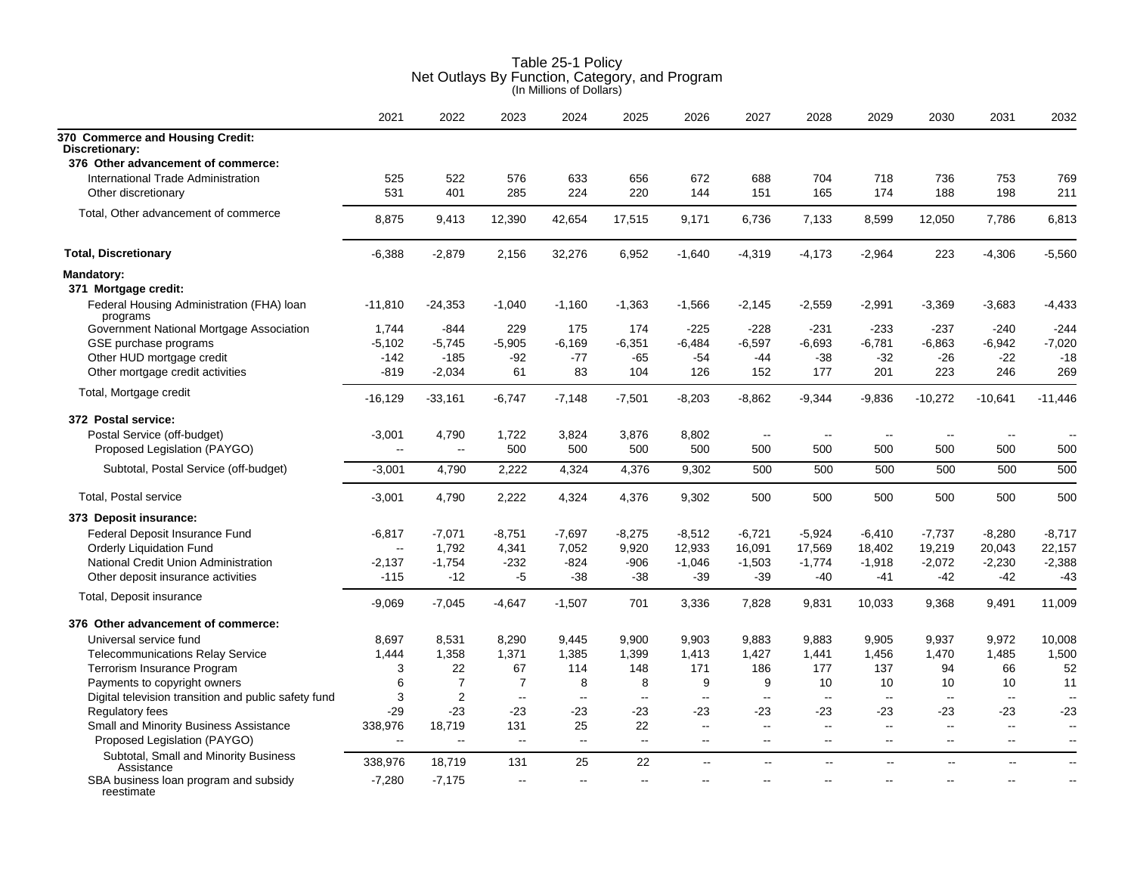|                                                             | 2021                                 | 2022            | 2023           | 2024         | 2025           | 2026                     | 2027           | 2028          | 2029                     | 2030          | 2031                     | 2032                     |
|-------------------------------------------------------------|--------------------------------------|-----------------|----------------|--------------|----------------|--------------------------|----------------|---------------|--------------------------|---------------|--------------------------|--------------------------|
| 370 Commerce and Housing Credit:<br>Discretionary:          |                                      |                 |                |              |                |                          |                |               |                          |               |                          |                          |
| 376 Other advancement of commerce:                          |                                      |                 |                |              |                |                          |                |               |                          |               |                          |                          |
| International Trade Administration<br>Other discretionary   | 525<br>531                           | 522<br>401      | 576<br>285     | 633<br>224   | 656<br>220     | 672<br>144               | 688<br>151     | 704<br>165    | 718<br>174               | 736<br>188    | 753<br>198               | 769<br>211               |
| Total, Other advancement of commerce                        | 8,875                                | 9,413           | 12,390         | 42,654       | 17,515         | 9,171                    | 6,736          | 7,133         | 8,599                    | 12,050        | 7,786                    | 6,813                    |
| <b>Total, Discretionary</b>                                 | $-6,388$                             | $-2,879$        | 2,156          | 32,276       | 6,952          | $-1,640$                 | $-4,319$       | $-4,173$      | $-2,964$                 | 223           | $-4,306$                 | $-5,560$                 |
| <b>Mandatory:</b>                                           |                                      |                 |                |              |                |                          |                |               |                          |               |                          |                          |
| 371 Mortgage credit:                                        |                                      |                 |                |              |                |                          |                |               |                          |               |                          |                          |
| Federal Housing Administration (FHA) loan<br>programs       | $-11,810$                            | $-24,353$       | $-1,040$       | $-1,160$     | $-1,363$       | $-1,566$                 | $-2,145$       | $-2,559$      | $-2,991$                 | $-3,369$      | $-3,683$                 | $-4,433$                 |
| Government National Mortgage Association                    | 1,744                                | -844            | 229            | 175          | 174            | $-225$                   | $-228$         | $-231$        | $-233$                   | $-237$        | $-240$                   | $-244$                   |
| GSE purchase programs                                       | $-5,102$                             | $-5,745$        | $-5,905$       | $-6,169$     | $-6,351$       | $-6,484$                 | $-6,597$       | $-6,693$      | $-6,781$                 | $-6,863$      | $-6,942$                 | $-7,020$                 |
| Other HUD mortgage credit                                   | $-142$                               | $-185$          | -92            | -77          | $-65$          | $-54$                    | $-44$          | $-38$         | $-32$                    | $-26$         | $-22$                    | $-18$                    |
| Other mortgage credit activities                            | $-819$                               | $-2,034$        | 61             | 83           | 104            | 126                      | 152            | 177           | 201                      | 223           | 246                      | 269                      |
| Total, Mortgage credit                                      | $-16,129$                            | $-33,161$       | $-6,747$       | $-7,148$     | $-7,501$       | $-8,203$                 | $-8,862$       | $-9,344$      | $-9,836$                 | $-10,272$     | $-10,641$                | $-11,446$                |
| 372 Postal service:                                         |                                      |                 |                |              |                |                          |                |               |                          |               |                          |                          |
| Postal Service (off-budget)<br>Proposed Legislation (PAYGO) | $-3,001$<br>$\overline{\phantom{a}}$ | 4,790<br>$\sim$ | 1,722<br>500   | 3,824<br>500 | 3,876<br>500   | 8,802<br>500             | $\sim$<br>500  | $\sim$<br>500 | $\sim$<br>500            | $\sim$<br>500 | $\sim$<br>500            | 500                      |
| Subtotal, Postal Service (off-budget)                       |                                      | 4,790           | 2,222          |              | 4,376          |                          | 500            |               |                          | 500           | 500                      | 500                      |
|                                                             | $-3,001$                             |                 |                | 4,324        |                | 9,302                    |                | 500           | 500                      |               |                          |                          |
| Total, Postal service                                       | $-3,001$                             | 4,790           | 2,222          | 4,324        | 4,376          | 9,302                    | 500            | 500           | 500                      | 500           | 500                      | 500                      |
| 373 Deposit insurance:                                      |                                      |                 |                |              |                |                          |                |               |                          |               |                          |                          |
| Federal Deposit Insurance Fund                              | $-6,817$                             | $-7,071$        | $-8,751$       | $-7,697$     | $-8,275$       | $-8,512$                 | $-6,721$       | $-5,924$      | $-6,410$                 | $-7,737$      | $-8,280$                 | $-8,717$                 |
| <b>Orderly Liquidation Fund</b>                             | $\overline{\phantom{a}}$             | 1,792           | 4,341          | 7,052        | 9,920          | 12,933                   | 16,091         | 17,569        | 18,402                   | 19,219        | 20,043                   | 22,157                   |
| National Credit Union Administration                        | -2,137                               | $-1,754$        | $-232$         | $-824$       | $-906$         | $-1,046$                 | $-1,503$       | $-1,774$      | $-1,918$                 | $-2,072$      | $-2,230$                 | $-2,388$                 |
| Other deposit insurance activities                          | $-115$                               | $-12$           | $-5$           | $-38$        | $-38$          | $-39$                    | $-39$          | $-40$         | $-41$                    | $-42$         | $-42$                    | $-43$                    |
| Total, Deposit insurance                                    | $-9,069$                             | $-7,045$        | $-4,647$       | $-1,507$     | 701            | 3,336                    | 7,828          | 9,831         | 10,033                   | 9,368         | 9,491                    | 11,009                   |
| 376 Other advancement of commerce:                          |                                      |                 |                |              |                |                          |                |               |                          |               |                          |                          |
| Universal service fund                                      | 8,697                                | 8,531           | 8,290          | 9,445        | 9,900          | 9,903                    | 9,883          | 9,883         | 9,905                    | 9,937         | 9,972                    | 10,008                   |
| <b>Telecommunications Relay Service</b>                     | 1,444                                | 1,358           | 1,371          | 1,385        | 1,399          | 1,413                    | 1,427          | 1,441         | 1,456                    | 1,470         | 1,485                    | 1,500                    |
| Terrorism Insurance Program                                 | 3                                    | 22              | 67             | 114          | 148            | 171                      | 186            | 177           | 137                      | 94            | 66                       | 52                       |
| Payments to copyright owners                                | 6                                    | $\overline{7}$  | $\overline{7}$ | 8            | 8              | 9                        | 9              | 10            | 10                       | 10            | 10                       | 11                       |
| Digital television transition and public safety fund        | 3                                    | $\overline{2}$  | $\sim$         | $\sim$       | $\sim$         | $\sim$                   | $\sim$         | $\sim$        | $\sim$                   | $\sim$        | $\overline{\phantom{a}}$ | $\overline{\phantom{a}}$ |
| <b>Regulatory fees</b>                                      | $-29$                                | $-23$           | -23            | -23          | -23            | -23                      | -23            | $-23$         | -23                      | -23           | $-23$                    | $-23$                    |
| Small and Minority Business Assistance                      | 338,976                              | 18,719          | 131            | 25           | 22             | $\sim$ $\sim$            | $\sim$         | $\sim$        | $\mathbf{u}$             | $\mathbf{u}$  | $\sim$                   | $\sim$                   |
| Proposed Legislation (PAYGO)                                | Ξ.                                   | $\ddotsc$       | $\ddotsc$      | $\mathbf{L}$ | $\Box$         | $\overline{\phantom{a}}$ | --             | $\sim$        | $\overline{\phantom{a}}$ | $\sim$        | $\overline{\phantom{a}}$ | $\overline{\phantom{a}}$ |
| Subtotal, Small and Minority Business<br>Assistance         | 338,976                              | 18,719          | 131            | 25           | 22             | $\overline{a}$           | $\overline{a}$ | $\sim$        | L.                       | $\sim$        | Ξ.                       | $\overline{\phantom{a}}$ |
| SBA business loan program and subsidy<br>reestimate         | $-7,280$                             | $-7,175$        | $\sim$         | $-$          | $\overline{a}$ |                          |                |               |                          |               | $\sim$                   | $\overline{\phantom{a}}$ |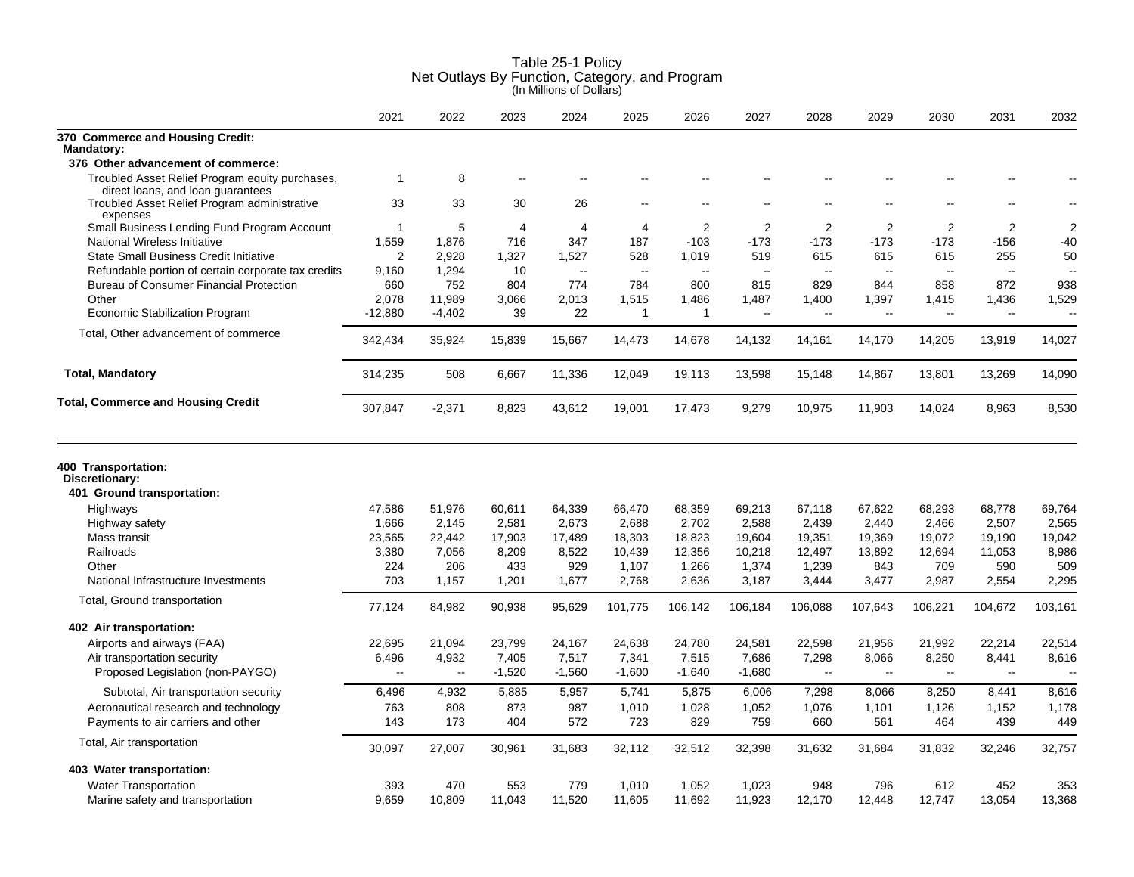|                                                                                      | 2021                     | 2022       | 2023       | 2024       | 2025           | 2026         | 2027                     | 2028           | 2029                     | 2030           | 2031         | 2032           |
|--------------------------------------------------------------------------------------|--------------------------|------------|------------|------------|----------------|--------------|--------------------------|----------------|--------------------------|----------------|--------------|----------------|
| 370 Commerce and Housing Credit:<br>Mandatory:                                       |                          |            |            |            |                |              |                          |                |                          |                |              |                |
| 376 Other advancement of commerce:                                                   |                          |            |            |            |                |              |                          |                |                          |                |              |                |
| Troubled Asset Relief Program equity purchases,<br>direct loans, and loan guarantees | $\mathbf{1}$             | 8          |            |            |                |              |                          |                |                          |                |              |                |
| Troubled Asset Relief Program administrative<br>expenses                             | 33                       | 33         | 30         | 26         |                |              |                          |                |                          |                |              |                |
| Small Business Lending Fund Program Account                                          | 1                        | 5          | 4          | 4          | $\overline{4}$ | 2            | 2                        | 2              | 2                        | $\overline{2}$ | 2            | $\overline{2}$ |
| National Wireless Initiative                                                         | 1,559                    | 1,876      | 716        | 347        | 187            | $-103$       | $-173$                   | $-173$         | $-173$                   | $-173$         | $-156$       | $-40$          |
| <b>State Small Business Credit Initiative</b>                                        | 2                        | 2,928      | 1,327      | 1,527      | 528            | 1,019        | 519                      | 615            | 615                      | 615            | 255          | 50             |
| Refundable portion of certain corporate tax credits                                  | 9,160                    | 1,294      | 10         | $\sim$     | $\sim$         | $\sim$       | $\overline{\phantom{a}}$ | $\overline{a}$ | $\overline{\phantom{a}}$ | $\sim$         | $\sim$       | $\sim$         |
| <b>Bureau of Consumer Financial Protection</b>                                       | 660                      | 752        | 804        | 774        | 784            | 800          | 815                      | 829            | 844                      | 858            | 872          | 938            |
| Other                                                                                | 2,078                    | 11,989     | 3,066      | 2,013      | 1,515          | 1,486        | 1,487                    | 1,400          | 1,397                    | 1,415          | 1,436        | 1,529          |
| <b>Economic Stabilization Program</b>                                                | $-12,880$                | $-4,402$   | 39         | 22         | $\overline{1}$ | $\mathbf{1}$ | $\overline{a}$           | $\sim$         | $\sim$                   | $\sim$         | $\sim$       | $\sim$         |
| Total, Other advancement of commerce                                                 | 342,434                  | 35,924     | 15,839     | 15,667     | 14,473         | 14,678       | 14,132                   | 14,161         | 14,170                   | 14,205         | 13,919       | 14,027         |
| <b>Total, Mandatory</b>                                                              | 314,235                  | 508        | 6,667      | 11,336     | 12,049         | 19,113       | 13,598                   | 15,148         | 14,867                   | 13,801         | 13,269       | 14,090         |
| <b>Total, Commerce and Housing Credit</b>                                            | 307,847                  | $-2,371$   | 8,823      | 43,612     | 19,001         | 17,473       | 9,279                    | 10,975         | 11,903                   | 14,024         | 8,963        | 8,530          |
| 400 Transportation:<br>Discretionary:<br>401 Ground transportation:                  |                          |            |            |            |                |              |                          |                |                          |                |              |                |
| Highways                                                                             | 47,586                   | 51,976     | 60,611     | 64,339     | 66,470         | 68,359       | 69,213                   | 67,118         | 67,622                   | 68,293         | 68,778       | 69,764         |
| Highway safety                                                                       | 1,666                    | 2,145      | 2,581      | 2,673      | 2,688          | 2,702        | 2,588                    | 2,439          | 2,440                    | 2,466          | 2,507        | 2,565          |
| Mass transit                                                                         | 23.565                   | 22.442     | 17,903     | 17,489     | 18,303         | 18,823       | 19,604                   | 19,351         | 19,369                   | 19,072         | 19,190       | 19,042         |
| Railroads                                                                            | 3,380                    | 7,056      | 8,209      | 8,522      | 10,439         | 12,356       | 10,218                   | 12,497         | 13,892                   | 12,694         | 11,053       | 8,986          |
| Other                                                                                | 224                      | 206        | 433        | 929        | 1,107          | 1,266        | 1,374                    | 1,239          | 843                      | 709            | 590          | 509            |
| National Infrastructure Investments                                                  | 703                      | 1,157      | 1,201      | 1,677      | 2,768          | 2,636        | 3,187                    | 3,444          | 3,477                    | 2,987          | 2,554        | 2,295          |
| Total, Ground transportation                                                         | 77,124                   | 84,982     | 90,938     | 95,629     | 101,775        | 106,142      | 106,184                  | 106,088        | 107,643                  | 106,221        | 104,672      | 103,161        |
| 402 Air transportation:                                                              |                          |            |            |            |                |              |                          |                |                          |                |              |                |
| Airports and airways (FAA)                                                           | 22,695                   | 21,094     | 23,799     | 24,167     | 24,638         | 24,780       | 24,581                   | 22,598         | 21,956                   | 21,992         | 22,214       | 22,514         |
| Air transportation security                                                          | 6,496                    | 4,932      | 7,405      | 7,517      | 7,341          | 7,515        | 7,686                    | 7,298          | 8,066                    | 8,250          | 8,441        | 8,616          |
| Proposed Legislation (non-PAYGO)                                                     | $\overline{\phantom{a}}$ | $\sim$     | $-1,520$   | $-1,560$   | $-1,600$       | $-1,640$     | $-1,680$                 | $\sim$         | $\overline{\phantom{a}}$ | $\sim$         | $\sim$       | $\sim$         |
|                                                                                      |                          |            |            |            |                |              |                          |                |                          |                |              |                |
| Subtotal, Air transportation security                                                | 6,496                    | 4,932      | 5,885      | 5,957      | 5,741          | 5,875        | 6,006                    | 7,298          | 8,066                    | 8,250          | 8,441        | 8,616          |
| Aeronautical research and technology<br>Payments to air carriers and other           | 763<br>143               | 808<br>173 | 873<br>404 | 987<br>572 | 1,010<br>723   | 1,028<br>829 | 1,052<br>759             | 1,076<br>660   | 1,101<br>561             | 1,126<br>464   | 1,152<br>439 | 1.178<br>449   |
| Total, Air transportation                                                            | 30,097                   | 27,007     | 30,961     | 31,683     | 32,112         | 32,512       | 32,398                   | 31,632         | 31,684                   | 31,832         | 32,246       | 32,757         |
| 403 Water transportation:                                                            |                          |            |            |            |                |              |                          |                |                          |                |              |                |
| <b>Water Transportation</b>                                                          | 393                      | 470        | 553        | 779        | 1,010          | 1,052        | 1,023                    | 948            | 796                      | 612            | 452          | 353            |
| Marine safety and transportation                                                     | 9.659                    | 10,809     | 11.043     | 11,520     | 11.605         | 11.692       | 11,923                   | 12.170         | 12.448                   | 12.747         | 13,054       | 13,368         |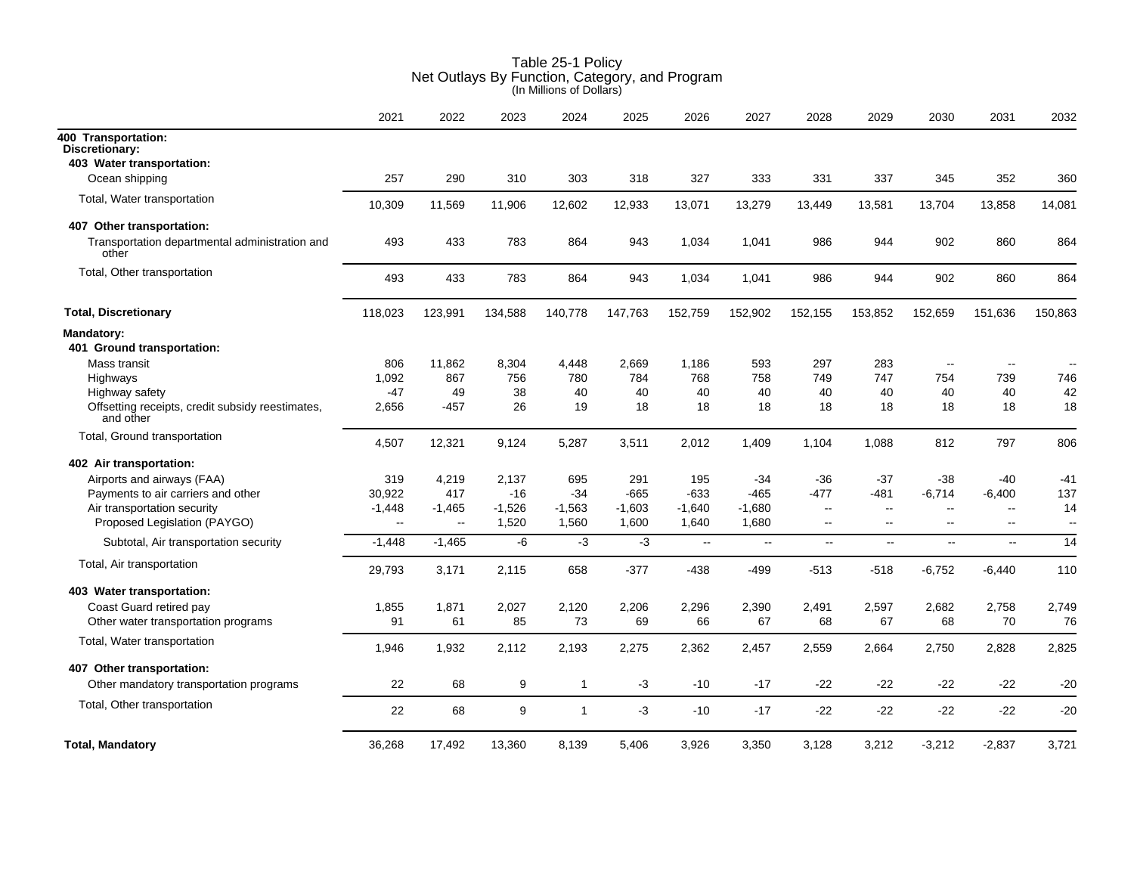|                                                               | 2021                     | 2022         | 2023     | 2024         | 2025     | 2026     | 2027     | 2028                     | 2029                     | 2030                     | 2031                     | 2032                     |
|---------------------------------------------------------------|--------------------------|--------------|----------|--------------|----------|----------|----------|--------------------------|--------------------------|--------------------------|--------------------------|--------------------------|
| 400 Transportation:<br>Discretionary:                         |                          |              |          |              |          |          |          |                          |                          |                          |                          |                          |
| 403 Water transportation:                                     |                          |              |          |              |          |          |          |                          |                          |                          |                          |                          |
| Ocean shipping                                                | 257                      | 290          | 310      | 303          | 318      | 327      | 333      | 331                      | 337                      | 345                      | 352                      | 360                      |
| Total, Water transportation                                   | 10,309                   | 11,569       | 11,906   | 12,602       | 12,933   | 13,071   | 13,279   | 13,449                   | 13,581                   | 13,704                   | 13,858                   | 14,081                   |
| 407 Other transportation:                                     |                          |              |          |              |          |          |          |                          |                          |                          |                          |                          |
| Transportation departmental administration and<br>other       | 493                      | 433          | 783      | 864          | 943      | 1,034    | 1,041    | 986                      | 944                      | 902                      | 860                      | 864                      |
| Total, Other transportation                                   | 493                      | 433          | 783      | 864          | 943      | 1,034    | 1,041    | 986                      | 944                      | 902                      | 860                      | 864                      |
| <b>Total, Discretionary</b>                                   | 118,023                  | 123,991      | 134,588  | 140,778      | 147,763  | 152,759  | 152,902  | 152,155                  | 153,852                  | 152,659                  | 151,636                  | 150,863                  |
| <b>Mandatory:</b><br>401 Ground transportation:               |                          |              |          |              |          |          |          |                          |                          |                          |                          |                          |
| Mass transit                                                  | 806                      | 11,862       | 8,304    | 4,448        | 2,669    | 1,186    | 593      | 297                      | 283                      | $\overline{\phantom{a}}$ |                          |                          |
| Highways                                                      | 1,092                    | 867          | 756      | 780          | 784      | 768      | 758      | 749                      | 747                      | 754                      | 739                      | 746                      |
| Highway safety                                                | -47                      | 49           | 38       | 40           | 40       | 40       | 40       | 40                       | 40                       | 40                       | 40                       | 42                       |
| Offsetting receipts, credit subsidy reestimates,<br>and other | 2,656                    | -457         | 26       | 19           | 18       | 18       | 18       | 18                       | 18                       | 18                       | 18                       | 18                       |
| Total, Ground transportation                                  | 4,507                    | 12,321       | 9,124    | 5,287        | 3,511    | 2,012    | 1,409    | 1,104                    | 1,088                    | 812                      | 797                      | 806                      |
| 402 Air transportation:                                       |                          |              |          |              |          |          |          |                          |                          |                          |                          |                          |
| Airports and airways (FAA)                                    | 319                      | 4,219        | 2,137    | 695          | 291      | 195      | $-34$    | -36                      | $-37$                    | -38                      | -40                      | -41                      |
| Payments to air carriers and other                            | 30,922                   | 417          | -16      | $-34$        | $-665$   | -633     | -465     | $-477$                   | -481                     | $-6,714$                 | $-6,400$                 | 137                      |
| Air transportation security                                   | $-1,448$                 | $-1,465$     | $-1,526$ | $-1,563$     | $-1,603$ | $-1,640$ | $-1,680$ | $\overline{\phantom{a}}$ | $\overline{\phantom{a}}$ | $\overline{\phantom{a}}$ | $\overline{\phantom{a}}$ | 14                       |
| Proposed Legislation (PAYGO)                                  | $\overline{\phantom{a}}$ | $\mathbf{H}$ | 1,520    | 1,560        | 1,600    | 1,640    | 1,680    | $\sim$                   | $\overline{\phantom{a}}$ | $\overline{\phantom{a}}$ | $\overline{\phantom{a}}$ | $\overline{\phantom{a}}$ |
| Subtotal, Air transportation security                         | $-1,448$                 | $-1,465$     | -6       | $-3$         | $-3$     | $\sim$   | $\sim$   | $\overline{\phantom{a}}$ | $\sim$                   | $\sim$                   | $\sim$                   | 14                       |
| Total, Air transportation                                     | 29,793                   | 3,171        | 2,115    | 658          | $-377$   | -438     | -499     | $-513$                   | $-518$                   | $-6,752$                 | $-6,440$                 | 110                      |
| 403 Water transportation:                                     |                          |              |          |              |          |          |          |                          |                          |                          |                          |                          |
| Coast Guard retired pay                                       | 1,855                    | 1,871        | 2,027    | 2,120        | 2,206    | 2,296    | 2,390    | 2,491                    | 2,597                    | 2,682                    | 2,758                    | 2,749                    |
| Other water transportation programs                           | 91                       | 61           | 85       | 73           | 69       | 66       | 67       | 68                       | 67                       | 68                       | 70                       | 76                       |
| Total, Water transportation                                   | 1,946                    | 1,932        | 2,112    | 2,193        | 2,275    | 2,362    | 2,457    | 2,559                    | 2,664                    | 2,750                    | 2,828                    | 2,825                    |
| 407 Other transportation:                                     |                          |              |          |              |          |          |          |                          |                          |                          |                          |                          |
| Other mandatory transportation programs                       | 22                       | 68           | 9        | $\mathbf{1}$ | -3       | -10      | $-17$    | $-22$                    | -22                      | -22                      | -22                      | $-20$                    |
| Total, Other transportation                                   | 22                       | 68           | 9        | $\mathbf{1}$ | $-3$     | -10      | $-17$    | $-22$                    | $-22$                    | $-22$                    | $-22$                    | $-20$                    |
| <b>Total, Mandatory</b>                                       | 36,268                   | 17,492       | 13,360   | 8,139        | 5,406    | 3,926    | 3,350    | 3,128                    | 3,212                    | $-3,212$                 | $-2,837$                 | 3,721                    |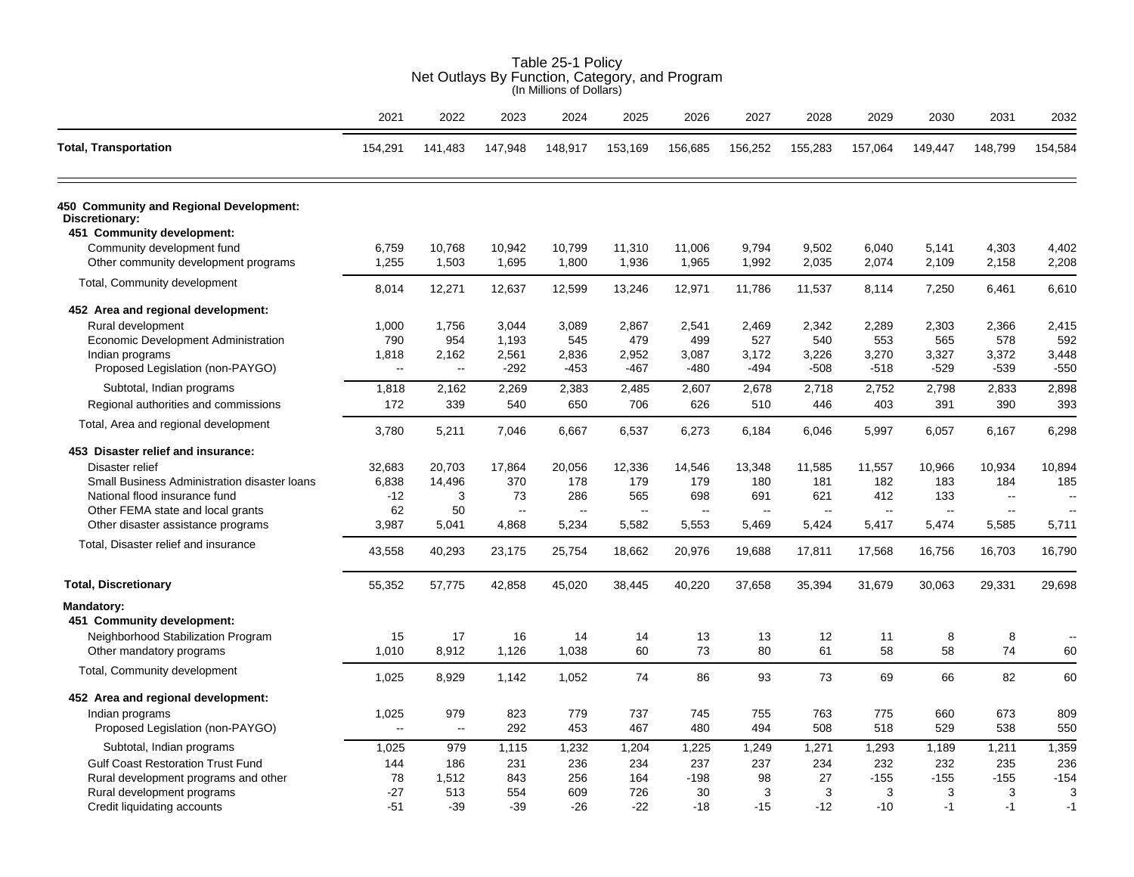|                                                           |              |             |             | (In Millions of Dollars) |                |                          |          |          |          |           |                          |         |
|-----------------------------------------------------------|--------------|-------------|-------------|--------------------------|----------------|--------------------------|----------|----------|----------|-----------|--------------------------|---------|
|                                                           | 2021         | 2022        | 2023        | 2024                     | 2025           | 2026                     | 2027     | 2028     | 2029     | 2030      | 2031                     | 2032    |
| <b>Total, Transportation</b>                              | 154,291      | 141,483     | 147,948     | 148,917                  | 153,169        | 156,685                  | 156,252  | 155,283  | 157,064  | 149,447   | 148,799                  | 154,584 |
| 450 Community and Regional Development:<br>Discretionary: |              |             |             |                          |                |                          |          |          |          |           |                          |         |
| 451 Community development:                                |              |             |             |                          |                |                          |          |          |          |           |                          |         |
| Community development fund                                | 6,759        | 10,768      | 10,942      | 10,799                   | 11,310         | 11,006                   | 9,794    | 9,502    | 6,040    | 5,141     | 4,303                    | 4,402   |
| Other community development programs                      | 1,255        | 1,503       | 1,695       | 1,800                    | 1,936          | 1,965                    | 1,992    | 2,035    | 2,074    | 2,109     | 2,158                    | 2,208   |
| Total, Community development                              | 8,014        | 12,271      | 12,637      | 12,599                   | 13,246         | 12,971                   | 11,786   | 11,537   | 8,114    | 7,250     | 6,461                    | 6,610   |
| 452 Area and regional development:                        |              |             |             |                          |                |                          |          |          |          |           |                          |         |
| Rural development                                         | 1,000        | 1,756       | 3,044       | 3,089                    | 2,867          | 2,541                    | 2,469    | 2,342    | 2,289    | 2,303     | 2,366                    | 2,415   |
| Economic Development Administration                       | 790          | 954         | 1,193       | 545                      | 479            | 499                      | 527      | 540      | 553      | 565       | 578                      | 592     |
| Indian programs                                           | 1,818        | 2,162       | 2,561       | 2,836                    | 2,952          | 3,087                    | 3,172    | 3,226    | 3,270    | 3,327     | 3,372                    | 3,448   |
| Proposed Legislation (non-PAYGO)                          | $\mathbf{u}$ | $\sim$      | $-292$      | $-453$                   | -467           | $-480$                   | $-494$   | $-508$   | $-518$   | $-529$    | $-539$                   | $-550$  |
| Subtotal, Indian programs                                 | 1,818        | 2,162       | 2,269       | 2,383                    | 2,485          | 2,607                    | 2,678    | 2,718    | 2,752    | 2,798     | 2,833                    | 2,898   |
| Regional authorities and commissions                      | 172          | 339         | 540         | 650                      | 706            | 626                      | 510      | 446      | 403      | 391       | 390                      | 393     |
| Total, Area and regional development                      | 3,780        | 5,211       | 7,046       | 6,667                    | 6,537          | 6,273                    | 6,184    | 6,046    | 5,997    | 6,057     | 6,167                    | 6,298   |
| 453 Disaster relief and insurance:                        |              |             |             |                          |                |                          |          |          |          |           |                          |         |
| Disaster relief                                           | 32,683       | 20,703      | 17,864      | 20,056                   | 12,336         | 14,546                   | 13,348   | 11,585   | 11,557   | 10,966    | 10,934                   | 10,894  |
| Small Business Administration disaster loans              | 6,838        | 14,496      | 370         | 178                      | 179            | 179                      | 180      | 181      | 182      | 183       | 184                      | 185     |
| National flood insurance fund                             | $-12$        | 3           | 73          | 286                      | 565            | 698                      | 691      | 621      | 412      | 133       | $\sim$                   |         |
| Other FEMA state and local grants                         | 62           | 50          | $\sim$      |                          | $\overline{a}$ | $\overline{\phantom{a}}$ |          |          | Ξ.       | $\ddotsc$ | $\overline{\phantom{a}}$ |         |
| Other disaster assistance programs                        | 3,987        | 5,041       | 4,868       | 5,234                    | 5,582          | 5,553                    | 5,469    | 5,424    | 5,417    | 5,474     | 5,585                    | 5,711   |
| Total, Disaster relief and insurance                      | 43,558       | 40,293      | 23,175      | 25,754                   | 18,662         | 20,976                   | 19,688   | 17,811   | 17,568   | 16,756    | 16,703                   | 16,790  |
| <b>Total, Discretionary</b>                               | 55,352       | 57,775      | 42,858      | 45,020                   | 38,445         | 40,220                   | 37,658   | 35,394   | 31,679   | 30,063    | 29,331                   | 29,698  |
| Mandatory:                                                |              |             |             |                          |                |                          |          |          |          |           |                          |         |
| 451 Community development:                                |              |             |             |                          |                |                          |          |          |          |           |                          |         |
| Neighborhood Stabilization Program                        | 15           | 17<br>8,912 | 16<br>1,126 | 14<br>1,038              | 14<br>60       | 13<br>73                 | 13<br>80 | 12<br>61 | 11<br>58 | 8<br>58   | 8<br>74                  | $\sim$  |
| Other mandatory programs                                  | 1,010        |             |             |                          |                |                          |          |          |          |           |                          | 60      |
| Total, Community development                              | 1,025        | 8,929       | 1,142       | 1,052                    | 74             | 86                       | 93       | 73       | 69       | 66        | 82                       | 60      |
| 452 Area and regional development:                        |              |             |             |                          |                |                          |          |          |          |           |                          |         |
| Indian programs                                           | 1,025        | 979         | 823         | 779                      | 737            | 745                      | 755      | 763      | 775      | 660       | 673                      | 809     |
| Proposed Legislation (non-PAYGO)                          | $\sim$       | $\ddotsc$   | 292         | 453                      | 467            | 480                      | 494      | 508      | 518      | 529       | 538                      | 550     |
| Subtotal, Indian programs                                 | 1,025        | 979         | 1,115       | 1,232                    | 1,204          | 1,225                    | 1,249    | 1,271    | 1,293    | 1,189     | 1,211                    | 1,359   |
| <b>Gulf Coast Restoration Trust Fund</b>                  | 144          | 186         | 231         | 236                      | 234            | 237                      | 237      | 234      | 232      | 232       | 235                      | 236     |
| Rural development programs and other                      | 78           | 1,512       | 843         | 256                      | 164            | $-198$                   | 98       | 27       | $-155$   | $-155$    | $-155$                   | $-154$  |
| Rural development programs                                | $-27$        | 513         | 554         | 609                      | 726            | 30                       | 3        | 3        | 3        | 3         | 3                        | 3       |
| Credit liquidating accounts                               | $-51$        | $-39$       | $-39$       | $-26$                    | $-22$          | $-18$                    | $-15$    | $-12$    | $-10$    | $-1$      | $-1$                     | $-1$    |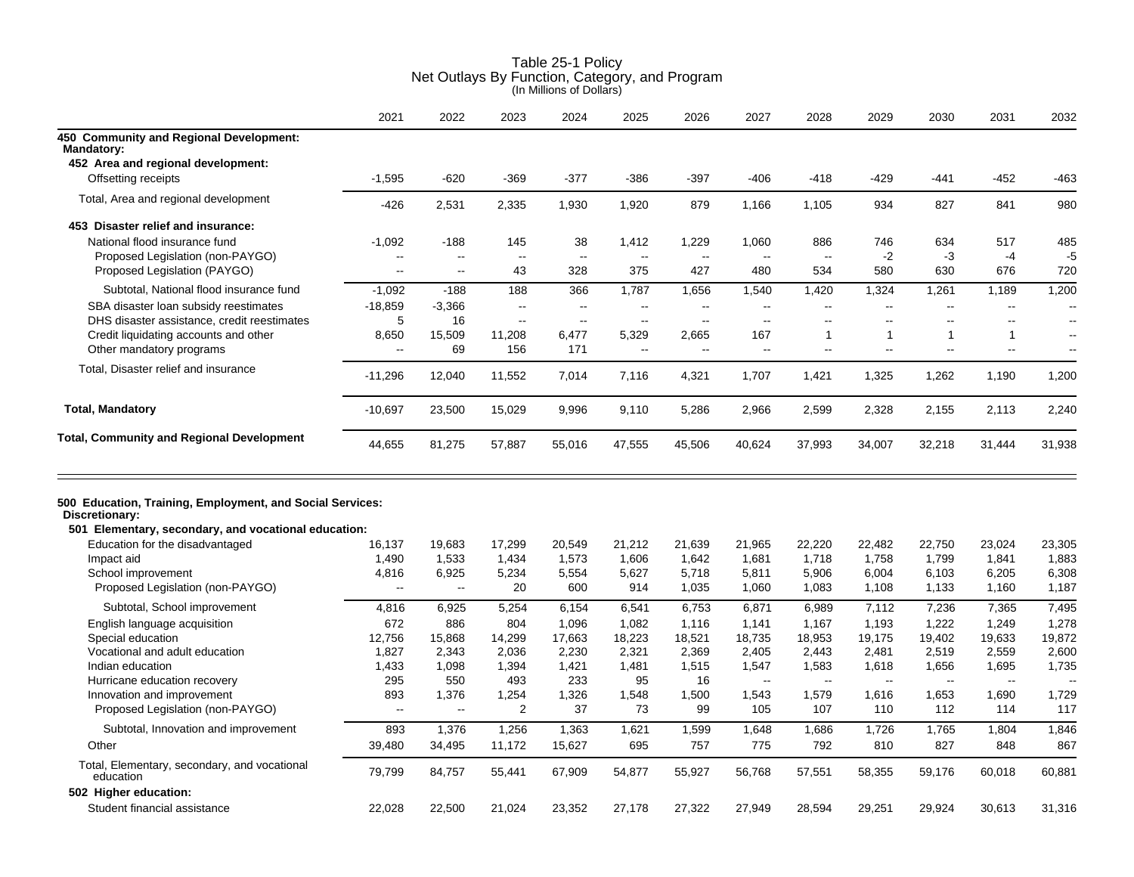|                                                                                                                                     | 2021                     | 2022                 | 2023           | 2024                     | 2025                     | 2026           | 2027           | 2028                     | 2029           | 2030                     | 2031         | 2032                     |
|-------------------------------------------------------------------------------------------------------------------------------------|--------------------------|----------------------|----------------|--------------------------|--------------------------|----------------|----------------|--------------------------|----------------|--------------------------|--------------|--------------------------|
| 450 Community and Regional Development:<br><b>Mandatory:</b>                                                                        |                          |                      |                |                          |                          |                |                |                          |                |                          |              |                          |
| 452 Area and regional development:                                                                                                  |                          |                      |                |                          |                          |                |                |                          |                |                          |              |                          |
| Offsetting receipts                                                                                                                 | $-1,595$                 | $-620$               | $-369$         | $-377$                   | $-386$                   | $-397$         | $-406$         | $-418$                   | $-429$         | -441                     | $-452$       | $-463$                   |
| Total, Area and regional development                                                                                                | -426                     | 2,531                | 2,335          | 1,930                    | 1,920                    | 879            | 1,166          | 1,105                    | 934            | 827                      | 841          | 980                      |
| 453 Disaster relief and insurance:                                                                                                  |                          |                      |                |                          |                          |                |                |                          |                |                          |              |                          |
| National flood insurance fund                                                                                                       | $-1,092$                 | $-188$               | 145            | 38                       | 1,412                    | 1,229          | 1,060          | 886                      | 746            | 634                      | 517          | 485                      |
| Proposed Legislation (non-PAYGO)                                                                                                    | --                       | ÷.                   | Ξ.             | $\overline{\phantom{a}}$ | $\overline{\phantom{a}}$ | $\overline{a}$ | $\overline{a}$ | $\overline{\phantom{a}}$ | $-2$           | $-3$                     | $-4$         | $-5$                     |
| Proposed Legislation (PAYGO)                                                                                                        | $\overline{a}$           | $-$                  | 43             | 328                      | 375                      | 427            | 480            | 534                      | 580            | 630                      | 676          | 720                      |
| Subtotal, National flood insurance fund                                                                                             | $-1,092$                 | $-188$               | 188            | 366                      | 1,787                    | 1,656          | 1,540          | 1,420                    | 1,324          | 1,261                    | 1,189        | 1,200                    |
| SBA disaster loan subsidy reestimates                                                                                               | $-18,859$                | $-3,366$             | $\overline{a}$ | $-$                      | ۵۵                       | $\overline{a}$ | $\overline{a}$ | $\overline{a}$           | $\overline{a}$ | $\sim$                   | $\sim$       | $\overline{\phantom{a}}$ |
| DHS disaster assistance, credit reestimates                                                                                         | 5                        | 16                   | $-$            | $\overline{a}$           | $\sim$                   | $\sim$         | $\overline{a}$ | $\overline{a}$           | $\overline{a}$ | $\overline{a}$           | $\sim$       | $\overline{\phantom{a}}$ |
| Credit liquidating accounts and other                                                                                               | 8,650                    | 15,509               | 11,208         | 6,477                    | 5,329                    | 2,665          | 167            | $\mathbf{1}$             | $\mathbf{1}$   | 1                        | $\mathbf{1}$ | $\overline{\phantom{a}}$ |
| Other mandatory programs                                                                                                            | $\overline{a}$           | 69                   | 156            | 171                      | $\overline{a}$           | $\sim$         | $\sim$         | ц.                       | ц.             | $\overline{\phantom{a}}$ | $\sim$       | $\sim$                   |
| Total, Disaster relief and insurance                                                                                                | -11,296                  | 12,040               | 11,552         | 7,014                    | 7,116                    | 4,321          | 1,707          | 1,421                    | 1,325          | 1,262                    | 1,190        | 1,200                    |
| <b>Total, Mandatory</b>                                                                                                             | $-10,697$                | 23,500               | 15,029         | 9,996                    | 9,110                    | 5,286          | 2,966          | 2,599                    | 2,328          | 2,155                    | 2,113        | 2,240                    |
| <b>Total, Community and Regional Development</b>                                                                                    | 44,655                   | 81,275               | 57,887         | 55,016                   | 47,555                   | 45,506         | 40,624         | 37,993                   | 34,007         | 32,218                   | 31,444       | 31,938                   |
| 500 Education, Training, Employment, and Social Services:<br>Discretionary:<br>501 Elementary, secondary, and vocational education: |                          |                      |                |                          |                          |                |                |                          |                |                          |              |                          |
| Education for the disadvantaged                                                                                                     | 16,137                   | 19,683               | 17,299         | 20,549                   | 21,212                   | 21,639         | 21,965         | 22,220                   | 22,482         | 22,750                   | 23,024       | 23,305                   |
| Impact aid                                                                                                                          | 1,490                    | 1,533                | 1,434          | 1,573                    | 1,606                    | 1,642          | 1,681          | 1,718                    | 1,758          | 1,799                    | 1,841        | 1,883                    |
| School improvement                                                                                                                  | 4,816                    | 6,925                | 5,234          | 5,554                    | 5,627                    | 5,718          | 5,811          | 5,906                    | 6,004          | 6,103                    | 6,205        | 6,308                    |
| Proposed Legislation (non-PAYGO)                                                                                                    | --                       | $\ddot{\phantom{1}}$ | 20             | 600                      | 914                      | 1,035          | 1,060          | 1,083                    | 1,108          | 1,133                    | 1,160        | 1,187                    |
| Subtotal, School improvement                                                                                                        | 4,816                    | 6,925                | 5,254          | 6,154                    | 6,541                    | 6,753          | 6,871          | 6,989                    | 7,112          | 7,236                    | 7,365        | 7,495                    |
| English language acquisition                                                                                                        | 672                      | 886                  | 804            | 1,096                    | 1,082                    | 1.116          | 1,141          | 1,167                    | 1,193          | 1.222                    | 1,249        | 1.278                    |
| Special education                                                                                                                   | 12,756                   | 15,868               | 14,299         | 17,663                   | 18,223                   | 18,521         | 18,735         | 18,953                   | 19,175         | 19,402                   | 19,633       | 19,872                   |
| Vocational and adult education                                                                                                      | 1,827                    | 2,343                | 2,036          | 2,230                    | 2,321                    | 2,369          | 2,405          | 2,443                    | 2,481          | 2,519                    | 2,559        | 2,600                    |
| Indian education                                                                                                                    | 1,433                    | 1,098                | 1,394          | 1,421                    | 1,481                    | 1,515          | 1,547          | 1,583                    | 1,618          | 1,656                    | 1,695        | 1,735                    |
| Hurricane education recovery                                                                                                        | 295                      | 550                  | 493            | 233                      | 95                       | 16             | $\sim$         | $\overline{\phantom{a}}$ | $\ddotsc$      | $\sim$                   | $\sim$       |                          |
| Innovation and improvement                                                                                                          | 893                      | 1,376                | 1,254          | 1,326                    | 1,548                    | 1,500          | 1,543          | 1,579                    | 1,616          | 1,653                    | 1,690        | 1,729                    |
| Proposed Legislation (non-PAYGO)                                                                                                    | $\overline{\phantom{a}}$ | $\ddotsc$            | $\overline{2}$ | 37                       | 73                       | 99             | 105            | 107                      | 110            | 112                      | 114          | 117                      |
| Subtotal, Innovation and improvement                                                                                                | 893                      | 1,376                | 1,256          | 1,363                    | 1,621                    | 1,599          | 1,648          | 1,686                    | 1,726          | 1,765                    | 1,804        | 1,846                    |
| Other                                                                                                                               | 39,480                   | 34,495               | 11,172         | 15,627                   | 695                      | 757            | 775            | 792                      | 810            | 827                      | 848          | 867                      |
| Total, Elementary, secondary, and vocational<br>education                                                                           | 79,799                   | 84,757               | 55,441         | 67,909                   | 54,877                   | 55,927         | 56,768         | 57,551                   | 58,355         | 59,176                   | 60,018       | 60,881                   |
| 502 Higher education:                                                                                                               |                          |                      |                |                          |                          |                |                |                          |                |                          |              |                          |
| Student financial assistance                                                                                                        | 22,028                   | 22,500               | 21,024         | 23,352                   | 27,178                   | 27,322         | 27,949         | 28,594                   | 29,251         | 29,924                   | 30,613       | 31,316                   |
|                                                                                                                                     |                          |                      |                |                          |                          |                |                |                          |                |                          |              |                          |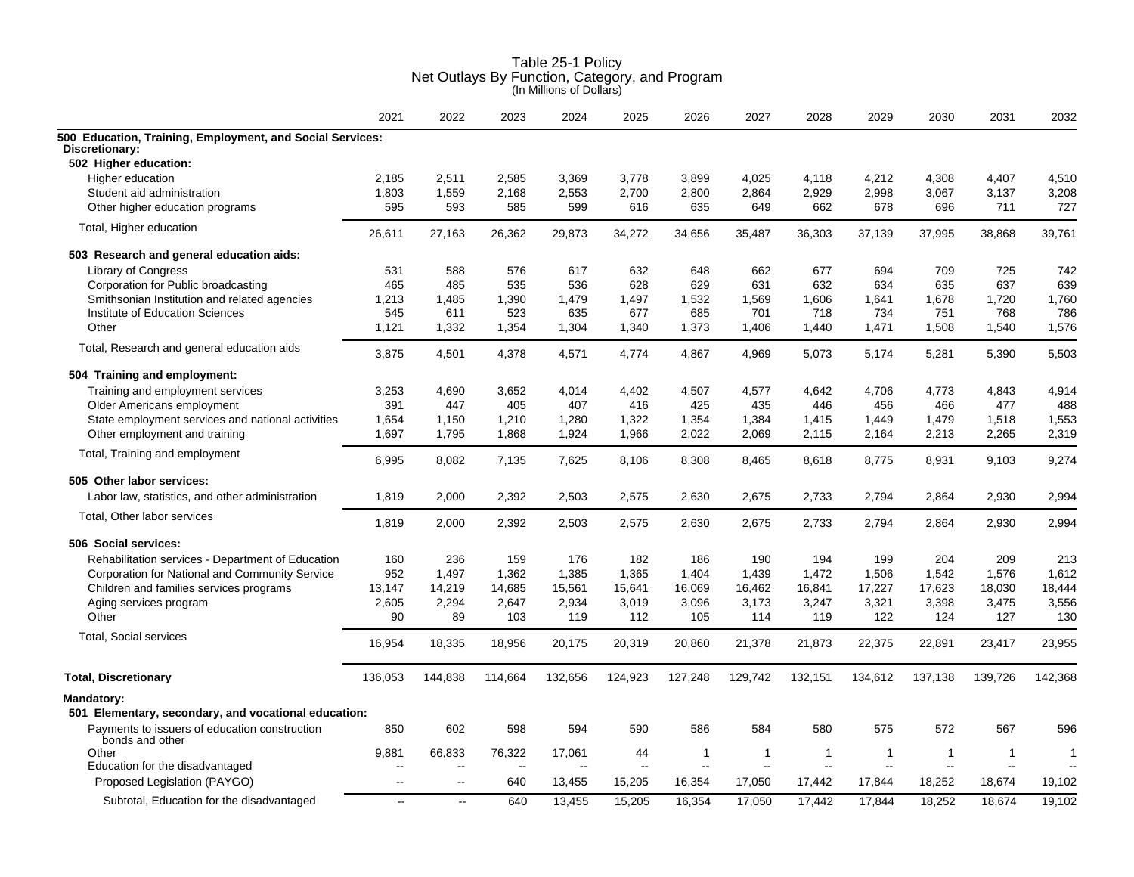|                                                                    | 2021                     | 2022                     | 2023           | 2024    | 2025                     | 2026    | 2027    | 2028    | 2029           | 2030         | 2031                     | 2032                     |
|--------------------------------------------------------------------|--------------------------|--------------------------|----------------|---------|--------------------------|---------|---------|---------|----------------|--------------|--------------------------|--------------------------|
| 500 Education, Training, Employment, and Social Services:          |                          |                          |                |         |                          |         |         |         |                |              |                          |                          |
| Discretionary:<br>502 Higher education:                            |                          |                          |                |         |                          |         |         |         |                |              |                          |                          |
| Higher education                                                   | 2,185                    | 2,511                    | 2,585          | 3,369   | 3,778                    | 3,899   | 4,025   | 4,118   | 4,212          | 4,308        | 4,407                    | 4,510                    |
| Student aid administration                                         | 1,803                    | 1,559                    | 2,168          | 2,553   | 2,700                    | 2,800   | 2,864   | 2,929   | 2,998          | 3,067        | 3,137                    | 3,208                    |
| Other higher education programs                                    | 595                      | 593                      | 585            | 599     | 616                      | 635     | 649     | 662     | 678            | 696          | 711                      | 727                      |
| Total, Higher education                                            | 26,611                   | 27,163                   | 26,362         | 29,873  | 34,272                   | 34,656  | 35,487  | 36,303  | 37,139         | 37,995       | 38,868                   | 39,761                   |
| 503 Research and general education aids:                           |                          |                          |                |         |                          |         |         |         |                |              |                          |                          |
| <b>Library of Congress</b>                                         | 531                      | 588                      | 576            | 617     | 632                      | 648     | 662     | 677     | 694            | 709          | 725                      | 742                      |
| Corporation for Public broadcasting                                | 465                      | 485                      | 535            | 536     | 628                      | 629     | 631     | 632     | 634            | 635          | 637                      | 639                      |
| Smithsonian Institution and related agencies                       | 1,213                    | 1,485                    | 1,390          | 1,479   | 1,497                    | 1,532   | 1,569   | 1,606   | 1,641          | 1,678        | 1,720                    | 1,760                    |
| Institute of Education Sciences                                    | 545                      | 611                      | 523            | 635     | 677                      | 685     | 701     | 718     | 734            | 751          | 768                      | 786                      |
| Other                                                              | 1,121                    | 1,332                    | 1,354          | 1,304   | 1,340                    | 1,373   | 1,406   | 1,440   | 1,471          | 1,508        | 1,540                    | 1,576                    |
| Total, Research and general education aids                         | 3,875                    | 4,501                    | 4,378          | 4,571   | 4,774                    | 4,867   | 4,969   | 5,073   | 5,174          | 5,281        | 5,390                    | 5,503                    |
| 504 Training and employment:                                       |                          |                          |                |         |                          |         |         |         |                |              |                          |                          |
| Training and employment services                                   | 3,253                    | 4,690                    | 3,652          | 4,014   | 4,402                    | 4,507   | 4,577   | 4,642   | 4,706          | 4,773        | 4,843                    | 4,914                    |
| Older Americans employment                                         | 391                      | 447                      | 405            | 407     | 416                      | 425     | 435     | 446     | 456            | 466          | 477                      | 488                      |
| State employment services and national activities                  | 1,654                    | 1,150                    | 1,210          | 1,280   | 1,322                    | 1,354   | 1,384   | 1,415   | 1,449          | 1,479        | 1,518                    | 1,553                    |
| Other employment and training                                      | 1,697                    | 1,795                    | 1,868          | 1,924   | 1,966                    | 2,022   | 2,069   | 2,115   | 2,164          | 2,213        | 2,265                    | 2,319                    |
| Total, Training and employment                                     | 6,995                    | 8,082                    | 7,135          | 7,625   | 8,106                    | 8,308   | 8,465   | 8,618   | 8,775          | 8,931        | 9,103                    | 9,274                    |
| 505 Other labor services:                                          |                          |                          |                |         |                          |         |         |         |                |              |                          |                          |
| Labor law, statistics, and other administration                    | 1,819                    | 2,000                    | 2,392          | 2,503   | 2,575                    | 2,630   | 2,675   | 2,733   | 2,794          | 2,864        | 2,930                    | 2,994                    |
| Total, Other labor services                                        | 1,819                    | 2,000                    | 2,392          | 2,503   | 2,575                    | 2,630   | 2,675   | 2,733   | 2,794          | 2,864        | 2,930                    | 2,994                    |
| 506 Social services:                                               |                          |                          |                |         |                          |         |         |         |                |              |                          |                          |
| Rehabilitation services - Department of Education                  | 160                      | 236                      | 159            | 176     | 182                      | 186     | 190     | 194     | 199            | 204          | 209                      | 213                      |
| Corporation for National and Community Service                     | 952                      | 1,497                    | 1,362          | 1,385   | 1,365                    | 1,404   | 1,439   | 1,472   | 1,506          | 1,542        | 1,576                    | 1,612                    |
| Children and families services programs                            | 13,147                   | 14,219                   | 14,685         | 15,561  | 15,641                   | 16,069  | 16,462  | 16,841  | 17,227         | 17,623       | 18,030                   | 18,444                   |
| Aging services program                                             | 2,605                    | 2,294                    | 2,647          | 2,934   | 3,019                    | 3,096   | 3,173   | 3,247   | 3,321          | 3,398        | 3,475                    | 3,556                    |
| Other                                                              | 90                       | 89                       | 103            | 119     | 112                      | 105     | 114     | 119     | 122            | 124          | 127                      | 130                      |
| <b>Total, Social services</b>                                      | 16,954                   | 18,335                   | 18,956         | 20,175  | 20,319                   | 20,860  | 21,378  | 21,873  | 22,375         | 22,891       | 23,417                   | 23,955                   |
| <b>Total, Discretionary</b>                                        | 136,053                  | 144,838                  | 114,664        | 132,656 | 124,923                  | 127,248 | 129,742 | 132,151 | 134,612        | 137,138      | 139,726                  | 142,368                  |
| Mandatory:<br>501 Elementary, secondary, and vocational education: |                          |                          |                |         |                          |         |         |         |                |              |                          |                          |
| Payments to issuers of education construction                      | 850                      | 602                      | 598            | 594     | 590                      | 586     | 584     | 580     | 575            | 572          | 567                      | 596                      |
| bonds and other<br>Other                                           | 9,881                    | 66,833                   | 76,322         | 17,061  | 44                       | 1       | -1      | 1       | 1              | $\mathbf{1}$ | 1                        | 1                        |
| Education for the disadvantaged                                    | $\overline{\phantom{a}}$ | $\overline{\phantom{a}}$ | $\overline{a}$ |         | $\overline{\phantom{a}}$ | --      | --      | --      | $\overline{a}$ | $\sim$       | $\overline{\phantom{a}}$ | $\overline{\phantom{a}}$ |
| Proposed Legislation (PAYGO)                                       |                          | $-$                      | 640            | 13,455  | 15,205                   | 16,354  | 17,050  | 17,442  | 17,844         | 18,252       | 18,674                   | 19,102                   |
| Subtotal, Education for the disadvantaged                          | $\mathbf{u}$             | $\sim$ $\sim$            | 640            | 13,455  | 15.205                   | 16.354  | 17.050  | 17,442  | 17.844         | 18.252       | 18.674                   | 19.102                   |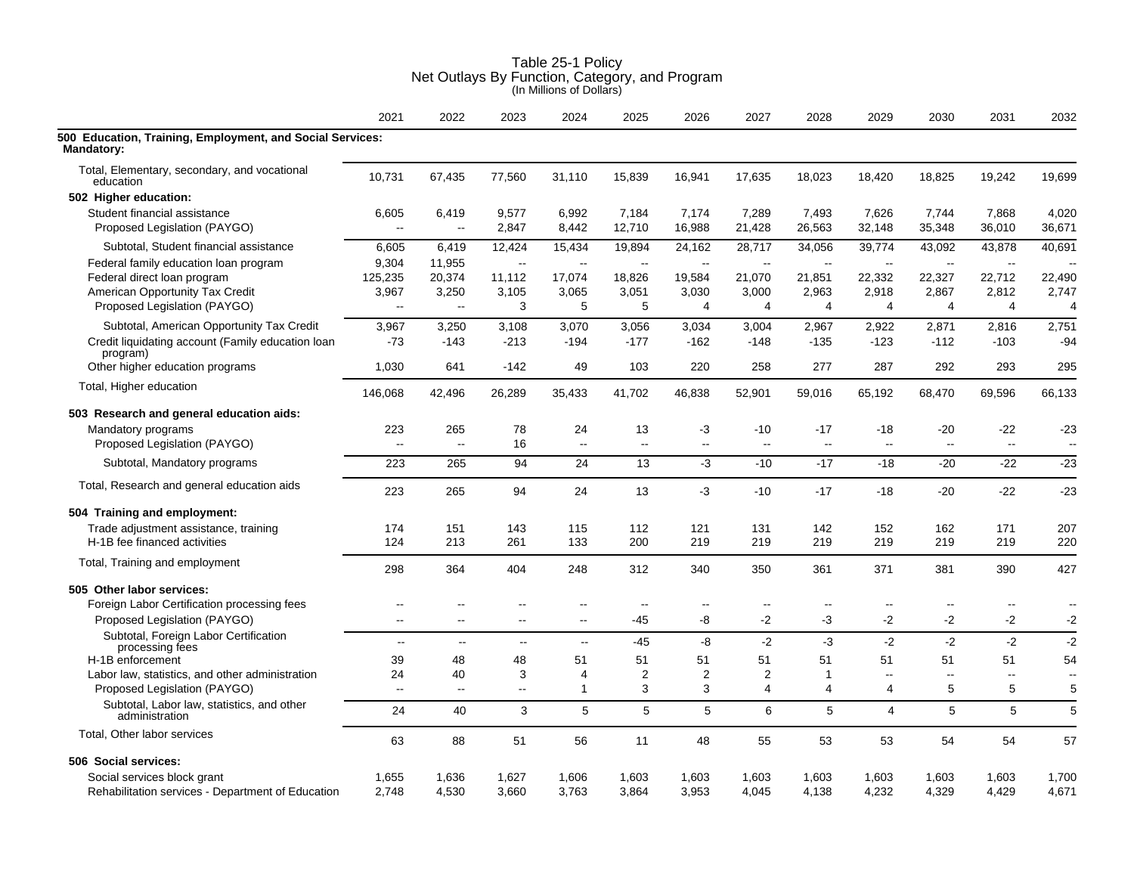|                                                                                | 2021                     | 2022                     | 2023           | 2024            | 2025            | 2026            | 2027                     | 2028                     | 2029            | 2030            | 2031                     | 2032                     |
|--------------------------------------------------------------------------------|--------------------------|--------------------------|----------------|-----------------|-----------------|-----------------|--------------------------|--------------------------|-----------------|-----------------|--------------------------|--------------------------|
| 500 Education, Training, Employment, and Social Services:<br><b>Mandatory:</b> |                          |                          |                |                 |                 |                 |                          |                          |                 |                 |                          |                          |
| Total, Elementary, secondary, and vocational<br>education                      | 10,731                   | 67,435                   | 77,560         | 31,110          | 15,839          | 16,941          | 17,635                   | 18,023                   | 18,420          | 18,825          | 19,242                   | 19,699                   |
| 502 Higher education:                                                          |                          |                          |                |                 |                 |                 |                          |                          |                 |                 |                          |                          |
| Student financial assistance<br>Proposed Legislation (PAYGO)                   | 6,605<br>ц.              | 6,419<br>$\sim$          | 9,577<br>2,847 | 6,992<br>8,442  | 7,184<br>12,710 | 7,174<br>16,988 | 7,289<br>21,428          | 7,493<br>26,563          | 7,626<br>32,148 | 7,744<br>35,348 | 7,868<br>36,010          | 4,020<br>36,671          |
| Subtotal, Student financial assistance                                         | 6,605                    | 6,419                    | 12,424         | 15,434          | 19,894          | 24,162          | 28,717                   | 34,056                   | 39,774          | 43,092          | 43,878                   | 40,691                   |
| Federal family education loan program                                          | 9,304                    | 11,955                   | $\sim$         | $\sim$          | --              | $\sim$          | $\sim$                   | $\sim$                   | $\sim$          | $\sim$          | $\sim$                   |                          |
| Federal direct loan program                                                    | 125,235                  | 20,374                   | 11,112         | 17,074          | 18,826          | 19,584          | 21,070                   | 21,851                   | 22,332          | 22,327          | 22,712                   | 22,490                   |
| American Opportunity Tax Credit                                                | 3,967                    | 3,250                    | 3,105          | 3,065           | 3,051           | 3,030           | 3,000                    | 2,963                    | 2,918           | 2,867           | 2,812                    | 2,747                    |
| Proposed Legislation (PAYGO)                                                   | --                       | $\ddotsc$                | 3              | 5               | 5               | 4               | $\overline{4}$           | 4                        | 4               | 4               | 4                        | 4                        |
| Subtotal, American Opportunity Tax Credit                                      | 3,967                    | 3,250                    | 3,108          | 3,070           | 3,056           | 3,034           | 3,004                    | 2,967                    | 2,922           | 2,871           | 2,816                    | 2,751                    |
| Credit liquidating account (Family education loan<br>program)                  | $-73$                    | $-143$                   | $-213$         | $-194$          | $-177$          | $-162$          | $-148$                   | $-135$                   | $-123$          | $-112$          | $-103$                   | -94                      |
| Other higher education programs                                                | 1,030                    | 641                      | $-142$         | 49              | 103             | 220             | 258                      | 277                      | 287             | 292             | 293                      | 295                      |
| Total, Higher education                                                        | 146,068                  | 42,496                   | 26,289         | 35,433          | 41,702          | 46,838          | 52,901                   | 59,016                   | 65,192          | 68,470          | 69,596                   | 66,133                   |
| 503 Research and general education aids:                                       |                          |                          |                |                 |                 |                 |                          |                          |                 |                 |                          |                          |
| Mandatory programs                                                             | 223                      | 265                      | 78             | 24              | 13              | -3              | $-10$                    | -17                      | -18             | $-20$           | $-22$                    | $-23$                    |
| Proposed Legislation (PAYGO)                                                   | ц.                       | $\overline{\phantom{a}}$ | 16             | $\ddotsc$       | --              | --              | $\overline{\phantom{a}}$ | $\overline{\phantom{a}}$ | Ξ.              | $\mathbf{L}$    | $\overline{\phantom{a}}$ | $\overline{\phantom{a}}$ |
| Subtotal, Mandatory programs                                                   | 223                      | 265                      | 94             | 24              | 13              | $-3$            | $-10$                    | $-17$                    | $-18$           | $-20$           | $-22$                    | $-23$                    |
| Total, Research and general education aids                                     | 223                      | 265                      | 94             | 24              | 13              | -3              | $-10$                    | $-17$                    | $-18$           | $-20$           | -22                      | $-23$                    |
| 504 Training and employment:                                                   |                          |                          |                |                 |                 |                 |                          |                          |                 |                 |                          |                          |
| Trade adjustment assistance, training                                          | 174                      | 151                      | 143            | 115             | 112             | 121             | 131                      | 142                      | 152             | 162             | 171                      | 207                      |
| H-1B fee financed activities                                                   | 124                      | 213                      | 261            | 133             | 200             | 219             | 219                      | 219                      | 219             | 219             | 219                      | 220                      |
| Total, Training and employment                                                 | 298                      | 364                      | 404            | 248             | 312             | 340             | 350                      | 361                      | 371             | 381             | 390                      | 427                      |
| 505 Other labor services:                                                      |                          |                          |                |                 |                 |                 |                          |                          |                 |                 |                          |                          |
| Foreign Labor Certification processing fees                                    | $-$                      | ۵.                       | --             | $-$             | $-$             | $-$             | $\overline{a}$           | $\overline{a}$           |                 | $\overline{a}$  | $\overline{a}$           | $\overline{\phantom{a}}$ |
| Proposed Legislation (PAYGO)                                                   | $\overline{\phantom{a}}$ | $\overline{\phantom{a}}$ | --             | --              | -45             | -8              | $-2$                     | -3                       | $-2$            | $-2$            | -2                       | $-2$                     |
| Subtotal, Foreign Labor Certification<br>processing fees                       | $\sim$                   | $\sim$                   | $\mathbf{u}$   | $\mathbf{u}$    | $-45$           | -8              | $-2$                     | $-3$                     | $-2$            | $-2$            | $-2$                     | $-2$                     |
| H-1B enforcement                                                               | 39                       | 48                       | 48             | 51              | 51              | 51              | 51                       | 51                       | 51              | 51              | 51                       | 54                       |
| Labor law, statistics, and other administration                                | 24                       | 40                       | 3              | 4               | $\overline{2}$  | 2               | 2                        | 1                        | $\overline{a}$  | $\sim$          | $\sim$                   | $\overline{\phantom{a}}$ |
| Proposed Legislation (PAYGO)                                                   | $\sim$                   | $\sim$ $\sim$            | 44             | $\mathbf{1}$    | 3               | 3               | $\overline{4}$           | 4                        | 4               | 5               | 5                        | 5                        |
| Subtotal, Labor law, statistics, and other<br>administration                   | 24                       | 40                       | $\mathbf{3}$   | $5\phantom{.0}$ | 5               | 5               | 6                        | 5                        | $\overline{4}$  | 5               | 5                        | 5                        |
| Total, Other labor services                                                    | 63                       | 88                       | 51             | 56              | 11              | 48              | 55                       | 53                       | 53              | 54              | 54                       | 57                       |
| 506 Social services:                                                           |                          |                          |                |                 |                 |                 |                          |                          |                 |                 |                          |                          |
| Social services block grant                                                    | 1,655                    | 1,636                    | 1,627          | 1,606           | 1,603           | 1,603           | 1,603                    | 1,603                    | 1,603           | 1,603           | 1,603                    | 1,700                    |
| Rehabilitation services - Department of Education                              | 2,748                    | 4,530                    | 3,660          | 3,763           | 3,864           | 3,953           | 4,045                    | 4,138                    | 4,232           | 4,329           | 4,429                    | 4,671                    |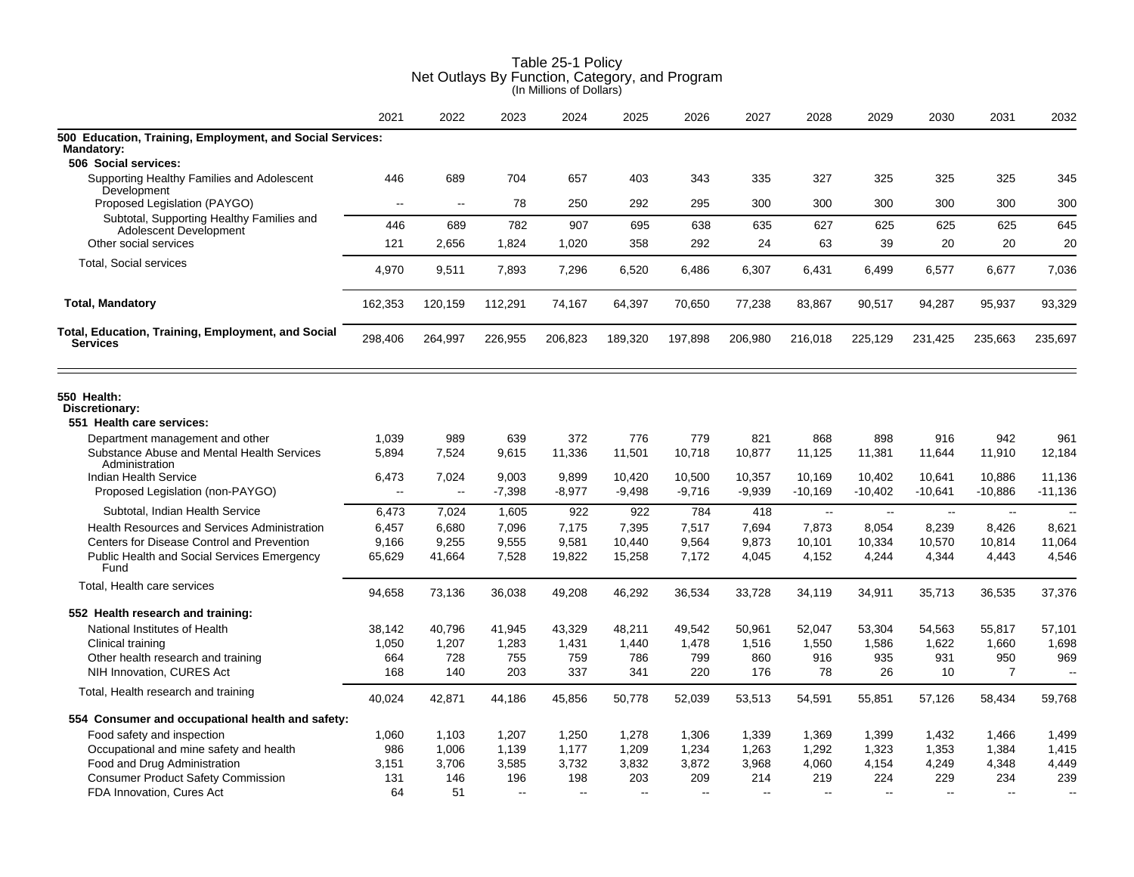|                                                                                                        | 2021                     | 2022    | 2023     | 2024           | 2025                     | 2026     | 2027           | 2028           | 2029      | 2030      | 2031           | 2032      |
|--------------------------------------------------------------------------------------------------------|--------------------------|---------|----------|----------------|--------------------------|----------|----------------|----------------|-----------|-----------|----------------|-----------|
| 500 Education, Training, Employment, and Social Services:<br><b>Mandatory:</b><br>506 Social services: |                          |         |          |                |                          |          |                |                |           |           |                |           |
| Supporting Healthy Families and Adolescent                                                             | 446                      | 689     | 704      | 657            | 403                      | 343      | 335            | 327            | 325       | 325       | 325            | 345       |
| Development<br>Proposed Legislation (PAYGO)                                                            | $\sim$                   | $\sim$  | 78       | 250            | 292                      | 295      | 300            | 300            | 300       | 300       | 300            | 300       |
| Subtotal, Supporting Healthy Families and                                                              |                          |         |          |                |                          |          |                |                |           |           |                |           |
| Adolescent Development                                                                                 | 446                      | 689     | 782      | 907            | 695                      | 638      | 635            | 627            | 625       | 625       | 625            | 645       |
| Other social services                                                                                  | 121                      | 2,656   | 1,824    | 1,020          | 358                      | 292      | 24             | 63             | 39        | 20        | 20             | 20        |
| <b>Total, Social services</b>                                                                          | 4,970                    | 9,511   | 7,893    | 7,296          | 6,520                    | 6,486    | 6,307          | 6,431          | 6,499     | 6,577     | 6,677          | 7,036     |
| <b>Total, Mandatory</b>                                                                                | 162,353                  | 120,159 | 112,291  | 74,167         | 64,397                   | 70,650   | 77,238         | 83,867         | 90,517    | 94,287    | 95,937         | 93,329    |
| Total, Education, Training, Employment, and Social<br><b>Services</b>                                  | 298,406                  | 264,997 | 226,955  | 206,823        | 189,320                  | 197,898  | 206,980        | 216,018        | 225,129   | 231,425   | 235,663        | 235,697   |
| 550 Health:<br>Discretionary:<br>551 Health care services:                                             |                          |         |          |                |                          |          |                |                |           |           |                |           |
| Department management and other                                                                        | 1,039                    | 989     | 639      | 372            | 776                      | 779      | 821            | 868            | 898       | 916       | 942            | 961       |
| Substance Abuse and Mental Health Services<br>Administration                                           | 5,894                    | 7,524   | 9,615    | 11,336         | 11,501                   | 10,718   | 10,877         | 11,125         | 11,381    | 11,644    | 11,910         | 12,184    |
| Indian Health Service                                                                                  | 6,473                    | 7,024   | 9,003    | 9,899          | 10,420                   | 10,500   | 10,357         | 10,169         | 10,402    | 10,641    | 10,886         | 11,136    |
| Proposed Legislation (non-PAYGO)                                                                       | $\overline{\phantom{a}}$ | ц.      | $-7,398$ | $-8,977$       | $-9,498$                 | $-9,716$ | $-9,939$       | $-10,169$      | $-10,402$ | $-10,641$ | $-10,886$      | $-11,136$ |
| Subtotal, Indian Health Service                                                                        | 6,473                    | 7,024   | 1,605    | 922            | 922                      | 784      | 418            | $\sim$         | $\sim$    | $\sim$    | $\sim$         |           |
| <b>Health Resources and Services Administration</b>                                                    | 6,457                    | 6,680   | 7,096    | 7,175          | 7,395                    | 7,517    | 7,694          | 7,873          | 8,054     | 8,239     | 8,426          | 8,621     |
| Centers for Disease Control and Prevention                                                             | 9,166                    | 9,255   | 9,555    | 9,581          | 10,440                   | 9,564    | 9,873          | 10,101         | 10,334    | 10,570    | 10,814         | 11,064    |
| <b>Public Health and Social Services Emergency</b><br>Fund                                             | 65,629                   | 41,664  | 7,528    | 19,822         | 15,258                   | 7,172    | 4,045          | 4,152          | 4,244     | 4,344     | 4,443          | 4,546     |
| Total, Health care services                                                                            | 94,658                   | 73,136  | 36,038   | 49,208         | 46,292                   | 36,534   | 33,728         | 34,119         | 34,911    | 35,713    | 36,535         | 37,376    |
| 552 Health research and training:                                                                      |                          |         |          |                |                          |          |                |                |           |           |                |           |
| National Institutes of Health                                                                          | 38,142                   | 40,796  | 41,945   | 43,329         | 48,211                   | 49,542   | 50,961         | 52,047         | 53,304    | 54,563    | 55,817         | 57,101    |
| Clinical training                                                                                      | 1,050                    | 1,207   | 1,283    | 1,431          | 1,440                    | 1,478    | 1,516          | 1,550          | 1,586     | 1,622     | 1,660          | 1,698     |
| Other health research and training                                                                     | 664                      | 728     | 755      | 759            | 786                      | 799      | 860            | 916            | 935       | 931       | 950            | 969       |
| NIH Innovation, CURES Act                                                                              | 168                      | 140     | 203      | 337            | 341                      | 220      | 176            | 78             | 26        | 10        | $\overline{7}$ | $\sim$    |
| Total, Health research and training                                                                    | 40,024                   | 42,871  | 44,186   | 45,856         | 50,778                   | 52,039   | 53,513         | 54,591         | 55,851    | 57,126    | 58,434         | 59,768    |
| 554 Consumer and occupational health and safety:                                                       |                          |         |          |                |                          |          |                |                |           |           |                |           |
| Food safety and inspection                                                                             | 1,060                    | 1,103   | 1,207    | 1,250          | 1,278                    | 1,306    | 1,339          | 1,369          | 1,399     | 1,432     | 1,466          | 1.499     |
| Occupational and mine safety and health                                                                | 986                      | 1,006   | 1,139    | 1,177          | 1,209                    | 1,234    | 1,263          | 1,292          | 1,323     | 1,353     | 1,384          | 1,415     |
| Food and Drug Administration                                                                           | 3,151                    | 3,706   | 3,585    | 3,732          | 3,832                    | 3,872    | 3,968          | 4,060          | 4,154     | 4,249     | 4,348          | 4,449     |
| <b>Consumer Product Safety Commission</b>                                                              | 131                      | 146     | 196      | 198            | 203                      | 209      | 214            | 219            | 224       | 229       | 234            | 239       |
| FDA Innovation, Cures Act                                                                              | 64                       | 51      |          | $\overline{a}$ | $\overline{\phantom{a}}$ | $\sim$   | $\overline{a}$ | $\overline{a}$ | $-$       | $-$       |                | $\sim$    |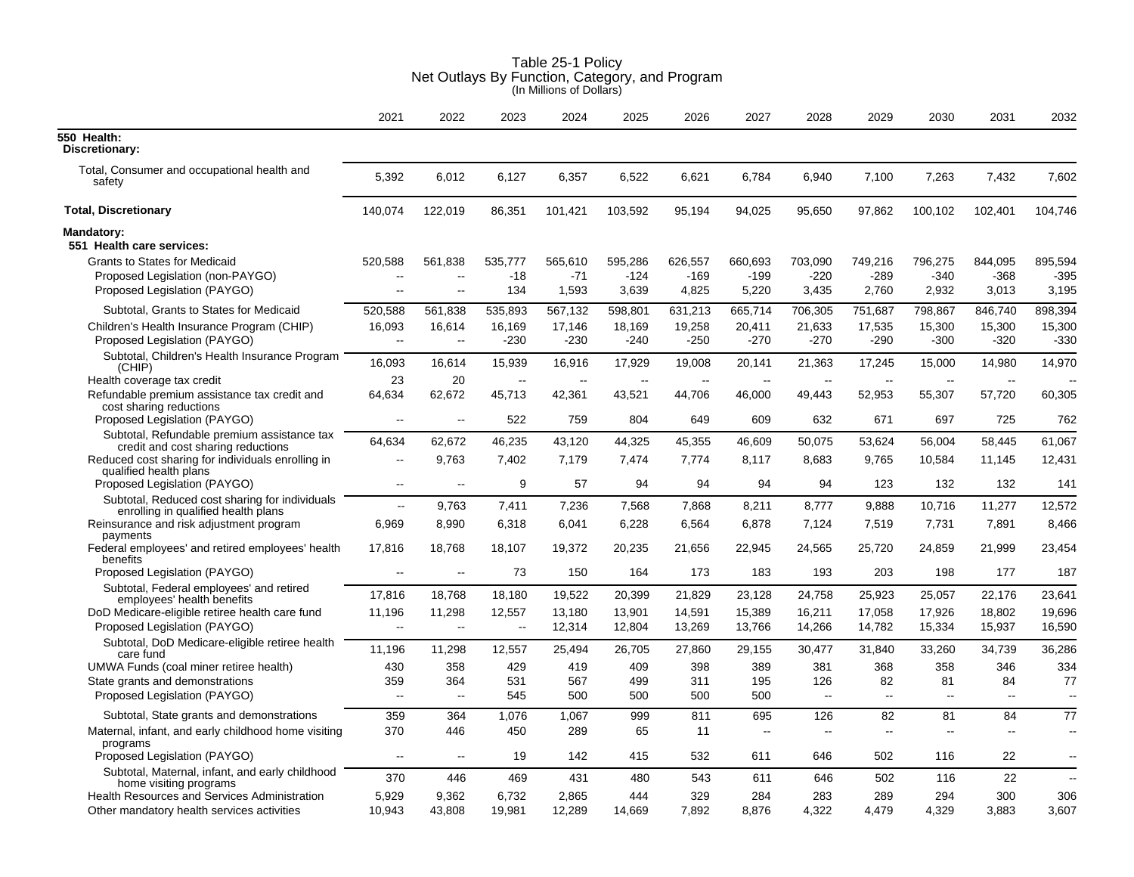| Table 25-1 Policy                              |
|------------------------------------------------|
| Net Outlays By Function, Category, and Program |
| (In Millions of Dollars)                       |

|                                                                                       | 2021                     | 2022                     | 2023    | 2024          | 2025    | 2026          | 2027                     | 2028                     | 2029                     | 2030    | 2031                     | 2032                     |
|---------------------------------------------------------------------------------------|--------------------------|--------------------------|---------|---------------|---------|---------------|--------------------------|--------------------------|--------------------------|---------|--------------------------|--------------------------|
| 550 Health:<br>Discretionary:                                                         |                          |                          |         |               |         |               |                          |                          |                          |         |                          |                          |
| Total, Consumer and occupational health and<br>safety                                 | 5,392                    | 6,012                    | 6,127   | 6,357         | 6,522   | 6,621         | 6,784                    | 6,940                    | 7,100                    | 7,263   | 7,432                    | 7,602                    |
| <b>Total, Discretionary</b>                                                           | 140,074                  | 122,019                  | 86,351  | 101,421       | 103,592 | 95,194        | 94,025                   | 95,650                   | 97,862                   | 100,102 | 102,401                  | 104,746                  |
| Mandatory:<br>551 Health care services:                                               |                          |                          |         |               |         |               |                          |                          |                          |         |                          |                          |
| <b>Grants to States for Medicaid</b>                                                  | 520,588                  | 561,838                  | 535.777 | 565,610       | 595,286 | 626,557       | 660,693                  | 703,090                  | 749,216                  | 796,275 | 844,095                  | 895,594                  |
| Proposed Legislation (non-PAYGO)                                                      |                          | $\overline{\phantom{a}}$ | $-18$   | $-71$         | $-124$  | $-169$        | $-199$                   | $-220$                   | $-289$                   | $-340$  | $-368$                   | $-395$                   |
| Proposed Legislation (PAYGO)                                                          | --                       | $\overline{\phantom{a}}$ | 134     | 1,593         | 3,639   | 4,825         | 5,220                    | 3,435                    | 2,760                    | 2,932   | 3,013                    | 3,195                    |
| Subtotal, Grants to States for Medicaid                                               | 520,588                  | 561,838                  | 535,893 | 567,132       | 598,801 | 631,213       | 665,714                  | 706,305                  | 751,687                  | 798,867 | 846,740                  | 898,394                  |
| Children's Health Insurance Program (CHIP)                                            | 16,093                   | 16,614                   | 16,169  | 17,146        | 18,169  | 19,258        | 20,411                   | 21,633                   | 17,535                   | 15,300  | 15,300                   | 15,300                   |
| Proposed Legislation (PAYGO)                                                          | $\overline{\phantom{a}}$ | $\sim$                   | $-230$  | $-230$        | $-240$  | $-250$        | $-270$                   | $-270$                   | -290                     | $-300$  | $-320$                   | $-330$                   |
| Subtotal, Children's Health Insurance Program<br>(CHIP)                               | 16,093                   | 16,614                   | 15,939  | 16,916        | 17,929  | 19,008        | 20,141                   | 21,363                   | 17,245                   | 15,000  | 14,980                   | 14,970                   |
| Health coverage tax credit                                                            | 23                       | 20                       | $\sim$  | $\sim$ $\sim$ | $\sim$  | $\sim$ $\sim$ | $\overline{\phantom{a}}$ | $\overline{\phantom{a}}$ | $\overline{\phantom{a}}$ | $\sim$  | $\overline{\phantom{a}}$ |                          |
| Refundable premium assistance tax credit and                                          | 64,634                   | 62,672                   | 45,713  | 42,361        | 43,521  | 44,706        | 46,000                   | 49,443                   | 52,953                   | 55,307  | 57,720                   | 60,305                   |
| cost sharing reductions<br>Proposed Legislation (PAYGO)                               | $\overline{\phantom{a}}$ | $\sim$                   | 522     | 759           | 804     | 649           | 609                      | 632                      | 671                      | 697     | 725                      | 762                      |
| Subtotal, Refundable premium assistance tax<br>credit and cost sharing reductions     | 64,634                   | 62,672                   | 46,235  | 43,120        | 44,325  | 45,355        | 46,609                   | 50,075                   | 53,624                   | 56,004  | 58,445                   | 61,067                   |
| Reduced cost sharing for individuals enrolling in<br>qualified health plans           | $\overline{\phantom{a}}$ | 9,763                    | 7,402   | 7,179         | 7,474   | 7,774         | 8,117                    | 8,683                    | 9,765                    | 10,584  | 11,145                   | 12,431                   |
| Proposed Legislation (PAYGO)                                                          | $\overline{\phantom{a}}$ | $\sim$                   | 9       | 57            | 94      | 94            | 94                       | 94                       | 123                      | 132     | 132                      | 141                      |
| Subtotal, Reduced cost sharing for individuals<br>enrolling in qualified health plans | $\sim$                   | 9,763                    | 7,411   | 7,236         | 7,568   | 7,868         | 8,211                    | 8,777                    | 9,888                    | 10,716  | 11,277                   | 12,572                   |
| Reinsurance and risk adjustment program<br>payments                                   | 6,969                    | 8.990                    | 6.318   | 6,041         | 6,228   | 6.564         | 6,878                    | 7,124                    | 7.519                    | 7,731   | 7,891                    | 8,466                    |
| Federal employees' and retired employees' health<br>benefits                          | 17,816                   | 18,768                   | 18,107  | 19,372        | 20,235  | 21,656        | 22,945                   | 24,565                   | 25,720                   | 24,859  | 21,999                   | 23,454                   |
| Proposed Legislation (PAYGO)                                                          | $\overline{a}$           | $\sim$                   | 73      | 150           | 164     | 173           | 183                      | 193                      | 203                      | 198     | 177                      | 187                      |
| Subtotal, Federal employees' and retired                                              | 17,816                   | 18,768                   | 18,180  | 19,522        | 20,399  | 21,829        | 23,128                   | 24,758                   | 25,923                   | 25,057  | 22,176                   | 23,641                   |
| employees' health benefits<br>DoD Medicare-eligible retiree health care fund          | 11,196                   | 11,298                   | 12,557  | 13,180        | 13,901  | 14,591        | 15,389                   | 16,211                   | 17,058                   | 17,926  | 18.802                   | 19,696                   |
| Proposed Legislation (PAYGO)                                                          | Ξ.                       | $\sim$ $\sim$            | $\sim$  | 12,314        | 12,804  | 13,269        | 13,766                   | 14,266                   | 14,782                   | 15,334  | 15.937                   | 16,590                   |
| Subtotal, DoD Medicare-eligible retiree health<br>care fund                           | 11,196                   | 11,298                   | 12,557  | 25,494        | 26,705  | 27,860        | 29,155                   | 30,477                   | 31,840                   | 33,260  | 34,739                   | 36,286                   |
| UMWA Funds (coal miner retiree health)                                                | 430                      | 358                      | 429     | 419           | 409     | 398           | 389                      | 381                      | 368                      | 358     | 346                      | 334                      |
| State grants and demonstrations                                                       | 359                      | 364                      | 531     | 567           | 499     | 311           | 195                      | 126                      | 82                       | 81      | 84                       | 77                       |
| Proposed Legislation (PAYGO)                                                          | --                       | $\sim$                   | 545     | 500           | 500     | 500           | 500                      | $\mathbb{L}^2$           | цц.                      | $\sim$  | $\overline{\phantom{a}}$ | $\sim$                   |
| Subtotal, State grants and demonstrations                                             | 359                      | 364                      | 1,076   | 1,067         | 999     | 811           | 695                      | 126                      | 82                       | 81      | 84                       | 77                       |
| Maternal, infant, and early childhood home visiting<br>programs                       | 370                      | 446                      | 450     | 289           | 65      | 11            |                          | $\overline{a}$           | $\overline{a}$           | $-$     |                          | $\overline{\phantom{a}}$ |
| Proposed Legislation (PAYGO)                                                          | $\ddotsc$                | $\sim$                   | 19      | 142           | 415     | 532           | 611                      | 646                      | 502                      | 116     | 22                       | $\overline{\phantom{a}}$ |
| Subtotal, Maternal, infant, and early childhood<br>home visiting programs             | 370                      | 446                      | 469     | 431           | 480     | 543           | 611                      | 646                      | 502                      | 116     | 22                       | $\sim$                   |
| Health Resources and Services Administration                                          | 5,929                    | 9.362                    | 6,732   | 2.865         | 444     | 329           | 284                      | 283                      | 289                      | 294     | 300                      | 306                      |
| Other mandatory health services activities                                            | 10,943                   | 43,808                   | 19,981  | 12,289        | 14,669  | 7,892         | 8,876                    | 4,322                    | 4.479                    | 4,329   | 3,883                    | 3,607                    |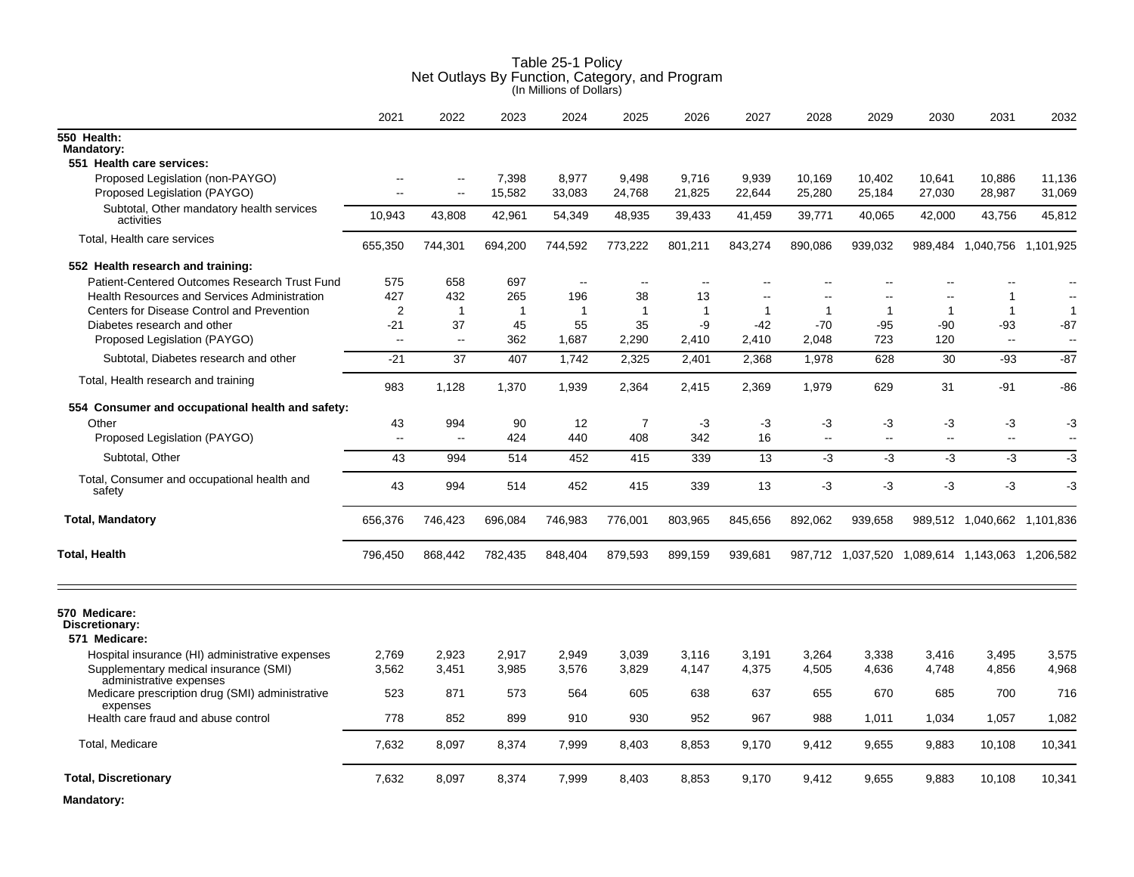|                                                                  | 2021            | 2022                | 2023           | 2024              | 2025         | 2026         | 2027           | 2028           | 2029                      | 2030           | 2031                                            | 2032           |
|------------------------------------------------------------------|-----------------|---------------------|----------------|-------------------|--------------|--------------|----------------|----------------|---------------------------|----------------|-------------------------------------------------|----------------|
| 550 Health:<br><b>Mandatory:</b><br>551 Health care services:    |                 |                     |                |                   |              |              |                |                |                           |                |                                                 |                |
| Proposed Legislation (non-PAYGO)                                 | $\sim$          |                     | 7,398          | 8,977             | 9,498        | 9,716        | 9,939          | 10,169         | 10,402                    | 10,641         | 10,886                                          | 11,136         |
| Proposed Legislation (PAYGO)                                     | $\sim$          | $\sim$              | 15,582         | 33,083            | 24,768       | 21,825       | 22,644         | 25,280         | 25,184                    | 27,030         | 28,987                                          | 31,069         |
| Subtotal, Other mandatory health services<br>activities          | 10,943          | 43,808              | 42,961         | 54,349            | 48,935       | 39,433       | 41,459         | 39,771         | 40,065                    | 42,000         | 43,756                                          | 45,812         |
| Total, Health care services                                      | 655,350         | 744,301             | 694,200        | 744,592           | 773,222      | 801,211      | 843,274        | 890,086        | 939,032                   |                | 989,484 1,040,756 1,101,925                     |                |
| 552 Health research and training:                                |                 |                     |                |                   |              |              |                |                |                           |                |                                                 |                |
| Patient-Centered Outcomes Research Trust Fund                    | 575             | 658                 | 697            | $\sim$            |              |              |                |                |                           |                |                                                 |                |
| <b>Health Resources and Services Administration</b>              | 427             | 432                 | 265            | 196               | 38           | 13           |                |                |                           |                | 1                                               |                |
| Centers for Disease Control and Prevention                       | 2               | $\overline{1}$      | $\overline{1}$ | $\mathbf{1}$      | $\mathbf{1}$ | $\mathbf{1}$ | 1              | $\mathbf{1}$   | $\mathbf{1}$              | $\overline{1}$ | $\overline{1}$                                  | -1             |
| Diabetes research and other<br>Proposed Legislation (PAYGO)      | $-21$<br>$\sim$ | 37<br>$\sim$ $\sim$ | 45<br>362      | 55<br>1,687       | 35<br>2,290  | -9<br>2,410  | $-42$<br>2,410 | $-70$<br>2,048 | -95<br>723                | -90<br>120     | -93<br>$\sim$                                   | -87            |
| Subtotal, Diabetes research and other                            | $-21$           | 37                  | 407            | 1,742             | 2,325        | 2,401        | 2,368          | 1,978          | 628                       | 30             | $-93$                                           | $-87$          |
| Total, Health research and training                              | 983             | 1,128               | 1,370          | 1,939             | 2,364        | 2,415        | 2,369          | 1,979          | 629                       | 31             | $-91$                                           | $-86$          |
| 554 Consumer and occupational health and safety:                 |                 |                     |                |                   |              |              |                |                |                           |                |                                                 |                |
| Other                                                            | 43              | 994                 | 90             | $12 \overline{ }$ | 7            | $-3$         | $-3$           | -3             | $-3$                      | -3             | $-3$                                            | $-3$           |
| Proposed Legislation (PAYGO)                                     | $\mathbf{u}$    | $\sim$ $\sim$       | 424            | 440               | 408          | 342          | 16             | $\sim$         | $\mathbb{L}^{\mathbb{L}}$ | $\mathbf{u}$   | $\mathbf{u}$                                    | $\overline{a}$ |
| Subtotal, Other                                                  | 43              | 994                 | 514            | 452               | 415          | 339          | 13             | $-3$           | $-3$                      | $-3$           | $-3$                                            | $-3$           |
| Total, Consumer and occupational health and<br>safety            | 43              | 994                 | 514            | 452               | 415          | 339          | 13             | $-3$           | $-3$                      | $-3$           | $-3$                                            | $-3$           |
| <b>Total, Mandatory</b>                                          | 656,376         | 746,423             | 696,084        | 746,983           | 776,001      | 803,965      | 845,656        | 892,062        | 939,658                   |                | 989,512 1,040,662 1,101,836                     |                |
| <b>Total, Health</b>                                             | 796,450         | 868,442             | 782,435        | 848,404           | 879,593      | 899,159      | 939,681        |                |                           |                | 987,712 1,037,520 1,089,614 1,143,063 1,206,582 |                |
| 570 Medicare:<br>Discretionary:<br>571 Medicare:                 |                 |                     |                |                   |              |              |                |                |                           |                |                                                 |                |
| Hospital insurance (HI) administrative expenses                  | 2,769           | 2,923               | 2,917          | 2,949             | 3,039        | 3,116        | 3,191          | 3,264          | 3,338                     | 3,416          | 3,495                                           | 3,575          |
| Supplementary medical insurance (SMI)<br>administrative expenses | 3,562           | 3,451               | 3,985          | 3,576             | 3,829        | 4.147        | 4,375          | 4,505          | 4,636                     | 4,748          | 4,856                                           | 4,968          |
| Medicare prescription drug (SMI) administrative<br>expenses      | 523             | 871                 | 573            | 564               | 605          | 638          | 637            | 655            | 670                       | 685            | 700                                             | 716            |
| Health care fraud and abuse control                              | 778             | 852                 | 899            | 910               | 930          | 952          | 967            | 988            | 1,011                     | 1,034          | 1,057                                           | 1,082          |
| Total, Medicare                                                  | 7,632           | 8,097               | 8,374          | 7,999             | 8,403        | 8,853        | 9,170          | 9,412          | 9,655                     | 9,883          | 10,108                                          | 10,341         |
| <b>Total, Discretionary</b>                                      | 7,632           | 8,097               | 8,374          | 7,999             | 8,403        | 8,853        | 9,170          | 9,412          | 9,655                     | 9,883          | 10,108                                          | 10,341         |
| Mandatory:                                                       |                 |                     |                |                   |              |              |                |                |                           |                |                                                 |                |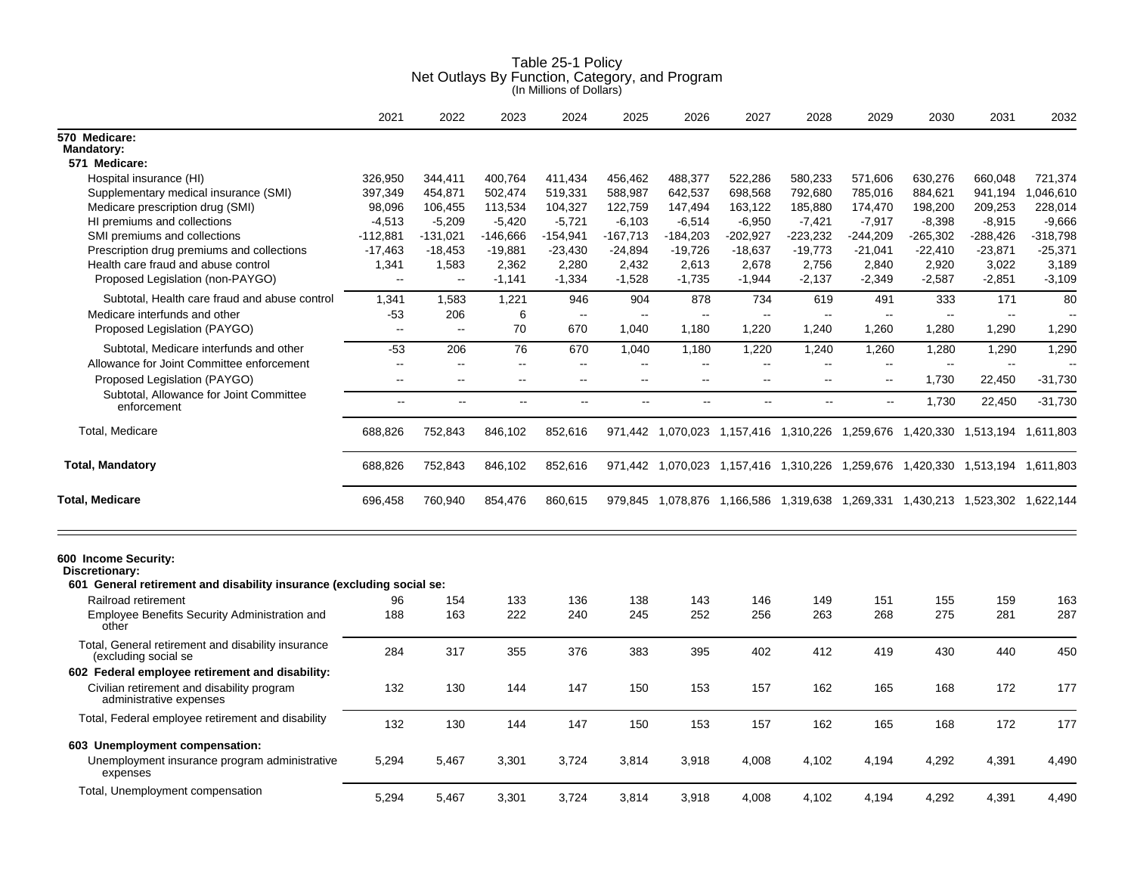|                                                                            | 2021                     | 2022                 | 2023                     | 2024                     | 2025                     | 2026                     | 2027           | 2028                     | 2029       | 2030       | 2031                                                                          | 2032                                |
|----------------------------------------------------------------------------|--------------------------|----------------------|--------------------------|--------------------------|--------------------------|--------------------------|----------------|--------------------------|------------|------------|-------------------------------------------------------------------------------|-------------------------------------|
| 570 Medicare:<br><b>Mandatory:</b>                                         |                          |                      |                          |                          |                          |                          |                |                          |            |            |                                                                               |                                     |
| 571 Medicare:                                                              |                          |                      |                          |                          |                          |                          |                |                          |            |            |                                                                               |                                     |
| Hospital insurance (HI)                                                    | 326,950                  | 344,411              | 400,764                  | 411,434                  | 456,462                  | 488,377                  | 522,286        | 580,233                  | 571,606    | 630,276    | 660,048                                                                       | 721,374                             |
| Supplementary medical insurance (SMI)                                      | 397,349                  | 454,871              | 502,474                  | 519,331                  | 588,987                  | 642,537                  | 698,568        | 792,680                  | 785,016    | 884,621    | 941,194                                                                       | .046.610<br>$\overline{\mathbf{1}}$ |
| Medicare prescription drug (SMI)                                           | 98,096                   | 106,455              | 113,534                  | 104,327                  | 122,759                  | 147,494                  | 163,122        | 185,880                  | 174,470    | 198,200    | 209,253                                                                       | 228,014                             |
| HI premiums and collections                                                | $-4,513$                 | $-5,209$             | $-5,420$                 | $-5,721$                 | $-6,103$                 | $-6,514$                 | $-6,950$       | $-7,421$                 | $-7,917$   | $-8,398$   | $-8,915$                                                                      | $-9,666$                            |
| SMI premiums and collections                                               | $-112,881$               | $-131,021$           | -146,666                 | -154,941                 | $-167,713$               | $-184,203$               | $-202,927$     | $-223,232$               | $-244,209$ | $-265,302$ | -288,426                                                                      | $-318,798$                          |
| Prescription drug premiums and collections                                 | $-17,463$                | $-18,453$            | $-19,881$                | $-23,430$                | $-24,894$                | $-19,726$                | $-18,637$      | $-19,773$                | $-21,041$  | $-22,410$  | $-23,871$                                                                     | $-25,371$                           |
| Health care fraud and abuse control                                        | 1,341                    | 1,583                | 2.362                    | 2.280                    | 2,432                    | 2.613                    | 2.678          | 2,756                    | 2.840      | 2,920      | 3,022                                                                         | 3.189                               |
| Proposed Legislation (non-PAYGO)                                           | $\mathbf{u}$             | $\overline{a}$       | $-1,141$                 | $-1,334$                 | $-1,528$                 | $-1,735$                 | $-1,944$       | $-2,137$                 | $-2,349$   | $-2,587$   | $-2,851$                                                                      | $-3,109$                            |
| Subtotal, Health care fraud and abuse control                              | 1,341                    | 1,583                | 1,221                    | 946                      | 904                      | 878                      | 734            | 619                      | 491        | 333        | 171                                                                           | 80                                  |
| Medicare interfunds and other                                              | -53                      | 206                  | 6                        | $\sim$                   | $\sim$                   | $\sim$                   | $\mathbf{u}$   | $\overline{a}$           | $\sim$     | $\sim$     | $\sim$                                                                        | . —                                 |
| Proposed Legislation (PAYGO)                                               | $\overline{\phantom{a}}$ | $\ddotsc$            | 70                       | 670                      | 1,040                    | 1,180                    | 1.220          | 1,240                    | 1,260      | 1,280      | 1.290                                                                         | 1,290                               |
| Subtotal, Medicare interfunds and other                                    | $-53$                    | 206                  | 76                       | 670                      | 1.040                    | 1,180                    | 1.220          | 1.240                    | 1,260      | 1,280      | 1.290                                                                         | 1.290                               |
| Allowance for Joint Committee enforcement                                  | $\sim$                   | $\overline{a}$       | $\overline{\phantom{a}}$ | $\overline{\phantom{a}}$ | $\overline{\phantom{a}}$ | $\overline{\phantom{a}}$ | $\sim$         | $\overline{\phantom{a}}$ | $\sim$     | $\sim$     | $\sim$                                                                        |                                     |
| Proposed Legislation (PAYGO)                                               | $\sim$                   | $\ddot{\phantom{a}}$ | ä.                       | $\sim$                   | цц.                      | ц.                       | $\overline{a}$ | $\overline{a}$           | ц.         | 1,730      | 22,450                                                                        | $-31,730$                           |
| Subtotal, Allowance for Joint Committee<br>enforcement                     | $\sim$                   | $\sim$ $\sim$        | $\sim$                   | $\overline{\phantom{a}}$ | цц.                      | $\overline{\phantom{a}}$ | $\sim$         | $\sim$ $\sim$            | $\sim$     | 1,730      | 22,450                                                                        | $-31,730$                           |
| Total, Medicare                                                            | 688,826                  | 752,843              | 846,102                  | 852,616                  |                          |                          |                |                          |            |            | 971,442 1,070,023 1,157,416 1,310,226 1,259,676 1,420,330 1,513,194 1,611,803 |                                     |
| <b>Total, Mandatory</b>                                                    | 688,826                  | 752,843              | 846,102                  | 852,616                  |                          |                          |                |                          |            |            | 971,442 1,070,023 1,157,416 1,310,226 1,259,676 1,420,330 1,513,194 1,611,803 |                                     |
| <b>Total, Medicare</b>                                                     | 696,458                  | 760,940              | 854,476                  | 860,615                  |                          |                          |                |                          |            |            | 979,845 1,078,876 1,166,586 1,319,638 1,269,331 1,430,213 1,523,302 1,622,144 |                                     |
| 600 Income Security:<br>Discretionary:                                     |                          |                      |                          |                          |                          |                          |                |                          |            |            |                                                                               |                                     |
| 601 General retirement and disability insurance (excluding social se:      |                          |                      |                          |                          |                          |                          |                |                          |            |            |                                                                               |                                     |
| Railroad retirement                                                        | 96                       | 154                  | 133                      | 136                      | 138                      | 143                      | 146            | 149                      | 151        | 155        | 159                                                                           | 163                                 |
| Employee Benefits Security Administration and<br>other                     | 188                      | 163                  | 222                      | 240                      | 245                      | 252                      | 256            | 263                      | 268        | 275        | 281                                                                           | 287                                 |
| Total, General retirement and disability insurance<br>(excluding social se | 284                      | 317                  | 355                      | 376                      | 383                      | 395                      | 402            | 412                      | 419        | 430        | 440                                                                           | 450                                 |
| 602 Federal employee retirement and disability:                            |                          |                      |                          |                          |                          |                          |                |                          |            |            |                                                                               |                                     |
| Civilian retirement and disability program<br>administrative expenses      | 132                      | 130                  | 144                      | 147                      | 150                      | 153                      | 157            | 162                      | 165        | 168        | 172                                                                           | 177                                 |
| Total, Federal employee retirement and disability                          | 132                      | 130                  | 144                      | 147                      | 150                      | 153                      | 157            | 162                      | 165        | 168        | 172                                                                           | 177                                 |
| 603 Unemployment compensation:                                             |                          |                      |                          |                          |                          |                          |                |                          |            |            |                                                                               |                                     |
| Unemployment insurance program administrative<br>expenses                  | 5,294                    | 5,467                | 3,301                    | 3,724                    | 3,814                    | 3,918                    | 4,008          | 4,102                    | 4,194      | 4,292      | 4,391                                                                         | 4,490                               |
| Total, Unemployment compensation                                           | 5.294                    | 5,467                | 3.301                    | 3.724                    | 3.814                    | 3,918                    | 4.008          | 4.102                    | 4.194      | 4.292      | 4,391                                                                         | 4.490                               |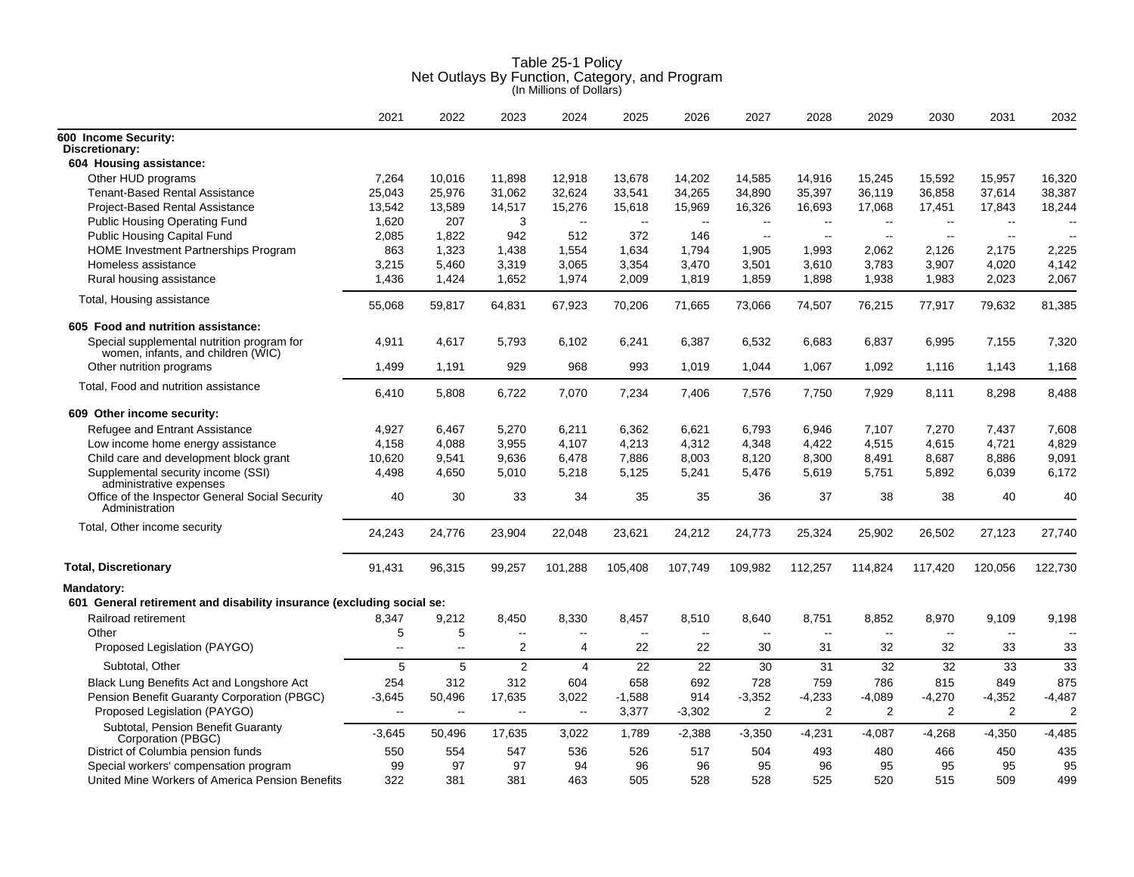|                                                                                  | 2021                     | 2022                     | 2023                     | 2024           | 2025                     | 2026                     | 2027           | 2028                     | 2029                     | 2030           | 2031           | 2032                     |
|----------------------------------------------------------------------------------|--------------------------|--------------------------|--------------------------|----------------|--------------------------|--------------------------|----------------|--------------------------|--------------------------|----------------|----------------|--------------------------|
| 600 Income Security:<br>Discretionary:                                           |                          |                          |                          |                |                          |                          |                |                          |                          |                |                |                          |
| 604 Housing assistance:                                                          |                          |                          |                          |                |                          |                          |                |                          |                          |                |                |                          |
| Other HUD programs                                                               | 7.264                    | 10.016                   | 11.898                   | 12,918         | 13.678                   | 14,202                   | 14,585         | 14,916                   | 15,245                   | 15,592         | 15,957         | 16,320                   |
| <b>Tenant-Based Rental Assistance</b>                                            | 25,043                   | 25,976                   | 31,062                   | 32,624         | 33,541                   | 34,265                   | 34,890         | 35,397                   | 36,119                   | 36,858         | 37,614         | 38,387                   |
| <b>Project-Based Rental Assistance</b>                                           | 13,542                   | 13,589                   | 14,517                   | 15,276         | 15,618                   | 15,969                   | 16,326         | 16,693                   | 17,068                   | 17,451         | 17,843         | 18,244                   |
| <b>Public Housing Operating Fund</b>                                             | 1,620                    | 207                      | 3                        | $\sim$         | $\mathbf{L}$             | $\sim$                   | $\sim$         | $\sim$                   | $\overline{\phantom{a}}$ | $\sim$ $\sim$  | $\sim$         |                          |
| <b>Public Housing Capital Fund</b>                                               | 2,085                    | 1,822                    | 942                      | 512            | 372                      | 146                      | $\sim$         | $\sim$                   | $\sim$                   | $\sim$         | $\sim$         |                          |
| HOME Investment Partnerships Program                                             | 863                      | 1,323                    | 1,438                    | 1,554          | 1,634                    | 1,794                    | 1,905          | 1,993                    | 2,062                    | 2,126          | 2,175          | 2,225                    |
| Homeless assistance                                                              | 3,215                    | 5,460                    | 3,319                    | 3,065          | 3,354                    | 3,470                    | 3,501          | 3,610                    | 3,783                    | 3,907          | 4,020          | 4,142                    |
| Rural housing assistance                                                         | 1,436                    | 1,424                    | 1,652                    | 1,974          | 2,009                    | 1,819                    | 1,859          | 1,898                    | 1,938                    | 1,983          | 2,023          | 2,067                    |
| Total, Housing assistance                                                        | 55,068                   | 59,817                   | 64,831                   | 67,923         | 70,206                   | 71,665                   | 73,066         | 74,507                   | 76,215                   | 77,917         | 79,632         | 81,385                   |
| 605 Food and nutrition assistance:                                               |                          |                          |                          |                |                          |                          |                |                          |                          |                |                |                          |
| Special supplemental nutrition program for<br>women, infants, and children (WIC) | 4,911                    | 4,617                    | 5.793                    | 6,102          | 6,241                    | 6,387                    | 6,532          | 6,683                    | 6,837                    | 6,995          | 7,155          | 7,320                    |
| Other nutrition programs                                                         | 1,499                    | 1,191                    | 929                      | 968            | 993                      | 1,019                    | 1,044          | 1,067                    | 1,092                    | 1,116          | 1,143          | 1,168                    |
| Total, Food and nutrition assistance                                             | 6,410                    | 5,808                    | 6,722                    | 7,070          | 7,234                    | 7,406                    | 7,576          | 7,750                    | 7,929                    | 8,111          | 8,298          | 8,488                    |
| 609 Other income security:                                                       |                          |                          |                          |                |                          |                          |                |                          |                          |                |                |                          |
| Refugee and Entrant Assistance                                                   | 4,927                    | 6,467                    | 5,270                    | 6,211          | 6,362                    | 6,621                    | 6,793          | 6,946                    | 7,107                    | 7,270          | 7,437          | 7.608                    |
| Low income home energy assistance                                                | 4,158                    | 4,088                    | 3,955                    | 4,107          | 4,213                    | 4,312                    | 4,348          | 4,422                    | 4,515                    | 4,615          | 4,721          | 4,829                    |
| Child care and development block grant                                           | 10,620                   | 9,541                    | 9,636                    | 6,478          | 7,886                    | 8,003                    | 8,120          | 8,300                    | 8,491                    | 8,687          | 8,886          | 9,091                    |
| Supplemental security income (SSI)<br>administrative expenses                    | 4,498                    | 4,650                    | 5,010                    | 5,218          | 5,125                    | 5,241                    | 5,476          | 5,619                    | 5,751                    | 5,892          | 6,039          | 6,172                    |
| Office of the Inspector General Social Security<br>Administration                | 40                       | 30                       | 33                       | 34             | 35                       | 35                       | 36             | 37                       | 38                       | 38             | 40             | 40                       |
| Total, Other income security                                                     | 24,243                   | 24,776                   | 23,904                   | 22,048         | 23,621                   | 24,212                   | 24,773         | 25,324                   | 25,902                   | 26,502         | 27,123         | 27,740                   |
| <b>Total, Discretionary</b>                                                      | 91,431                   | 96,315                   | 99,257                   | 101,288        | 105,408                  | 107,749                  | 109,982        | 112,257                  | 114,824                  | 117,420        | 120,056        | 122,730                  |
| <b>Mandatory:</b>                                                                |                          |                          |                          |                |                          |                          |                |                          |                          |                |                |                          |
| 601 General retirement and disability insurance (excluding social se:            |                          |                          |                          |                |                          |                          |                |                          |                          |                |                |                          |
| Railroad retirement                                                              | 8,347                    | 9,212                    | 8,450                    | 8,330          | 8,457                    | 8,510                    | 8,640          | 8,751                    | 8,852                    | 8,970          | 9,109          | 9,198                    |
| Other                                                                            | 5                        | 5                        | $\overline{\phantom{a}}$ | --             | $\overline{\phantom{a}}$ | $\overline{\phantom{a}}$ | $\overline{a}$ | $\overline{\phantom{a}}$ | $\overline{a}$           | $\sim$ $\sim$  |                | $\overline{\phantom{a}}$ |
| Proposed Legislation (PAYGO)                                                     | $\overline{\phantom{a}}$ | $\overline{\phantom{a}}$ | 2                        | 4              | 22                       | 22                       | 30             | 31                       | 32                       | 32             | 33             | 33                       |
| Subtotal, Other                                                                  | 5                        | 5                        | 2                        | $\overline{4}$ | 22                       | 22                       | 30             | 31                       | 32                       | 32             | 33             | 33                       |
| Black Lung Benefits Act and Longshore Act                                        | 254                      | 312                      | 312                      | 604            | 658                      | 692                      | 728            | 759                      | 786                      | 815            | 849            | 875                      |
| Pension Benefit Guaranty Corporation (PBGC)                                      | $-3,645$                 | 50,496                   | 17,635                   | 3,022          | $-1,588$                 | 914                      | $-3,352$       | $-4,233$                 | $-4,089$                 | $-4,270$       | $-4,352$       | $-4,487$                 |
| Proposed Legislation (PAYGO)                                                     | $\overline{\phantom{a}}$ | $\overline{\phantom{a}}$ | $\ddotsc$                | $\ddotsc$      | 3,377                    | $-3,302$                 | $\overline{2}$ | $\overline{2}$           | $\overline{2}$           | $\overline{2}$ | $\overline{2}$ | $\overline{2}$           |
| Subtotal, Pension Benefit Guaranty                                               | $-3,645$                 | 50,496                   | 17,635                   | 3,022          | 1,789                    | $-2,388$                 | $-3,350$       | $-4,231$                 | $-4,087$                 | $-4,268$       | $-4,350$       | $-4,485$                 |
| Corporation (PBGC)<br>District of Columbia pension funds                         | 550                      | 554                      | 547                      | 536            | 526                      | 517                      | 504            | 493                      | 480                      | 466            | 450            | 435                      |
| Special workers' compensation program                                            | 99                       | 97                       | 97                       | 94             | 96                       | 96                       | 95             | 96                       | 95                       | 95             | 95             | 95                       |
| United Mine Workers of America Pension Benefits                                  | 322                      | 381                      | 381                      | 463            | 505                      | 528                      | 528            | 525                      | 520                      | 515            | 509            | 499                      |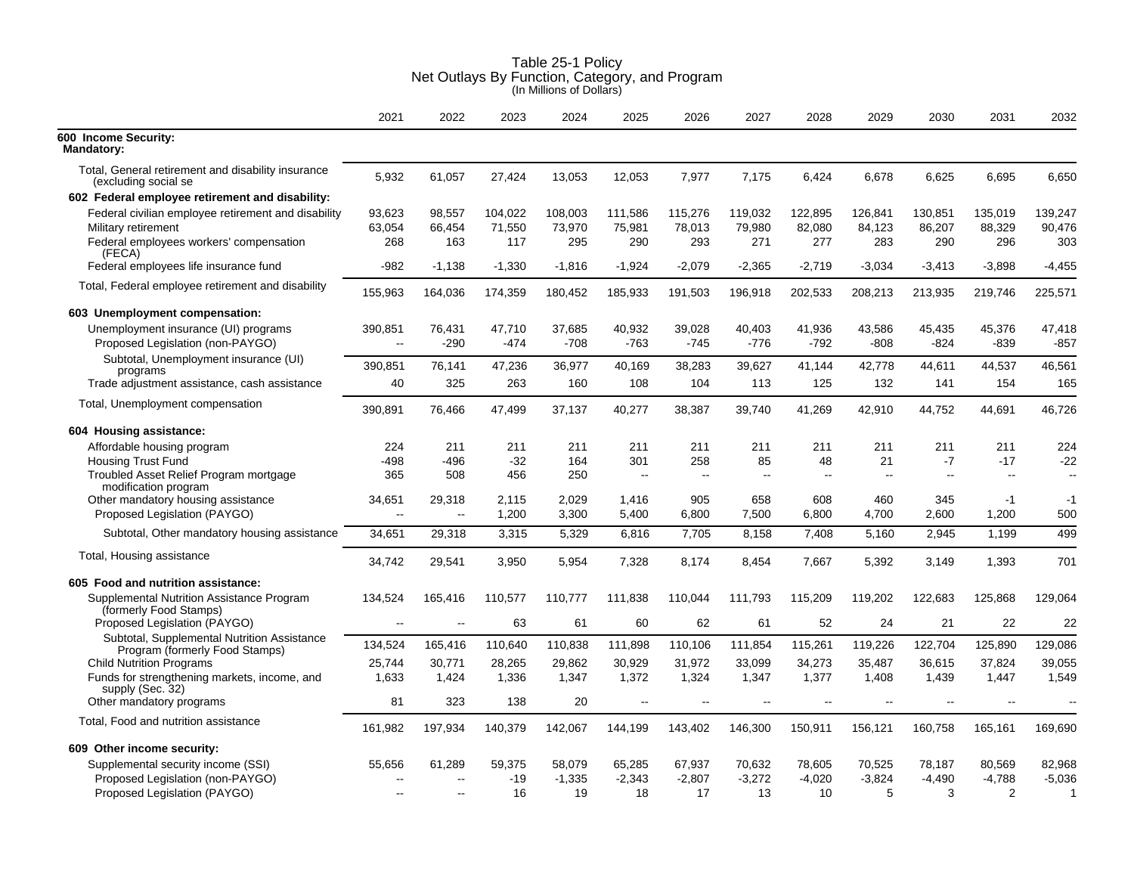|                                                                               | 2021                               | 2022                | 2023              | 2024               | 2025               | 2026                     | 2027               | 2028               | 2029               | 2030               | 2031                     | 2032                     |
|-------------------------------------------------------------------------------|------------------------------------|---------------------|-------------------|--------------------|--------------------|--------------------------|--------------------|--------------------|--------------------|--------------------|--------------------------|--------------------------|
| 600 Income Security:<br><b>Mandatory:</b>                                     |                                    |                     |                   |                    |                    |                          |                    |                    |                    |                    |                          |                          |
| Total, General retirement and disability insurance<br>(excluding social se    | 5,932                              | 61,057              | 27,424            | 13,053             | 12,053             | 7,977                    | 7,175              | 6,424              | 6,678              | 6,625              | 6,695                    | 6,650                    |
| 602 Federal employee retirement and disability:                               |                                    |                     |                   |                    |                    |                          |                    |                    |                    |                    |                          |                          |
| Federal civilian employee retirement and disability<br>Military retirement    | 93,623<br>63,054                   | 98,557<br>66,454    | 104,022<br>71,550 | 108,003<br>73,970  | 111,586<br>75,981  | 115,276<br>78,013        | 119,032<br>79,980  | 122,895<br>82,080  | 126,841<br>84,123  | 130,851<br>86,207  | 135,019<br>88,329        | 139,247<br>90,476        |
| Federal employees workers' compensation<br>(FECA)                             | 268                                | 163                 | 117               | 295                | 290                | 293                      | 271                | 277                | 283                | 290                | 296                      | 303                      |
| Federal employees life insurance fund                                         | -982                               | $-1,138$            | $-1,330$          | $-1,816$           | $-1,924$           | $-2,079$                 | $-2,365$           | $-2,719$           | $-3,034$           | $-3,413$           | $-3,898$                 | $-4,455$                 |
| Total, Federal employee retirement and disability                             | 155,963                            | 164,036             | 174,359           | 180,452            | 185,933            | 191,503                  | 196,918            | 202,533            | 208,213            | 213,935            | 219,746                  | 225,571                  |
| 603 Unemployment compensation:                                                |                                    |                     |                   |                    |                    |                          |                    |                    |                    |                    |                          |                          |
| Unemployment insurance (UI) programs<br>Proposed Legislation (non-PAYGO)      | 390,851<br>$\sim$                  | 76.431<br>$-290$    | 47,710<br>$-474$  | 37.685<br>$-708$   | 40,932<br>$-763$   | 39.028<br>$-745$         | 40,403<br>$-776$   | 41.936<br>$-792$   | 43,586<br>$-808$   | 45,435<br>$-824$   | 45,376<br>$-839$         | 47,418<br>$-857$         |
| Subtotal, Unemployment insurance (UI)<br>programs                             | 390,851                            | 76,141              | 47,236            | 36,977             | 40,169             | 38,283                   | 39,627             | 41,144             | 42,778             | 44,611             | 44,537                   | 46,561                   |
| Trade adjustment assistance, cash assistance                                  | 40                                 | 325                 | 263               | 160                | 108                | 104                      | 113                | 125                | 132                | 141                | 154                      | 165                      |
| Total, Unemployment compensation                                              | 390,891                            | 76,466              | 47,499            | 37,137             | 40,277             | 38,387                   | 39,740             | 41,269             | 42,910             | 44,752             | 44,691                   | 46,726                   |
| 604 Housing assistance:                                                       |                                    |                     |                   |                    |                    |                          |                    |                    |                    |                    |                          |                          |
| Affordable housing program                                                    | 224                                | 211                 | 211               | 211                | 211                | 211                      | 211                | 211                | 211                | 211                | 211                      | 224                      |
| <b>Housing Trust Fund</b>                                                     | -498                               | -496                | $-32$             | 164                | 301                | 258                      | 85                 | 48                 | 21                 | $-7$               | $-17$                    | $-22$                    |
| Troubled Asset Relief Program mortgage<br>modification program                | 365                                | 508                 | 456               | 250                | -−                 | $\sim$ $\sim$            | $\sim$             | $\sim$             | $\sim$             | $\mathbf{u}$       | $\sim$                   | $\overline{\phantom{a}}$ |
| Other mandatory housing assistance<br>Proposed Legislation (PAYGO)            | 34,651<br>$\overline{\phantom{a}}$ | 29,318<br>$\ddotsc$ | 2,115<br>1,200    | 2,029<br>3,300     | 1,416<br>5,400     | 905<br>6,800             | 658<br>7,500       | 608<br>6,800       | 460<br>4,700       | 345<br>2,600       | -1<br>1,200              | -1<br>500                |
| Subtotal, Other mandatory housing assistance                                  | 34,651                             | 29,318              | 3,315             | 5,329              | 6,816              | 7,705                    | 8,158              | 7,408              | 5,160              | 2,945              | 1,199                    | 499                      |
| Total, Housing assistance                                                     | 34,742                             | 29,541              | 3,950             | 5,954              | 7,328              | 8,174                    | 8,454              | 7,667              | 5,392              | 3,149              | 1,393                    | 701                      |
| 605 Food and nutrition assistance:                                            |                                    |                     |                   |                    |                    |                          |                    |                    |                    |                    |                          |                          |
| Supplemental Nutrition Assistance Program<br>(formerly Food Stamps)           | 134,524                            | 165,416             | 110,577           | 110,777            | 111,838            | 110,044                  | 111,793            | 115,209            | 119,202            | 122,683            | 125,868                  | 129,064                  |
| Proposed Legislation (PAYGO)                                                  | $\overline{\phantom{a}}$           | $\sim$              | 63                | 61                 | 60                 | 62                       | 61                 | 52                 | 24                 | 21                 | 22                       | 22                       |
| Subtotal, Supplemental Nutrition Assistance<br>Program (formerly Food Stamps) | 134,524                            | 165,416             | 110,640           | 110,838            | 111,898            | 110,106                  | 111,854            | 115,261            | 119,226            | 122,704            | 125,890                  | 129,086                  |
| <b>Child Nutrition Programs</b>                                               | 25,744                             | 30,771              | 28,265            | 29,862             | 30,929             | 31,972                   | 33,099             | 34,273             | 35,487             | 36,615             | 37,824                   | 39,055                   |
| Funds for strengthening markets, income, and<br>supply (Sec. 32)              | 1,633                              | 1,424               | 1,336             | 1,347              | 1,372              | 1,324                    | 1,347              | 1,377              | 1,408              | 1,439              | 1,447                    | 1,549                    |
| Other mandatory programs                                                      | 81                                 | 323                 | 138               | 20                 | $\overline{a}$     | $\overline{\phantom{a}}$ | ц,                 | $\overline{a}$     |                    | $-$                | $\overline{\phantom{a}}$ |                          |
| Total, Food and nutrition assistance                                          | 161,982                            | 197,934             | 140,379           | 142,067            | 144,199            | 143,402                  | 146,300            | 150,911            | 156,121            | 160,758            | 165,161                  | 169,690                  |
| 609 Other income security:                                                    |                                    |                     |                   |                    |                    |                          |                    |                    |                    |                    |                          |                          |
| Supplemental security income (SSI)<br>Proposed Legislation (non-PAYGO)        | 55,656                             | 61,289              | 59,375<br>$-19$   | 58,079<br>$-1,335$ | 65,285<br>$-2,343$ | 67,937<br>$-2,807$       | 70,632<br>$-3,272$ | 78,605<br>$-4,020$ | 70,525<br>$-3,824$ | 78,187<br>$-4,490$ | 80,569<br>$-4,788$       | 82,968<br>$-5,036$       |
| Proposed Legislation (PAYGO)                                                  | $\overline{\phantom{a}}$           | $\overline{a}$      | 16                | 19                 | 18                 | 17                       | 13                 | 10                 | 5                  | 3                  | 2                        | 1                        |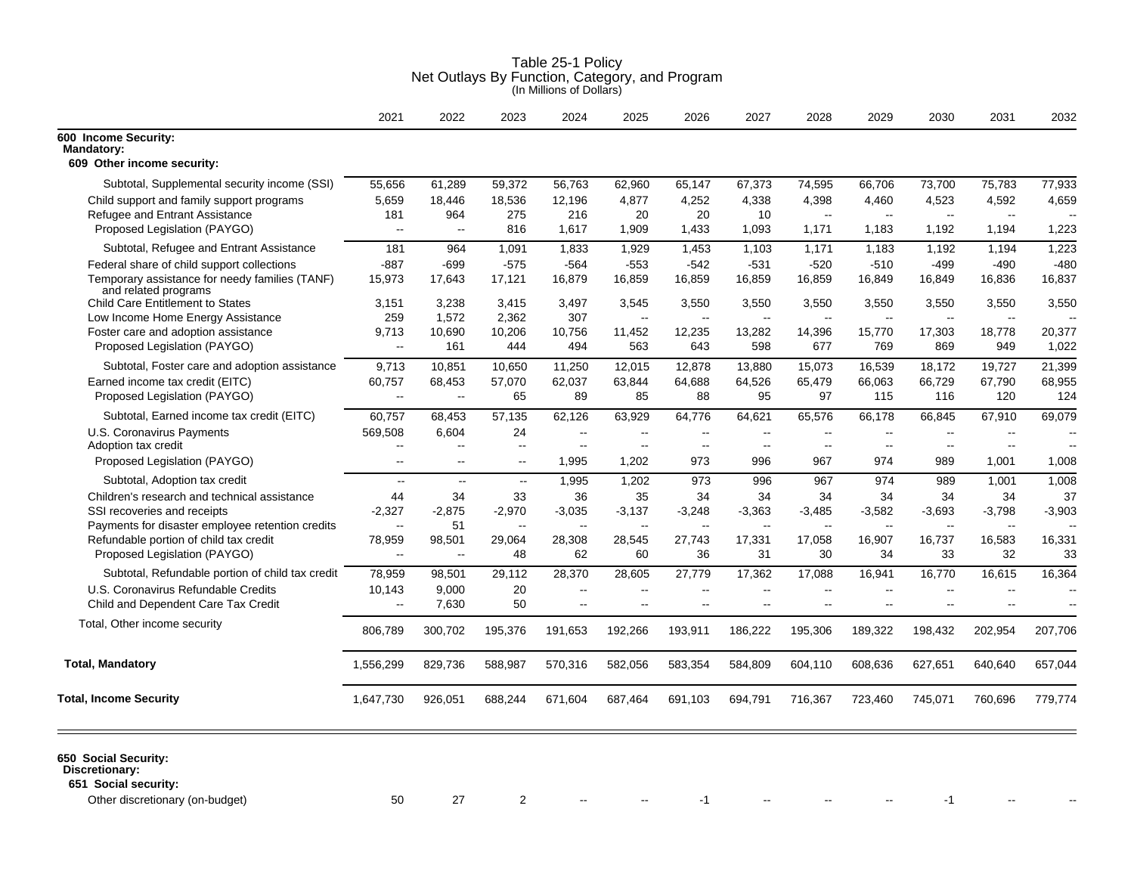|                                                                                                   | (In Millions of Dollars)            |                          |                    |                            |                                    |                                  |                                    |                                                      |                                            |                                                      |                                            |          |  |
|---------------------------------------------------------------------------------------------------|-------------------------------------|--------------------------|--------------------|----------------------------|------------------------------------|----------------------------------|------------------------------------|------------------------------------------------------|--------------------------------------------|------------------------------------------------------|--------------------------------------------|----------|--|
|                                                                                                   | 2021                                | 2022                     | 2023               | 2024                       | 2025                               | 2026                             | 2027                               | 2028                                                 | 2029                                       | 2030                                                 | 2031                                       | 2032     |  |
| 600 Income Security:<br><b>Mandatory:</b><br>609 Other income security:                           |                                     |                          |                    |                            |                                    |                                  |                                    |                                                      |                                            |                                                      |                                            |          |  |
| Subtotal, Supplemental security income (SSI)                                                      | 55,656                              | 61,289                   | 59,372             | 56,763                     | 62,960                             | 65,147                           | 67,373                             | 74,595                                               | 66,706                                     | 73,700                                               | 75,783                                     | 77,933   |  |
| Child support and family support programs                                                         | 5,659                               | 18,446                   | 18,536             | 12,196                     | 4,877                              | 4,252                            | 4,338                              | 4,398                                                | 4,460                                      | 4,523                                                | 4,592                                      | 4,659    |  |
| Refugee and Entrant Assistance                                                                    | 181                                 | 964                      | 275                | 216                        | 20                                 | 20                               | 10                                 | $\overline{\phantom{a}}$                             | Ξ.                                         | $\overline{\phantom{a}}$                             | $\overline{\phantom{a}}$                   |          |  |
| Proposed Legislation (PAYGO)                                                                      | $\mathbf{L}$                        | $\overline{\phantom{a}}$ | 816                | 1,617                      | 1,909                              | 1,433                            | 1,093                              | 1,171                                                | 1,183                                      | 1,192                                                | 1,194                                      | 1,223    |  |
| Subtotal, Refugee and Entrant Assistance                                                          | 181                                 | 964                      | 1,091              | 1,833                      | 1,929                              | 1,453                            | 1,103                              | 1,171                                                | 1,183                                      | 1,192                                                | 1,194                                      | 1,223    |  |
| Federal share of child support collections                                                        | $-887$                              | $-699$                   | $-575$             | $-564$                     | $-553$                             | $-542$                           | $-531$                             | $-520$                                               | $-510$                                     | $-499$                                               | $-490$                                     | $-480$   |  |
| Temporary assistance for needy families (TANF)<br>and related programs                            | 15,973                              | 17,643                   | 17,121             | 16,879                     | 16,859                             | 16,859                           | 16,859                             | 16,859                                               | 16,849                                     | 16,849                                               | 16,836                                     | 16,837   |  |
| <b>Child Care Entitlement to States</b>                                                           | 3,151                               | 3,238                    | 3,415              | 3,497                      | 3,545                              | 3,550                            | 3,550                              | 3,550                                                | 3,550                                      | 3,550                                                | 3,550                                      | 3,550    |  |
| Low Income Home Energy Assistance<br>Foster care and adoption assistance                          | 259<br>9,713                        | 1.572<br>10,690          | 2.362<br>10,206    | 307<br>10,756              | $\sim$<br>11,452                   | $\sim$<br>12,235                 | $\sim$<br>13,282                   | $\overline{a}$<br>14,396                             | $\overline{\phantom{a}}$<br>15,770         | $\overline{a}$<br>17,303                             | $\overline{\phantom{a}}$<br>18,778         | 20,377   |  |
| Proposed Legislation (PAYGO)                                                                      | $\sim$                              | 161                      | 444                | 494                        | 563                                | 643                              | 598                                | 677                                                  | 769                                        | 869                                                  | 949                                        | 1,022    |  |
| Subtotal, Foster care and adoption assistance                                                     | 9,713                               | 10,851                   | 10,650             | 11,250                     | 12,015                             | 12,878                           | 13,880                             | 15,073                                               | 16,539                                     | 18,172                                               | 19,727                                     | 21,399   |  |
| Earned income tax credit (EITC)                                                                   | 60,757                              | 68,453                   | 57,070             | 62,037                     | 63,844                             | 64,688                           | 64,526                             | 65,479                                               | 66,063                                     | 66,729                                               | 67,790                                     | 68,955   |  |
| Proposed Legislation (PAYGO)                                                                      | $\sim$                              | $\overline{\phantom{a}}$ | 65                 | 89                         | 85                                 | 88                               | 95                                 | 97                                                   | 115                                        | 116                                                  | 120                                        | 124      |  |
| Subtotal, Earned income tax credit (EITC)                                                         | 60,757                              | 68,453                   | 57,135             | 62,126                     | 63,929                             | 64,776                           | 64,621                             | 65,576                                               | 66,178                                     | 66,845                                               | 67,910                                     | 69,079   |  |
| U.S. Coronavirus Payments<br>Adoption tax credit                                                  | 569,508<br>$\overline{\phantom{a}}$ | 6,604<br>$\sim$ $\sim$   | 24<br>$\mathbf{u}$ | $\sim$ $\sim$<br>$\ddotsc$ | $\overline{a}$<br>ц.               | $\overline{a}$<br>$\overline{a}$ | $\overline{\phantom{a}}$<br>$\sim$ | $\overline{\phantom{a}}$<br>$\overline{\phantom{a}}$ | $\overline{a}$<br>$\overline{\phantom{a}}$ | $-$<br>$\mathord{\hspace{1pt}\text{--}\hspace{1pt}}$ | $\overline{a}$<br>$\overline{\phantom{a}}$ | --       |  |
| Proposed Legislation (PAYGO)                                                                      | $\sim$                              | $\sim$ $\sim$            | $\mathbf{u}$       | 1,995                      | 1,202                              | 973                              | 996                                | 967                                                  | 974                                        | 989                                                  | 1,001                                      | 1,008    |  |
| Subtotal, Adoption tax credit                                                                     | $\mathbf{u}$                        | $\sim$                   | $\sim$             | 1,995                      | 1,202                              | 973                              | 996                                | 967                                                  | 974                                        | 989                                                  | 1,001                                      | 1,008    |  |
| Children's research and technical assistance                                                      | 44                                  | 34                       | 33                 | 36                         | 35                                 | 34                               | 34                                 | 34                                                   | 34                                         | 34                                                   | 34                                         | 37       |  |
| SSI recoveries and receipts                                                                       | $-2,327$                            | $-2,875$                 | $-2,970$           | $-3,035$                   | $-3,137$                           | $-3,248$                         | $-3,363$                           | $-3,485$                                             | $-3,582$                                   | $-3,693$                                             | $-3,798$                                   | $-3,903$ |  |
| Payments for disaster employee retention credits                                                  | $\sim$                              | 51                       | $\sim$             | $\sim$                     | $\overline{\phantom{a}}$           |                                  | $\overline{\phantom{a}}$           |                                                      | ц,                                         | $\overline{\phantom{a}}$                             | $\overline{\phantom{a}}$                   |          |  |
| Refundable portion of child tax credit                                                            | 78,959                              | 98,501                   | 29,064             | 28,308                     | 28,545                             | 27,743                           | 17,331                             | 17,058                                               | 16,907                                     | 16,737                                               | 16,583                                     | 16,331   |  |
| Proposed Legislation (PAYGO)                                                                      | $\omega_{\rm m}$                    | $\overline{\phantom{a}}$ | 48                 | 62                         | 60                                 | 36                               | 31                                 | 30                                                   | 34                                         | 33                                                   | 32                                         | 33       |  |
| Subtotal, Refundable portion of child tax credit                                                  | 78,959                              | 98,501                   | 29,112             | 28,370                     | 28,605                             | 27,779                           | 17,362                             | 17,088                                               | 16,941                                     | 16,770                                               | 16,615                                     | 16,364   |  |
| U.S. Coronavirus Refundable Credits                                                               | 10,143<br>$\sim$                    | 9,000                    | 20                 | $\sim$                     | $\overline{\phantom{a}}$<br>$\sim$ | $\sim$<br>$\sim$                 | $\overline{a}$<br>$\sim$           | $\overline{\phantom{a}}$<br>$\overline{a}$           | ц,<br>۵.                                   | $\overline{\phantom{a}}$<br>ä.                       | --<br>$\overline{a}$                       |          |  |
| Child and Dependent Care Tax Credit                                                               |                                     | 7,630                    | 50                 | $\sim$                     |                                    |                                  |                                    |                                                      |                                            |                                                      |                                            |          |  |
| Total, Other income security                                                                      | 806,789                             | 300,702                  | 195,376            | 191,653                    | 192,266                            | 193,911                          | 186,222                            | 195,306                                              | 189,322                                    | 198,432                                              | 202,954                                    | 207,706  |  |
| <b>Total, Mandatory</b>                                                                           | 1,556,299                           | 829,736                  | 588,987            | 570,316                    | 582,056                            | 583,354                          | 584,809                            | 604,110                                              | 608,636                                    | 627,651                                              | 640,640                                    | 657,044  |  |
| <b>Total, Income Security</b>                                                                     | 1,647,730                           | 926,051                  | 688,244            | 671,604                    | 687,464                            | 691,103                          | 694,791                            | 716,367                                              | 723,460                                    | 745,071                                              | 760,696                                    | 779,774  |  |
| 650 Social Security:<br>Discretionary:<br>651 Social security:<br>Other discretionary (on-budget) | 50                                  | 27                       | 2                  |                            |                                    | $-1$                             |                                    |                                                      |                                            | $-1$                                                 |                                            |          |  |

# Table 25-1 Policy Net Outlays By Function, Category, and Program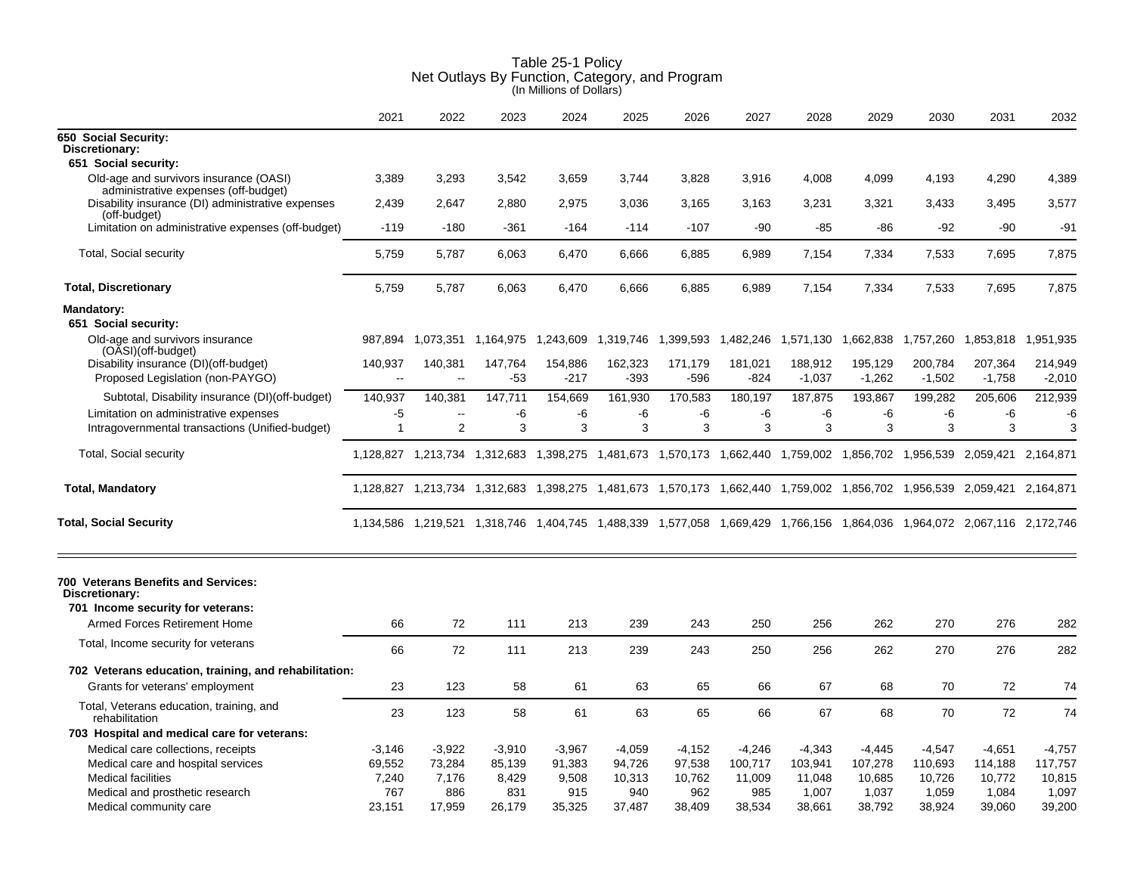|                                                                                            | 2021              | 2022                     | 2023             | 2024              | 2025              | 2026            | 2027              | 2028                | 2029                                    | 2030                | 2031                                                                                                                    | 2032                |
|--------------------------------------------------------------------------------------------|-------------------|--------------------------|------------------|-------------------|-------------------|-----------------|-------------------|---------------------|-----------------------------------------|---------------------|-------------------------------------------------------------------------------------------------------------------------|---------------------|
| 650 Social Security:                                                                       |                   |                          |                  |                   |                   |                 |                   |                     |                                         |                     |                                                                                                                         |                     |
| Discretionary:<br>651 Social security:                                                     |                   |                          |                  |                   |                   |                 |                   |                     |                                         |                     |                                                                                                                         |                     |
| Old-age and survivors insurance (OASI)                                                     | 3,389             | 3,293                    | 3,542            | 3,659             | 3,744             | 3,828           | 3,916             | 4,008               | 4,099                                   | 4,193               | 4,290                                                                                                                   | 4,389               |
| administrative expenses (off-budget)                                                       |                   |                          |                  |                   |                   |                 |                   |                     |                                         |                     |                                                                                                                         |                     |
| Disability insurance (DI) administrative expenses<br>(off-budget)                          | 2,439             | 2,647                    | 2,880            | 2,975             | 3,036             | 3,165           | 3,163             | 3,231               | 3,321                                   | 3,433               | 3,495                                                                                                                   | 3,577               |
| Limitation on administrative expenses (off-budget)                                         | $-119$            | $-180$                   | -361             | $-164$            | $-114$            | $-107$          | $-90$             | $-85$               | $-86$                                   | $-92$               | $-90$                                                                                                                   | $-91$               |
| <b>Total, Social security</b>                                                              | 5,759             | 5,787                    | 6,063            | 6,470             | 6,666             | 6,885           | 6,989             | 7,154               | 7,334                                   | 7,533               | 7,695                                                                                                                   | 7,875               |
| <b>Total, Discretionary</b>                                                                | 5,759             | 5,787                    | 6,063            | 6,470             | 6,666             | 6,885           | 6,989             | 7,154               | 7,334                                   | 7,533               | 7,695                                                                                                                   | 7,875               |
| Mandatory:                                                                                 |                   |                          |                  |                   |                   |                 |                   |                     |                                         |                     |                                                                                                                         |                     |
| 651 Social security:                                                                       |                   |                          |                  |                   |                   |                 |                   |                     |                                         |                     |                                                                                                                         |                     |
| Old-age and survivors insurance<br>(OASI)(off-budget)                                      | 987,894           | 1,073,351                | 1,164,975        | 1,243,609         | 1,319,746         |                 |                   |                     | 1,399,593 1,482,246 1,571,130 1,662,838 | 1,757,260           | 1,853,818                                                                                                               | 1,951,935           |
| Disability insurance (DI)(off-budget)<br>Proposed Legislation (non-PAYGO)                  | 140,937<br>$\sim$ | 140,381<br>$\sim$        | 147,764<br>$-53$ | 154,886<br>$-217$ | 162,323<br>$-393$ | 171,179<br>-596 | 181,021<br>$-824$ | 188,912<br>$-1,037$ | 195,129<br>$-1,262$                     | 200,784<br>$-1,502$ | 207,364<br>$-1,758$                                                                                                     | 214,949<br>$-2,010$ |
| Subtotal, Disability insurance (DI)(off-budget)                                            | 140,937           | 140,381                  | 147,711          | 154,669           | 161,930           | 170,583         | 180,197           | 187,875             | 193,867                                 | 199,282             | 205,606                                                                                                                 | 212,939             |
| Limitation on administrative expenses                                                      | -5                | $\overline{\phantom{a}}$ | -6               | -6                | -6                | -6              | -6                | -6                  | -6                                      | -6                  | -6                                                                                                                      | -6                  |
| Intragovernmental transactions (Unified-budget)                                            | $\mathbf{1}$      | $\overline{2}$           | 3                | 3                 | 3                 | 3               | 3                 | 3                   | 3                                       | 3                   | 3                                                                                                                       | 3                   |
| Total, Social security                                                                     |                   |                          |                  |                   |                   |                 |                   |                     |                                         |                     | 1,128,827 1,213,734 1,312,683 1,398,275 1,481,673 1,570,173 1,662,440 1,759,002 1,856,702 1,956,539 2,059,421 2,164,871 |                     |
| <b>Total, Mandatory</b>                                                                    |                   |                          |                  |                   |                   |                 |                   |                     |                                         |                     | 1,128,827 1,213,734 1,312,683 1,398,275 1,481,673 1,570,173 1,662,440 1,759,002 1,856,702 1,956,539 2,059,421 2,164,871 |                     |
| <b>Total, Social Security</b>                                                              |                   |                          |                  |                   |                   |                 |                   |                     |                                         |                     | 1,134,586 1,219,521 1,318,746 1,404,745 1,488,339 1,577,058 1,669,429 1,766,156 1,864,036 1,964,072 2,067,116 2,172,746 |                     |
| 700 Veterans Benefits and Services:<br>Discretionary:<br>701 Income security for veterans: |                   |                          |                  |                   |                   |                 |                   |                     |                                         |                     |                                                                                                                         |                     |
| Armed Forces Retirement Home                                                               | 66                | 72                       | 111              | 213               | 239               | 243             | 250               | 256                 | 262                                     | 270                 | 276                                                                                                                     | 282                 |
| Total, Income security for veterans                                                        | 66                | 72                       | 111              | 213               | 239               | 243             | 250               | 256                 | 262                                     | 270                 | 276                                                                                                                     | 282                 |
| 702 Veterans education, training, and rehabilitation:                                      |                   |                          |                  |                   |                   |                 |                   |                     |                                         |                     |                                                                                                                         |                     |
| Grants for veterans' employment                                                            | 23                | 123                      | 58               | 61                | 63                | 65              | 66                | 67                  | 68                                      | 70                  | 72                                                                                                                      | 74                  |
| Total, Veterans education, training, and<br>rehabilitation                                 | 23                | 123                      | 58               | 61                | 63                | 65              | 66                | 67                  | 68                                      | 70                  | 72                                                                                                                      | 74                  |
| 703 Hospital and medical care for veterans:                                                |                   |                          |                  |                   |                   |                 |                   |                     |                                         |                     |                                                                                                                         |                     |
| Medical care collections, receipts                                                         | $-3.146$          | $-3,922$                 | $-3,910$         | $-3,967$          | $-4,059$          | $-4,152$        | $-4,246$          | $-4,343$            | $-4,445$                                | $-4,547$            | $-4,651$                                                                                                                | $-4,757$            |
| Medical care and hospital services                                                         | 69,552            | 73,284                   | 85,139           | 91,383            | 94,726            | 97,538          | 100,717           | 103,941             | 107,278                                 | 110,693             | 114,188                                                                                                                 | 117,757             |
| <b>Medical facilities</b>                                                                  | 7,240             | 7,176                    | 8,429            | 9,508             | 10,313            | 10,762          | 11,009            | 11,048              | 10,685                                  | 10,726              | 10,772                                                                                                                  | 10,815              |
| Medical and prosthetic research                                                            | 767               | 886                      | 831              | 915               | 940               | 962             | 985               | 1,007               | 1,037                                   | 1,059               | 1,084                                                                                                                   | 1,097               |
| Medical community care                                                                     | 23,151            | 17,959                   | 26,179           | 35,325            | 37,487            | 38,409          | 38,534            | 38,661              | 38,792                                  | 38,924              | 39,060                                                                                                                  | 39,200              |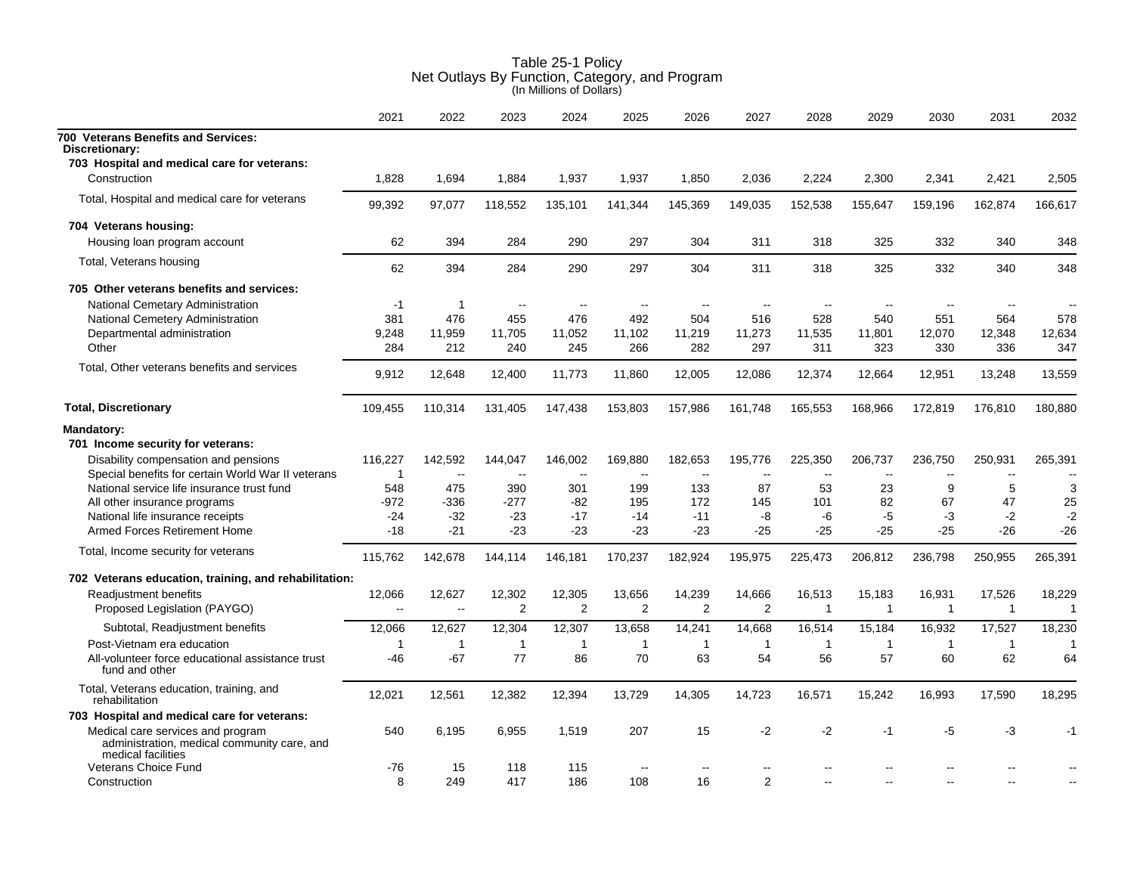|                                                                                                                                               | 2021                   | 2022                     | 2023                     | 2024              | 2025              | 2026              | 2027                     | 2028              | 2029                     | 2030              | 2031              | 2032              |
|-----------------------------------------------------------------------------------------------------------------------------------------------|------------------------|--------------------------|--------------------------|-------------------|-------------------|-------------------|--------------------------|-------------------|--------------------------|-------------------|-------------------|-------------------|
| 700 Veterans Benefits and Services:<br>Discretionary:                                                                                         |                        |                          |                          |                   |                   |                   |                          |                   |                          |                   |                   |                   |
| 703 Hospital and medical care for veterans:                                                                                                   |                        |                          |                          |                   |                   |                   |                          |                   |                          |                   |                   |                   |
| Construction                                                                                                                                  | 1.828                  | 1,694                    | 1.884                    | 1,937             | 1,937             | 1,850             | 2,036                    | 2,224             | 2,300                    | 2,341             | 2,421             | 2,505             |
| Total, Hospital and medical care for veterans                                                                                                 | 99,392                 | 97,077                   | 118,552                  | 135,101           | 141,344           | 145,369           | 149,035                  | 152,538           | 155,647                  | 159,196           | 162,874           | 166,617           |
| 704 Veterans housing:                                                                                                                         |                        |                          |                          |                   |                   |                   |                          |                   |                          |                   |                   |                   |
| Housing loan program account                                                                                                                  | 62                     | 394                      | 284                      | 290               | 297               | 304               | 311                      | 318               | 325                      | 332               | 340               | 348               |
| Total, Veterans housing                                                                                                                       | 62                     | 394                      | 284                      | 290               | 297               | 304               | 311                      | 318               | 325                      | 332               | 340               | 348               |
| 705 Other veterans benefits and services:                                                                                                     |                        |                          |                          |                   |                   |                   |                          |                   |                          |                   |                   |                   |
| National Cemetary Administration                                                                                                              | -1                     | $\overline{1}$           | $\sim$                   | $\sim$            | $\sim$            | $\sim$            | $\overline{\phantom{a}}$ | $\sim$            | $\overline{\phantom{a}}$ | $\sim$            |                   |                   |
| National Cemetery Administration                                                                                                              | 381                    | 476                      | 455                      | 476               | 492               | 504               | 516                      | 528               | 540                      | 551               | 564               | 578               |
| Departmental administration                                                                                                                   | 9,248                  | 11,959                   | 11,705                   | 11,052            | 11,102            | 11,219            | 11,273                   | 11,535            | 11,801                   | 12,070            | 12,348            | 12,634            |
| Other                                                                                                                                         | 284                    | 212                      | 240                      | 245               | 266               | 282               | 297                      | 311               | 323                      | 330               | 336               | 347               |
| Total, Other veterans benefits and services                                                                                                   | 9,912                  | 12,648                   | 12,400                   | 11,773            | 11.860            | 12,005            | 12,086                   | 12,374            | 12,664                   | 12,951            | 13,248            | 13,559            |
| <b>Total, Discretionary</b>                                                                                                                   | 109,455                | 110,314                  | 131,405                  | 147,438           | 153,803           | 157,986           | 161,748                  | 165,553           | 168,966                  | 172,819           | 176,810           | 180,880           |
| Mandatory:<br>701 Income security for veterans:<br>Disability compensation and pensions<br>Special benefits for certain World War II veterans | 116,227<br>$\mathbf 1$ | 142,592<br>$\sim$ $\sim$ | 144,047<br>$\sim$ $\sim$ | 146,002<br>$\sim$ | 169,880<br>$\sim$ | 182,653<br>$\sim$ | 195,776<br>$\sim$        | 225,350<br>$\sim$ | 206,737<br>$\sim$        | 236,750<br>$\sim$ | 250,931<br>$\sim$ | 265,391<br>$\sim$ |
| National service life insurance trust fund                                                                                                    | 548                    | 475                      | 390                      | 301               | 199               | 133               | 87                       | 53                | 23                       | 9                 | 5                 | 3                 |
| All other insurance programs                                                                                                                  | $-972$                 | $-336$                   | $-277$                   | -82               | 195               | 172               | 145                      | 101               | 82                       | 67                | 47                | 25                |
| National life insurance receipts                                                                                                              | $-24$                  | $-32$                    | $-23$                    | $-17$             | -14               | $-11$             | -8                       | -6                | $-5$                     | -3                | $-2$              | $-2$              |
| Armed Forces Retirement Home                                                                                                                  | $-18$                  | $-21$                    | $-23$                    | $-23$             | $-23$             | $-23$             | $-25$                    | $-25$             | $-25$                    | $-25$             | $-26$             | $-26$             |
| Total, Income security for veterans                                                                                                           | 115,762                | 142,678                  | 144,114                  | 146,181           | 170,237           | 182,924           | 195,975                  | 225,473           | 206,812                  | 236,798           | 250,955           | 265,391           |
| 702 Veterans education, training, and rehabilitation:                                                                                         |                        |                          |                          |                   |                   |                   |                          |                   |                          |                   |                   |                   |
| Readjustment benefits                                                                                                                         | 12,066                 | 12,627                   | 12,302                   | 12,305            | 13,656            | 14,239            | 14,666                   | 16,513            | 15,183                   | 16,931            | 17,526            | 18,229            |
| Proposed Legislation (PAYGO)                                                                                                                  | $\ddotsc$              | $\sim$                   | 2                        | $\overline{2}$    | $\overline{2}$    | 2                 | 2                        | $\mathbf{1}$      | $\mathbf{1}$             | $\overline{1}$    | $\mathbf{1}$      | $\mathbf{1}$      |
| Subtotal, Readjustment benefits                                                                                                               | 12,066                 | 12,627                   | 12,304                   | 12,307            | 13,658            | 14,241            | 14,668                   | 16,514            | 15,184                   | 16,932            | 17,527            | 18,230            |
| Post-Vietnam era education                                                                                                                    | $\mathbf{1}$           | $\mathbf{1}$             | $\mathbf{1}$             | $\overline{1}$    | $\overline{1}$    | $\mathbf{1}$      | $\overline{1}$           | $\mathbf{1}$      | $\mathbf{1}$             | $\overline{1}$    | $\overline{1}$    | $\mathbf{1}$      |
| All-volunteer force educational assistance trust<br>fund and other                                                                            | $-46$                  | $-67$                    | 77                       | 86                | 70                | 63                | 54                       | 56                | 57                       | 60                | 62                | 64                |
| Total, Veterans education, training, and<br>rehabilitation                                                                                    | 12,021                 | 12,561                   | 12,382                   | 12,394            | 13,729            | 14,305            | 14,723                   | 16,571            | 15,242                   | 16,993            | 17,590            | 18,295            |
| 703 Hospital and medical care for veterans:                                                                                                   |                        |                          |                          |                   |                   |                   |                          |                   |                          |                   |                   |                   |
| Medical care services and program<br>administration, medical community care, and<br>medical facilities                                        | 540                    | 6,195                    | 6,955                    | 1,519             | 207               | 15                | $-2$                     | $-2$              | $-1$                     | $-5$              | $-3$              | $-1$              |
| Veterans Choice Fund                                                                                                                          | $-76$                  | 15                       | 118                      | 115               |                   | $\sim$            |                          |                   |                          |                   |                   |                   |
| Construction                                                                                                                                  | 8                      | 249                      | 417                      | 186               | 108               | 16                | 2                        |                   |                          |                   |                   |                   |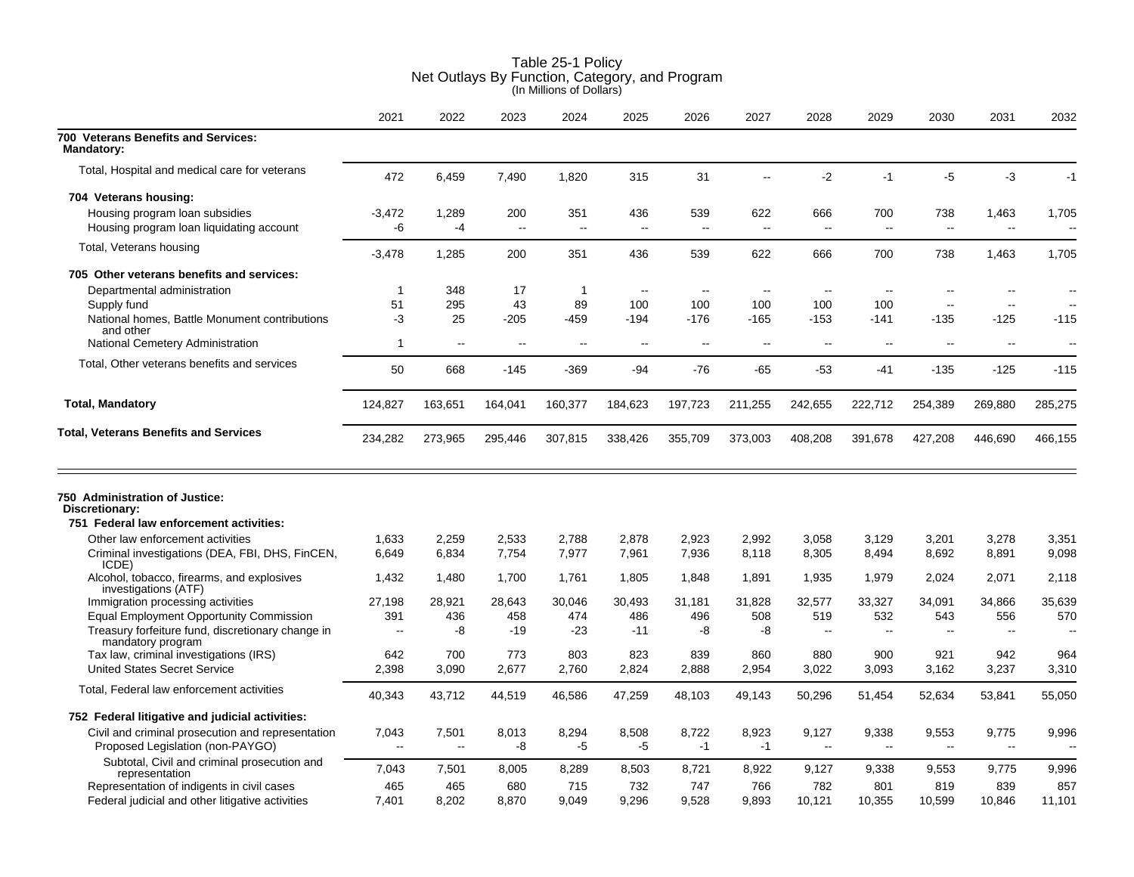|                                                                                                                          | 2021                 | 2022                 | 2023         | 2024                             | 2025                     | 2026                 | 2027           | 2028                               | 2029                | 2030                | 2031                  | 2032                              |
|--------------------------------------------------------------------------------------------------------------------------|----------------------|----------------------|--------------|----------------------------------|--------------------------|----------------------|----------------|------------------------------------|---------------------|---------------------|-----------------------|-----------------------------------|
| 700 Veterans Benefits and Services:<br><b>Mandatory:</b>                                                                 |                      |                      |              |                                  |                          |                      |                |                                    |                     |                     |                       |                                   |
| Total, Hospital and medical care for veterans                                                                            | 472                  | 6,459                | 7,490        | 1,820                            | 315                      | 31                   | $\overline{a}$ | $-2$                               | $-1$                | $-5$                | $-3$                  | $-1$                              |
| 704 Veterans housing:                                                                                                    |                      |                      |              |                                  |                          |                      |                |                                    |                     |                     |                       |                                   |
| Housing program loan subsidies<br>Housing program loan liquidating account                                               | $-3,472$<br>-6       | 1,289<br>$-4$        | 200<br>L.    | 351<br>$\mathbf{u}$              | 436<br>$\sim$ $\sim$     | 539<br>$\sim$ $\sim$ | 622<br>$\sim$  | 666<br>$\sim$                      | 700<br>$\mathbf{u}$ | 738<br>$\mathbf{L}$ | 1,463<br>$\mathbf{u}$ | 1,705<br>$\overline{\phantom{a}}$ |
| Total, Veterans housing                                                                                                  | $-3,478$             | 1,285                | 200          | 351                              | 436                      | 539                  | 622            | 666                                | 700                 | 738                 | 1,463                 | 1,705                             |
| 705 Other veterans benefits and services:                                                                                |                      |                      |              |                                  |                          |                      |                |                                    |                     |                     |                       |                                   |
| Departmental administration                                                                                              | $\mathbf 1$          | 348                  | 17           | $\mathbf{1}$                     | $\overline{\phantom{a}}$ | $\sim$               | $\sim$         | $\sim$                             | $\overline{a}$      | $\overline{a}$      |                       |                                   |
| Supply fund                                                                                                              | 51                   | 295                  | 43           | 89                               | 100                      | 100                  | 100            | 100                                | 100                 | $-$                 | $\sim$                |                                   |
| National homes, Battle Monument contributions<br>and other<br>National Cemetery Administration                           | $-3$<br>$\mathbf{1}$ | 25<br>$\overline{a}$ | $-205$<br>Ξ. | -459<br>$\overline{\phantom{a}}$ | $-194$<br>$\overline{a}$ | $-176$<br>$-$        | $-165$         | $-153$<br>$\overline{\phantom{a}}$ | $-141$              | $-135$              | -125                  | -115                              |
|                                                                                                                          |                      |                      |              |                                  |                          |                      |                |                                    |                     |                     |                       |                                   |
| Total, Other veterans benefits and services                                                                              | 50                   | 668                  | $-145$       | $-369$                           | $-94$                    | $-76$                | $-65$          | $-53$                              | -41                 | $-135$              | $-125$                | $-115$                            |
| <b>Total, Mandatory</b>                                                                                                  | 124,827              | 163,651              | 164,041      | 160,377                          | 184,623                  | 197,723              | 211,255        | 242,655                            | 222,712             | 254,389             | 269,880               | 285,275                           |
| <b>Total, Veterans Benefits and Services</b>                                                                             | 234,282              | 273,965              | 295,446      | 307,815                          | 338,426                  | 355,709              | 373,003        | 408,208                            | 391,678             | 427,208             | 446,690               | 466,155                           |
| 750 Administration of Justice:<br>Discretionary:<br>751 Federal law enforcement activities:                              |                      |                      |              |                                  |                          |                      |                |                                    |                     |                     |                       |                                   |
| Other law enforcement activities                                                                                         | 1,633                | 2,259                | 2,533        | 2,788                            | 2,878                    | 2,923                | 2,992          | 3,058                              | 3,129               | 3,201               | 3,278                 | 3,351                             |
| Criminal investigations (DEA, FBI, DHS, FinCEN,<br>ICDE)                                                                 | 6,649                | 6,834                | 7,754        | 7,977                            | 7,961                    | 7,936                | 8,118          | 8,305                              | 8,494               | 8,692               | 8,891                 | 9,098                             |
| Alcohol, tobacco, firearms, and explosives<br>investigations (ATF)                                                       | 1,432                | 1,480                | 1,700        | 1,761                            | 1,805                    | 1,848                | 1,891          | 1,935                              | 1,979               | 2,024               | 2,071                 | 2,118                             |
| Immigration processing activities                                                                                        | 27,198               | 28,921               | 28.643       | 30.046                           | 30.493                   | 31.181               | 31,828         | 32,577                             | 33,327              | 34,091              | 34,866                | 35,639                            |
| <b>Equal Employment Opportunity Commission</b><br>Treasury forfeiture fund, discretionary change in<br>mandatory program | 391<br>$\sim$        | 436<br>-8            | 458<br>$-19$ | 474<br>$-23$                     | 486<br>$-11$             | 496<br>-8            | 508<br>-8      | 519<br>$\sim$                      | 532<br>$\sim$       | 543<br>$\sim$       | 556                   | 570                               |
| Tax law, criminal investigations (IRS)                                                                                   | 642                  | 700                  | 773          | 803                              | 823                      | 839                  | 860            | 880                                | 900                 | 921                 | 942                   | 964                               |
| <b>United States Secret Service</b>                                                                                      | 2,398                | 3,090                | 2.677        | 2,760                            | 2,824                    | 2,888                | 2,954          | 3,022                              | 3,093               | 3,162               | 3,237                 | 3,310                             |
| Total, Federal law enforcement activities                                                                                | 40,343               | 43,712               | 44,519       | 46,586                           | 47,259                   | 48,103               | 49,143         | 50,296                             | 51,454              | 52,634              | 53,841                | 55,050                            |
| 752 Federal litigative and judicial activities:                                                                          |                      |                      |              |                                  |                          |                      |                |                                    |                     |                     |                       |                                   |
| Civil and criminal prosecution and representation                                                                        | 7,043                | 7,501                | 8,013        | 8,294                            | 8,508                    | 8,722                | 8,923          | 9,127                              | 9,338               | 9,553               | 9,775                 | 9,996                             |
| Proposed Legislation (non-PAYGO)                                                                                         | $\overline{a}$       | $\overline{a}$       | -8           | $-5$                             | -5                       | $-1$                 | $-1$           | $\sim$                             | $\sim$              | $\sim$              | $\sim$                |                                   |
| Subtotal, Civil and criminal prosecution and<br>representation                                                           | 7,043                | 7,501                | 8,005        | 8,289                            | 8,503                    | 8,721                | 8,922          | 9,127                              | 9,338               | 9,553               | 9,775                 | 9,996                             |
| Representation of indigents in civil cases<br>Federal judicial and other litigative activities                           | 465<br>7,401         | 465<br>8,202         | 680<br>8,870 | 715<br>9,049                     | 732<br>9,296             | 747<br>9,528         | 766<br>9,893   | 782<br>10,121                      | 801<br>10,355       | 819<br>10,599       | 839<br>10,846         | 857<br>11,101                     |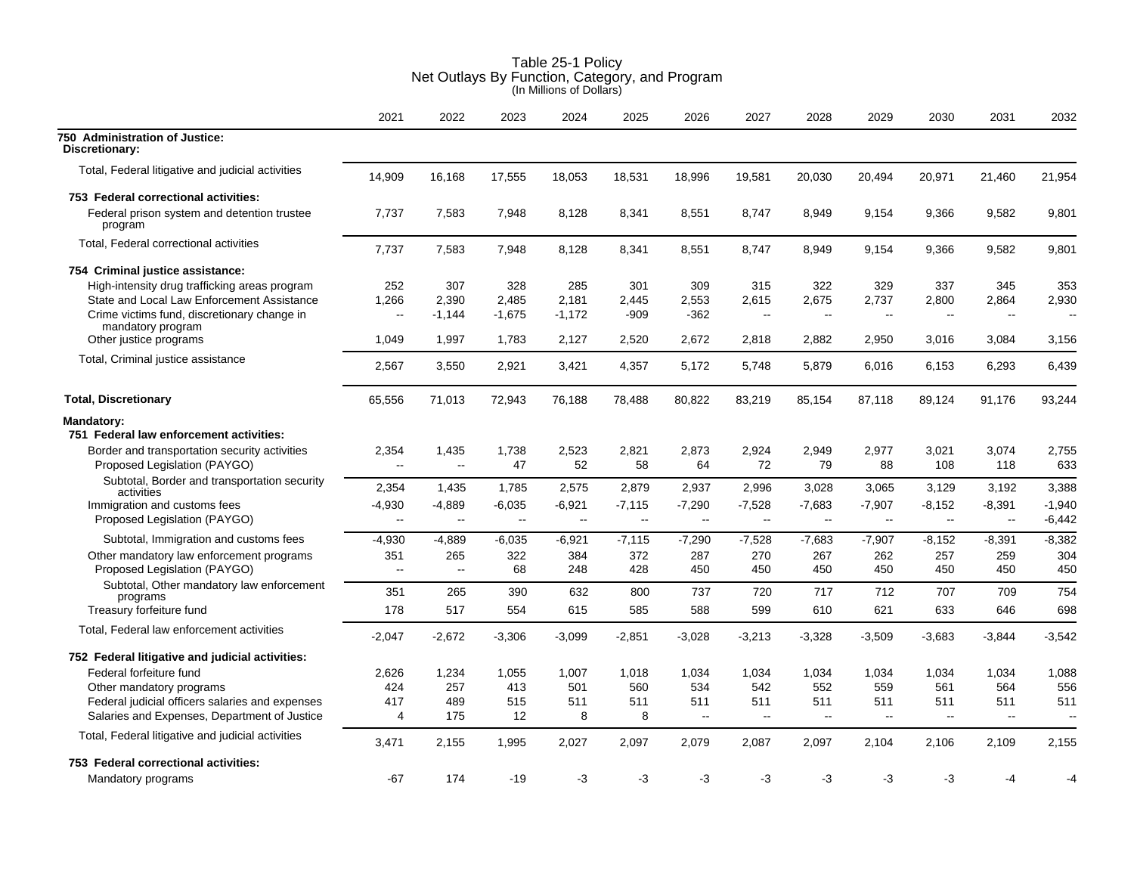|                                                                               | 2021            | 2022                             | 2023                  | 2024                  | 2025           | 2026               | 2027               | 2028                        | 2029                     | 2030                     | 2031                     | 2032                 |
|-------------------------------------------------------------------------------|-----------------|----------------------------------|-----------------------|-----------------------|----------------|--------------------|--------------------|-----------------------------|--------------------------|--------------------------|--------------------------|----------------------|
| 750 Administration of Justice:<br>Discretionary:                              |                 |                                  |                       |                       |                |                    |                    |                             |                          |                          |                          |                      |
| Total, Federal litigative and judicial activities                             | 14,909          | 16,168                           | 17,555                | 18,053                | 18,531         | 18,996             | 19,581             | 20,030                      | 20,494                   | 20,971                   | 21,460                   | 21,954               |
| 753 Federal correctional activities:                                          |                 |                                  |                       |                       |                |                    |                    |                             |                          |                          |                          |                      |
| Federal prison system and detention trustee<br>program                        | 7,737           | 7,583                            | 7,948                 | 8,128                 | 8,341          | 8,551              | 8,747              | 8,949                       | 9,154                    | 9,366                    | 9,582                    | 9,801                |
| Total, Federal correctional activities                                        | 7,737           | 7,583                            | 7,948                 | 8,128                 | 8,341          | 8,551              | 8,747              | 8,949                       | 9,154                    | 9,366                    | 9,582                    | 9,801                |
| 754 Criminal justice assistance:                                              |                 |                                  |                       |                       |                |                    |                    |                             |                          |                          |                          |                      |
| High-intensity drug trafficking areas program                                 | 252             | 307                              | 328                   | 285                   | 301            | 309                | 315                | 322                         | 329                      | 337                      | 345                      | 353                  |
| State and Local Law Enforcement Assistance                                    | 1,266           | 2,390                            | 2,485                 | 2,181                 | 2,445          | 2,553              | 2,615              | 2,675                       | 2,737                    | 2,800                    | 2,864                    | 2,930                |
| Crime victims fund, discretionary change in<br>mandatory program              | --              | $-1,144$                         | $-1,675$              | $-1,172$              | $-909$         | $-362$             | $\mathbf{u}$       | $\mathcal{L}_{\mathcal{F}}$ | $\overline{\phantom{a}}$ | $\mathbf{L}$             | $\overline{\phantom{a}}$ |                      |
| Other justice programs                                                        | 1,049           | 1,997                            | 1,783                 | 2,127                 | 2,520          | 2,672              | 2,818              | 2,882                       | 2,950                    | 3,016                    | 3,084                    | 3,156                |
| Total, Criminal justice assistance                                            | 2,567           | 3,550                            | 2,921                 | 3,421                 | 4,357          | 5,172              | 5,748              | 5,879                       | 6,016                    | 6,153                    | 6,293                    | 6,439                |
| <b>Total, Discretionary</b>                                                   | 65,556          | 71,013                           | 72,943                | 76,188                | 78,488         | 80,822             | 83,219             | 85,154                      | 87,118                   | 89,124                   | 91,176                   | 93,244               |
| Mandatory:<br>751 Federal law enforcement activities:                         |                 |                                  |                       |                       |                |                    |                    |                             |                          |                          |                          |                      |
| Border and transportation security activities<br>Proposed Legislation (PAYGO) | 2,354<br>$\sim$ | 1,435<br>$\sim$ $\sim$           | 1,738<br>47           | 2,523<br>52           | 2,821<br>58    | 2,873<br>64        | 2,924<br>72        | 2,949<br>79                 | 2,977<br>88              | 3,021<br>108             | 3,074<br>118             | 2,755<br>633         |
| Subtotal, Border and transportation security<br>activities                    | 2,354           | 1,435                            | 1,785                 | 2,575                 | 2,879          | 2,937              | 2,996              | 3,028                       | 3,065                    | 3,129                    | 3,192                    | 3,388                |
| Immigration and customs fees<br>Proposed Legislation (PAYGO)                  | $-4,930$<br>L.  | $-4,889$<br>$\ddot{\phantom{a}}$ | $-6,035$<br>$\ddotsc$ | $-6,921$<br>$\ddotsc$ | $-7,115$<br>Ξ. | $-7,290$<br>$\sim$ | $-7,528$<br>$\sim$ | $-7,683$<br>$\sim$          | $-7,907$<br>$\mathbf{u}$ | $-8,152$<br>$\mathbf{L}$ | $-8,391$<br>$\mathbf{u}$ | $-1,940$<br>$-6,442$ |
| Subtotal, Immigration and customs fees                                        | $-4,930$        | $-4,889$                         | $-6,035$              | $-6,921$              | $-7,115$       | $-7,290$           | $-7,528$           | $-7,683$                    | $-7,907$                 | $-8,152$                 | $-8,391$                 | $-8,382$             |
| Other mandatory law enforcement programs                                      | 351             | 265                              | 322                   | 384                   | 372            | 287                | 270                | 267                         | 262                      | 257                      | 259                      | 304                  |
| Proposed Legislation (PAYGO)                                                  | Ξ.              | $\ddotsc$                        | 68                    | 248                   | 428            | 450                | 450                | 450                         | 450                      | 450                      | 450                      | 450                  |
| Subtotal, Other mandatory law enforcement<br>programs                         | 351             | 265                              | 390                   | 632                   | 800            | 737                | 720                | 717                         | 712                      | 707                      | 709                      | 754                  |
| Treasury forfeiture fund                                                      | 178             | 517                              | 554                   | 615                   | 585            | 588                | 599                | 610                         | 621                      | 633                      | 646                      | 698                  |
| Total, Federal law enforcement activities                                     | $-2,047$        | $-2,672$                         | $-3,306$              | $-3,099$              | $-2,851$       | $-3,028$           | $-3,213$           | $-3,328$                    | $-3,509$                 | $-3,683$                 | $-3.844$                 | $-3,542$             |
| 752 Federal litigative and judicial activities:                               |                 |                                  |                       |                       |                |                    |                    |                             |                          |                          |                          |                      |
| Federal forfeiture fund                                                       | 2,626           | 1,234                            | 1,055                 | 1,007                 | 1,018          | 1,034              | 1,034              | 1,034                       | 1,034                    | 1,034                    | 1,034                    | 1,088                |
| Other mandatory programs                                                      | 424             | 257                              | 413                   | 501                   | 560            | 534                | 542                | 552                         | 559                      | 561                      | 564                      | 556                  |
| Federal judicial officers salaries and expenses                               | 417             | 489                              | 515                   | 511                   | 511            | 511                | 511                | 511                         | 511                      | 511                      | 511                      | 511                  |
| Salaries and Expenses, Department of Justice                                  | $\overline{4}$  | 175                              | 12                    | 8                     | 8              | $\sim$             | $\mathbf{u}$       | $\mathbf{u}$                | $\overline{\phantom{a}}$ | $\mathbf{L}$             | $\mathbf{u}$             |                      |
| Total, Federal litigative and judicial activities                             | 3,471           | 2,155                            | 1,995                 | 2,027                 | 2,097          | 2,079              | 2,087              | 2,097                       | 2,104                    | 2,106                    | 2,109                    | 2,155                |
| 753 Federal correctional activities:                                          |                 |                                  |                       |                       |                |                    |                    |                             |                          |                          |                          |                      |
| Mandatory programs                                                            | $-67$           | 174                              | $-19$                 | -3                    | -3             | $-3$               | $-3$               | -3                          | -3                       | $-3$                     | $-4$                     | -4                   |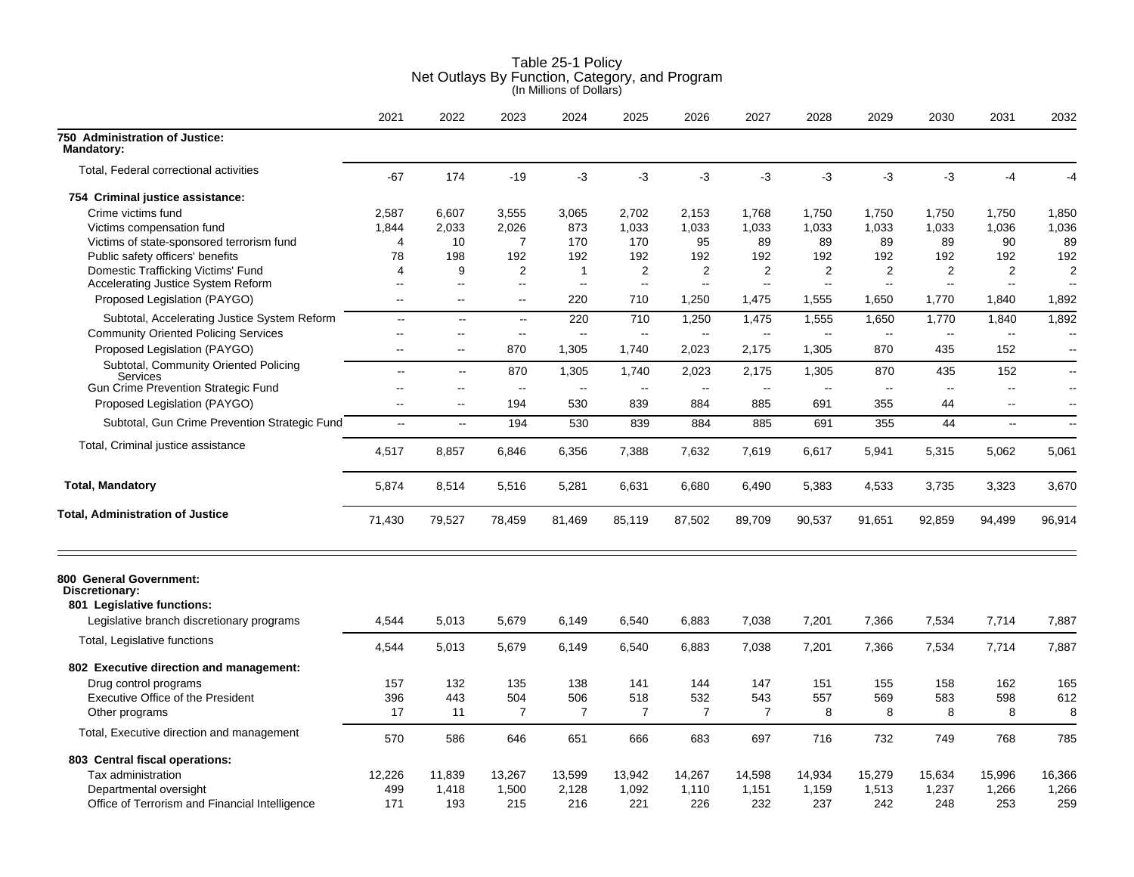|                                                                         | 2021                     | 2022                     | 2023                     | 2024           | 2025                     | 2026           | 2027           | 2028                     | 2029         | 2030                     | 2031                     | 2032                     |
|-------------------------------------------------------------------------|--------------------------|--------------------------|--------------------------|----------------|--------------------------|----------------|----------------|--------------------------|--------------|--------------------------|--------------------------|--------------------------|
| 750 Administration of Justice:<br><b>Mandatory:</b>                     |                          |                          |                          |                |                          |                |                |                          |              |                          |                          |                          |
| Total, Federal correctional activities                                  | $-67$                    | 174                      | $-19$                    | $-3$           | $-3$                     | $-3$           | -3             | -3                       | $-3$         | $-3$                     | $-4$                     | $-4$                     |
| 754 Criminal justice assistance:                                        |                          |                          |                          |                |                          |                |                |                          |              |                          |                          |                          |
| Crime victims fund                                                      | 2,587                    | 6.607                    | 3,555                    | 3,065          | 2,702                    | 2,153          | 1,768          | 1,750                    | 1,750        | 1,750                    | 1,750                    | 1,850                    |
| Victims compensation fund                                               | 1,844                    | 2.033                    | 2,026                    | 873            | 1,033                    | 1.033          | 1,033          | 1,033                    | 1,033        | 1,033                    | 1,036                    | 1,036                    |
| Victims of state-sponsored terrorism fund                               | 4                        | 10                       | 7                        | 170            | 170                      | 95             | 89             | 89                       | 89           | 89                       | 90                       | 89                       |
| Public safety officers' benefits                                        | 78                       | 198                      | 192                      | 192            | 192                      | 192            | 192            | 192                      | 192          | 192                      | 192                      | 192                      |
| Domestic Trafficking Victims' Fund                                      | 4                        | 9                        | $\overline{2}$           | $\mathbf{1}$   | $\overline{2}$           | $\overline{2}$ | $\overline{2}$ | 2                        | $\mathbf{2}$ | $\overline{2}$           | 2                        | $\overline{2}$           |
| Accelerating Justice System Reform                                      | $\sim$                   | $\sim$ $\sim$            | $\overline{a}$           | $\sim$         | ц.                       | --             | $\overline{a}$ | $\overline{\phantom{a}}$ | $\sim$       | $\overline{\phantom{a}}$ | $\overline{\phantom{a}}$ | $\overline{\phantom{a}}$ |
| Proposed Legislation (PAYGO)                                            | $\overline{\phantom{a}}$ | $\sim$ $\sim$            | $\overline{\phantom{a}}$ | 220            | 710                      | 1,250          | 1,475          | 1,555                    | 1,650        | 1,770                    | 1,840                    | 1,892                    |
| Subtotal, Accelerating Justice System Reform                            | $\overline{\phantom{a}}$ | $\overline{a}$           | $\mathbf{L}$             | 220            | 710                      | 1,250          | 1,475          | 1,555                    | 1,650        | 1,770                    | 1,840                    | 1,892                    |
| <b>Community Oriented Policing Services</b>                             | $\overline{a}$           | $\sim$ $\sim$            | $\overline{\phantom{a}}$ | $\sim$         | Ξ.                       | $\overline{a}$ | $\overline{a}$ | $\sim$                   | $\sim$       | $\overline{\phantom{a}}$ | $\overline{a}$           | $\overline{\phantom{a}}$ |
| Proposed Legislation (PAYGO)                                            | $\overline{\phantom{a}}$ | $\overline{\phantom{a}}$ | 870                      | 1,305          | 1,740                    | 2,023          | 2,175          | 1,305                    | 870          | 435                      | 152                      | $\overline{\phantom{a}}$ |
| Subtotal, Community Oriented Policing<br>Services                       | $\overline{a}$           | $\sim$                   | 870                      | 1,305          | 1,740                    | 2,023          | 2,175          | 1,305                    | 870          | 435                      | 152                      | $\overline{\phantom{a}}$ |
| <b>Gun Crime Prevention Strategic Fund</b>                              | $\sim$                   | $\sim$ $\sim$            | $\overline{\phantom{a}}$ | $\overline{a}$ | $\overline{\phantom{a}}$ | $\sim$         | $\sim$         | $\sim$                   | $\sim$       | $\sim$                   | --                       | $\overline{\phantom{a}}$ |
| Proposed Legislation (PAYGO)                                            | $\sim$                   | $\sim$                   | 194                      | 530            | 839                      | 884            | 885            | 691                      | 355          | 44                       | $\overline{a}$           | $\overline{\phantom{a}}$ |
| Subtotal, Gun Crime Prevention Strategic Fund                           | $\overline{\phantom{a}}$ | $\sim$                   | 194                      | 530            | 839                      | 884            | 885            | 691                      | 355          | 44                       | $\sim$ $\sim$            | $\overline{\phantom{a}}$ |
| Total, Criminal justice assistance                                      | 4,517                    | 8,857                    | 6,846                    | 6,356          | 7,388                    | 7,632          | 7,619          | 6,617                    | 5,941        | 5,315                    | 5,062                    | 5,061                    |
| <b>Total, Mandatory</b>                                                 | 5,874                    | 8,514                    | 5,516                    | 5,281          | 6,631                    | 6,680          | 6,490          | 5,383                    | 4,533        | 3,735                    | 3,323                    | 3,670                    |
| <b>Total, Administration of Justice</b>                                 | 71,430                   | 79,527                   | 78,459                   | 81,469         | 85,119                   | 87,502         | 89,709         | 90,537                   | 91,651       | 92,859                   | 94,499                   | 96,914                   |
| 800 General Government:<br>Discretionary:<br>801 Legislative functions: |                          |                          |                          |                |                          |                |                |                          |              |                          |                          |                          |
| Legislative branch discretionary programs                               | 4,544                    | 5,013                    | 5,679                    | 6,149          | 6,540                    | 6,883          | 7,038          | 7,201                    | 7,366        | 7,534                    | 7,714                    | 7,887                    |
| Total, Legislative functions                                            | 4,544                    | 5,013                    | 5,679                    | 6,149          | 6,540                    | 6,883          | 7,038          | 7,201                    | 7,366        | 7,534                    | 7,714                    | 7,887                    |
| 802 Executive direction and management:                                 |                          |                          |                          |                |                          |                |                |                          |              |                          |                          |                          |
| Drug control programs                                                   | 157                      | 132                      | 135                      | 138            | 141                      | 144            | 147            | 151                      | 155          | 158                      | 162                      | 165                      |
| Executive Office of the President                                       | 396                      | 443                      | 504                      | 506            | 518                      | 532            | 543            | 557                      | 569          | 583                      | 598                      | 612                      |
| Other programs                                                          | 17                       | 11                       | $\overline{7}$           | $\overline{7}$ | $\overline{7}$           | $\overline{7}$ | $\overline{7}$ | 8                        | 8            | 8                        | 8                        | 8                        |
| Total, Executive direction and management                               | 570                      | 586                      | 646                      | 651            | 666                      | 683            | 697            | 716                      | 732          | 749                      | 768                      | 785                      |
| 803 Central fiscal operations:                                          |                          |                          |                          |                |                          |                |                |                          |              |                          |                          |                          |
| Tax administration                                                      | 12,226                   | 11,839                   | 13,267                   | 13,599         | 13,942                   | 14,267         | 14,598         | 14,934                   | 15,279       | 15,634                   | 15,996                   | 16,366                   |
| Departmental oversight                                                  | 499                      | 1,418                    | 1,500                    | 2,128          | 1,092                    | 1,110          | 1,151          | 1,159                    | 1,513        | 1,237                    | 1,266                    | 1,266                    |
| Office of Terrorism and Financial Intelligence                          | 171                      | 193                      | 215                      | 216            | 221                      | 226            | 232            | 237                      | 242          | 248                      | 253                      | 259                      |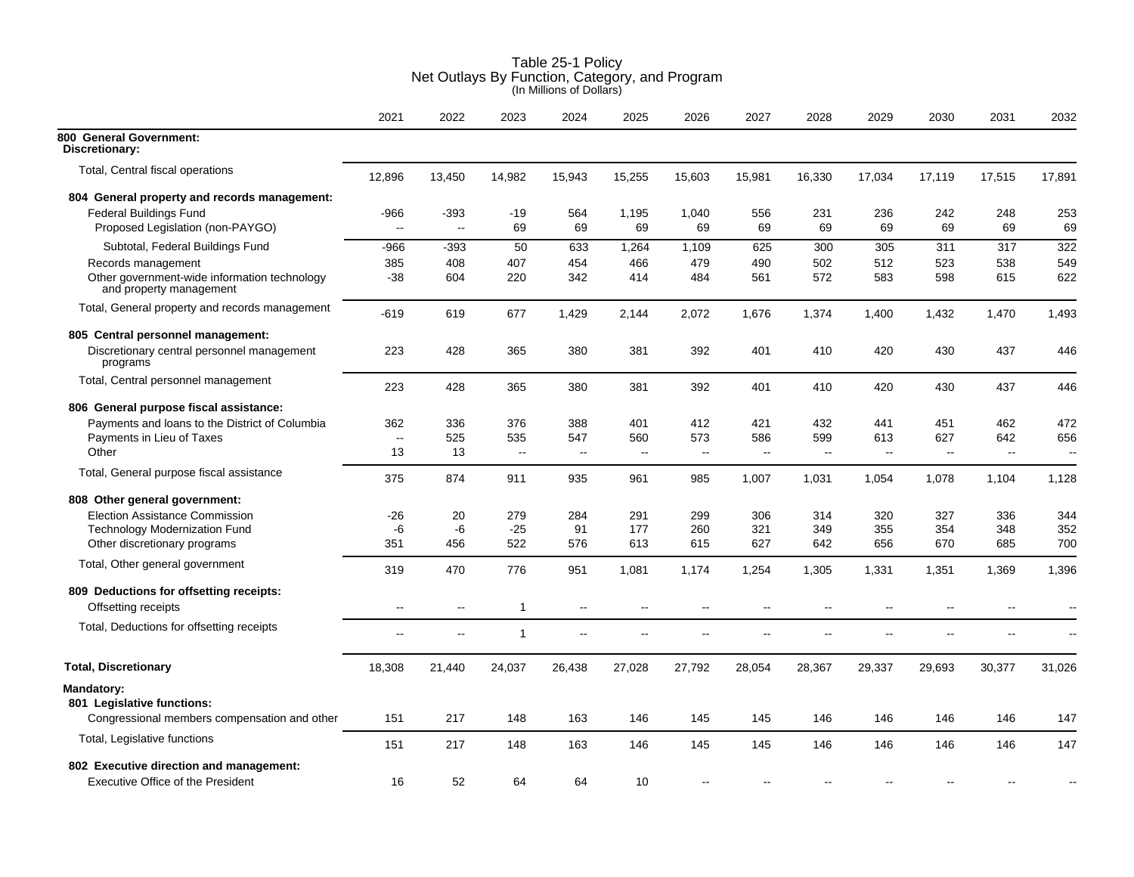|                                                                         | 2021                     | 2022         | 2023         | 2024                     | 2025                     | 2026                     | 2027                     | 2028                     | 2029   | 2030           | 2031                     | 2032                     |
|-------------------------------------------------------------------------|--------------------------|--------------|--------------|--------------------------|--------------------------|--------------------------|--------------------------|--------------------------|--------|----------------|--------------------------|--------------------------|
| 800 General Government:<br>Discretionary:                               |                          |              |              |                          |                          |                          |                          |                          |        |                |                          |                          |
| Total, Central fiscal operations                                        | 12,896                   | 13,450       | 14,982       | 15,943                   | 15,255                   | 15,603                   | 15,981                   | 16,330                   | 17,034 | 17,119         | 17,515                   | 17,891                   |
| 804 General property and records management:                            |                          |              |              |                          |                          |                          |                          |                          |        |                |                          |                          |
| <b>Federal Buildings Fund</b>                                           | -966                     | -393         | $-19$        | 564                      | 1,195                    | 1,040                    | 556                      | 231                      | 236    | 242            | 248                      | 253                      |
| Proposed Legislation (non-PAYGO)                                        | $\overline{\phantom{a}}$ | $\mathbf{L}$ | 69           | 69                       | 69                       | 69                       | 69                       | 69                       | 69     | 69             | 69                       | 69                       |
| Subtotal, Federal Buildings Fund                                        | -966                     | $-393$       | 50           | 633                      | 1,264                    | 1,109                    | 625                      | 300                      | 305    | 311            | 317                      | 322                      |
| Records management                                                      | 385                      | 408          | 407          | 454                      | 466                      | 479                      | 490                      | 502                      | 512    | 523            | 538                      | 549                      |
| Other government-wide information technology<br>and property management | -38                      | 604          | 220          | 342                      | 414                      | 484                      | 561                      | 572                      | 583    | 598            | 615                      | 622                      |
| Total, General property and records management                          | -619                     | 619          | 677          | 1,429                    | 2,144                    | 2,072                    | 1,676                    | 1,374                    | 1,400  | 1,432          | 1,470                    | 1,493                    |
| 805 Central personnel management:                                       |                          |              |              |                          |                          |                          |                          |                          |        |                |                          |                          |
| Discretionary central personnel management<br>programs                  | 223                      | 428          | 365          | 380                      | 381                      | 392                      | 401                      | 410                      | 420    | 430            | 437                      | 446                      |
| Total, Central personnel management                                     | 223                      | 428          | 365          | 380                      | 381                      | 392                      | 401                      | 410                      | 420    | 430            | 437                      | 446                      |
| 806 General purpose fiscal assistance:                                  |                          |              |              |                          |                          |                          |                          |                          |        |                |                          |                          |
| Payments and loans to the District of Columbia                          | 362                      | 336          | 376          | 388                      | 401                      | 412                      | 421                      | 432                      | 441    | 451            | 462                      | 472                      |
| Payments in Lieu of Taxes                                               | $\sim$                   | 525          | 535          | 547                      | 560                      | 573                      | 586                      | 599                      | 613    | 627            | 642                      | 656                      |
| Other                                                                   | 13                       | 13           | μ.           | $\sim$                   | $\overline{a}$           | $\overline{\phantom{a}}$ | $\overline{\phantom{a}}$ | $\overline{\phantom{a}}$ | Щ,     | $\sim$         | $\overline{\phantom{a}}$ | $\overline{\phantom{a}}$ |
| Total, General purpose fiscal assistance                                | 375                      | 874          | 911          | 935                      | 961                      | 985                      | 1,007                    | 1,031                    | 1,054  | 1,078          | 1,104                    | 1,128                    |
| 808 Other general government:                                           |                          |              |              |                          |                          |                          |                          |                          |        |                |                          |                          |
| <b>Election Assistance Commission</b>                                   | $-26$                    | 20           | 279          | 284                      | 291                      | 299                      | 306                      | 314                      | 320    | 327            | 336                      | 344                      |
| <b>Technology Modernization Fund</b>                                    | -6                       | -6           | $-25$        | 91                       | 177                      | 260                      | 321                      | 349                      | 355    | 354            | 348                      | 352                      |
| Other discretionary programs                                            | 351                      | 456          | 522          | 576                      | 613                      | 615                      | 627                      | 642                      | 656    | 670            | 685                      | 700                      |
| Total, Other general government                                         | 319                      | 470          | 776          | 951                      | 1,081                    | 1,174                    | 1,254                    | 1,305                    | 1,331  | 1,351          | 1,369                    | 1,396                    |
| 809 Deductions for offsetting receipts:                                 |                          |              |              |                          |                          |                          |                          |                          |        |                |                          |                          |
| Offsetting receipts                                                     | $\overline{\phantom{a}}$ | $-$          | $\mathbf{1}$ | Ξ.                       |                          | --                       | --                       | $\overline{\phantom{a}}$ |        | $\overline{a}$ |                          | $\sim$                   |
| Total, Deductions for offsetting receipts                               | $\overline{a}$           | $\sim$       | $\mathbf{1}$ | $\overline{\phantom{a}}$ | $\overline{\phantom{a}}$ | $-$                      | --                       | --                       |        | $-$            | $\overline{a}$           | $\sim$                   |
| <b>Total, Discretionary</b>                                             | 18,308                   | 21,440       | 24,037       | 26,438                   | 27,028                   | 27,792                   | 28,054                   | 28,367                   | 29,337 | 29,693         | 30,377                   | 31,026                   |
| Mandatory:                                                              |                          |              |              |                          |                          |                          |                          |                          |        |                |                          |                          |
| 801 Legislative functions:                                              |                          |              |              |                          |                          |                          |                          |                          |        |                |                          |                          |
| Congressional members compensation and other                            | 151                      | 217          | 148          | 163                      | 146                      | 145                      | 145                      | 146                      | 146    | 146            | 146                      | 147                      |
| Total, Legislative functions                                            |                          |              |              |                          |                          |                          |                          |                          |        |                |                          |                          |
|                                                                         | 151                      | 217          | 148          | 163                      | 146                      | 145                      | 145                      | 146                      | 146    | 146            | 146                      | 147                      |
| 802 Executive direction and management:                                 |                          |              |              |                          |                          |                          |                          |                          |        |                |                          |                          |
| <b>Executive Office of the President</b>                                | 16                       | 52           | 64           | 64                       | 10                       |                          |                          |                          |        |                |                          |                          |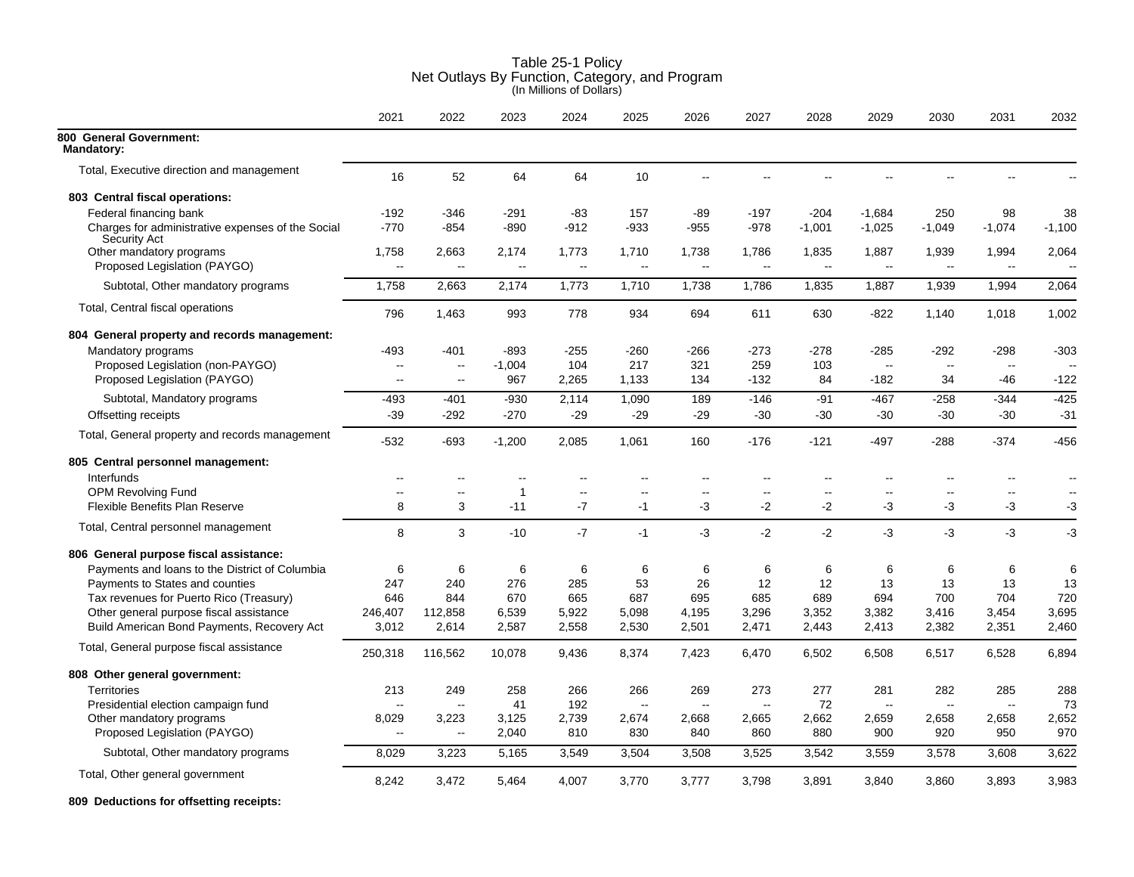|                                                          | 2021                     | 2022           | 2023                     | 2024                     | 2025                     | 2026                     | 2027                     | 2028               | 2029                              | 2030            | 2031                     | 2032                     |
|----------------------------------------------------------|--------------------------|----------------|--------------------------|--------------------------|--------------------------|--------------------------|--------------------------|--------------------|-----------------------------------|-----------------|--------------------------|--------------------------|
| 800 General Government:<br><b>Mandatory:</b>             |                          |                |                          |                          |                          |                          |                          |                    |                                   |                 |                          |                          |
| Total, Executive direction and management                | 16                       | 52             | 64                       | 64                       | 10                       | ۵.                       |                          | ۵.                 |                                   | $-$             |                          |                          |
| 803 Central fiscal operations:                           |                          |                |                          |                          |                          |                          |                          |                    |                                   |                 |                          |                          |
| Federal financing bank                                   | $-192$                   | $-346$         | $-291$                   | $-83$                    | 157                      | $-89$                    | $-197$                   | $-204$             | $-1,684$                          | 250             | 98                       | 38                       |
| Charges for administrative expenses of the Social        | $-770$                   | $-854$         | $-890$                   | $-912$                   | -933                     | $-955$                   | $-978$                   | $-1,001$           | $-1,025$                          | $-1,049$        | $-1,074$                 | $-1,100$                 |
| <b>Security Act</b>                                      |                          | 2,663          |                          | 1,773                    |                          |                          |                          |                    |                                   |                 |                          | 2,064                    |
| Other mandatory programs<br>Proposed Legislation (PAYGO) | 1,758<br>Ξ.              | --             | 2,174<br>ä.              | L.                       | 1,710<br>۵.              | 1,738<br>$\sim$ $\sim$   | 1,786<br>$\ddotsc$       | 1,835<br>$\ddotsc$ | 1,887<br>$\overline{\phantom{a}}$ | 1,939<br>$\sim$ | 1,994<br>$\mathbf{u}$    | $\sim$                   |
|                                                          |                          |                |                          |                          |                          |                          |                          |                    |                                   |                 |                          |                          |
| Subtotal, Other mandatory programs                       | 1,758                    | 2,663          | 2,174                    | 1,773                    | 1,710                    | 1,738                    | 1,786                    | 1,835              | 1,887                             | 1,939           | 1,994                    | 2,064                    |
| Total, Central fiscal operations                         | 796                      | 1,463          | 993                      | 778                      | 934                      | 694                      | 611                      | 630                | $-822$                            | 1,140           | 1,018                    | 1,002                    |
| 804 General property and records management:             |                          |                |                          |                          |                          |                          |                          |                    |                                   |                 |                          |                          |
| Mandatory programs                                       | -493                     | $-401$         | $-893$                   | $-255$                   | $-260$                   | $-266$                   | $-273$                   | $-278$             | $-285$                            | $-292$          | $-298$                   | $-303$                   |
| Proposed Legislation (non-PAYGO)                         | Ξ.                       | $\sim$         | $-1,004$                 | 104                      | 217                      | 321                      | 259                      | 103                | $\mathbf{L}$                      | $\sim$          | $\overline{\phantom{a}}$ |                          |
| Proposed Legislation (PAYGO)                             | $\sim$                   | $\overline{a}$ | 967                      | 2,265                    | 1,133                    | 134                      | $-132$                   | 84                 | $-182$                            | 34              | -46                      | $-122$                   |
| Subtotal, Mandatory programs                             | $-493$                   | $-401$         | -930                     | 2,114                    | 1,090                    | 189                      | $-146$                   | $-91$              | -467                              | $-258$          | $-344$                   | $-425$                   |
| Offsetting receipts                                      | $-39$                    | $-292$         | $-270$                   | $-29$                    | $-29$                    | $-29$                    | $-30$                    | $-30$              | $-30$                             | $-30$           | $-30$                    | $-31$                    |
| Total, General property and records management           | -532                     | $-693$         | $-1,200$                 | 2,085                    | 1,061                    | 160                      | $-176$                   | $-121$             | $-497$                            | $-288$          | $-374$                   | $-456$                   |
| 805 Central personnel management:                        |                          |                |                          |                          |                          |                          |                          |                    |                                   |                 |                          |                          |
| Interfunds                                               | $\overline{a}$           | $-$            | $\overline{\phantom{a}}$ | $-$                      | ۵.                       | $\overline{a}$           | $\overline{a}$           | $\overline{a}$     | $\overline{a}$                    | $\sim$ $\sim$   | $\mathbf{u}$             | $\sim$                   |
| OPM Revolving Fund                                       | $\overline{\phantom{a}}$ | --             | $\overline{1}$           | $\overline{\phantom{a}}$ | $\overline{\phantom{a}}$ | $\overline{\phantom{a}}$ | $\overline{\phantom{a}}$ | --                 | $\overline{\phantom{a}}$          | $\mathbf{H}$    | $\mathbf{H}$             | $\overline{\phantom{a}}$ |
| Flexible Benefits Plan Reserve                           | 8                        | 3              | $-11$                    | $-7$                     | $-1$                     | -3                       | $-2$                     | $-2$               | -3                                | -3              | -3                       | -3                       |
| Total, Central personnel management                      | 8                        | 3              | $-10$                    | $-7$                     | $-1$                     | $-3$                     | $-2$                     | $-2$               | -3                                | $-3$            | $-3$                     | -3                       |
| 806 General purpose fiscal assistance:                   |                          |                |                          |                          |                          |                          |                          |                    |                                   |                 |                          |                          |
| Payments and loans to the District of Columbia           | 6                        | 6              | 6                        | 6                        | 6                        | 6                        | 6                        | 6                  | 6                                 | 6               | 6                        | 6                        |
| Payments to States and counties                          | 247                      | 240            | 276                      | 285                      | 53                       | 26                       | 12                       | 12                 | 13                                | 13              | 13                       | 13                       |
| Tax revenues for Puerto Rico (Treasury)                  | 646                      | 844            | 670                      | 665                      | 687                      | 695                      | 685                      | 689                | 694                               | 700             | 704                      | 720                      |
| Other general purpose fiscal assistance                  | 246,407                  | 112,858        | 6,539                    | 5,922                    | 5,098                    | 4,195                    | 3,296                    | 3,352              | 3,382                             | 3,416           | 3,454                    | 3,695                    |
| Build American Bond Payments, Recovery Act               | 3,012                    | 2,614          | 2,587                    | 2,558                    | 2,530                    | 2,501                    | 2,471                    | 2,443              | 2,413                             | 2,382           | 2,351                    | 2,460                    |
| Total, General purpose fiscal assistance                 | 250,318                  | 116,562        | 10,078                   | 9,436                    | 8,374                    | 7,423                    | 6,470                    | 6,502              | 6,508                             | 6,517           | 6,528                    | 6,894                    |
| 808 Other general government:                            |                          |                |                          |                          |                          |                          |                          |                    |                                   |                 |                          |                          |
| <b>Territories</b>                                       | 213                      | 249            | 258                      | 266                      | 266                      | 269                      | 273                      | 277                | 281                               | 282             | 285                      | 288                      |
| Presidential election campaign fund                      | $\overline{a}$           | ÷.             | 41                       | 192                      | $\overline{\phantom{a}}$ | $\overline{\phantom{a}}$ | $\overline{\phantom{a}}$ | 72                 | $\overline{\phantom{a}}$          | $\mathbf{L}$    | $\overline{\phantom{a}}$ | 73                       |
| Other mandatory programs                                 | 8,029                    | 3,223          | 3,125                    | 2,739                    | 2,674                    | 2,668                    | 2,665                    | 2,662              | 2,659                             | 2,658           | 2,658                    | 2,652                    |
| Proposed Legislation (PAYGO)                             | $\overline{\phantom{a}}$ | $\sim$ $\sim$  | 2,040                    | 810                      | 830                      | 840                      | 860                      | 880                | 900                               | 920             | 950                      | 970                      |
| Subtotal, Other mandatory programs                       | 8,029                    | 3,223          | 5,165                    | 3,549                    | 3,504                    | 3,508                    | 3,525                    | 3,542              | 3,559                             | 3,578           | 3,608                    | 3,622                    |
| Total, Other general government                          | 8,242                    | 3,472          | 5,464                    | 4,007                    | 3,770                    | 3,777                    | 3,798                    | 3,891              | 3,840                             | 3,860           | 3,893                    | 3,983                    |
|                                                          |                          |                |                          |                          |                          |                          |                          |                    |                                   |                 |                          |                          |

**809 Deductions for offsetting receipts:**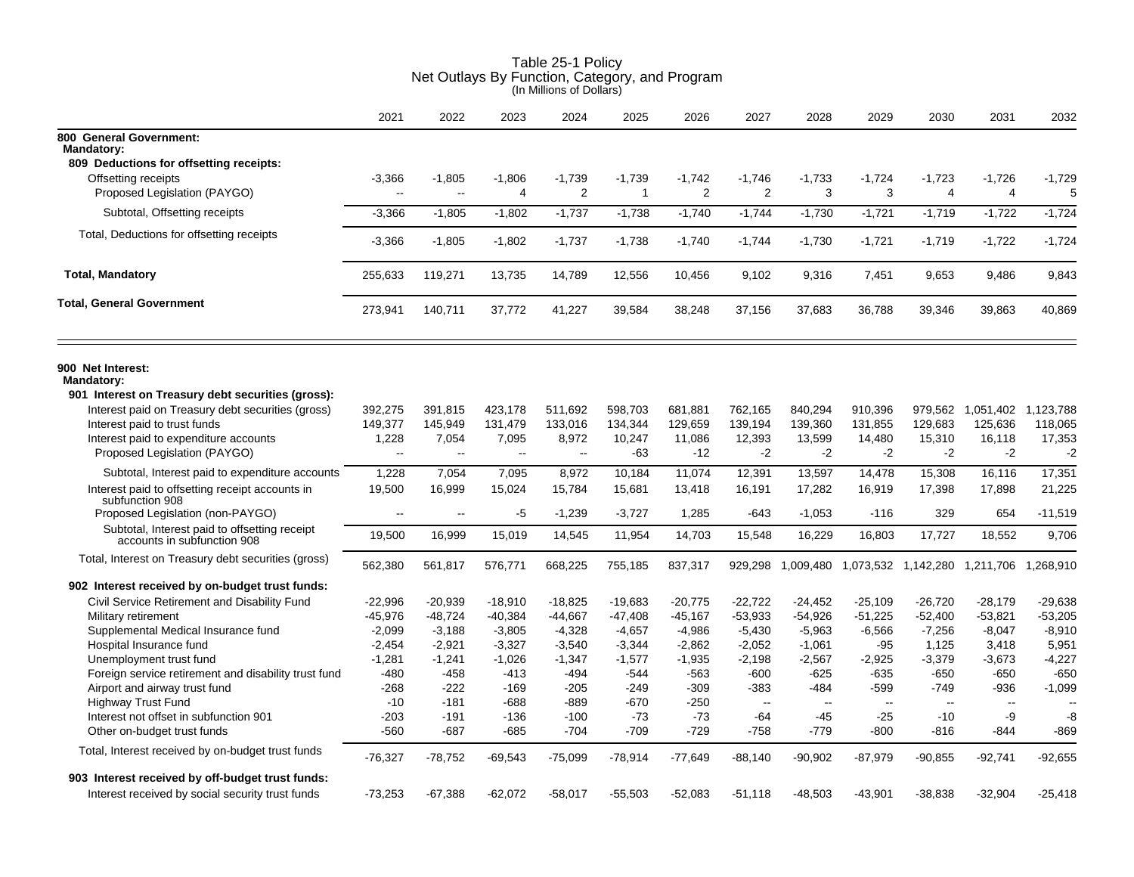|                                                                                                        | 2021             | 2022             | 2023             | 2024             | 2025            | 2026            | 2027            | 2028            | 2029          | 2030            | 2031                                                      | 2032         |
|--------------------------------------------------------------------------------------------------------|------------------|------------------|------------------|------------------|-----------------|-----------------|-----------------|-----------------|---------------|-----------------|-----------------------------------------------------------|--------------|
| 800 General Government:                                                                                |                  |                  |                  |                  |                 |                 |                 |                 |               |                 |                                                           |              |
| <b>Mandatory:</b><br>809 Deductions for offsetting receipts:                                           |                  |                  |                  |                  |                 |                 |                 |                 |               |                 |                                                           |              |
| Offsetting receipts                                                                                    | $-3,366$         | $-1,805$         | $-1,806$         | $-1,739$         | $-1,739$        | $-1,742$        | $-1,746$        | $-1,733$        | $-1,724$      | $-1,723$        | $-1,726$                                                  | $-1,729$     |
| Proposed Legislation (PAYGO)                                                                           | $\sim$           | $\sim$           | $\overline{4}$   | $\overline{2}$   | $\mathbf{1}$    | 2               | $\overline{2}$  | 3               | 3             | $\overline{4}$  | $\overline{4}$                                            | 5            |
| Subtotal, Offsetting receipts                                                                          | $-3,366$         | $-1,805$         | $-1,802$         | $-1,737$         | $-1,738$        | $-1,740$        | $-1,744$        | $-1,730$        | $-1,721$      | $-1,719$        | $-1,722$                                                  | $-1,724$     |
| Total, Deductions for offsetting receipts                                                              | $-3,366$         | $-1,805$         | $-1,802$         | $-1,737$         | $-1,738$        | $-1,740$        | $-1,744$        | $-1,730$        | $-1,721$      | $-1,719$        | $-1,722$                                                  | $-1,724$     |
| <b>Total, Mandatory</b>                                                                                | 255,633          | 119,271          | 13,735           | 14,789           | 12,556          | 10,456          | 9,102           | 9,316           | 7,451         | 9,653           | 9,486                                                     | 9,843        |
| <b>Total, General Government</b>                                                                       | 273,941          | 140,711          | 37,772           | 41,227           | 39,584          | 38,248          | 37,156          | 37,683          | 36,788        | 39,346          | 39,863                                                    | 40,869       |
| 900 Net Interest:                                                                                      |                  |                  |                  |                  |                 |                 |                 |                 |               |                 |                                                           |              |
| <b>Mandatory:</b>                                                                                      |                  |                  |                  |                  |                 |                 |                 |                 |               |                 |                                                           |              |
| 901 Interest on Treasury debt securities (gross):<br>Interest paid on Treasury debt securities (gross) | 392,275          | 391.815          | 423,178          | 511,692          | 598,703         | 681,881         | 762,165         | 840,294         | 910,396       | 979,562         | 1,051,402                                                 | 1,123,788    |
| Interest paid to trust funds                                                                           | 149,377          | 145,949          | 131,479          | 133,016          | 134,344         | 129,659         | 139,194         | 139,360         | 131,855       | 129,683         | 125,636                                                   | 118,065      |
| Interest paid to expenditure accounts                                                                  | 1,228            | 7,054            | 7,095            | 8,972            | 10,247          | 11,086          | 12,393          | 13,599          | 14,480        | 15,310          | 16,118                                                    | 17,353       |
| Proposed Legislation (PAYGO)                                                                           | $\sim$           | $\mathbf{L}$     | $\sim$           | $\sim$           | -63             | $-12$           | $-2$            | $-2$            | -2            | $-2$            | $-2$                                                      | $-2$         |
| Subtotal, Interest paid to expenditure accounts                                                        | 1,228            | 7,054            | 7,095            | 8,972            | 10,184          | 11,074          | 12,391          | 13,597          | 14,478        | 15,308          | 16,116                                                    | 17,351       |
| Interest paid to offsetting receipt accounts in                                                        | 19,500           | 16,999           | 15,024           | 15,784           | 15,681          | 13,418          | 16,191          | 17,282          | 16,919        | 17,398          | 17,898                                                    | 21,225       |
| subfunction 908<br>Proposed Legislation (non-PAYGO)                                                    | $\sim$           | $\sim$           | -5               | $-1,239$         | $-3,727$        | 1,285           | -643            | $-1,053$        | $-116$        | 329             | 654                                                       | $-11.519$    |
| Subtotal, Interest paid to offsetting receipt<br>accounts in subfunction 908                           | 19,500           | 16,999           | 15,019           | 14,545           | 11,954          | 14,703          | 15,548          | 16,229          | 16,803        | 17,727          | 18,552                                                    | 9,706        |
| Total, Interest on Treasury debt securities (gross)                                                    | 562,380          | 561,817          | 576,771          | 668,225          | 755,185         | 837,317         |                 |                 |               |                 | 929,298 1,009,480 1,073,532 1,142,280 1,211,706 1,268,910 |              |
| 902 Interest received by on-budget trust funds:                                                        |                  |                  |                  |                  |                 |                 |                 |                 |               |                 |                                                           |              |
| Civil Service Retirement and Disability Fund                                                           | $-22,996$        | $-20,939$        | $-18,910$        | $-18,825$        | $-19,683$       | $-20,775$       | $-22,722$       | -24,452         | $-25,109$     | $-26,720$       | $-28,179$                                                 | $-29,638$    |
| Military retirement                                                                                    | $-45,976$        | $-48,724$        | $-40,384$        | $-44,667$        | $-47,408$       | $-45,167$       | $-53,933$       | $-54,926$       | $-51,225$     | $-52,400$       | $-53,821$                                                 | $-53,205$    |
| Supplemental Medical Insurance fund                                                                    | $-2,099$         | $-3,188$         | $-3,805$         | $-4,328$         | $-4,657$        | $-4,986$        | $-5,430$        | $-5,963$        | $-6,566$      | $-7,256$        | $-8,047$                                                  | $-8,910$     |
| Hospital Insurance fund                                                                                | $-2,454$         | $-2,921$         | $-3,327$         | $-3,540$         | $-3,344$        | -2,862          | $-2,052$        | $-1,061$        | $-95$         | 1,125           | 3,418                                                     | 5,951        |
| Unemployment trust fund                                                                                | $-1,281$         | $-1,241$         | $-1,026$         | $-1,347$         | $-1,577$        | $-1,935$        | $-2,198$        | $-2,567$        | $-2,925$      | $-3,379$        | $-3,673$                                                  | $-4,227$     |
| Foreign service retirement and disability trust fund                                                   | $-480$           | -458             | $-413$           | $-494$           | $-544$          | $-563$          | $-600$          | $-625$          | $-635$        | $-650$          | $-650$                                                    | $-650$       |
| Airport and airway trust fund                                                                          | $-268$           | $-222$           | $-169$           | $-205$           | $-249$          | $-309$          | $-383$          | $-484$          | $-599$        | $-749$          | $-936$                                                    | $-1,099$     |
| <b>Highway Trust Fund</b>                                                                              | $-10$            | $-181$           | $-688$           | -889             | $-670$          | -250            | $\overline{a}$  | $\sim$          | $\sim$        | $\sim$ $\sim$   | $\mathbf{u}$                                              | $\sim$       |
| Interest not offset in subfunction 901<br>Other on-budget trust funds                                  | $-203$<br>$-560$ | $-191$<br>$-687$ | $-136$<br>$-685$ | $-100$<br>$-704$ | $-73$<br>$-709$ | $-73$<br>$-729$ | $-64$<br>$-758$ | $-45$<br>$-779$ | $-25$<br>-800 | $-10$<br>$-816$ | $-9$<br>$-844$                                            | -8<br>$-869$ |
| Total, Interest received by on-budget trust funds                                                      |                  |                  |                  |                  |                 |                 |                 |                 |               |                 |                                                           |              |
|                                                                                                        | $-76,327$        | $-78,752$        | $-69,543$        | $-75,099$        | $-78,914$       | $-77,649$       | $-88,140$       | $-90,902$       | $-87,979$     | $-90,855$       | $-92,741$                                                 | $-92,655$    |
| 903 Interest received by off-budget trust funds:                                                       |                  |                  |                  |                  |                 |                 |                 |                 |               |                 |                                                           |              |
| Interest received by social security trust funds                                                       | $-73,253$        | $-67,388$        | $-62,072$        | $-58,017$        | $-55,503$       | $-52,083$       | -51,118         | $-48,503$       | $-43,901$     | $-38,838$       | $-32,904$                                                 | $-25,418$    |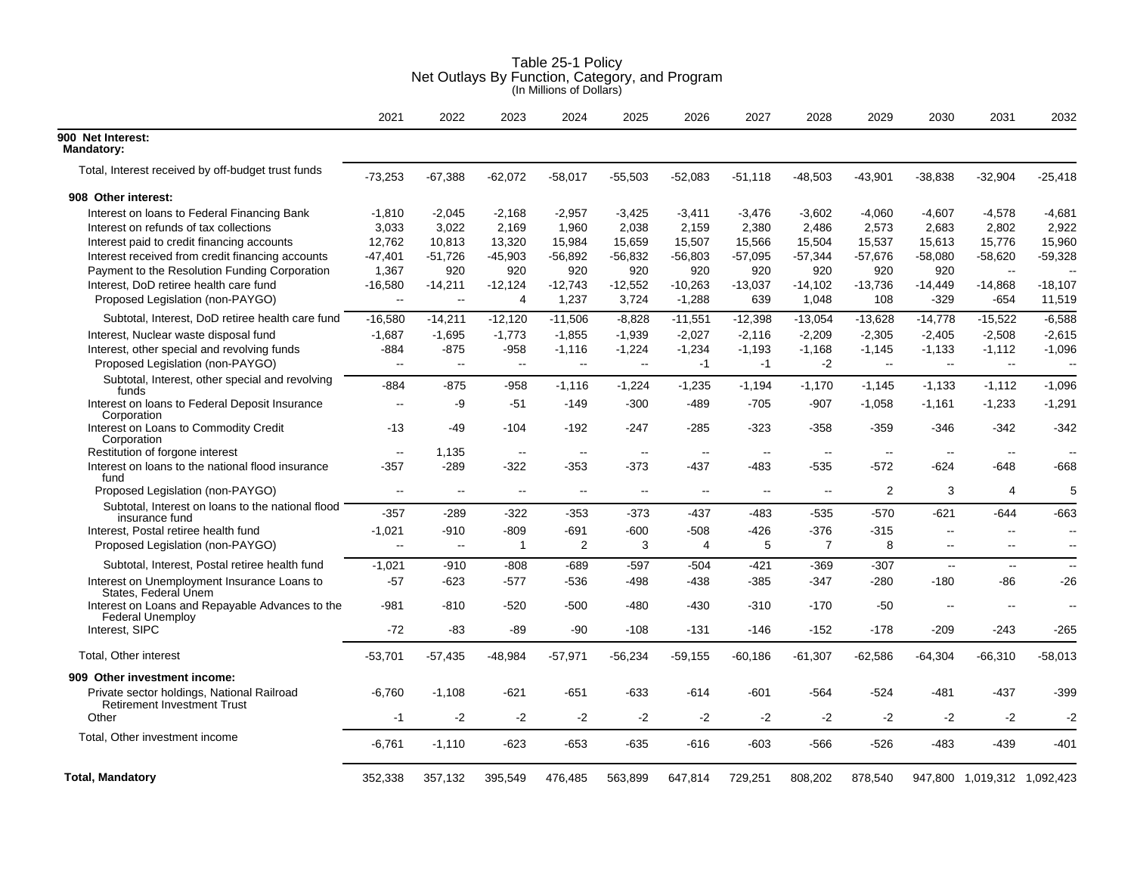|                                                                                  | 2021                         | 2022                     | 2023                     | 2024                     | 2025                     | 2026                     | 2027                     | 2028                     | 2029           | 2030                     | 2031                        | 2032                     |
|----------------------------------------------------------------------------------|------------------------------|--------------------------|--------------------------|--------------------------|--------------------------|--------------------------|--------------------------|--------------------------|----------------|--------------------------|-----------------------------|--------------------------|
| 900 Net Interest:<br><b>Mandatory:</b>                                           |                              |                          |                          |                          |                          |                          |                          |                          |                |                          |                             |                          |
| Total, Interest received by off-budget trust funds                               | $-73,253$                    | $-67,388$                | $-62,072$                | $-58,017$                | $-55,503$                | $-52,083$                | $-51,118$                | $-48,503$                | $-43,901$      | $-38,838$                | $-32,904$                   | $-25,418$                |
| 908 Other interest:                                                              |                              |                          |                          |                          |                          |                          |                          |                          |                |                          |                             |                          |
| Interest on loans to Federal Financing Bank                                      | $-1,810$                     | $-2,045$                 | $-2,168$                 | $-2,957$                 | $-3,425$                 | $-3,411$                 | $-3,476$                 | $-3,602$                 | $-4,060$       | $-4,607$                 | $-4,578$                    | $-4,681$                 |
| Interest on refunds of tax collections                                           | 3,033                        | 3,022                    | 2,169                    | 1,960                    | 2,038                    | 2,159                    | 2,380                    | 2,486                    | 2,573          | 2,683                    | 2,802                       | 2,922                    |
| Interest paid to credit financing accounts                                       | 12,762                       | 10,813                   | 13,320                   | 15,984                   | 15,659                   | 15,507                   | 15,566                   | 15,504                   | 15,537         | 15,613                   | 15,776                      | 15,960                   |
| Interest received from credit financing accounts                                 | $-47,401$                    | -51,726                  | $-45,903$                | $-56,892$                | -56,832                  | $-56,803$                | -57,095                  | $-57,344$                | $-57,676$      | $-58,080$                | $-58,620$                   | $-59,328$                |
| Payment to the Resolution Funding Corporation                                    | 1,367                        | 920                      | 920                      | 920                      | 920                      | 920                      | 920                      | 920                      | 920            | 920                      | $\sim$                      |                          |
| Interest, DoD retiree health care fund                                           | $-16,580$                    | $-14,211$                | $-12,124$                | $-12,743$                | $-12,552$                | $-10,263$                | $-13,037$                | $-14,102$                | $-13,736$      | $-14,449$                | $-14,868$                   | $-18,107$                |
| Proposed Legislation (non-PAYGO)                                                 | $\qquad \qquad \blacksquare$ | $-$                      | 4                        | 1,237                    | 3,724                    | $-1,288$                 | 639                      | 1,048                    | 108            | $-329$                   | $-654$                      | 11,519                   |
| Subtotal, Interest, DoD retiree health care fund                                 | $-16,580$                    | $-14,211$                | $-12,120$                | $-11,506$                | $-8,828$                 | $-11,551$                | $-12,398$                | $-13,054$                | $-13,628$      | $-14,778$                | $-15,522$                   | $-6,588$                 |
| Interest, Nuclear waste disposal fund                                            | $-1,687$                     | $-1,695$                 | $-1,773$                 | $-1,855$                 | $-1,939$                 | $-2,027$                 | $-2,116$                 | $-2,209$                 | $-2,305$       | $-2,405$                 | $-2,508$                    | $-2,615$                 |
| Interest, other special and revolving funds                                      | $-884$                       | $-875$                   | $-958$                   | $-1,116$                 | $-1,224$                 | $-1,234$                 | $-1,193$                 | $-1,168$                 | $-1,145$       | $-1,133$                 | $-1,112$                    | $-1,096$                 |
| Proposed Legislation (non-PAYGO)                                                 | $\overline{\phantom{a}}$     | $\sim$                   | $\sim$                   | $\ddotsc$                | $\overline{\phantom{a}}$ | $-1$                     | $-1$                     | $-2$                     | $\overline{a}$ | $\sim$                   | $\overline{\phantom{a}}$    | --                       |
| Subtotal, Interest, other special and revolving<br>funds                         | -884                         | -875                     | -958                     | $-1,116$                 | $-1,224$                 | $-1,235$                 | $-1,194$                 | $-1,170$                 | $-1,145$       | $-1,133$                 | $-1,112$                    | $-1,096$                 |
| Interest on loans to Federal Deposit Insurance<br>Corporation                    | $\overline{\phantom{a}}$     | -9                       | $-51$                    | $-149$                   | $-300$                   | $-489$                   | $-705$                   | $-907$                   | $-1,058$       | $-1,161$                 | $-1,233$                    | $-1,291$                 |
| Interest on Loans to Commodity Credit<br>Corporation                             | $-13$                        | -49                      | $-104$                   | $-192$                   | $-247$                   | $-285$                   | $-323$                   | $-358$                   | $-359$         | -346                     | -342                        | $-342$                   |
| Restitution of forgone interest                                                  | $\mathbf{u}$                 | 1,135                    | $\sim$                   | $\overline{\phantom{a}}$ | $\overline{\phantom{a}}$ | $\sim$                   | $\sim$                   | $\overline{\phantom{a}}$ | $\sim$         | $\sim$                   | $\sim$                      |                          |
| Interest on loans to the national flood insurance<br>fund                        | $-357$                       | $-289$                   | $-322$                   | $-353$                   | $-373$                   | $-437$                   | $-483$                   | $-535$                   | $-572$         | $-624$                   | $-648$                      | $-668$                   |
| Proposed Legislation (non-PAYGO)                                                 | --                           | $\sim$ $\sim$            | $\overline{\phantom{a}}$ | $\overline{\phantom{a}}$ | $\overline{\phantom{a}}$ | $\overline{\phantom{a}}$ | $\overline{\phantom{a}}$ | $\overline{\phantom{a}}$ | $\overline{2}$ | 3                        | 4                           | 5                        |
| Subtotal, Interest on loans to the national flood<br>insurance fund              | -357                         | -289                     | -322                     | -353                     | $-373$                   | -437                     | -483                     | $-535$                   | $-570$         | -621                     | $-644$                      | $-663$                   |
| Interest, Postal retiree health fund                                             | $-1,021$                     | $-910$                   | $-809$                   | $-691$                   | $-600$                   | $-508$                   | $-426$                   | $-376$                   | $-315$         | $\overline{\phantom{a}}$ | --                          | --                       |
| Proposed Legislation (non-PAYGO)                                                 | Ξ.                           | $\overline{\phantom{a}}$ | 1                        | 2                        | 3                        | 4                        | 5                        | 7                        | 8              | $\overline{\phantom{a}}$ | --                          | $\overline{\phantom{a}}$ |
| Subtotal, Interest, Postal retiree health fund                                   | $-1,021$                     | $-910$                   | $-808$                   | $-689$                   | $-597$                   | $-504$                   | $-421$                   | $-369$                   | $-307$         | $\mathbf{L}$             | $\mathbf{u}$                | $\sim$                   |
| Interest on Unemployment Insurance Loans to<br>States, Federal Unem              | $-57$                        | $-623$                   | $-577$                   | $-536$                   | -498                     | $-438$                   | $-385$                   | $-347$                   | $-280$         | $-180$                   | -86                         | $-26$                    |
| Interest on Loans and Repayable Advances to the<br><b>Federal Unemploy</b>       | $-981$                       | $-810$                   | $-520$                   | $-500$                   | $-480$                   | $-430$                   | $-310$                   | $-170$                   | $-50$          | $\overline{a}$           | $\sim$                      | $-$                      |
| Interest, SIPC                                                                   | $-72$                        | -83                      | -89                      | -90                      | $-108$                   | $-131$                   | $-146$                   | $-152$                   | $-178$         | $-209$                   | $-243$                      | $-265$                   |
| Total, Other interest                                                            | $-53,701$                    | $-57,435$                | -48,984                  | $-57,971$                | $-56,234$                | $-59,155$                | $-60,186$                | $-61,307$                | $-62,586$      | $-64,304$                | $-66,310$                   | $-58,013$                |
| 909 Other investment income:                                                     |                              |                          |                          |                          |                          |                          |                          |                          |                |                          |                             |                          |
| Private sector holdings, National Railroad<br><b>Retirement Investment Trust</b> | $-6,760$                     | $-1,108$                 | $-621$                   | $-651$                   | $-633$                   | $-614$                   | $-601$                   | $-564$                   | $-524$         | -481                     | $-437$                      | $-399$                   |
| Other                                                                            | -1                           | $-2$                     | $-2$                     | $-2$                     | $-2$                     | $-2$                     | $-2$                     | $-2$                     | $-2$           | $-2$                     | $-2$                        | $-2$                     |
| Total, Other investment income                                                   | $-6,761$                     | $-1,110$                 | $-623$                   | $-653$                   | $-635$                   | $-616$                   | $-603$                   | $-566$                   | $-526$         | $-483$                   | $-439$                      | $-401$                   |
| <b>Total, Mandatory</b>                                                          | 352,338                      | 357,132                  | 395,549                  | 476.485                  | 563,899                  | 647,814                  | 729,251                  | 808,202                  | 878,540        |                          | 947,800 1,019,312 1,092,423 |                          |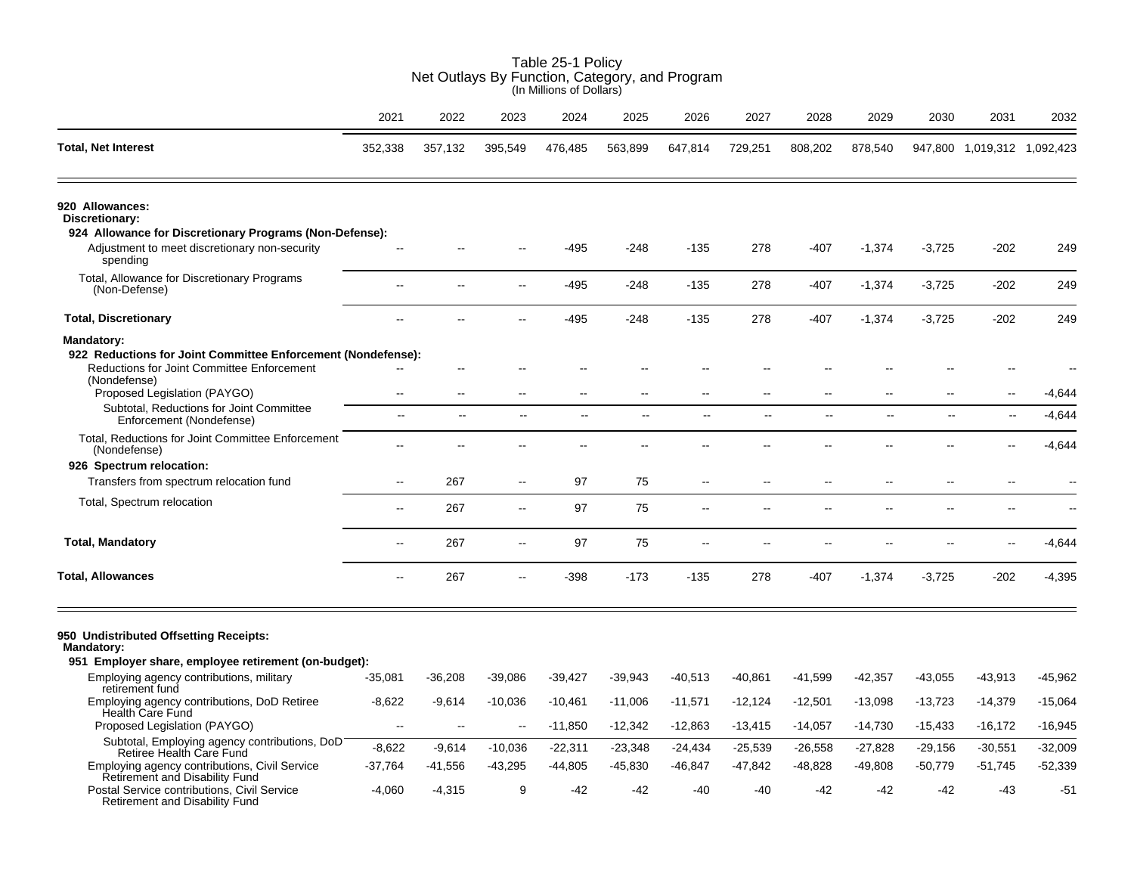| Net Outlays By Function, Category, and Program<br>(In Millions of Dollars)                                                                                               |                                                      |                         |                          |                           |                |                |                          |                          |                          |                |                             |           |  |
|--------------------------------------------------------------------------------------------------------------------------------------------------------------------------|------------------------------------------------------|-------------------------|--------------------------|---------------------------|----------------|----------------|--------------------------|--------------------------|--------------------------|----------------|-----------------------------|-----------|--|
|                                                                                                                                                                          | 2021                                                 | 2022                    | 2023                     | 2024                      | 2025           | 2026           | 2027                     | 2028                     | 2029                     | 2030           | 2031                        | 2032      |  |
| <b>Total, Net Interest</b>                                                                                                                                               | 352,338                                              | 357,132                 | 395,549                  | 476,485                   | 563,899        | 647,814        | 729,251                  | 808,202                  | 878,540                  |                | 947,800 1,019,312 1,092,423 |           |  |
| 920 Allowances:<br>Discretionary:                                                                                                                                        |                                                      |                         |                          |                           |                |                |                          |                          |                          |                |                             |           |  |
| 924 Allowance for Discretionary Programs (Non-Defense):<br>Adjustment to meet discretionary non-security<br>spending                                                     |                                                      |                         |                          | -495                      | $-248$         | $-135$         | 278                      | $-407$                   | $-1,374$                 | $-3,725$       | $-202$                      | 249       |  |
| Total, Allowance for Discretionary Programs<br>(Non-Defense)                                                                                                             | $\overline{\phantom{a}}$                             | $\sim$ $\sim$           | $\sim$                   | $-495$                    | $-248$         | $-135$         | 278                      | $-407$                   | $-1,374$                 | $-3,725$       | $-202$                      | 249       |  |
| <b>Total, Discretionary</b>                                                                                                                                              | $\overline{a}$                                       |                         |                          | -495                      | $-248$         | $-135$         | 278                      | $-407$                   | $-1,374$                 | $-3,725$       | $-202$                      | 249       |  |
| Mandatory:<br>922 Reductions for Joint Committee Enforcement (Nondefense):<br>Reductions for Joint Committee Enforcement<br>(Nondefense)<br>Proposed Legislation (PAYGO) | $\overline{\phantom{a}}$<br>$\overline{\phantom{a}}$ | $\sim$<br>$\sim$ $\sim$ | $\sim$                   | $\sim$                    | $\sim$         | ä.             | ц,                       | --                       | $\sim$                   | μ.             | $\overline{\phantom{a}}$    | $-4,644$  |  |
| Subtotal, Reductions for Joint Committee<br>Enforcement (Nondefense)                                                                                                     | $\ddot{\phantom{a}}$                                 | $\mathbf{L}$            | $\mathbb{Z}^2$           | $\mathbb{L}^{\mathbb{L}}$ | $\mathbb{L}^2$ | $\overline{a}$ | $\overline{a}$           | ă.                       | $\overline{a}$           | Ξ.             | $\Box$                      | $-4,644$  |  |
| Total, Reductions for Joint Committee Enforcement<br>(Nondefense)                                                                                                        |                                                      |                         |                          |                           |                |                |                          |                          |                          |                |                             | $-4,644$  |  |
| 926 Spectrum relocation:                                                                                                                                                 |                                                      |                         |                          |                           |                |                |                          |                          |                          |                |                             |           |  |
| Transfers from spectrum relocation fund                                                                                                                                  | $\mathbf{u}$                                         | 267                     | $\sim$                   | 97                        | 75             | --             | --                       | $\overline{\phantom{a}}$ | $\overline{\phantom{a}}$ | $\overline{a}$ | $\sim$                      |           |  |
| Total, Spectrum relocation                                                                                                                                               | $\sim$                                               | 267                     | $\sim$                   | 97                        | 75             | $-$            | $\overline{a}$           | --                       | --                       | $-$            | $\overline{\phantom{a}}$    |           |  |
| <b>Total, Mandatory</b>                                                                                                                                                  | $\sim$                                               | 267                     | $\sim$                   | 97                        | 75             | Ξ.             | $\overline{\phantom{a}}$ | --                       | --                       | $-$            | $\overline{\phantom{a}}$    | $-4,644$  |  |
| <b>Total, Allowances</b>                                                                                                                                                 | $\sim$                                               | 267                     | ä.                       | -398                      | $-173$         | $-135$         | 278                      | $-407$                   | $-1,374$                 | $-3,725$       | $-202$                      | $-4,395$  |  |
| 950 Undistributed Offsetting Receipts:<br><b>Mandatory:</b>                                                                                                              |                                                      |                         |                          |                           |                |                |                          |                          |                          |                |                             |           |  |
| 951 Employer share, employee retirement (on-budget):                                                                                                                     |                                                      |                         |                          |                           |                |                |                          |                          |                          |                |                             |           |  |
| Employing agency contributions, military<br>retirement fund                                                                                                              | $-35,081$                                            | $-36,208$               | $-39,086$                | $-39,427$                 | $-39,943$      | $-40,513$      | -40.861                  | -41,599                  | $-42,357$                | $-43,055$      | $-43,913$                   | $-45,962$ |  |
| Employing agency contributions, DoD Retiree<br><b>Health Care Fund</b>                                                                                                   | $-8,622$                                             | $-9,614$                | $-10,036$                | $-10,461$                 | $-11,006$      | $-11,571$      | $-12,124$                | $-12,501$                | $-13,098$                | $-13,723$      | $-14,379$                   | $-15,064$ |  |
| Proposed Legislation (PAYGO)                                                                                                                                             | $\overline{\phantom{a}}$                             | $\ddotsc$               | $\overline{\phantom{a}}$ | $-11,850$                 | $-12,342$      | $-12,863$      | $-13,415$                | $-14,057$                | $-14,730$                | $-15,433$      | $-16,172$                   | $-16,945$ |  |
| Subtotal, Employing agency contributions, DoD<br>Retiree Health Care Fund                                                                                                | $-8,622$                                             | $-9,614$                | $-10,036$                | $-22,311$                 | $-23,348$      | $-24,434$      | $-25,539$                | $-26,558$                | $-27,828$                | $-29,156$      | $-30,551$                   | $-32,009$ |  |
| Employing agency contributions, Civil Service<br>Retirement and Disability Fund                                                                                          | $-37,764$                                            | -41,556                 | $-43,295$                | $-44,805$                 | $-45,830$      | -46,847        | -47,842                  | -48,828                  | $-49,808$                | -50,779        | $-51,745$                   | $-52,339$ |  |
| Postal Service contributions, Civil Service<br>Retirement and Disability Fund                                                                                            | $-4,060$                                             | $-4,315$                | 9                        | -42                       | -42            | -40            | $-40$                    | $-42$                    | $-42$                    | -42            | -43                         | $-51$     |  |

Table 25-1 Policy